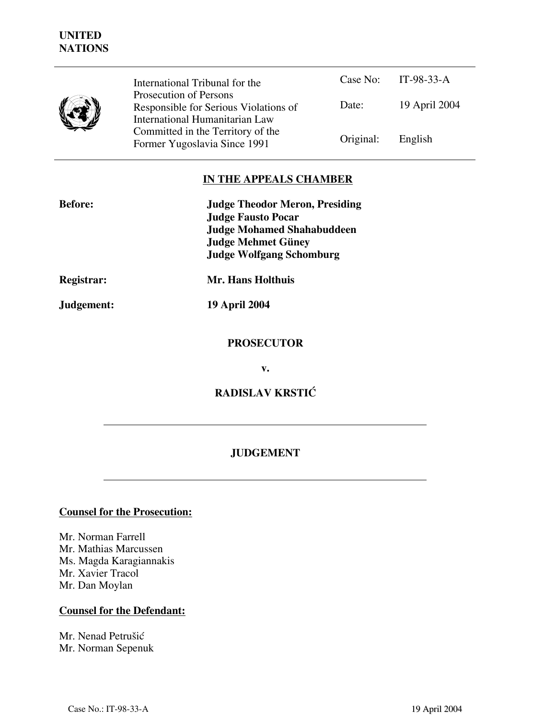|--|

Case No: IT-98-33-A Date: 19 April 2004 International Tribunal for the Prosecution of Persons Responsible for Serious Violations of International Humanitarian Law Committed in the Territory of the Former Yugoslavia Since 1991 Original: English

### **IN THE APPEALS CHAMBER**

| <b>Before:</b>    | <b>Judge Theodor Meron, Presiding</b> |
|-------------------|---------------------------------------|
|                   | <b>Judge Fausto Pocar</b>             |
|                   | <b>Judge Mohamed Shahabuddeen</b>     |
|                   | <b>Judge Mehmet Güney</b>             |
|                   | <b>Judge Wolfgang Schomburg</b>       |
| <b>Registrar:</b> | Mr. Hans Holthuis                     |
| Judgement:        | <b>19 April 2004</b>                  |
|                   |                                       |

#### **PROSECUTOR**

**v.**

### **RADISLAV KRSTIĆ**

#### **JUDGEMENT**

### **Counsel for the Prosecution:**

Mr. Norman Farrell Mr. Mathias Marcussen Ms. Magda Karagiannakis Mr. Xavier Tracol Mr. Dan Moylan

### **Counsel for the Defendant:**

Mr. Nenad Petrušić Mr. Norman Sepenuk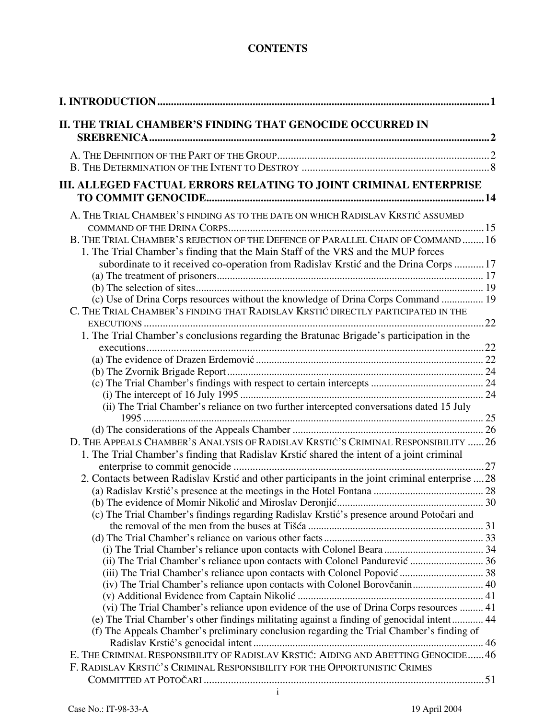# **CONTENTS**

| II. THE TRIAL CHAMBER'S FINDING THAT GENOCIDE OCCURRED IN                                       |  |
|-------------------------------------------------------------------------------------------------|--|
|                                                                                                 |  |
|                                                                                                 |  |
| III. ALLEGED FACTUAL ERRORS RELATING TO JOINT CRIMINAL ENTERPRISE                               |  |
| A. THE TRIAL CHAMBER'S FINDING AS TO THE DATE ON WHICH RADISLAV KRSTIĆ ASSUMED                  |  |
| B. THE TRIAL CHAMBER'S REJECTION OF THE DEFENCE OF PARALLEL CHAIN OF COMMAND 16                 |  |
| 1. The Trial Chamber's finding that the Main Staff of the VRS and the MUP forces                |  |
| subordinate to it received co-operation from Radislav Krstić and the Drina Corps 17             |  |
|                                                                                                 |  |
|                                                                                                 |  |
| (c) Use of Drina Corps resources without the knowledge of Drina Corps Command  19               |  |
| C. THE TRIAL CHAMBER'S FINDING THAT RADISLAV KRSTIĆ DIRECTLY PARTICIPATED IN THE                |  |
|                                                                                                 |  |
| 1. The Trial Chamber's conclusions regarding the Bratunac Brigade's participation in the        |  |
|                                                                                                 |  |
|                                                                                                 |  |
|                                                                                                 |  |
|                                                                                                 |  |
|                                                                                                 |  |
| (ii) The Trial Chamber's reliance on two further intercepted conversations dated 15 July        |  |
|                                                                                                 |  |
| D. THE APPEALS CHAMBER'S ANALYSIS OF RADISLAV KRSTIĆ'S CRIMINAL RESPONSIBILITY 26               |  |
| 1. The Trial Chamber's finding that Radislav Krstić shared the intent of a joint criminal       |  |
|                                                                                                 |  |
| 2. Contacts between Radislav Krstić and other participants in the joint criminal enterprise  28 |  |
|                                                                                                 |  |
|                                                                                                 |  |
| (c) The Trial Chamber's findings regarding Radislav Krstić's presence around Potočari and       |  |
|                                                                                                 |  |
|                                                                                                 |  |
|                                                                                                 |  |
|                                                                                                 |  |
|                                                                                                 |  |
| (iv) The Trial Chamber's reliance upon contacts with Colonel Borovčanin 40                      |  |
|                                                                                                 |  |
| (vi) The Trial Chamber's reliance upon evidence of the use of Drina Corps resources  41         |  |
| (e) The Trial Chamber's other findings militating against a finding of genocidal intent 44      |  |
| (f) The Appeals Chamber's preliminary conclusion regarding the Trial Chamber's finding of       |  |
|                                                                                                 |  |
| E. THE CRIMINAL RESPONSIBILITY OF RADISLAV KRSTIĆ: AIDING AND ABETTING GENOCIDE 46              |  |
| F. RADISLAV KRSTIĆ'S CRIMINAL RESPONSIBILITY FOR THE OPPORTUNISTIC CRIMES                       |  |
|                                                                                                 |  |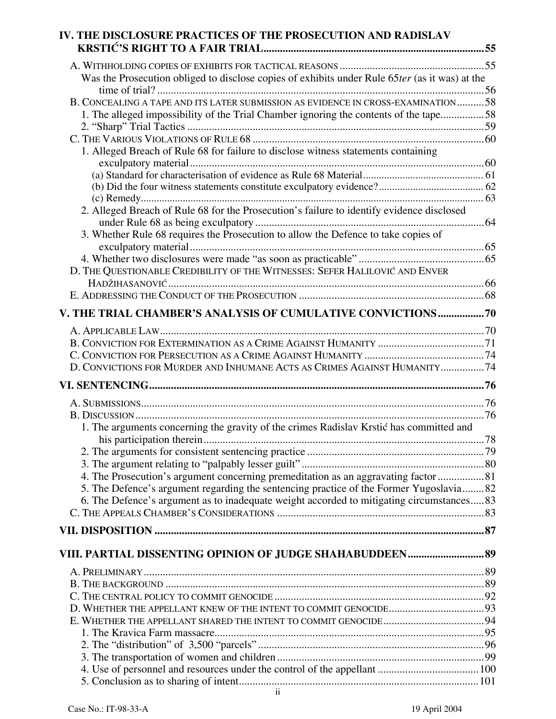| IV. THE DISCLOSURE PRACTICES OF THE PROSECUTION AND RADISLAV                                                                                                                  |  |
|-------------------------------------------------------------------------------------------------------------------------------------------------------------------------------|--|
|                                                                                                                                                                               |  |
|                                                                                                                                                                               |  |
| Was the Prosecution obliged to disclose copies of exhibits under Rule 65ter (as it was) at the                                                                                |  |
| B. CONCEALING A TAPE AND ITS LATER SUBMISSION AS EVIDENCE IN CROSS-EXAMINATION58                                                                                              |  |
| 1. The alleged impossibility of the Trial Chamber ignoring the contents of the tape58                                                                                         |  |
|                                                                                                                                                                               |  |
|                                                                                                                                                                               |  |
| 1. Alleged Breach of Rule 68 for failure to disclose witness statements containing                                                                                            |  |
|                                                                                                                                                                               |  |
|                                                                                                                                                                               |  |
| 2. Alleged Breach of Rule 68 for the Prosecution's failure to identify evidence disclosed                                                                                     |  |
|                                                                                                                                                                               |  |
| 3. Whether Rule 68 requires the Prosecution to allow the Defence to take copies of                                                                                            |  |
|                                                                                                                                                                               |  |
| D. THE QUESTIONABLE CREDIBILITY OF THE WITNESSES: SEFER HALILOVIĆ AND ENVER                                                                                                   |  |
|                                                                                                                                                                               |  |
| V. THE TRIAL CHAMBER'S ANALYSIS OF CUMULATIVE CONVICTIONS70                                                                                                                   |  |
|                                                                                                                                                                               |  |
|                                                                                                                                                                               |  |
|                                                                                                                                                                               |  |
| D. CONVICTIONS FOR MURDER AND INHUMANE ACTS AS CRIMES AGAINST HUMANITY74                                                                                                      |  |
|                                                                                                                                                                               |  |
|                                                                                                                                                                               |  |
|                                                                                                                                                                               |  |
| 1. The arguments concerning the gravity of the crimes Radislav Krstić has committed and                                                                                       |  |
|                                                                                                                                                                               |  |
|                                                                                                                                                                               |  |
| 4. The Prosecution's argument concerning premeditation as an aggravating factor 81<br>5. The Defence's argument regarding the sentencing practice of the Former Yugoslavia 82 |  |
| 6. The Defence's argument as to inadequate weight accorded to mitigating circumstances 83                                                                                     |  |
|                                                                                                                                                                               |  |
|                                                                                                                                                                               |  |
|                                                                                                                                                                               |  |
|                                                                                                                                                                               |  |
|                                                                                                                                                                               |  |
|                                                                                                                                                                               |  |
|                                                                                                                                                                               |  |
|                                                                                                                                                                               |  |
|                                                                                                                                                                               |  |
|                                                                                                                                                                               |  |
|                                                                                                                                                                               |  |
|                                                                                                                                                                               |  |
| ii                                                                                                                                                                            |  |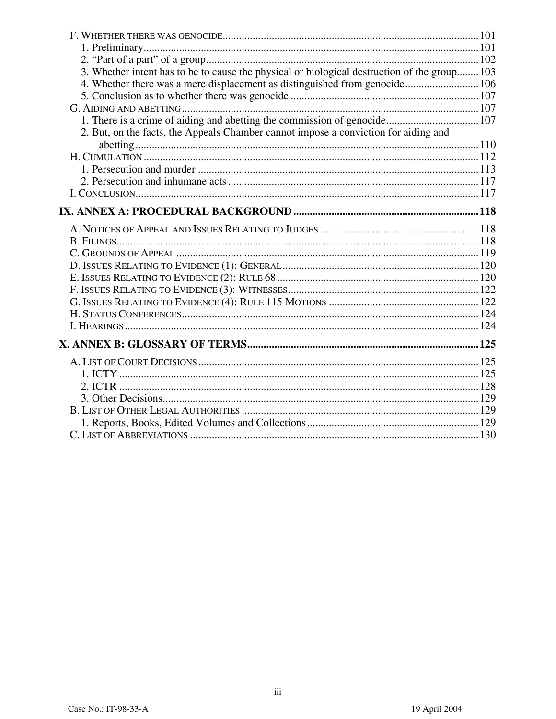| 3. Whether intent has to be to cause the physical or biological destruction of the group 103 |  |
|----------------------------------------------------------------------------------------------|--|
| 4. Whether there was a mere displacement as distinguished from genocide 106                  |  |
|                                                                                              |  |
|                                                                                              |  |
| 1. There is a crime of aiding and abetting the commission of genocide 107                    |  |
| 2. But, on the facts, the Appeals Chamber cannot impose a conviction for aiding and          |  |
|                                                                                              |  |
|                                                                                              |  |
|                                                                                              |  |
|                                                                                              |  |
|                                                                                              |  |
|                                                                                              |  |
|                                                                                              |  |
|                                                                                              |  |
|                                                                                              |  |
|                                                                                              |  |
|                                                                                              |  |
|                                                                                              |  |
|                                                                                              |  |
|                                                                                              |  |
|                                                                                              |  |
|                                                                                              |  |
|                                                                                              |  |
|                                                                                              |  |
|                                                                                              |  |
|                                                                                              |  |
|                                                                                              |  |
|                                                                                              |  |
|                                                                                              |  |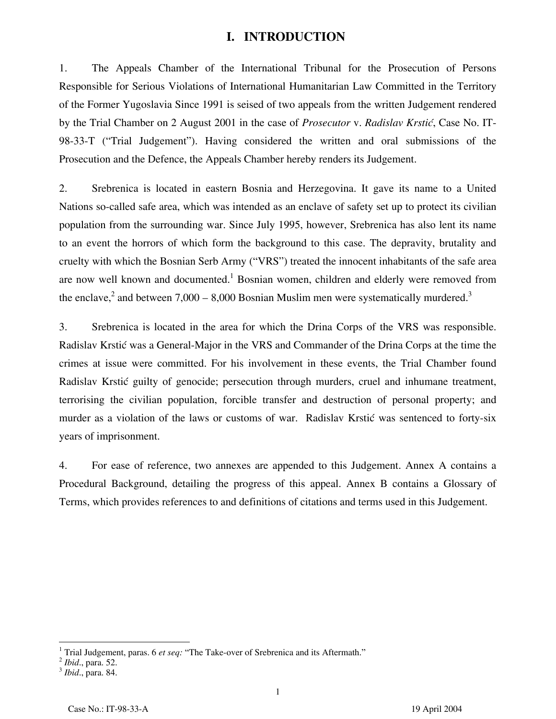### **I. INTRODUCTION**

1. The Appeals Chamber of the International Tribunal for the Prosecution of Persons Responsible for Serious Violations of International Humanitarian Law Committed in the Territory of the Former Yugoslavia Since 1991 is seised of two appeals from the written Judgement rendered by the Trial Chamber on 2 August 2001 in the case of *Prosecutor* v. *Radislav Krstić*, Case No. IT-98-33-T ("Trial Judgement"). Having considered the written and oral submissions of the Prosecution and the Defence, the Appeals Chamber hereby renders its Judgement.

2. Srebrenica is located in eastern Bosnia and Herzegovina. It gave its name to a United Nations so-called safe area, which was intended as an enclave of safety set up to protect its civilian population from the surrounding war. Since July 1995, however, Srebrenica has also lent its name to an event the horrors of which form the background to this case. The depravity, brutality and cruelty with which the Bosnian Serb Army ("VRS") treated the innocent inhabitants of the safe area are now well known and documented.<sup>1</sup> Bosnian women, children and elderly were removed from the enclave,<sup>2</sup> and between  $7,000 - 8,000$  Bosnian Muslim men were systematically murdered.<sup>3</sup>

3. Srebrenica is located in the area for which the Drina Corps of the VRS was responsible. Radislav Krstić was a General-Major in the VRS and Commander of the Drina Corps at the time the crimes at issue were committed. For his involvement in these events, the Trial Chamber found Radislav Krstić guilty of genocide; persecution through murders, cruel and inhumane treatment, terrorising the civilian population, forcible transfer and destruction of personal property; and murder as a violation of the laws or customs of war. Radislav Krstić was sentenced to forty-six years of imprisonment.

4. For ease of reference, two annexes are appended to this Judgement. Annex A contains a Procedural Background, detailing the progress of this appeal. Annex B contains a Glossary of Terms, which provides references to and definitions of citations and terms used in this Judgement.

-

<sup>&</sup>lt;sup>1</sup> Trial Judgement, paras. 6 *et seq:* "The Take-over of Srebrenica and its Aftermath."<br><sup>2</sup> *Ibid.*, para. 52.  $3$  *Ibid.*, para. 84.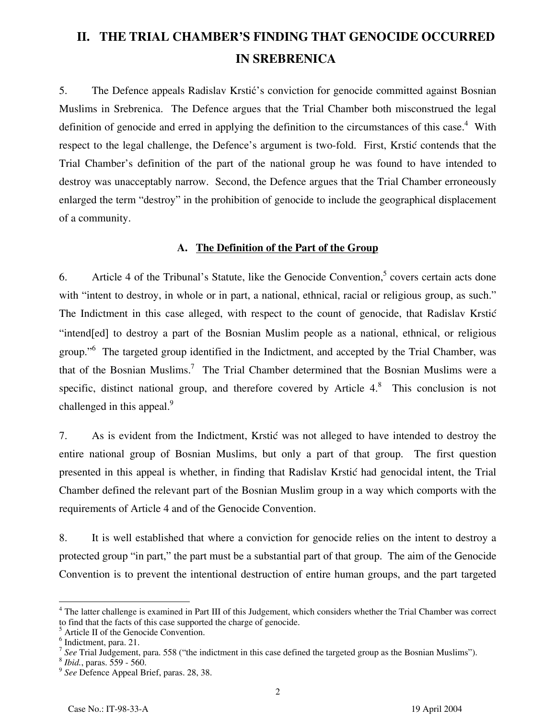# **II. THE TRIAL CHAMBER'S FINDING THAT GENOCIDE OCCURRED IN SREBRENICA**

5. The Defence appeals Radislav Krstić's conviction for genocide committed against Bosnian Muslims in Srebrenica. The Defence argues that the Trial Chamber both misconstrued the legal definition of genocide and erred in applying the definition to the circumstances of this case.<sup>4</sup> With respect to the legal challenge, the Defence's argument is two-fold. First, Krstić contends that the Trial Chamber's definition of the part of the national group he was found to have intended to destroy was unacceptably narrow. Second, the Defence argues that the Trial Chamber erroneously enlarged the term "destroy" in the prohibition of genocide to include the geographical displacement of a community.

#### **A. The Definition of the Part of the Group**

6. Article 4 of the Tribunal's Statute, like the Genocide Convention,<sup>5</sup> covers certain acts done with "intent to destroy, in whole or in part, a national, ethnical, racial or religious group, as such." The Indictment in this case alleged, with respect to the count of genocide, that Radislav Krstić "intend[ed] to destroy a part of the Bosnian Muslim people as a national, ethnical, or religious group."<sup>6</sup> The targeted group identified in the Indictment, and accepted by the Trial Chamber, was that of the Bosnian Muslims.<sup>7</sup> The Trial Chamber determined that the Bosnian Muslims were a specific, distinct national group, and therefore covered by Article  $4.8$  This conclusion is not challenged in this appeal.<sup>9</sup>

7. As is evident from the Indictment, Krstić was not alleged to have intended to destroy the entire national group of Bosnian Muslims, but only a part of that group. The first question presented in this appeal is whether, in finding that Radislav Krstić had genocidal intent, the Trial Chamber defined the relevant part of the Bosnian Muslim group in a way which comports with the requirements of Article 4 and of the Genocide Convention.

8. It is well established that where a conviction for genocide relies on the intent to destroy a protected group "in part," the part must be a substantial part of that group. The aim of the Genocide Convention is to prevent the intentional destruction of entire human groups, and the part targeted

 $\overline{a}$ <sup>4</sup> The latter challenge is examined in Part III of this Judgement, which considers whether the Trial Chamber was correct to find that the facts of this case supported the charge of genocide.

<sup>5</sup> Article II of the Genocide Convention.

 $<sup>6</sup>$  Indictment, para. 21.</sup>

<sup>7</sup> *See* Trial Judgement, para. 558 ("the indictment in this case defined the targeted group as the Bosnian Muslims"). <sup>8</sup> *Ibid.*, paras. 559 - 560.

<sup>9</sup> *See* Defence Appeal Brief, paras. 28, 38.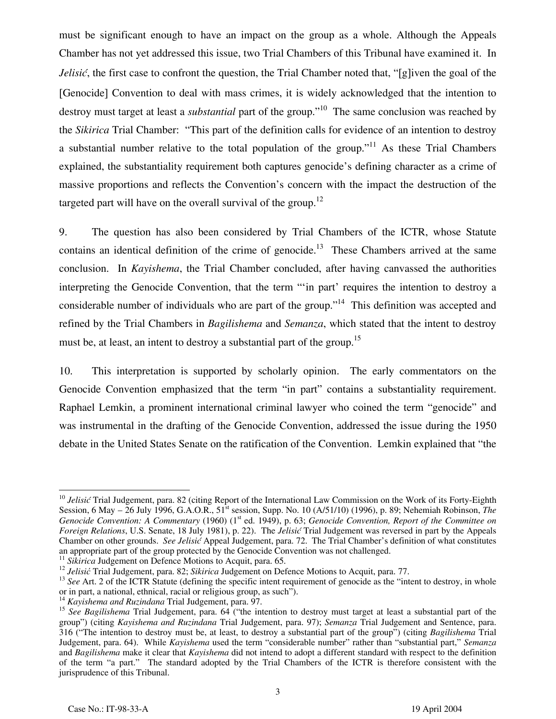must be significant enough to have an impact on the group as a whole. Although the Appeals Chamber has not yet addressed this issue, two Trial Chambers of this Tribunal have examined it. In *Jelisić*, the first case to confront the question, the Trial Chamber noted that, "[g]iven the goal of the [Genocide] Convention to deal with mass crimes, it is widely acknowledged that the intention to destroy must target at least a *substantial* part of the group."10 The same conclusion was reached by the *Sikirica* Trial Chamber: "This part of the definition calls for evidence of an intention to destroy a substantial number relative to the total population of the group."<sup>11</sup> As these Trial Chambers explained, the substantiality requirement both captures genocide's defining character as a crime of massive proportions and reflects the Convention's concern with the impact the destruction of the targeted part will have on the overall survival of the group.<sup>12</sup>

9. The question has also been considered by Trial Chambers of the ICTR, whose Statute contains an identical definition of the crime of genocide.<sup>13</sup> These Chambers arrived at the same conclusion. In *Kayishema*, the Trial Chamber concluded, after having canvassed the authorities interpreting the Genocide Convention, that the term "'in part' requires the intention to destroy a considerable number of individuals who are part of the group."<sup>14</sup> This definition was accepted and refined by the Trial Chambers in *Bagilishema* and *Semanza*, which stated that the intent to destroy must be, at least, an intent to destroy a substantial part of the group.<sup>15</sup>

10. This interpretation is supported by scholarly opinion. The early commentators on the Genocide Convention emphasized that the term "in part" contains a substantiality requirement. Raphael Lemkin, a prominent international criminal lawyer who coined the term "genocide" and was instrumental in the drafting of the Genocide Convention, addressed the issue during the 1950 debate in the United States Senate on the ratification of the Convention. Lemkin explained that "the

 $\frac{1}{1}$ 

<sup>10</sup> *Jelisić* Trial Judgement, para. 82 (citing Report of the International Law Commission on the Work of its Forty-Eighth Session, 6 May – 26 July 1996, G.A.O.R., 51<sup>st</sup> session, Supp. No. 10 (A/51/10) (1996), p. 89; Nehemiah Robinson, *The Genocide Convention: A Commentary* (1960) (1<sup>st</sup> ed. 1949), p. 63; *Genocide Convention, Report of the Committee on Foreign Relations*, U.S. Senate, 18 July 1981), p. 22). The *Jelisić* Trial Judgement was reversed in part by the Appeals Chamber on other grounds. *See Jelisić* Appeal Judgement, para. 72. The Trial Chamber's definition of what constitutes an appropriate part of the group protected by the Genocide Convention was not challenged.<br><sup>11</sup> Sikirica Judgement on Defence Motions to Acquit, para. 65.

<sup>&</sup>lt;sup>12</sup> Jelisić Trial Judgement, para. 82; Sikirica Judgement on Defence Motions to Acquit, para. 77.<br><sup>13</sup> See Art. 2 of the ICTR Statute (defining the specific intent requirement of genocide as the "intent to destroy, in wh

<sup>&</sup>lt;sup>14</sup> Kavishema and Ruzindana Trial Judgement, para. 97.

<sup>&</sup>lt;sup>15</sup> See Bagilishema Trial Judgement, para. 64 ("the intention to destroy must target at least a substantial part of the group") (citing *Kayishema and Ruzindana* Trial Judgement, para. 97); *Semanza* Trial Judgement and Sentence, para. 316 ("The intention to destroy must be, at least, to destroy a substantial part of the group") (citing *Bagilishema* Trial Judgement, para. 64). While *Kayishema* used the term "considerable number" rather than "substantial part," *Semanza* and *Bagilishema* make it clear that *Kayishema* did not intend to adopt a different standard with respect to the definition of the term "a part." The standard adopted by the Trial Chambers of the ICTR is therefore consistent with the jurisprudence of this Tribunal.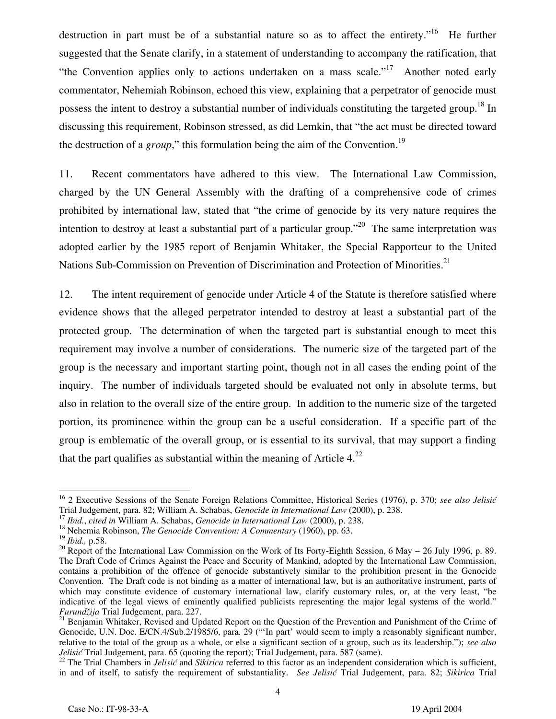destruction in part must be of a substantial nature so as to affect the entirety.<sup> $16$ </sup> He further suggested that the Senate clarify, in a statement of understanding to accompany the ratification, that "the Convention applies only to actions undertaken on a mass scale."<sup>17</sup> Another noted early commentator, Nehemiah Robinson, echoed this view, explaining that a perpetrator of genocide must possess the intent to destroy a substantial number of individuals constituting the targeted group.<sup>18</sup> In discussing this requirement, Robinson stressed, as did Lemkin, that "the act must be directed toward the destruction of a *group*," this formulation being the aim of the Convention.19

11. Recent commentators have adhered to this view. The International Law Commission, charged by the UN General Assembly with the drafting of a comprehensive code of crimes prohibited by international law, stated that "the crime of genocide by its very nature requires the intention to destroy at least a substantial part of a particular group.<sup> $20$ </sup> The same interpretation was adopted earlier by the 1985 report of Benjamin Whitaker, the Special Rapporteur to the United Nations Sub-Commission on Prevention of Discrimination and Protection of Minorities.<sup>21</sup>

12. The intent requirement of genocide under Article 4 of the Statute is therefore satisfied where evidence shows that the alleged perpetrator intended to destroy at least a substantial part of the protected group. The determination of when the targeted part is substantial enough to meet this requirement may involve a number of considerations. The numeric size of the targeted part of the group is the necessary and important starting point, though not in all cases the ending point of the inquiry. The number of individuals targeted should be evaluated not only in absolute terms, but also in relation to the overall size of the entire group. In addition to the numeric size of the targeted portion, its prominence within the group can be a useful consideration. If a specific part of the group is emblematic of the overall group, or is essential to its survival, that may support a finding that the part qualifies as substantial within the meaning of Article  $4^{22}$ .

 $\frac{1}{1}$ 

<sup>16 2</sup> Executive Sessions of the Senate Foreign Relations Committee, Historical Series (1976), p. 370; *see also Jelisić* Trial Judgement, para. 82; William A. Schabas, *Genocide in International Law* (2000), p. 238.<br><sup>17</sup> *Ibid.*, *cited in* William A. Schabas, *Genocide in International Law* (2000), p. 238.<br><sup>18</sup> Nehemia Robinson, *The Genoc* 

<sup>&</sup>lt;sup>20</sup> Report of the International Law Commission on the Work of Its Forty-Eighth Session, 6 May – 26 July 1996, p. 89. The Draft Code of Crimes Against the Peace and Security of Mankind, adopted by the International Law Commission, contains a prohibition of the offence of genocide substantively similar to the prohibition present in the Genocide Convention. The Draft code is not binding as a matter of international law, but is an authoritative instrument, parts of which may constitute evidence of customary international law, clarify customary rules, or, at the very least, "be indicative of the legal views of eminently qualified publicists representing the major legal systems of the world."<br>Furundžija Trial Judgement, para. 227.

<sup>&</sup>lt;sup>21</sup> Benjamin Whitaker, Revised and Updated Report on the Question of the Prevention and Punishment of the Crime of Genocide, U.N. Doc. E/CN.4/Sub.2/1985/6, para. 29 ("'In part' would seem to imply a reasonably significant number, relative to the total of the group as a whole, or else a significant section of a group, such as its leadership."); *see also*

 $^{22}$  The Trial Chambers in *Jelisić* and *Sikirica* referred to this factor as an independent consideration which is sufficient, in and of itself, to satisfy the requirement of substantiality. *See Jelisić* Trial Judgement, para. 82; *Sikirica* Trial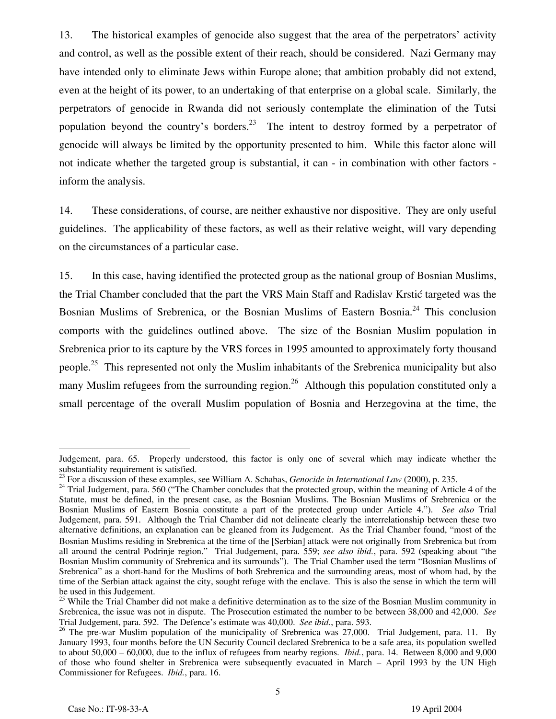13. The historical examples of genocide also suggest that the area of the perpetrators' activity and control, as well as the possible extent of their reach, should be considered. Nazi Germany may have intended only to eliminate Jews within Europe alone; that ambition probably did not extend, even at the height of its power, to an undertaking of that enterprise on a global scale. Similarly, the perpetrators of genocide in Rwanda did not seriously contemplate the elimination of the Tutsi population beyond the country's borders.<sup>23</sup> The intent to destroy formed by a perpetrator of genocide will always be limited by the opportunity presented to him. While this factor alone will not indicate whether the targeted group is substantial, it can - in combination with other factors inform the analysis.

14. These considerations, of course, are neither exhaustive nor dispositive. They are only useful guidelines. The applicability of these factors, as well as their relative weight, will vary depending on the circumstances of a particular case.

15. In this case, having identified the protected group as the national group of Bosnian Muslims, the Trial Chamber concluded that the part the VRS Main Staff and Radislav Krstić targeted was the Bosnian Muslims of Srebrenica, or the Bosnian Muslims of Eastern Bosnia.<sup>24</sup> This conclusion comports with the guidelines outlined above. The size of the Bosnian Muslim population in Srebrenica prior to its capture by the VRS forces in 1995 amounted to approximately forty thousand people.<sup>25</sup> This represented not only the Muslim inhabitants of the Srebrenica municipality but also many Muslim refugees from the surrounding region.<sup>26</sup> Although this population constituted only a small percentage of the overall Muslim population of Bosnia and Herzegovina at the time, the

-

Judgement, para. 65. Properly understood, this factor is only one of several which may indicate whether the substantiality requirement is satisfied.<br> $^{23}$  For a discussion of these examples, see William A. Schabas, *Genocide in International Law* (2000), p. 235.

<sup>&</sup>lt;sup>24</sup> Trial Judgement, para. 560 ("The Chamber concludes that the protected group, within the meaning of Article 4 of the Statute, must be defined, in the present case, as the Bosnian Muslims. The Bosnian Muslims of Srebrenica or the Bosnian Muslims of Eastern Bosnia constitute a part of the protected group under Article 4."). *See also* Trial Judgement, para. 591. Although the Trial Chamber did not delineate clearly the interrelationship between these two alternative definitions, an explanation can be gleaned from its Judgement. As the Trial Chamber found, "most of the Bosnian Muslims residing in Srebrenica at the time of the [Serbian] attack were not originally from Srebrenica but from all around the central Podrinje region." Trial Judgement, para. 559; *see also ibid.*, para. 592 (speaking about "the Bosnian Muslim community of Srebrenica and its surrounds"). The Trial Chamber used the term "Bosnian Muslims of Srebrenica" as a short-hand for the Muslims of both Srebrenica and the surrounding areas, most of whom had, by the time of the Serbian attack against the city, sought refuge with the enclave. This is also the sense in which the term will be used in this Judgement.

 $25$  While the Trial Chamber did not make a definitive determination as to the size of the Bosnian Muslim community in Srebrenica, the issue was not in dispute. The Prosecution estimated the number to be between 38,000 and 42,000. *See* Trial Judgement, para. 592. The Defence's estimate was 40,000. *See ibid.*, para. 593.

<sup>&</sup>lt;sup>26</sup> The pre-war Muslim population of the municipality of Srebrenica was 27,000. Trial Judgement, para. 11. By January 1993, four months before the UN Security Council declared Srebrenica to be a safe area, its population swelled to about 50,000 – 60,000, due to the influx of refugees from nearby regions. *Ibid.*, para. 14. Between 8,000 and 9,000 of those who found shelter in Srebrenica were subsequently evacuated in March – April 1993 by the UN High Commissioner for Refugees. *Ibid.*, para. 16.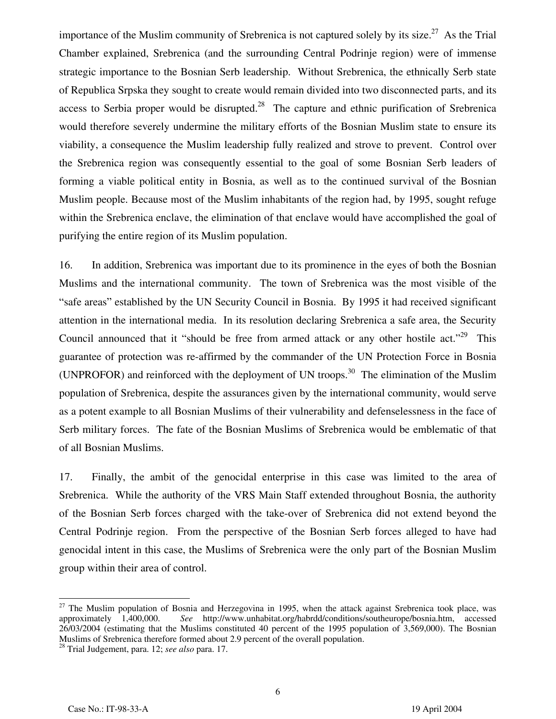importance of the Muslim community of Srebrenica is not captured solely by its size.<sup>27</sup> As the Trial Chamber explained, Srebrenica (and the surrounding Central Podrinje region) were of immense strategic importance to the Bosnian Serb leadership. Without Srebrenica, the ethnically Serb state of Republica Srpska they sought to create would remain divided into two disconnected parts, and its access to Serbia proper would be disrupted.<sup>28</sup> The capture and ethnic purification of Srebrenica would therefore severely undermine the military efforts of the Bosnian Muslim state to ensure its viability, a consequence the Muslim leadership fully realized and strove to prevent. Control over the Srebrenica region was consequently essential to the goal of some Bosnian Serb leaders of forming a viable political entity in Bosnia, as well as to the continued survival of the Bosnian Muslim people. Because most of the Muslim inhabitants of the region had, by 1995, sought refuge within the Srebrenica enclave, the elimination of that enclave would have accomplished the goal of purifying the entire region of its Muslim population.

16. In addition, Srebrenica was important due to its prominence in the eyes of both the Bosnian Muslims and the international community. The town of Srebrenica was the most visible of the "safe areas" established by the UN Security Council in Bosnia. By 1995 it had received significant attention in the international media. In its resolution declaring Srebrenica a safe area, the Security Council announced that it "should be free from armed attack or any other hostile act."<sup>29</sup> This guarantee of protection was re-affirmed by the commander of the UN Protection Force in Bosnia (UNPROFOR) and reinforced with the deployment of UN troops.<sup>30</sup> The elimination of the Muslim population of Srebrenica, despite the assurances given by the international community, would serve as a potent example to all Bosnian Muslims of their vulnerability and defenselessness in the face of Serb military forces. The fate of the Bosnian Muslims of Srebrenica would be emblematic of that of all Bosnian Muslims.

17. Finally, the ambit of the genocidal enterprise in this case was limited to the area of Srebrenica. While the authority of the VRS Main Staff extended throughout Bosnia, the authority of the Bosnian Serb forces charged with the take-over of Srebrenica did not extend beyond the Central Podrinje region. From the perspective of the Bosnian Serb forces alleged to have had genocidal intent in this case, the Muslims of Srebrenica were the only part of the Bosnian Muslim group within their area of control.

<sup>&</sup>lt;sup>27</sup> The Muslim population of Bosnia and Herzegovina in 1995, when the attack against Srebrenica took place, was approximately 1,400,000. *See* http://www.unhabitat.org/habrdd/conditions/southeurope/bosnia.htm, accessed 26/03/2004 (estimating that the Muslims constituted 40 percent of the 1995 population of 3,569,000). The Bosnian Muslims of Srebrenica therefore formed about 2.9 percent of the overall population.

<sup>28</sup> Trial Judgement, para. 12; *see also* para. 17.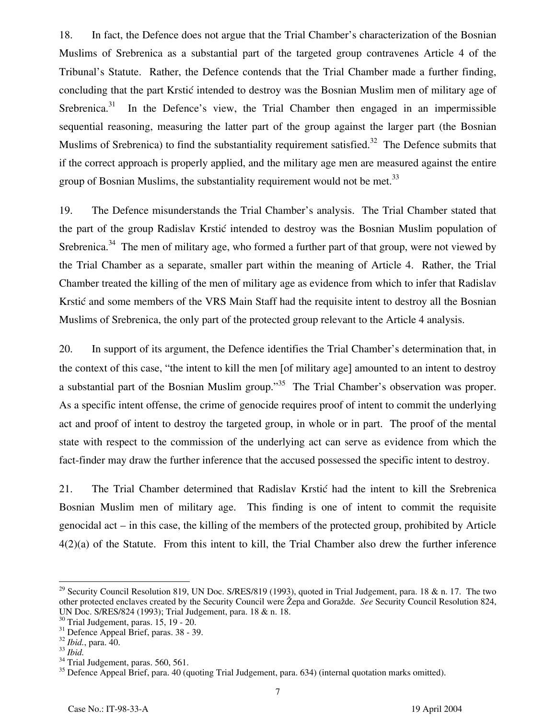18. In fact, the Defence does not argue that the Trial Chamber's characterization of the Bosnian Muslims of Srebrenica as a substantial part of the targeted group contravenes Article 4 of the Tribunal's Statute. Rather, the Defence contends that the Trial Chamber made a further finding, concluding that the part Krstić intended to destroy was the Bosnian Muslim men of military age of Srebrenica.<sup>31</sup> In the Defence's view, the Trial Chamber then engaged in an impermissible sequential reasoning, measuring the latter part of the group against the larger part (the Bosnian Muslims of Srebrenica) to find the substantiality requirement satisfied.<sup>32</sup> The Defence submits that if the correct approach is properly applied, and the military age men are measured against the entire group of Bosnian Muslims, the substantiality requirement would not be met.<sup>33</sup>

19. The Defence misunderstands the Trial Chamber's analysis. The Trial Chamber stated that the part of the group Radislav Krstić intended to destroy was the Bosnian Muslim population of Srebrenica.<sup>34</sup> The men of military age, who formed a further part of that group, were not viewed by the Trial Chamber as a separate, smaller part within the meaning of Article 4. Rather, the Trial Chamber treated the killing of the men of military age as evidence from which to infer that Radislav Krstić and some members of the VRS Main Staff had the requisite intent to destroy all the Bosnian Muslims of Srebrenica, the only part of the protected group relevant to the Article 4 analysis.

20. In support of its argument, the Defence identifies the Trial Chamber's determination that, in the context of this case, "the intent to kill the men [of military age] amounted to an intent to destroy a substantial part of the Bosnian Muslim group."<sup>35</sup> The Trial Chamber's observation was proper. As a specific intent offense, the crime of genocide requires proof of intent to commit the underlying act and proof of intent to destroy the targeted group, in whole or in part. The proof of the mental state with respect to the commission of the underlying act can serve as evidence from which the fact-finder may draw the further inference that the accused possessed the specific intent to destroy.

21. The Trial Chamber determined that Radislav Krstić had the intent to kill the Srebrenica Bosnian Muslim men of military age. This finding is one of intent to commit the requisite genocidal act – in this case, the killing of the members of the protected group, prohibited by Article 4(2)(a) of the Statute. From this intent to kill, the Trial Chamber also drew the further inference

-

<sup>&</sup>lt;sup>29</sup> Security Council Resolution 819, UN Doc. S/RES/819 (1993), quoted in Trial Judgement, para. 18 & n. 17. The two other protected enclaves created by the Security Council were Žepa and Goražde. *See* Security Council Resolution 824, UN Doc. S/RES/824 (1993); Trial Judgement, para. 18 & n. 18.

 $30$  Trial Judgement, paras. 15, 19 - 20.

<sup>&</sup>lt;sup>31</sup> Defence Appeal Brief, paras.  $38 - 39$ .<br><sup>32</sup> *Ibid.*, para. 40.

<sup>&</sup>lt;sup>33</sup> *Ibid.*<br><sup>34</sup> Trial Judgement, paras. 560, 561.

<sup>&</sup>lt;sup>35</sup> Defence Appeal Brief, para. 40 (quoting Trial Judgement, para. 634) (internal quotation marks omitted).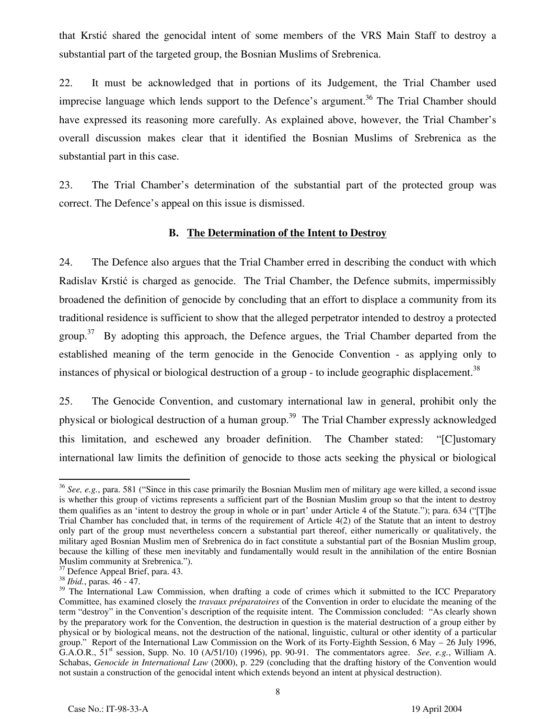that Krstić shared the genocidal intent of some members of the VRS Main Staff to destroy a substantial part of the targeted group, the Bosnian Muslims of Srebrenica.

22. It must be acknowledged that in portions of its Judgement, the Trial Chamber used imprecise language which lends support to the Defence's argument.<sup>36</sup> The Trial Chamber should have expressed its reasoning more carefully. As explained above, however, the Trial Chamber's overall discussion makes clear that it identified the Bosnian Muslims of Srebrenica as the substantial part in this case.

23. The Trial Chamber's determination of the substantial part of the protected group was correct. The Defence's appeal on this issue is dismissed.

#### **B. The Determination of the Intent to Destroy**

24. The Defence also argues that the Trial Chamber erred in describing the conduct with which Radislav Krstić is charged as genocide. The Trial Chamber, the Defence submits, impermissibly broadened the definition of genocide by concluding that an effort to displace a community from its traditional residence is sufficient to show that the alleged perpetrator intended to destroy a protected group.<sup>37</sup> By adopting this approach, the Defence argues, the Trial Chamber departed from the established meaning of the term genocide in the Genocide Convention - as applying only to instances of physical or biological destruction of a group - to include geographic displacement.<sup>38</sup>

25. The Genocide Convention, and customary international law in general, prohibit only the physical or biological destruction of a human group.<sup>39</sup> The Trial Chamber expressly acknowledged this limitation, and eschewed any broader definition. The Chamber stated: "[C]ustomary international law limits the definition of genocide to those acts seeking the physical or biological

 $\overline{a}$ <sup>36</sup> *See, e.g.*, para. 581 ("Since in this case primarily the Bosnian Muslim men of military age were killed, a second issue is whether this group of victims represents a sufficient part of the Bosnian Muslim group so that the intent to destroy them qualifies as an 'intent to destroy the group in whole or in part' under Article 4 of the Statute."); para. 634 ("[T]he Trial Chamber has concluded that, in terms of the requirement of Article 4(2) of the Statute that an intent to destroy only part of the group must nevertheless concern a substantial part thereof, either numerically or qualitatively, the military aged Bosnian Muslim men of Srebrenica do in fact constitute a substantial part of the Bosnian Muslim group, because the killing of these men inevitably and fundamentally would result in the annihilation of the entire Bosnian Muslim community at Srebrenica.").

<sup>&</sup>lt;sup>37</sup> Defence Appeal Brief, para. 43.

<sup>38</sup> *Ibid.*, paras. 46 - 47.

<sup>&</sup>lt;sup>39</sup> The International Law Commission, when drafting a code of crimes which it submitted to the ICC Preparatory Committee, has examined closely the *travaux préparatoires* of the Convention in order to elucidate the meaning of the term "destroy" in the Convention's description of the requisite intent. The Commission concluded: "As clearly shown by the preparatory work for the Convention, the destruction in question is the material destruction of a group either by physical or by biological means, not the destruction of the national, linguistic, cultural or other identity of a particular group." Report of the International Law Commission on the Work of its Forty-Eighth Session, 6 May – 26 July 1996, G.A.O.R.,  $51<sup>st</sup>$  session, Supp. No. 10 (A/51/10) (1996), pp. 90-91. The commentators agree. *See, e.g.*, William A. Schabas, *Genocide in International Law* (2000), p. 229 (concluding that the drafting history of the Convention would not sustain a construction of the genocidal intent which extends beyond an intent at physical destruction).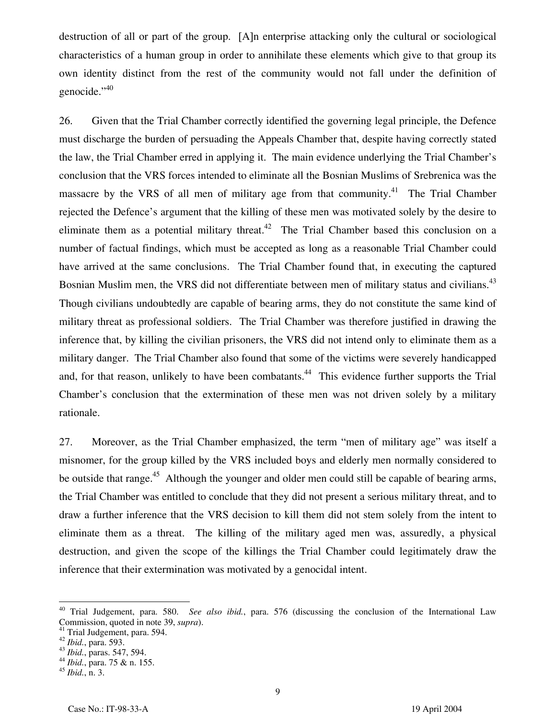destruction of all or part of the group. [A]n enterprise attacking only the cultural or sociological characteristics of a human group in order to annihilate these elements which give to that group its own identity distinct from the rest of the community would not fall under the definition of genocide."40

26. Given that the Trial Chamber correctly identified the governing legal principle, the Defence must discharge the burden of persuading the Appeals Chamber that, despite having correctly stated the law, the Trial Chamber erred in applying it. The main evidence underlying the Trial Chamber's conclusion that the VRS forces intended to eliminate all the Bosnian Muslims of Srebrenica was the massacre by the VRS of all men of military age from that community.<sup>41</sup> The Trial Chamber rejected the Defence's argument that the killing of these men was motivated solely by the desire to eliminate them as a potential military threat.<sup>42</sup> The Trial Chamber based this conclusion on a number of factual findings, which must be accepted as long as a reasonable Trial Chamber could have arrived at the same conclusions. The Trial Chamber found that, in executing the captured Bosnian Muslim men, the VRS did not differentiate between men of military status and civilians.<sup>43</sup> Though civilians undoubtedly are capable of bearing arms, they do not constitute the same kind of military threat as professional soldiers. The Trial Chamber was therefore justified in drawing the inference that, by killing the civilian prisoners, the VRS did not intend only to eliminate them as a military danger. The Trial Chamber also found that some of the victims were severely handicapped and, for that reason, unlikely to have been combatants.<sup>44</sup> This evidence further supports the Trial Chamber's conclusion that the extermination of these men was not driven solely by a military rationale.

27. Moreover, as the Trial Chamber emphasized, the term "men of military age" was itself a misnomer, for the group killed by the VRS included boys and elderly men normally considered to be outside that range.<sup>45</sup> Although the younger and older men could still be capable of bearing arms, the Trial Chamber was entitled to conclude that they did not present a serious military threat, and to draw a further inference that the VRS decision to kill them did not stem solely from the intent to eliminate them as a threat. The killing of the military aged men was, assuredly, a physical destruction, and given the scope of the killings the Trial Chamber could legitimately draw the inference that their extermination was motivated by a genocidal intent.

<sup>40</sup> Trial Judgement, para. 580. *See also ibid.*, para. 576 (discussing the conclusion of the International Law Commission, quoted in note 39, *supra*).<br><sup>41</sup> Trial Judgement, para. 594.<br><sup>42</sup> Ibid., para. 593.

<sup>42</sup> *Ibid.*, para. 593. <sup>43</sup> *Ibid.*, paras. 547, 594. <sup>44</sup> *Ibid.*, para. 75 & n. 155.

<sup>45</sup> *Ibid.*, n. 3.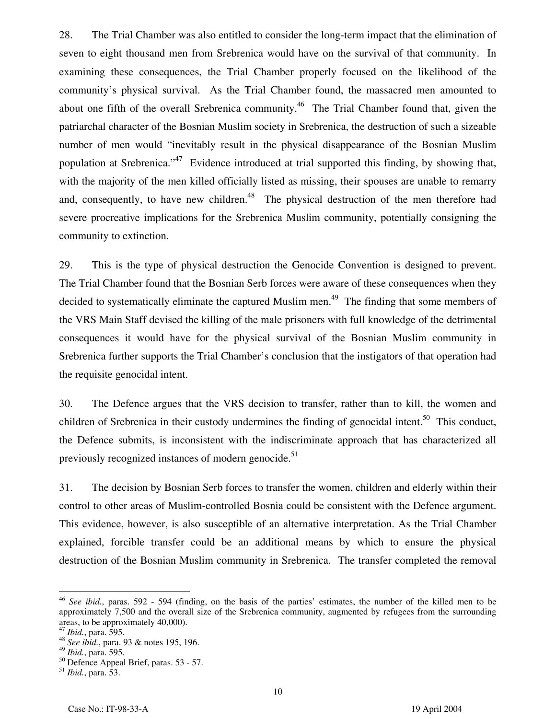28. The Trial Chamber was also entitled to consider the long-term impact that the elimination of seven to eight thousand men from Srebrenica would have on the survival of that community. In examining these consequences, the Trial Chamber properly focused on the likelihood of the community's physical survival. As the Trial Chamber found, the massacred men amounted to about one fifth of the overall Srebrenica community.<sup>46</sup> The Trial Chamber found that, given the patriarchal character of the Bosnian Muslim society in Srebrenica, the destruction of such a sizeable number of men would "inevitably result in the physical disappearance of the Bosnian Muslim population at Srebrenica."<sup>47</sup> Evidence introduced at trial supported this finding, by showing that, with the majority of the men killed officially listed as missing, their spouses are unable to remarry and, consequently, to have new children.<sup>48</sup> The physical destruction of the men therefore had severe procreative implications for the Srebrenica Muslim community, potentially consigning the community to extinction.

29. This is the type of physical destruction the Genocide Convention is designed to prevent. The Trial Chamber found that the Bosnian Serb forces were aware of these consequences when they decided to systematically eliminate the captured Muslim men.<sup>49</sup> The finding that some members of the VRS Main Staff devised the killing of the male prisoners with full knowledge of the detrimental consequences it would have for the physical survival of the Bosnian Muslim community in Srebrenica further supports the Trial Chamber's conclusion that the instigators of that operation had the requisite genocidal intent.

30. The Defence argues that the VRS decision to transfer, rather than to kill, the women and children of Srebrenica in their custody undermines the finding of genocidal intent.<sup>50</sup> This conduct, the Defence submits, is inconsistent with the indiscriminate approach that has characterized all previously recognized instances of modern genocide.<sup>51</sup>

31. The decision by Bosnian Serb forces to transfer the women, children and elderly within their control to other areas of Muslim-controlled Bosnia could be consistent with the Defence argument. This evidence, however, is also susceptible of an alternative interpretation. As the Trial Chamber explained, forcible transfer could be an additional means by which to ensure the physical destruction of the Bosnian Muslim community in Srebrenica. The transfer completed the removal

<sup>-</sup><sup>46</sup> *See ibid.*, paras. 592 - 594 (finding, on the basis of the parties' estimates, the number of the killed men to be approximately 7,500 and the overall size of the Srebrenica community, augmented by refugees from the surrounding areas, to be approximately 40,000).<br> $47$  *Ibid.*, para. 595.

<sup>47</sup> *Ibid.*, para. 595. <sup>48</sup> *See ibid.*, para. 93 & notes 195, 196.

<sup>49</sup> *Ibid.*, para. 595.

<sup>50</sup> Defence Appeal Brief, paras. 53 - 57.

<sup>51</sup> *Ibid.*, para. 53.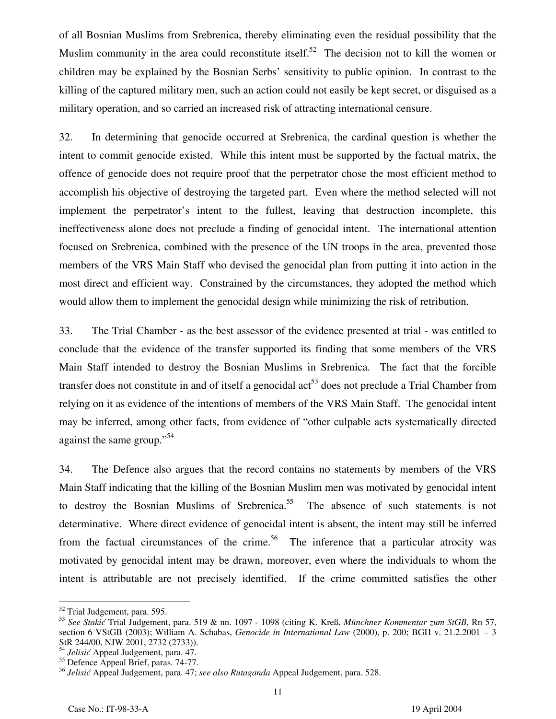of all Bosnian Muslims from Srebrenica, thereby eliminating even the residual possibility that the Muslim community in the area could reconstitute itself.<sup>52</sup> The decision not to kill the women or children may be explained by the Bosnian Serbs' sensitivity to public opinion. In contrast to the killing of the captured military men, such an action could not easily be kept secret, or disguised as a military operation, and so carried an increased risk of attracting international censure.

32. In determining that genocide occurred at Srebrenica, the cardinal question is whether the intent to commit genocide existed. While this intent must be supported by the factual matrix, the offence of genocide does not require proof that the perpetrator chose the most efficient method to accomplish his objective of destroying the targeted part. Even where the method selected will not implement the perpetrator's intent to the fullest, leaving that destruction incomplete, this ineffectiveness alone does not preclude a finding of genocidal intent. The international attention focused on Srebrenica, combined with the presence of the UN troops in the area, prevented those members of the VRS Main Staff who devised the genocidal plan from putting it into action in the most direct and efficient way. Constrained by the circumstances, they adopted the method which would allow them to implement the genocidal design while minimizing the risk of retribution.

33. The Trial Chamber - as the best assessor of the evidence presented at trial - was entitled to conclude that the evidence of the transfer supported its finding that some members of the VRS Main Staff intended to destroy the Bosnian Muslims in Srebrenica. The fact that the forcible transfer does not constitute in and of itself a genocidal act<sup>53</sup> does not preclude a Trial Chamber from relying on it as evidence of the intentions of members of the VRS Main Staff. The genocidal intent may be inferred, among other facts, from evidence of "other culpable acts systematically directed against the same group."<sup>54</sup>

34. The Defence also argues that the record contains no statements by members of the VRS Main Staff indicating that the killing of the Bosnian Muslim men was motivated by genocidal intent to destroy the Bosnian Muslims of Srebrenica.<sup>55</sup> The absence of such statements is not determinative. Where direct evidence of genocidal intent is absent, the intent may still be inferred from the factual circumstances of the crime.<sup>56</sup> The inference that a particular atrocity was motivated by genocidal intent may be drawn, moreover, even where the individuals to whom the intent is attributable are not precisely identified. If the crime committed satisfies the other

 $\overline{a}$ <sup>52</sup> Trial Judgement, para. 595.

<sup>53</sup> *See Stakić* Trial Judgement, para. 519 & nn. 1097 - 1098 (citing K. Kreß, *Münchner Kommentar zum StGB*, Rn 57, section 6 VStGB (2003); William A. Schabas, *Genocide in International Law* (2000), p. 200; BGH v. 21.2.2001 – 3 StR 244/00, NJW 2001, 2732 (2733)).

<sup>54</sup> *Jelisić* Appeal Judgement, para. 47.

<sup>55</sup> Defence Appeal Brief, paras. 74-77.

<sup>56</sup> *Jelisić* Appeal Judgement, para. 47; *see also Rutaganda* Appeal Judgement, para. 528.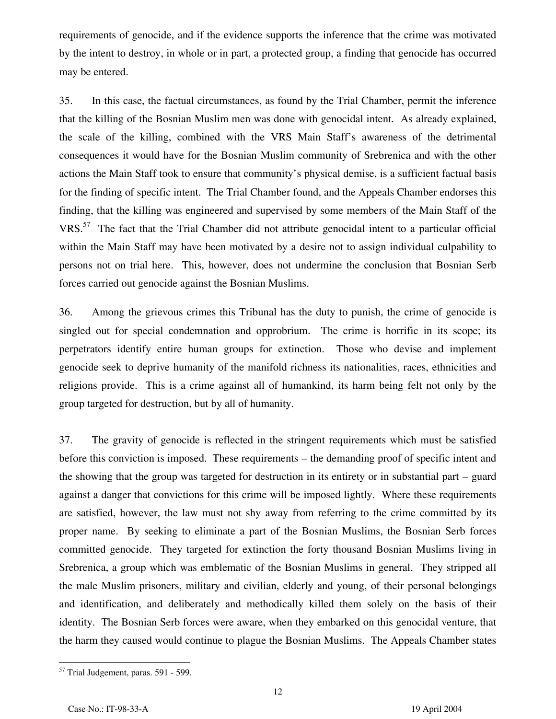requirements of genocide, and if the evidence supports the inference that the crime was motivated by the intent to destroy, in whole or in part, a protected group, a finding that genocide has occurred may be entered.

35. In this case, the factual circumstances, as found by the Trial Chamber, permit the inference that the killing of the Bosnian Muslim men was done with genocidal intent. As already explained, the scale of the killing, combined with the VRS Main Staff's awareness of the detrimental consequences it would have for the Bosnian Muslim community of Srebrenica and with the other actions the Main Staff took to ensure that community's physical demise, is a sufficient factual basis for the finding of specific intent. The Trial Chamber found, and the Appeals Chamber endorses this finding, that the killing was engineered and supervised by some members of the Main Staff of the VRS.57 The fact that the Trial Chamber did not attribute genocidal intent to a particular official within the Main Staff may have been motivated by a desire not to assign individual culpability to persons not on trial here. This, however, does not undermine the conclusion that Bosnian Serb forces carried out genocide against the Bosnian Muslims.

36. Among the grievous crimes this Tribunal has the duty to punish, the crime of genocide is singled out for special condemnation and opprobrium. The crime is horrific in its scope; its perpetrators identify entire human groups for extinction. Those who devise and implement genocide seek to deprive humanity of the manifold richness its nationalities, races, ethnicities and religions provide. This is a crime against all of humankind, its harm being felt not only by the group targeted for destruction, but by all of humanity.

37. The gravity of genocide is reflected in the stringent requirements which must be satisfied before this conviction is imposed. These requirements – the demanding proof of specific intent and the showing that the group was targeted for destruction in its entirety or in substantial part – guard against a danger that convictions for this crime will be imposed lightly. Where these requirements are satisfied, however, the law must not shy away from referring to the crime committed by its proper name. By seeking to eliminate a part of the Bosnian Muslims, the Bosnian Serb forces committed genocide. They targeted for extinction the forty thousand Bosnian Muslims living in Srebrenica, a group which was emblematic of the Bosnian Muslims in general. They stripped all the male Muslim prisoners, military and civilian, elderly and young, of their personal belongings and identification, and deliberately and methodically killed them solely on the basis of their identity. The Bosnian Serb forces were aware, when they embarked on this genocidal venture, that the harm they caused would continue to plague the Bosnian Muslims. The Appeals Chamber states

<sup>&</sup>lt;u>.</u> <sup>57</sup> Trial Judgement, paras. 591 - 599.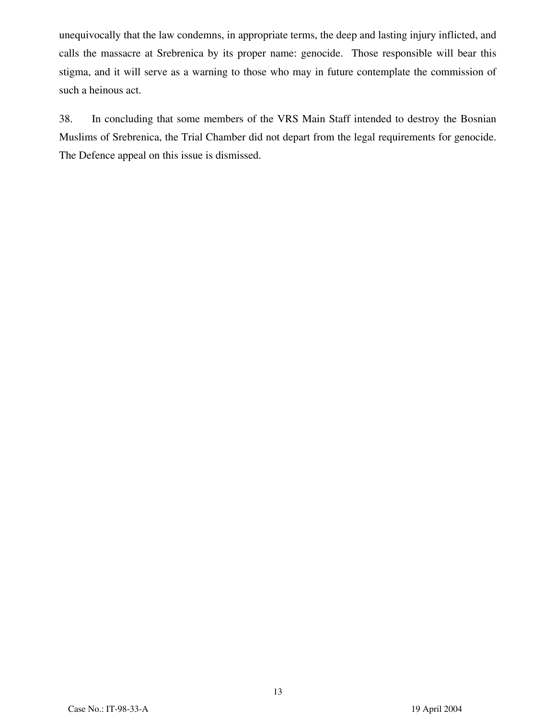unequivocally that the law condemns, in appropriate terms, the deep and lasting injury inflicted, and calls the massacre at Srebrenica by its proper name: genocide. Those responsible will bear this stigma, and it will serve as a warning to those who may in future contemplate the commission of such a heinous act.

38. In concluding that some members of the VRS Main Staff intended to destroy the Bosnian Muslims of Srebrenica, the Trial Chamber did not depart from the legal requirements for genocide. The Defence appeal on this issue is dismissed.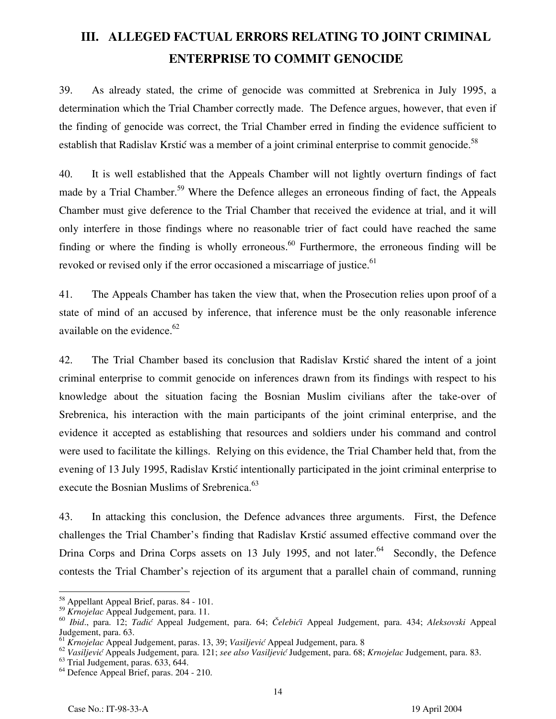# **III. ALLEGED FACTUAL ERRORS RELATING TO JOINT CRIMINAL ENTERPRISE TO COMMIT GENOCIDE**

39. As already stated, the crime of genocide was committed at Srebrenica in July 1995, a determination which the Trial Chamber correctly made. The Defence argues, however, that even if the finding of genocide was correct, the Trial Chamber erred in finding the evidence sufficient to establish that Radislav Krstić was a member of a joint criminal enterprise to commit genocide.<sup>58</sup>

40. It is well established that the Appeals Chamber will not lightly overturn findings of fact made by a Trial Chamber.<sup>59</sup> Where the Defence alleges an erroneous finding of fact, the Appeals Chamber must give deference to the Trial Chamber that received the evidence at trial, and it will only interfere in those findings where no reasonable trier of fact could have reached the same finding or where the finding is wholly erroneous.<sup>60</sup> Furthermore, the erroneous finding will be revoked or revised only if the error occasioned a miscarriage of justice.<sup>61</sup>

41. The Appeals Chamber has taken the view that, when the Prosecution relies upon proof of a state of mind of an accused by inference, that inference must be the only reasonable inference available on the evidence. $62$ 

42. The Trial Chamber based its conclusion that Radislav Krstić shared the intent of a joint criminal enterprise to commit genocide on inferences drawn from its findings with respect to his knowledge about the situation facing the Bosnian Muslim civilians after the take-over of Srebrenica, his interaction with the main participants of the joint criminal enterprise, and the evidence it accepted as establishing that resources and soldiers under his command and control were used to facilitate the killings. Relying on this evidence, the Trial Chamber held that, from the evening of 13 July 1995, Radislav Krstić intentionally participated in the joint criminal enterprise to execute the Bosnian Muslims of Srebrenica.<sup>63</sup>

43. In attacking this conclusion, the Defence advances three arguments. First, the Defence challenges the Trial Chamber's finding that Radislav Krstić assumed effective command over the Drina Corps and Drina Corps assets on 13 July 1995, and not later.<sup>64</sup> Secondly, the Defence contests the Trial Chamber's rejection of its argument that a parallel chain of command, running

<sup>-</sup><sup>58</sup> Appellant Appeal Brief, paras. 84 - 101.

<sup>59</sup> *Krnojelac* Appeal Judgement, para. 11.

<sup>60</sup> *Ibid*., para. 12; *Tadić* Appeal Judgement, para. 64; *Čelebići* Appeal Judgement, para. 434; *Aleksovski* Appeal Judgement, para. 63.

<sup>61</sup> *Krnojelac* Appeal Judgement, paras. 13, 39; *Vasiljević* Appeal Judgement, para. 8

<sup>62</sup> *Vasiljević* Appeals Judgement, para. 121; *see also Vasiljević* Judgement, para. 68; *Krnojelac* Judgement, para. 83.

<sup>&</sup>lt;sup>63</sup> Trial Judgement, paras. 633, 644.

<sup>64</sup> Defence Appeal Brief, paras. 204 - 210.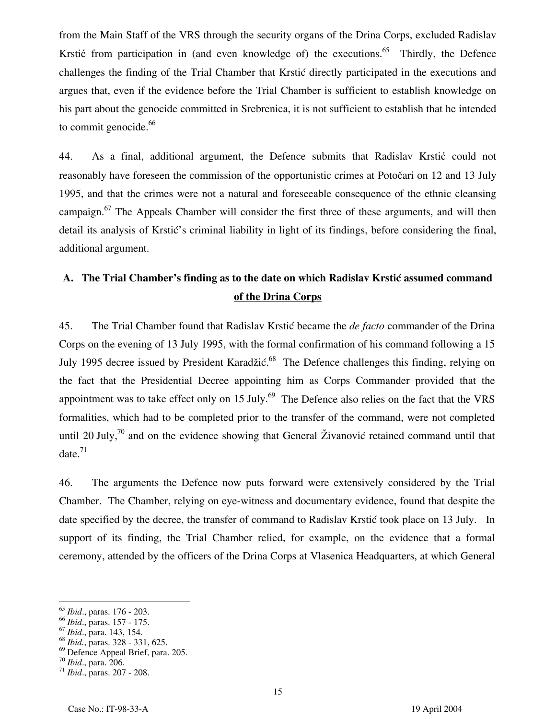from the Main Staff of the VRS through the security organs of the Drina Corps, excluded Radislav Krstić from participation in (and even knowledge of) the executions.<sup>65</sup> Thirdly, the Defence challenges the finding of the Trial Chamber that Krstić directly participated in the executions and argues that, even if the evidence before the Trial Chamber is sufficient to establish knowledge on his part about the genocide committed in Srebrenica, it is not sufficient to establish that he intended to commit genocide. $66$ 

44. As a final, additional argument, the Defence submits that Radislav Krstić could not reasonably have foreseen the commission of the opportunistic crimes at Potočari on 12 and 13 July 1995, and that the crimes were not a natural and foreseeable consequence of the ethnic cleansing campaign.<sup>67</sup> The Appeals Chamber will consider the first three of these arguments, and will then detail its analysis of Krstić's criminal liability in light of its findings, before considering the final, additional argument.

## **A. The Trial Chamber's finding as to the date on which Radislav Krstić assumed command of the Drina Corps**

45. The Trial Chamber found that Radislav Krstić became the *de facto* commander of the Drina Corps on the evening of 13 July 1995, with the formal confirmation of his command following a 15 July 1995 decree issued by President Karadžić.<sup>68</sup> The Defence challenges this finding, relying on the fact that the Presidential Decree appointing him as Corps Commander provided that the appointment was to take effect only on 15 July. $^{69}$  The Defence also relies on the fact that the VRS formalities, which had to be completed prior to the transfer of the command, were not completed until 20 July,<sup>70</sup> and on the evidence showing that General Živanović retained command until that date. $71$ 

46. The arguments the Defence now puts forward were extensively considered by the Trial Chamber. The Chamber, relying on eye-witness and documentary evidence, found that despite the date specified by the decree, the transfer of command to Radislav Krstić took place on 13 July. In support of its finding, the Trial Chamber relied, for example, on the evidence that a formal ceremony, attended by the officers of the Drina Corps at Vlasenica Headquarters, at which General

<sup>65</sup> *Ibid*., paras. 176 - 203.

<sup>66</sup> *Ibid*., paras. 157 - 175.

<sup>67</sup> *Ibid*., para. 143, 154.

<sup>68</sup> *Ibid.*, paras. 328 - 331, 625.

 $^{69}$  Defence Appeal Brief, para. 205.<br><sup>70</sup> *Ibid.*, para. 206.

<sup>&</sup>lt;sup>71</sup> *Ibid.*, paras. 207 - 208.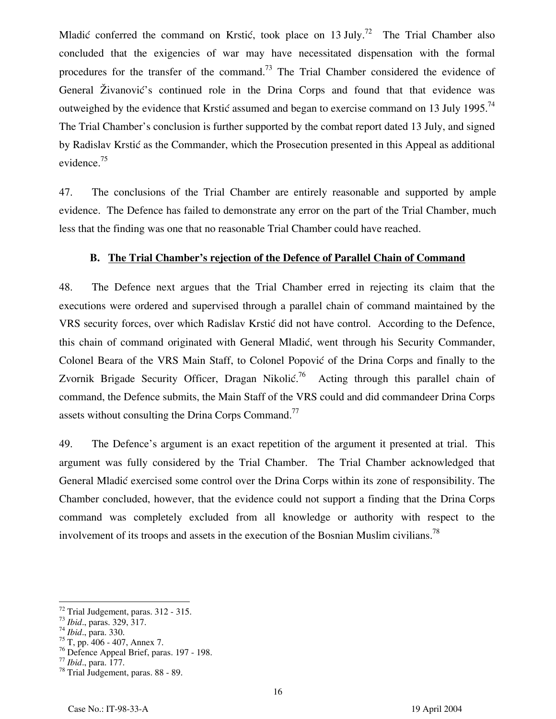Mladić conferred the command on Krstić, took place on 13 July.<sup>72</sup> The Trial Chamber also concluded that the exigencies of war may have necessitated dispensation with the formal procedures for the transfer of the command.<sup>73</sup> The Trial Chamber considered the evidence of General Živanović's continued role in the Drina Corps and found that that evidence was outweighed by the evidence that Krstić assumed and began to exercise command on 13 July 1995.<sup>74</sup> The Trial Chamber's conclusion is further supported by the combat report dated 13 July, and signed by Radislav Krstić as the Commander, which the Prosecution presented in this Appeal as additional evidence.75

47. The conclusions of the Trial Chamber are entirely reasonable and supported by ample evidence. The Defence has failed to demonstrate any error on the part of the Trial Chamber, much less that the finding was one that no reasonable Trial Chamber could have reached.

#### **B. The Trial Chamber's rejection of the Defence of Parallel Chain of Command**

48. The Defence next argues that the Trial Chamber erred in rejecting its claim that the executions were ordered and supervised through a parallel chain of command maintained by the VRS security forces, over which Radislav Krstić did not have control. According to the Defence, this chain of command originated with General Mladić, went through his Security Commander, Colonel Beara of the VRS Main Staff, to Colonel Popović of the Drina Corps and finally to the Zvornik Brigade Security Officer, Dragan Nikolić.<sup>76</sup> Acting through this parallel chain of command, the Defence submits, the Main Staff of the VRS could and did commandeer Drina Corps assets without consulting the Drina Corps Command.<sup>77</sup>

49. The Defence's argument is an exact repetition of the argument it presented at trial. This argument was fully considered by the Trial Chamber. The Trial Chamber acknowledged that General Mladić exercised some control over the Drina Corps within its zone of responsibility. The Chamber concluded, however, that the evidence could not support a finding that the Drina Corps command was completely excluded from all knowledge or authority with respect to the involvement of its troops and assets in the execution of the Bosnian Muslim civilians.<sup>78</sup>

 $72$  Trial Judgement, paras.  $312 - 315$ .

<sup>73</sup> *Ibid*., paras. 329, 317. <sup>74</sup> *Ibid*., para. 330.

 $75$  T, pp. 406 - 407, Annex 7.

<sup>&</sup>lt;sup>76</sup> Defence Appeal Brief, paras. 197 - 198.<br><sup>77</sup> Ibid., para. 177.

<sup>&</sup>lt;sup>78</sup> Trial Judgement, paras. 88 - 89.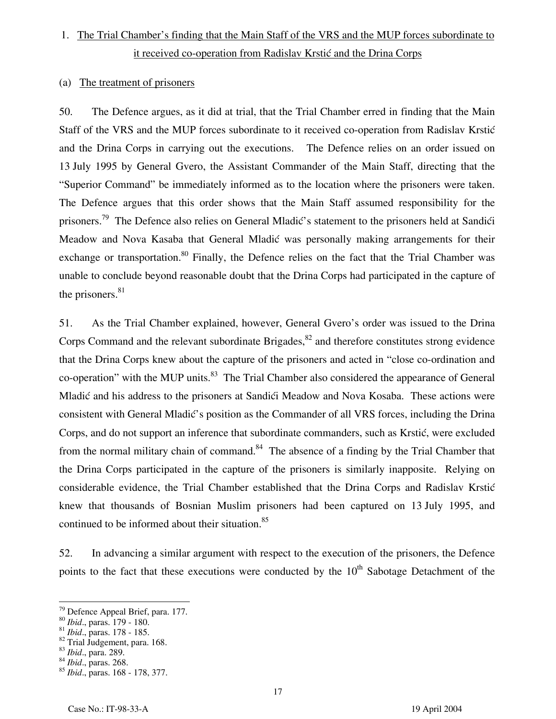# 1. The Trial Chamber's finding that the Main Staff of the VRS and the MUP forces subordinate to it received co-operation from Radislav Krstić and the Drina Corps

#### (a) The treatment of prisoners

50. The Defence argues, as it did at trial, that the Trial Chamber erred in finding that the Main Staff of the VRS and the MUP forces subordinate to it received co-operation from Radislav Krstić and the Drina Corps in carrying out the executions. The Defence relies on an order issued on 13 July 1995 by General Gvero, the Assistant Commander of the Main Staff, directing that the "Superior Command" be immediately informed as to the location where the prisoners were taken. The Defence argues that this order shows that the Main Staff assumed responsibility for the prisoners.<sup>79</sup> The Defence also relies on General Mladić's statement to the prisoners held at Sandići Meadow and Nova Kasaba that General Mladić was personally making arrangements for their exchange or transportation.<sup>80</sup> Finally, the Defence relies on the fact that the Trial Chamber was unable to conclude beyond reasonable doubt that the Drina Corps had participated in the capture of the prisoners. $81$ 

51. As the Trial Chamber explained, however, General Gvero's order was issued to the Drina Corps Command and the relevant subordinate Brigades, $82$  and therefore constitutes strong evidence that the Drina Corps knew about the capture of the prisoners and acted in "close co-ordination and co-operation" with the MUP units.<sup>83</sup> The Trial Chamber also considered the appearance of General Mladić and his address to the prisoners at Sandići Meadow and Nova Kosaba. These actions were consistent with General Mladić's position as the Commander of all VRS forces, including the Drina Corps, and do not support an inference that subordinate commanders, such as Krstić, were excluded from the normal military chain of command.<sup>84</sup> The absence of a finding by the Trial Chamber that the Drina Corps participated in the capture of the prisoners is similarly inapposite. Relying on considerable evidence, the Trial Chamber established that the Drina Corps and Radislav Krstić knew that thousands of Bosnian Muslim prisoners had been captured on 13 July 1995, and continued to be informed about their situation.<sup>85</sup>

52. In advancing a similar argument with respect to the execution of the prisoners, the Defence points to the fact that these executions were conducted by the  $10<sup>th</sup>$  Sabotage Detachment of the

<sup>&</sup>lt;sup>79</sup> Defence Appeal Brief, para. 177.

<sup>&</sup>lt;sup>80</sup> *Ibid.*, paras. 179 - 180.<br><sup>81</sup> *Ibid.*, paras. 178 - 185.<br><sup>82</sup> Trial Judgement, para. 168.<br><sup>83</sup> *Ibid.*, para. 289.

<sup>&</sup>lt;sup>84</sup> *Ibid.*, paras. 268.

<sup>85</sup> *Ibid*., paras. 168 - 178, 377.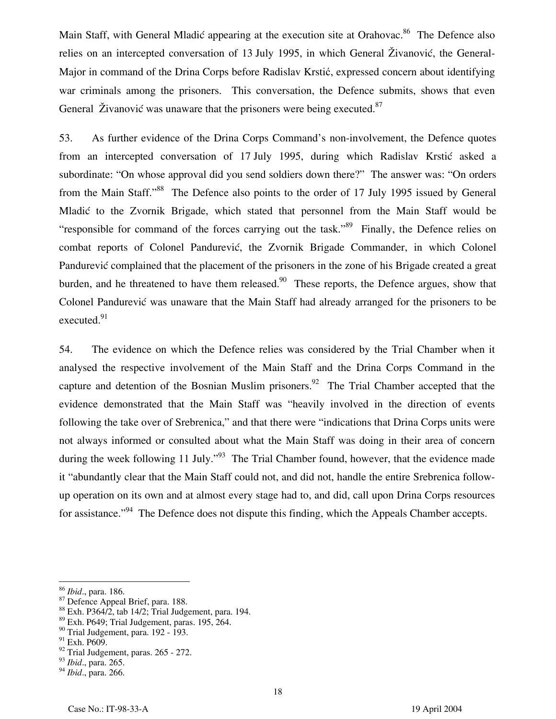Main Staff, with General Mladić appearing at the execution site at Orahovac.<sup>86</sup> The Defence also relies on an intercepted conversation of 13 July 1995, in which General Živanović, the General-Major in command of the Drina Corps before Radislav Krstić, expressed concern about identifying war criminals among the prisoners. This conversation, the Defence submits, shows that even General Živanović was unaware that the prisoners were being executed. $87$ 

53. As further evidence of the Drina Corps Command's non-involvement, the Defence quotes from an intercepted conversation of 17 July 1995, during which Radislav Krstić asked a subordinate: "On whose approval did you send soldiers down there?" The answer was: "On orders from the Main Staff."<sup>88</sup> The Defence also points to the order of 17 July 1995 issued by General Mladić to the Zvornik Brigade, which stated that personnel from the Main Staff would be "responsible for command of the forces carrying out the task."<sup>89</sup> Finally, the Defence relies on combat reports of Colonel Pandurević, the Zvornik Brigade Commander, in which Colonel Pandurević complained that the placement of the prisoners in the zone of his Brigade created a great burden, and he threatened to have them released.<sup>90</sup> These reports, the Defence argues, show that Colonel Pandurević was unaware that the Main Staff had already arranged for the prisoners to be executed.<sup>91</sup>

54. The evidence on which the Defence relies was considered by the Trial Chamber when it analysed the respective involvement of the Main Staff and the Drina Corps Command in the capture and detention of the Bosnian Muslim prisoners.<sup>92</sup> The Trial Chamber accepted that the evidence demonstrated that the Main Staff was "heavily involved in the direction of events following the take over of Srebrenica," and that there were "indications that Drina Corps units were not always informed or consulted about what the Main Staff was doing in their area of concern during the week following 11 July."<sup>93</sup> The Trial Chamber found, however, that the evidence made it "abundantly clear that the Main Staff could not, and did not, handle the entire Srebrenica followup operation on its own and at almost every stage had to, and did, call upon Drina Corps resources for assistance."<sup>94</sup> The Defence does not dispute this finding, which the Appeals Chamber accepts.

<sup>86</sup> Ibid., para. 186.

<sup>&</sup>lt;sup>87</sup> Defence Appeal Brief, para. 188.

 $88$  Exh. P364 $22$ , tab 14/2; Trial Judgement, para. 194.

<sup>89</sup> Exh. P649; Trial Judgement, paras. 195, 264.

<sup>&</sup>lt;sup>90</sup> Trial Judgement, para. 192 - 193.

<sup>91</sup> Exh. P609.

 $\frac{92}{11}$ Trial Judgement, paras. 265 - 272.

<sup>93</sup> *Ibid*., para. 265.

<sup>94</sup> *Ibid*., para. 266.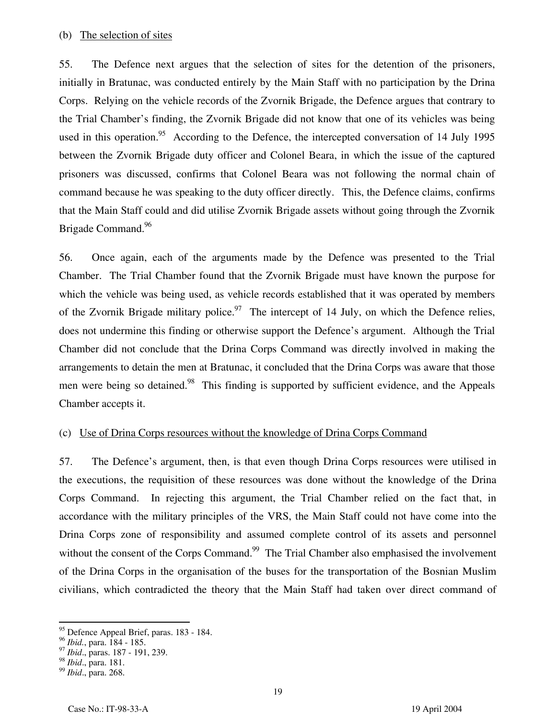#### (b) The selection of sites

55. The Defence next argues that the selection of sites for the detention of the prisoners, initially in Bratunac, was conducted entirely by the Main Staff with no participation by the Drina Corps. Relying on the vehicle records of the Zvornik Brigade, the Defence argues that contrary to the Trial Chamber's finding, the Zvornik Brigade did not know that one of its vehicles was being used in this operation.<sup>95</sup> According to the Defence, the intercepted conversation of 14 July 1995 between the Zvornik Brigade duty officer and Colonel Beara, in which the issue of the captured prisoners was discussed, confirms that Colonel Beara was not following the normal chain of command because he was speaking to the duty officer directly. This, the Defence claims, confirms that the Main Staff could and did utilise Zvornik Brigade assets without going through the Zvornik Brigade Command.<sup>96</sup>

56. Once again, each of the arguments made by the Defence was presented to the Trial Chamber. The Trial Chamber found that the Zvornik Brigade must have known the purpose for which the vehicle was being used, as vehicle records established that it was operated by members of the Zvornik Brigade military police.<sup>97</sup> The intercept of 14 July, on which the Defence relies, does not undermine this finding or otherwise support the Defence's argument. Although the Trial Chamber did not conclude that the Drina Corps Command was directly involved in making the arrangements to detain the men at Bratunac, it concluded that the Drina Corps was aware that those men were being so detained.<sup>98</sup> This finding is supported by sufficient evidence, and the Appeals Chamber accepts it.

#### (c) Use of Drina Corps resources without the knowledge of Drina Corps Command

57. The Defence's argument, then, is that even though Drina Corps resources were utilised in the executions, the requisition of these resources was done without the knowledge of the Drina Corps Command. In rejecting this argument, the Trial Chamber relied on the fact that, in accordance with the military principles of the VRS, the Main Staff could not have come into the Drina Corps zone of responsibility and assumed complete control of its assets and personnel without the consent of the Corps Command.<sup>99</sup> The Trial Chamber also emphasised the involvement of the Drina Corps in the organisation of the buses for the transportation of the Bosnian Muslim civilians, which contradicted the theory that the Main Staff had taken over direct command of

<sup>&</sup>lt;u>.</u> <sup>95</sup> Defence Appeal Brief, paras. 183 - 184.

<sup>96</sup> *Ibid.*, para. 184 - 185.

<sup>97</sup> *Ibid*., paras. 187 - 191, 239.

<sup>98</sup> *Ibid*., para. 181.

<sup>99</sup> *Ibid*., para. 268.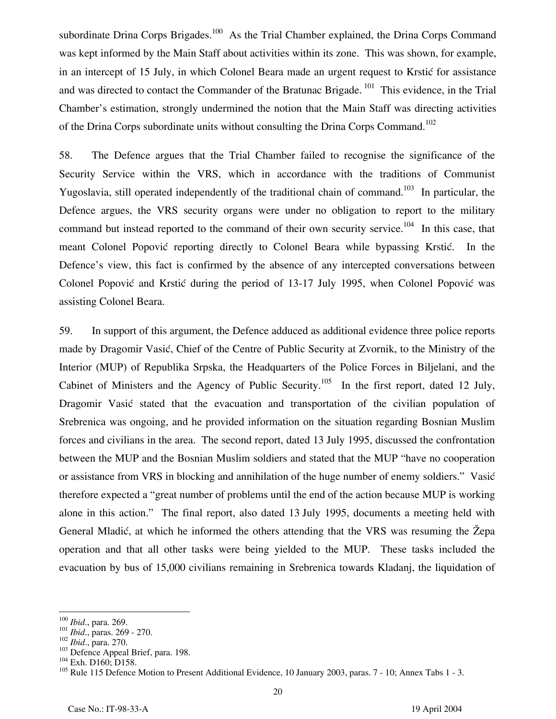subordinate Drina Corps Brigades.<sup>100</sup> As the Trial Chamber explained, the Drina Corps Command was kept informed by the Main Staff about activities within its zone. This was shown, for example, in an intercept of 15 July, in which Colonel Beara made an urgent request to Krstić for assistance and was directed to contact the Commander of the Bratunac Brigade.  $101$  This evidence, in the Trial Chamber's estimation, strongly undermined the notion that the Main Staff was directing activities of the Drina Corps subordinate units without consulting the Drina Corps Command.<sup>102</sup>

58. The Defence argues that the Trial Chamber failed to recognise the significance of the Security Service within the VRS, which in accordance with the traditions of Communist Yugoslavia, still operated independently of the traditional chain of command.<sup>103</sup> In particular, the Defence argues, the VRS security organs were under no obligation to report to the military command but instead reported to the command of their own security service.<sup>104</sup> In this case, that meant Colonel Popović reporting directly to Colonel Beara while bypassing Krstić. In the Defence's view, this fact is confirmed by the absence of any intercepted conversations between Colonel Popović and Krstić during the period of 13-17 July 1995, when Colonel Popović was assisting Colonel Beara.

59. In support of this argument, the Defence adduced as additional evidence three police reports made by Dragomir Vasić, Chief of the Centre of Public Security at Zvornik, to the Ministry of the Interior (MUP) of Republika Srpska, the Headquarters of the Police Forces in Biljelani, and the Cabinet of Ministers and the Agency of Public Security.<sup>105</sup> In the first report, dated 12 July, Dragomir Vasić stated that the evacuation and transportation of the civilian population of Srebrenica was ongoing, and he provided information on the situation regarding Bosnian Muslim forces and civilians in the area. The second report, dated 13 July 1995, discussed the confrontation between the MUP and the Bosnian Muslim soldiers and stated that the MUP "have no cooperation or assistance from VRS in blocking and annihilation of the huge number of enemy soldiers." Vasić therefore expected a "great number of problems until the end of the action because MUP is working alone in this action." The final report, also dated 13 July 1995, documents a meeting held with General Mladić, at which he informed the others attending that the VRS was resuming the Žepa operation and that all other tasks were being yielded to the MUP. These tasks included the evacuation by bus of 15,000 civilians remaining in Srebrenica towards Kladanj, the liquidation of

 $100$  *Ibid.*, para. 269.

<sup>101</sup> *Ibid.*, paras. 269 - 270.<br><sup>102</sup> *Ibid.*, para. 270.<br><sup>103</sup> Defence Appeal Brief, para. 198.<br><sup>104</sup> Exh. D160; D158.

<sup>&</sup>lt;sup>105</sup> Rule 115 Defence Motion to Present Additional Evidence, 10 January 2003, paras. 7 - 10; Annex Tabs 1 - 3.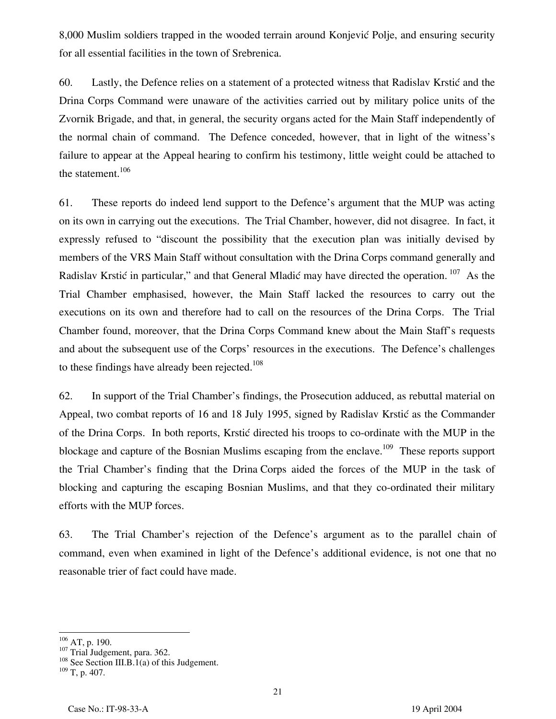8,000 Muslim soldiers trapped in the wooded terrain around Konjević Polje, and ensuring security for all essential facilities in the town of Srebrenica.

60. Lastly, the Defence relies on a statement of a protected witness that Radislav Krstić and the Drina Corps Command were unaware of the activities carried out by military police units of the Zvornik Brigade, and that, in general, the security organs acted for the Main Staff independently of the normal chain of command. The Defence conceded, however, that in light of the witness's failure to appear at the Appeal hearing to confirm his testimony, little weight could be attached to the statement.<sup>106</sup>

61. These reports do indeed lend support to the Defence's argument that the MUP was acting on its own in carrying out the executions. The Trial Chamber, however, did not disagree. In fact, it expressly refused to "discount the possibility that the execution plan was initially devised by members of the VRS Main Staff without consultation with the Drina Corps command generally and Radislav Krstić in particular," and that General Mladić may have directed the operation. <sup>107</sup> As the Trial Chamber emphasised, however, the Main Staff lacked the resources to carry out the executions on its own and therefore had to call on the resources of the Drina Corps. The Trial Chamber found, moreover, that the Drina Corps Command knew about the Main Staff's requests and about the subsequent use of the Corps' resources in the executions. The Defence's challenges to these findings have already been rejected. $108$ 

62. In support of the Trial Chamber's findings, the Prosecution adduced, as rebuttal material on Appeal, two combat reports of 16 and 18 July 1995, signed by Radislav Krstić as the Commander of the Drina Corps. In both reports, Krstić directed his troops to co-ordinate with the MUP in the blockage and capture of the Bosnian Muslims escaping from the enclave.<sup>109</sup> These reports support the Trial Chamber's finding that the Drina Corps aided the forces of the MUP in the task of blocking and capturing the escaping Bosnian Muslims, and that they co-ordinated their military efforts with the MUP forces.

63. The Trial Chamber's rejection of the Defence's argument as to the parallel chain of command, even when examined in light of the Defence's additional evidence, is not one that no reasonable trier of fact could have made.

 $106$  AT, p. 190.

<sup>&</sup>lt;sup>107</sup> Trial Judgement, para. 362.<br><sup>108</sup> See Section III.B.1(a) of this Judgement.

<sup>109</sup> T, p. 407.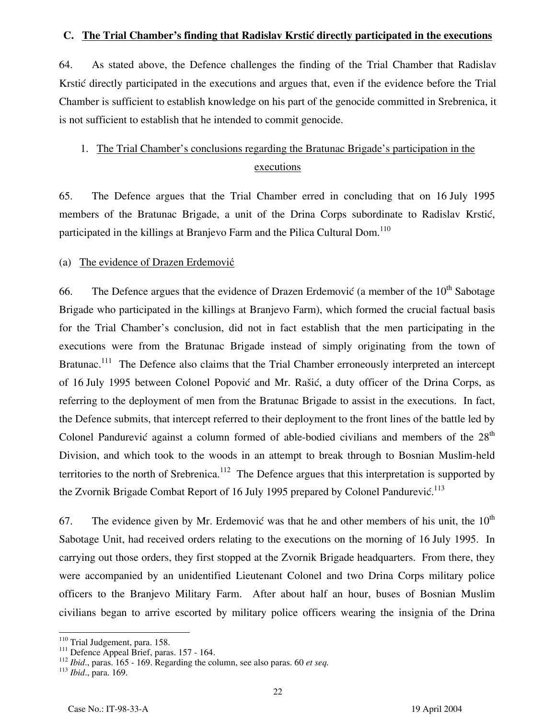#### **C. The Trial Chamber's finding that Radislav Krstić directly participated in the executions**

64. As stated above, the Defence challenges the finding of the Trial Chamber that Radislav Krstić directly participated in the executions and argues that, even if the evidence before the Trial Chamber is sufficient to establish knowledge on his part of the genocide committed in Srebrenica, it is not sufficient to establish that he intended to commit genocide.

### 1. The Trial Chamber's conclusions regarding the Bratunac Brigade's participation in the executions

65. The Defence argues that the Trial Chamber erred in concluding that on 16 July 1995 members of the Bratunac Brigade, a unit of the Drina Corps subordinate to Radislav Krstić, participated in the killings at Branjevo Farm and the Pilica Cultural Dom.<sup>110</sup>

#### (a) The evidence of Drazen Erdemović

66. The Defence argues that the evidence of Drazen Erdemović (a member of the  $10^{th}$  Sabotage Brigade who participated in the killings at Branjevo Farm), which formed the crucial factual basis for the Trial Chamber's conclusion, did not in fact establish that the men participating in the executions were from the Bratunac Brigade instead of simply originating from the town of Bratunac.<sup>111</sup> The Defence also claims that the Trial Chamber erroneously interpreted an intercept of 16 July 1995 between Colonel Popović and Mr. Rašić, a duty officer of the Drina Corps, as referring to the deployment of men from the Bratunac Brigade to assist in the executions. In fact, the Defence submits, that intercept referred to their deployment to the front lines of the battle led by Colonel Pandurević against a column formed of able-bodied civilians and members of the  $28<sup>th</sup>$ Division, and which took to the woods in an attempt to break through to Bosnian Muslim-held territories to the north of Srebrenica.<sup>112</sup> The Defence argues that this interpretation is supported by the Zvornik Brigade Combat Report of 16 July 1995 prepared by Colonel Pandurević.<sup>113</sup>

67. The evidence given by Mr. Erdemović was that he and other members of his unit, the  $10<sup>th</sup>$ Sabotage Unit, had received orders relating to the executions on the morning of 16 July 1995. In carrying out those orders, they first stopped at the Zvornik Brigade headquarters. From there, they were accompanied by an unidentified Lieutenant Colonel and two Drina Corps military police officers to the Branjevo Military Farm. After about half an hour, buses of Bosnian Muslim civilians began to arrive escorted by military police officers wearing the insignia of the Drina

<sup>&</sup>lt;sup>110</sup> Trial Judgement, para. 158.

<sup>111</sup> Defence Appeal Brief, paras. 157 - 164.<br><sup>112</sup> *Ibid.*, paras. 165 - 169. Regarding the column, see also paras. 60 *et seq.* <sup>113</sup> *Ibid.*, para. 169.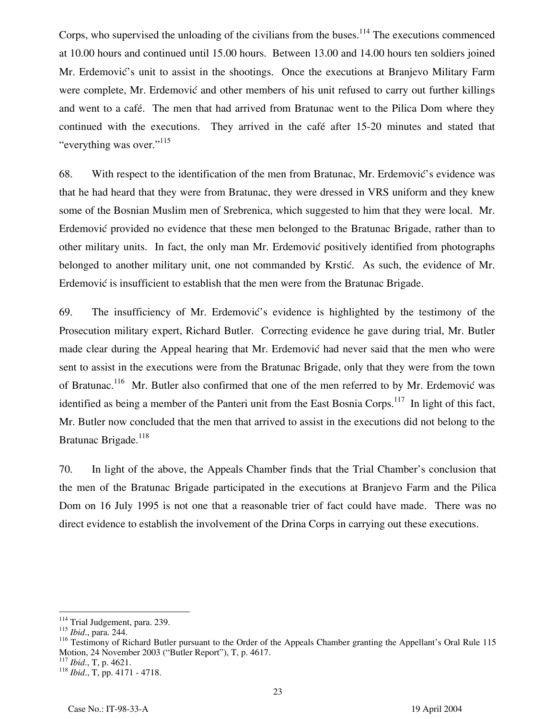Corps, who supervised the unloading of the civilians from the buses.<sup>114</sup> The executions commenced at 10.00 hours and continued until 15.00 hours. Between 13.00 and 14.00 hours ten soldiers joined Mr. Erdemović's unit to assist in the shootings. Once the executions at Branjevo Military Farm were complete, Mr. Erdemović and other members of his unit refused to carry out further killings and went to a café. The men that had arrived from Bratunac went to the Pilica Dom where they continued with the executions. They arrived in the café after 15-20 minutes and stated that "everything was over."<sup>115</sup>

68. With respect to the identification of the men from Bratunac, Mr. Erdemović's evidence was that he had heard that they were from Bratunac, they were dressed in VRS uniform and they knew some of the Bosnian Muslim men of Srebrenica, which suggested to him that they were local. Mr. Erdemović provided no evidence that these men belonged to the Bratunac Brigade, rather than to other military units. In fact, the only man Mr. Erdemović positively identified from photographs belonged to another military unit, one not commanded by Krstić. As such, the evidence of Mr. Erdemović is insufficient to establish that the men were from the Bratunac Brigade.

69. The insufficiency of Mr. Erdemović's evidence is highlighted by the testimony of the Prosecution military expert, Richard Butler. Correcting evidence he gave during trial, Mr. Butler made clear during the Appeal hearing that Mr. Erdemović had never said that the men who were sent to assist in the executions were from the Bratunac Brigade, only that they were from the town of Bratunac.<sup>116</sup> Mr. Butler also confirmed that one of the men referred to by Mr. Erdemović was identified as being a member of the Panteri unit from the East Bosnia Corps.<sup>117</sup> In light of this fact, Mr. Butler now concluded that the men that arrived to assist in the executions did not belong to the Bratunac Brigade.<sup>118</sup>

70. In light of the above, the Appeals Chamber finds that the Trial Chamber's conclusion that the men of the Bratunac Brigade participated in the executions at Branjevo Farm and the Pilica Dom on 16 July 1995 is not one that a reasonable trier of fact could have made. There was no direct evidence to establish the involvement of the Drina Corps in carrying out these executions.

 $\frac{1}{1}$ 

<sup>&</sup>lt;sup>114</sup> Trial Judgement, para. 239.

<sup>115</sup> *Ibid*., para. 244.

<sup>&</sup>lt;sup>116</sup> Testimony of Richard Butler pursuant to the Order of the Appeals Chamber granting the Appellant's Oral Rule 115 Motion, 24 November 2003 ("Butler Report"), T, p. 4617.<br>
<sup>117</sup> Ibid., T, p. 4621.

<sup>&</sup>lt;sup>118</sup> *Ibid.*, T, pp. 4171 - 4718.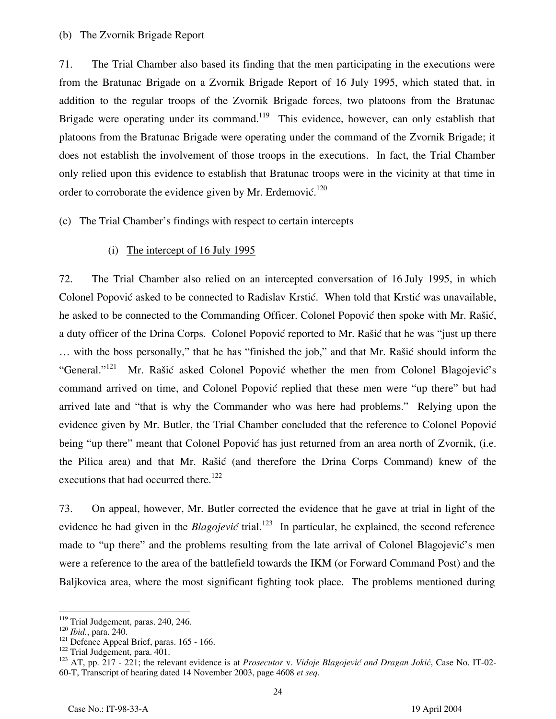#### (b) The Zvornik Brigade Report

71. The Trial Chamber also based its finding that the men participating in the executions were from the Bratunac Brigade on a Zvornik Brigade Report of 16 July 1995, which stated that, in addition to the regular troops of the Zvornik Brigade forces, two platoons from the Bratunac Brigade were operating under its command.<sup>119</sup> This evidence, however, can only establish that platoons from the Bratunac Brigade were operating under the command of the Zvornik Brigade; it does not establish the involvement of those troops in the executions. In fact, the Trial Chamber only relied upon this evidence to establish that Bratunac troops were in the vicinity at that time in order to corroborate the evidence given by Mr. Erdemović.<sup>120</sup>

#### (c) The Trial Chamber's findings with respect to certain intercepts

#### (i) The intercept of 16 July 1995

72. The Trial Chamber also relied on an intercepted conversation of 16 July 1995, in which Colonel Popović asked to be connected to Radislav Krstić. When told that Krstić was unavailable, he asked to be connected to the Commanding Officer. Colonel Popović then spoke with Mr. Rašić, a duty officer of the Drina Corps. Colonel Popović reported to Mr. Rašić that he was "just up there … with the boss personally," that he has "finished the job," and that Mr. Rašić should inform the "General."<sup>121</sup> Mr. Rašić asked Colonel Popović whether the men from Colonel Blagojević's command arrived on time, and Colonel Popović replied that these men were "up there" but had arrived late and "that is why the Commander who was here had problems." Relying upon the evidence given by Mr. Butler, the Trial Chamber concluded that the reference to Colonel Popović being "up there" meant that Colonel Popović has just returned from an area north of Zvornik, (i.e. the Pilica area) and that Mr. Rašić (and therefore the Drina Corps Command) knew of the executions that had occurred there.<sup>122</sup>

73. On appeal, however, Mr. Butler corrected the evidence that he gave at trial in light of the evidence he had given in the *Blagojević* trial.<sup>123</sup> In particular, he explained, the second reference made to "up there" and the problems resulting from the late arrival of Colonel Blagojević's men were a reference to the area of the battlefield towards the IKM (or Forward Command Post) and the Baljkovica area, where the most significant fighting took place. The problems mentioned during

<sup>&</sup>lt;sup>119</sup> Trial Judgement, paras. 240, 246.

<sup>&</sup>lt;sup>120</sup> Ibid., para. 240.<br><sup>120</sup> Ibid., para. 240.<br><sup>121</sup> Defence Appeal Brief, paras. 165 - 166.<br><sup>122</sup> Trial Judgement, para. 401.<br><sup>122</sup> AT, pp. 217 - 221; the relevant evidence is at *Prosecutor* v. Vidoje Blagojević and Dr 60-T, Transcript of hearing dated 14 November 2003, page 4608 *et seq.*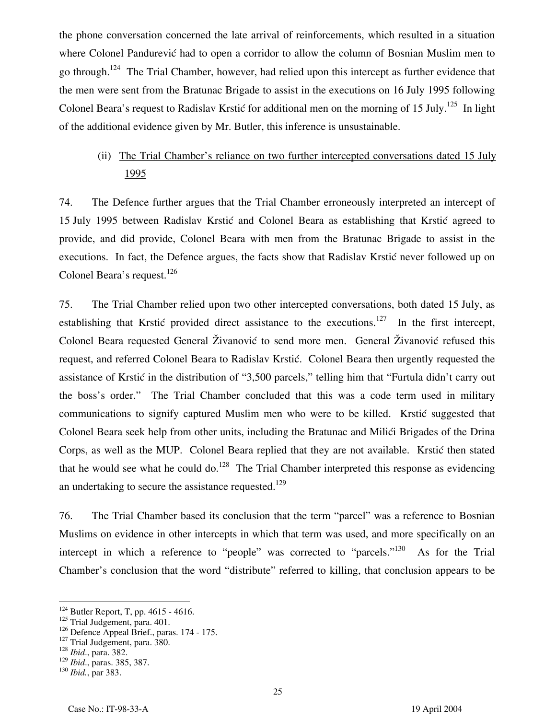the phone conversation concerned the late arrival of reinforcements, which resulted in a situation where Colonel Pandurević had to open a corridor to allow the column of Bosnian Muslim men to go through.<sup>124</sup> The Trial Chamber, however, had relied upon this intercept as further evidence that the men were sent from the Bratunac Brigade to assist in the executions on 16 July 1995 following Colonel Beara's request to Radislav Krstić for additional men on the morning of 15 July.<sup>125</sup> In light of the additional evidence given by Mr. Butler, this inference is unsustainable.

## (ii) The Trial Chamber's reliance on two further intercepted conversations dated 15 July 1995

74. The Defence further argues that the Trial Chamber erroneously interpreted an intercept of 15 July 1995 between Radislav Krstić and Colonel Beara as establishing that Krstić agreed to provide, and did provide, Colonel Beara with men from the Bratunac Brigade to assist in the executions. In fact, the Defence argues, the facts show that Radislav Krstić never followed up on Colonel Beara's request.<sup>126</sup>

75. The Trial Chamber relied upon two other intercepted conversations, both dated 15 July, as establishing that Krstić provided direct assistance to the executions.<sup>127</sup> In the first intercept, Colonel Beara requested General Živanović to send more men. General Živanović refused this request, and referred Colonel Beara to Radislav Krstić. Colonel Beara then urgently requested the assistance of Krstić in the distribution of "3,500 parcels," telling him that "Furtula didn't carry out the boss's order." The Trial Chamber concluded that this was a code term used in military communications to signify captured Muslim men who were to be killed. Krstić suggested that Colonel Beara seek help from other units, including the Bratunac and Milići Brigades of the Drina Corps, as well as the MUP. Colonel Beara replied that they are not available. Krstić then stated that he would see what he could do.<sup>128</sup> The Trial Chamber interpreted this response as evidencing an undertaking to secure the assistance requested.<sup>129</sup>

76. The Trial Chamber based its conclusion that the term "parcel" was a reference to Bosnian Muslims on evidence in other intercepts in which that term was used, and more specifically on an intercept in which a reference to "people" was corrected to "parcels."<sup>130</sup> As for the Trial Chamber's conclusion that the word "distribute" referred to killing, that conclusion appears to be

 $\frac{1}{1}$ 

 $124$  Butler Report, T, pp. 4615 - 4616.

<sup>&</sup>lt;sup>125</sup> Trial Judgement, para. 401.

<sup>&</sup>lt;sup>126</sup> Defence Appeal Brief., paras. 174 - 175.<br><sup>127</sup> Trial Judgement, para. 380.<br><sup>128</sup> *Ibid.*, para. 382.

<sup>129</sup> *Ibid*., paras. 385, 387. <sup>130</sup> *Ibid.*, par 383.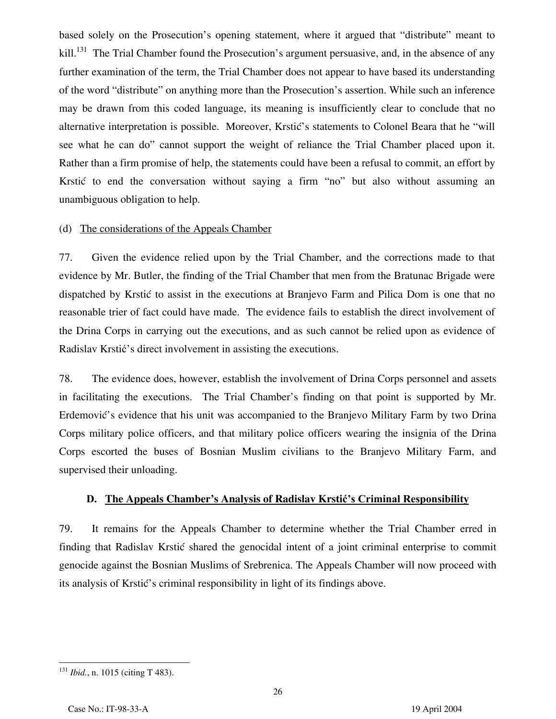based solely on the Prosecution's opening statement, where it argued that "distribute" meant to kill.<sup>131</sup> The Trial Chamber found the Prosecution's argument persuasive, and, in the absence of any further examination of the term, the Trial Chamber does not appear to have based its understanding of the word "distribute" on anything more than the Prosecution's assertion. While such an inference may be drawn from this coded language, its meaning is insufficiently clear to conclude that no alternative interpretation is possible. Moreover, Krstić's statements to Colonel Beara that he "will see what he can do" cannot support the weight of reliance the Trial Chamber placed upon it. Rather than a firm promise of help, the statements could have been a refusal to commit, an effort by Krstić to end the conversation without saying a firm "no" but also without assuming an unambiguous obligation to help.

#### (d) The considerations of the Appeals Chamber

77. Given the evidence relied upon by the Trial Chamber, and the corrections made to that evidence by Mr. Butler, the finding of the Trial Chamber that men from the Bratunac Brigade were dispatched by Krstić to assist in the executions at Branjevo Farm and Pilica Dom is one that no reasonable trier of fact could have made. The evidence fails to establish the direct involvement of the Drina Corps in carrying out the executions, and as such cannot be relied upon as evidence of Radislav Krstić's direct involvement in assisting the executions.

78. The evidence does, however, establish the involvement of Drina Corps personnel and assets in facilitating the executions. The Trial Chamber's finding on that point is supported by Mr. Erdemović's evidence that his unit was accompanied to the Branjevo Military Farm by two Drina Corps military police officers, and that military police officers wearing the insignia of the Drina Corps escorted the buses of Bosnian Muslim civilians to the Branjevo Military Farm, and supervised their unloading.

#### **D. The Appeals Chamber's Analysis of Radislav Krstić's Criminal Responsibility**

79. It remains for the Appeals Chamber to determine whether the Trial Chamber erred in finding that Radislav Krstić shared the genocidal intent of a joint criminal enterprise to commit genocide against the Bosnian Muslims of Srebrenica. The Appeals Chamber will now proceed with its analysis of Krstić's criminal responsibility in light of its findings above.

<sup>&</sup>lt;u>.</u> <sup>131</sup> *Ibid.*, n. 1015 (citing T 483).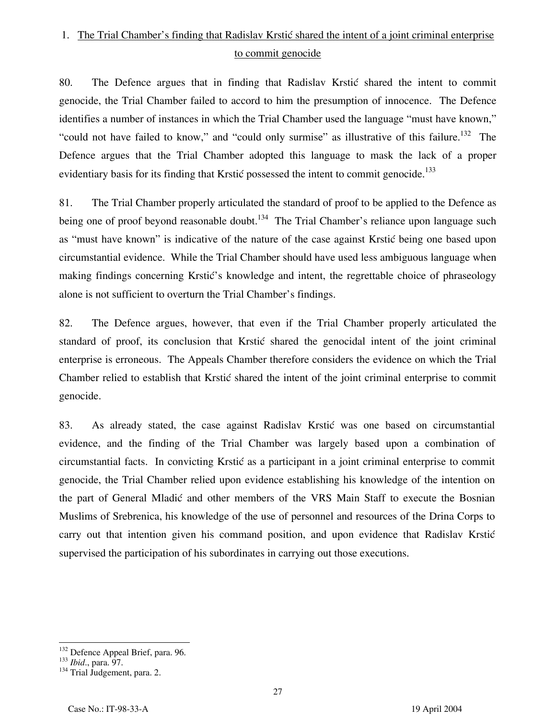# 1. The Trial Chamber's finding that Radislav Krstić shared the intent of a joint criminal enterprise to commit genocide

80. The Defence argues that in finding that Radislav Krstić shared the intent to commit genocide, the Trial Chamber failed to accord to him the presumption of innocence. The Defence identifies a number of instances in which the Trial Chamber used the language "must have known," "could not have failed to know," and "could only surmise" as illustrative of this failure.<sup>132</sup> The Defence argues that the Trial Chamber adopted this language to mask the lack of a proper evidentiary basis for its finding that Krstić possessed the intent to commit genocide.<sup>133</sup>

81. The Trial Chamber properly articulated the standard of proof to be applied to the Defence as being one of proof beyond reasonable doubt.<sup>134</sup> The Trial Chamber's reliance upon language such as "must have known" is indicative of the nature of the case against Krstić being one based upon circumstantial evidence. While the Trial Chamber should have used less ambiguous language when making findings concerning Krstić's knowledge and intent, the regrettable choice of phraseology alone is not sufficient to overturn the Trial Chamber's findings.

82. The Defence argues, however, that even if the Trial Chamber properly articulated the standard of proof, its conclusion that Krstić shared the genocidal intent of the joint criminal enterprise is erroneous. The Appeals Chamber therefore considers the evidence on which the Trial Chamber relied to establish that Krstić shared the intent of the joint criminal enterprise to commit genocide.

83. As already stated, the case against Radislav Krstić was one based on circumstantial evidence, and the finding of the Trial Chamber was largely based upon a combination of circumstantial facts. In convicting Krstić as a participant in a joint criminal enterprise to commit genocide, the Trial Chamber relied upon evidence establishing his knowledge of the intention on the part of General Mladić and other members of the VRS Main Staff to execute the Bosnian Muslims of Srebrenica, his knowledge of the use of personnel and resources of the Drina Corps to carry out that intention given his command position, and upon evidence that Radislav Krstić supervised the participation of his subordinates in carrying out those executions.

 $\frac{1}{\sqrt{2}}$ 

<sup>&</sup>lt;sup>132</sup> Defence Appeal Brief, para. 96.<br><sup>133</sup> *Ibid.*, para. 97.<br><sup>134</sup> Trial Judgement, para. 2.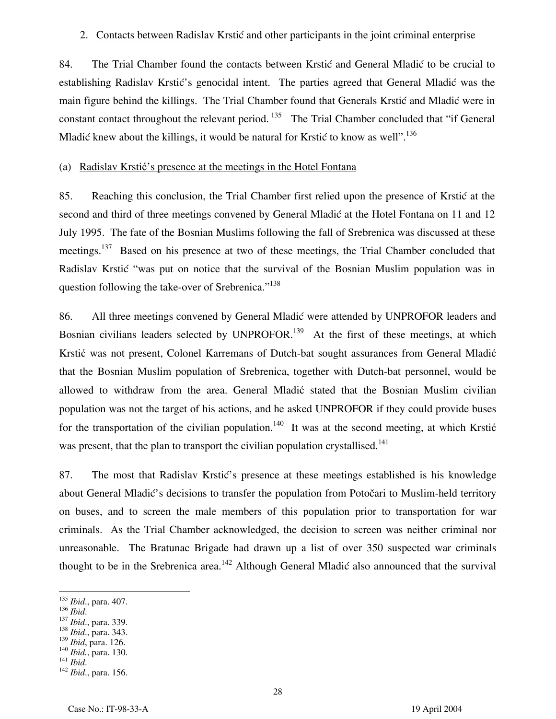#### 2. Contacts between Radislav Krstić and other participants in the joint criminal enterprise

84. The Trial Chamber found the contacts between Krstić and General Mladić to be crucial to establishing Radislav Krstić's genocidal intent. The parties agreed that General Mladić was the main figure behind the killings. The Trial Chamber found that Generals Krstić and Mladić were in constant contact throughout the relevant period.<sup>135</sup> The Trial Chamber concluded that "if General" Mladić knew about the killings, it would be natural for Krstić to know as well".<sup>136</sup>

#### (a) Radislav Krstić's presence at the meetings in the Hotel Fontana

85. Reaching this conclusion, the Trial Chamber first relied upon the presence of Krstić at the second and third of three meetings convened by General Mladić at the Hotel Fontana on 11 and 12 July 1995. The fate of the Bosnian Muslims following the fall of Srebrenica was discussed at these meetings.<sup>137</sup> Based on his presence at two of these meetings, the Trial Chamber concluded that Radislav Krstić "was put on notice that the survival of the Bosnian Muslim population was in question following the take-over of Srebrenica."<sup>138</sup>

86. All three meetings convened by General Mladić were attended by UNPROFOR leaders and Bosnian civilians leaders selected by UNPROFOR.<sup>139</sup> At the first of these meetings, at which Krstić was not present, Colonel Karremans of Dutch-bat sought assurances from General Mladić that the Bosnian Muslim population of Srebrenica, together with Dutch-bat personnel, would be allowed to withdraw from the area. General Mladić stated that the Bosnian Muslim civilian population was not the target of his actions, and he asked UNPROFOR if they could provide buses for the transportation of the civilian population.<sup>140</sup> It was at the second meeting, at which Krstić was present, that the plan to transport the civilian population crystallised.<sup>141</sup>

87. The most that Radislav Krstić's presence at these meetings established is his knowledge about General Mladić's decisions to transfer the population from Potočari to Muslim-held territory on buses, and to screen the male members of this population prior to transportation for war criminals. As the Trial Chamber acknowledged, the decision to screen was neither criminal nor unreasonable. The Bratunac Brigade had drawn up a list of over 350 suspected war criminals thought to be in the Srebrenica area.<sup>142</sup> Although General Mladić also announced that the survival

-

- 
- <sup>136</sup> *Ibid*. <sup>137</sup> *Ibid*., para. 339. <sup>138</sup> *Ibid*., para. 343.
- 
- 

<sup>135</sup> *Ibid*., para. 407.

<sup>139</sup> *Ibid*, para. 126. <sup>140</sup> *Ibid.*, para. 130. <sup>141</sup> *Ibid*. <sup>142</sup> *Ibid*., para. 156.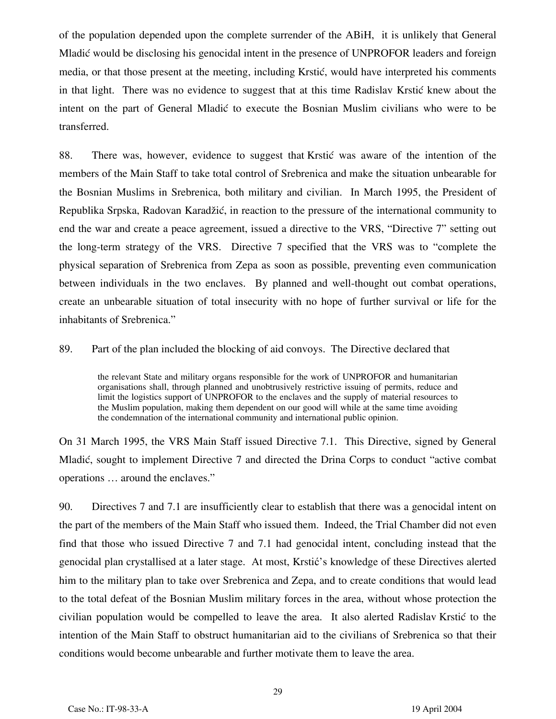of the population depended upon the complete surrender of the ABiH, it is unlikely that General Mladić would be disclosing his genocidal intent in the presence of UNPROFOR leaders and foreign media, or that those present at the meeting, including Krstić, would have interpreted his comments in that light. There was no evidence to suggest that at this time Radislav Krstić knew about the intent on the part of General Mladić to execute the Bosnian Muslim civilians who were to be transferred.

88. There was, however, evidence to suggest that Krstić was aware of the intention of the members of the Main Staff to take total control of Srebrenica and make the situation unbearable for the Bosnian Muslims in Srebrenica, both military and civilian. In March 1995, the President of Republika Srpska, Radovan Karadžić, in reaction to the pressure of the international community to end the war and create a peace agreement, issued a directive to the VRS, "Directive 7" setting out the long-term strategy of the VRS. Directive 7 specified that the VRS was to "complete the physical separation of Srebrenica from Zepa as soon as possible, preventing even communication between individuals in the two enclaves. By planned and well-thought out combat operations, create an unbearable situation of total insecurity with no hope of further survival or life for the inhabitants of Srebrenica."

89. Part of the plan included the blocking of aid convoys. The Directive declared that

the relevant State and military organs responsible for the work of UNPROFOR and humanitarian organisations shall, through planned and unobtrusively restrictive issuing of permits, reduce and limit the logistics support of UNPROFOR to the enclaves and the supply of material resources to the Muslim population, making them dependent on our good will while at the same time avoiding the condemnation of the international community and international public opinion.

On 31 March 1995, the VRS Main Staff issued Directive 7.1. This Directive, signed by General Mladić, sought to implement Directive 7 and directed the Drina Corps to conduct "active combat operations … around the enclaves."

90. Directives 7 and 7.1 are insufficiently clear to establish that there was a genocidal intent on the part of the members of the Main Staff who issued them. Indeed, the Trial Chamber did not even find that those who issued Directive 7 and 7.1 had genocidal intent, concluding instead that the genocidal plan crystallised at a later stage. At most, Krstić's knowledge of these Directives alerted him to the military plan to take over Srebrenica and Zepa, and to create conditions that would lead to the total defeat of the Bosnian Muslim military forces in the area, without whose protection the civilian population would be compelled to leave the area. It also alerted Radislav Krstić to the intention of the Main Staff to obstruct humanitarian aid to the civilians of Srebrenica so that their conditions would become unbearable and further motivate them to leave the area.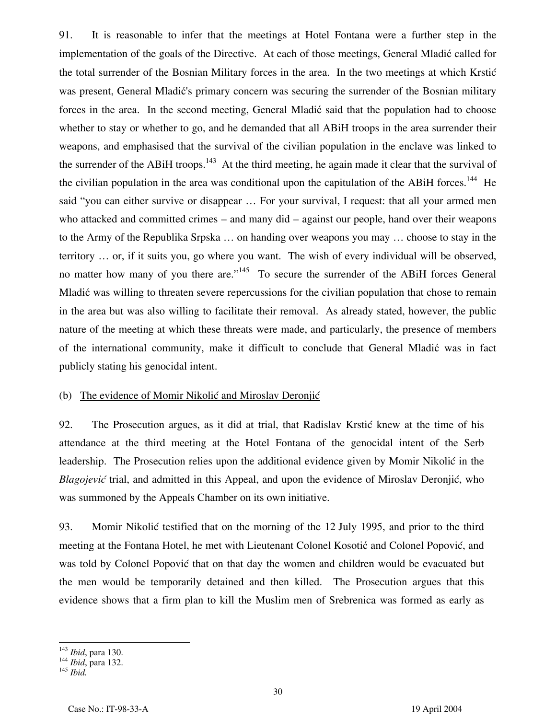91. It is reasonable to infer that the meetings at Hotel Fontana were a further step in the implementation of the goals of the Directive. At each of those meetings, General Mladić called for the total surrender of the Bosnian Military forces in the area. In the two meetings at which Krstić was present, General Mladić's primary concern was securing the surrender of the Bosnian military forces in the area. In the second meeting, General Mladić said that the population had to choose whether to stay or whether to go, and he demanded that all ABiH troops in the area surrender their weapons, and emphasised that the survival of the civilian population in the enclave was linked to the surrender of the ABiH troops.<sup>143</sup> At the third meeting, he again made it clear that the survival of the civilian population in the area was conditional upon the capitulation of the ABiH forces.<sup>144</sup> He said "you can either survive or disappear … For your survival, I request: that all your armed men who attacked and committed crimes – and many did – against our people, hand over their weapons to the Army of the Republika Srpska … on handing over weapons you may … choose to stay in the territory … or, if it suits you, go where you want. The wish of every individual will be observed, no matter how many of you there are."<sup>145</sup> To secure the surrender of the ABiH forces General Mladić was willing to threaten severe repercussions for the civilian population that chose to remain in the area but was also willing to facilitate their removal. As already stated, however, the public nature of the meeting at which these threats were made, and particularly, the presence of members of the international community, make it difficult to conclude that General Mladić was in fact publicly stating his genocidal intent.

#### (b) The evidence of Momir Nikolić and Miroslav Deronjić

92. The Prosecution argues, as it did at trial, that Radislav Krstić knew at the time of his attendance at the third meeting at the Hotel Fontana of the genocidal intent of the Serb leadership. The Prosecution relies upon the additional evidence given by Momir Nikolić in the *Blagojević* trial, and admitted in this Appeal, and upon the evidence of Miroslav Deronjić, who was summoned by the Appeals Chamber on its own initiative.

93. Momir Nikolić testified that on the morning of the 12 July 1995, and prior to the third meeting at the Fontana Hotel, he met with Lieutenant Colonel Kosotić and Colonel Popović, and was told by Colonel Popović that on that day the women and children would be evacuated but the men would be temporarily detained and then killed. The Prosecution argues that this evidence shows that a firm plan to kill the Muslim men of Srebrenica was formed as early as

 $\frac{1}{\sqrt{2}}$ <sup>143</sup> *Ibid*, para 130. <sup>144</sup> *Ibid*, para 132.

<sup>145</sup> *Ibid.*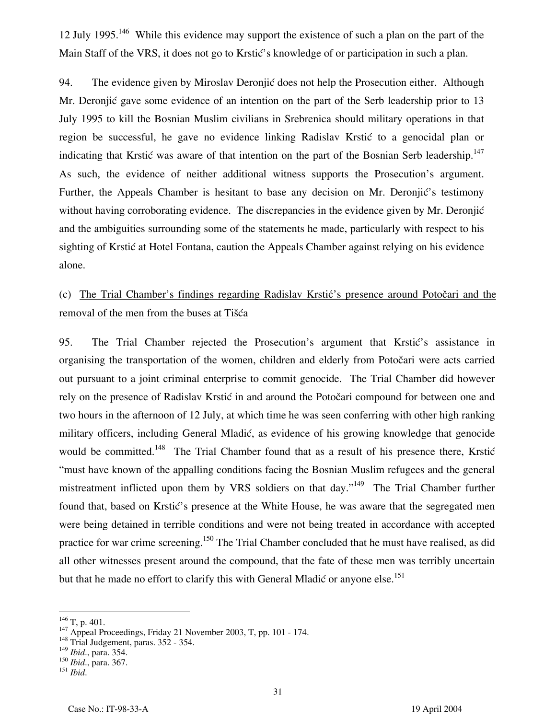12 July 1995.<sup>146</sup> While this evidence may support the existence of such a plan on the part of the Main Staff of the VRS, it does not go to Krstić's knowledge of or participation in such a plan.

94. The evidence given by Miroslav Deronjić does not help the Prosecution either. Although Mr. Deronjić gave some evidence of an intention on the part of the Serb leadership prior to 13 July 1995 to kill the Bosnian Muslim civilians in Srebrenica should military operations in that region be successful, he gave no evidence linking Radislav Krstić to a genocidal plan or indicating that Krstić was aware of that intention on the part of the Bosnian Serb leadership.<sup>147</sup> As such, the evidence of neither additional witness supports the Prosecution's argument. Further, the Appeals Chamber is hesitant to base any decision on Mr. Deronjić's testimony without having corroborating evidence. The discrepancies in the evidence given by Mr. Deronjić and the ambiguities surrounding some of the statements he made, particularly with respect to his sighting of Krstić at Hotel Fontana, caution the Appeals Chamber against relying on his evidence alone.

# (c) The Trial Chamber's findings regarding Radislav Krstić's presence around Potočari and the removal of the men from the buses at Tišća

95. The Trial Chamber rejected the Prosecution's argument that Krstić's assistance in organising the transportation of the women, children and elderly from Potočari were acts carried out pursuant to a joint criminal enterprise to commit genocide. The Trial Chamber did however rely on the presence of Radislav Krstić in and around the Potočari compound for between one and two hours in the afternoon of 12 July, at which time he was seen conferring with other high ranking military officers, including General Mladić, as evidence of his growing knowledge that genocide would be committed.<sup>148</sup> The Trial Chamber found that as a result of his presence there, Krstić "must have known of the appalling conditions facing the Bosnian Muslim refugees and the general mistreatment inflicted upon them by VRS soldiers on that day."<sup>149</sup> The Trial Chamber further found that, based on Krstić's presence at the White House, he was aware that the segregated men were being detained in terrible conditions and were not being treated in accordance with accepted practice for war crime screening.<sup>150</sup> The Trial Chamber concluded that he must have realised, as did all other witnesses present around the compound, that the fate of these men was terribly uncertain but that he made no effort to clarify this with General Mladić or anyone else.<sup>151</sup>

 $146$  T, p. 401.

 $147$  Appeal Proceedings, Friday 21 November 2003, T, pp. 101 - 174.<br><sup>148</sup> Trial Judgement, paras. 352 - 354.

<sup>149</sup> *Ibid*., para. 354.

<sup>150</sup> *Ibid*., para. 367.

<sup>151</sup> *Ibid*.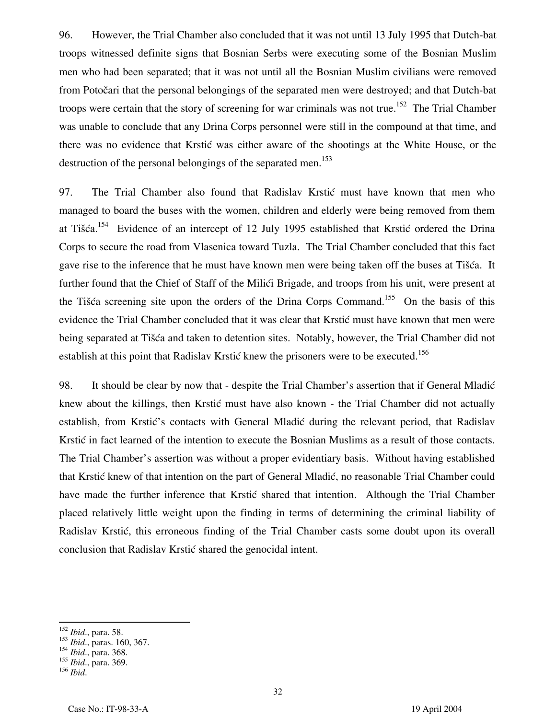96. However, the Trial Chamber also concluded that it was not until 13 July 1995 that Dutch-bat troops witnessed definite signs that Bosnian Serbs were executing some of the Bosnian Muslim men who had been separated; that it was not until all the Bosnian Muslim civilians were removed from Potočari that the personal belongings of the separated men were destroyed; and that Dutch-bat troops were certain that the story of screening for war criminals was not true.<sup>152</sup> The Trial Chamber was unable to conclude that any Drina Corps personnel were still in the compound at that time, and there was no evidence that Krstić was either aware of the shootings at the White House, or the destruction of the personal belongings of the separated men.<sup>153</sup>

97. The Trial Chamber also found that Radislav Krstić must have known that men who managed to board the buses with the women, children and elderly were being removed from them at Tišća.<sup>154</sup> Evidence of an intercept of 12 July 1995 established that Krstić ordered the Drina Corps to secure the road from Vlasenica toward Tuzla. The Trial Chamber concluded that this fact gave rise to the inference that he must have known men were being taken off the buses at Tišća. It further found that the Chief of Staff of the Milići Brigade, and troops from his unit, were present at the Tišća screening site upon the orders of the Drina Corps Command.<sup>155</sup> On the basis of this evidence the Trial Chamber concluded that it was clear that Krstić must have known that men were being separated at Tišća and taken to detention sites. Notably, however, the Trial Chamber did not establish at this point that Radislav Krstić knew the prisoners were to be executed.<sup>156</sup>

98. It should be clear by now that - despite the Trial Chamber's assertion that if General Mladić knew about the killings, then Krstić must have also known - the Trial Chamber did not actually establish, from Krstić's contacts with General Mladić during the relevant period, that Radislav Krstić in fact learned of the intention to execute the Bosnian Muslims as a result of those contacts. The Trial Chamber's assertion was without a proper evidentiary basis. Without having established that Krstić knew of that intention on the part of General Mladić, no reasonable Trial Chamber could have made the further inference that Krstić shared that intention. Although the Trial Chamber placed relatively little weight upon the finding in terms of determining the criminal liability of Radislav Krstić, this erroneous finding of the Trial Chamber casts some doubt upon its overall conclusion that Radislav Krstić shared the genocidal intent.

<u>.</u>

<sup>152</sup> *Ibid*., para. 58.

<sup>153</sup> *Ibid*., paras. 160, 367.

<sup>154</sup> *Ibid*., para. 368.

<sup>155</sup> *Ibid*., para. 369.

<sup>156</sup> *Ibid*.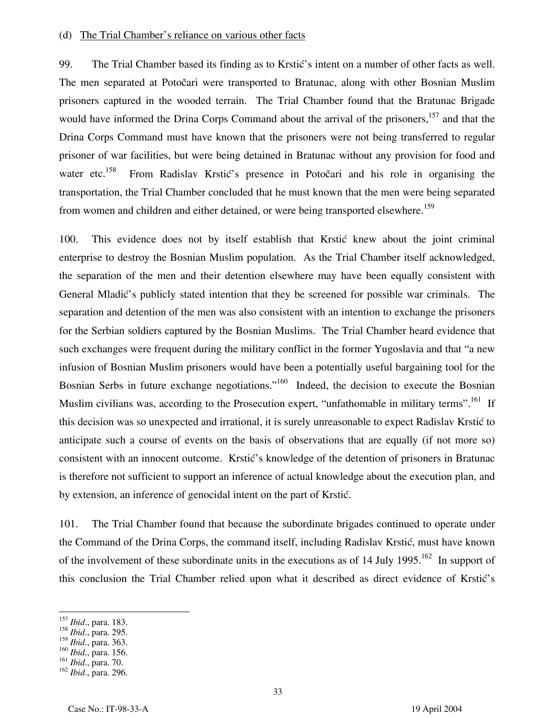#### (d) The Trial Chamber's reliance on various other facts

99. The Trial Chamber based its finding as to Krstić's intent on a number of other facts as well. The men separated at Potočari were transported to Bratunac, along with other Bosnian Muslim prisoners captured in the wooded terrain. The Trial Chamber found that the Bratunac Brigade would have informed the Drina Corps Command about the arrival of the prisoners,<sup>157</sup> and that the Drina Corps Command must have known that the prisoners were not being transferred to regular prisoner of war facilities, but were being detained in Bratunac without any provision for food and water etc.<sup>158</sup> From Radislav Krstić's presence in Potočari and his role in organising the transportation, the Trial Chamber concluded that he must known that the men were being separated from women and children and either detained, or were being transported elsewhere.<sup>159</sup>

100. This evidence does not by itself establish that Krstić knew about the joint criminal enterprise to destroy the Bosnian Muslim population. As the Trial Chamber itself acknowledged, the separation of the men and their detention elsewhere may have been equally consistent with General Mladić's publicly stated intention that they be screened for possible war criminals. The separation and detention of the men was also consistent with an intention to exchange the prisoners for the Serbian soldiers captured by the Bosnian Muslims. The Trial Chamber heard evidence that such exchanges were frequent during the military conflict in the former Yugoslavia and that "a new infusion of Bosnian Muslim prisoners would have been a potentially useful bargaining tool for the Bosnian Serbs in future exchange negotiations."<sup>160</sup> Indeed, the decision to execute the Bosnian Muslim civilians was, according to the Prosecution expert, "unfathomable in military terms".<sup>161</sup> If this decision was so unexpected and irrational, it is surely unreasonable to expect Radislav Krstić to anticipate such a course of events on the basis of observations that are equally (if not more so) consistent with an innocent outcome. Krstić's knowledge of the detention of prisoners in Bratunac is therefore not sufficient to support an inference of actual knowledge about the execution plan, and by extension, an inference of genocidal intent on the part of Krstić.

101. The Trial Chamber found that because the subordinate brigades continued to operate under the Command of the Drina Corps, the command itself, including Radislav Krstić, must have known of the involvement of these subordinate units in the executions as of 14 July 1995.<sup>162</sup> In support of this conclusion the Trial Chamber relied upon what it described as direct evidence of Krstić's

 $\frac{1}{\sqrt{2}}$ 

<sup>157</sup> *Ibid*., para. 183.

<sup>158</sup> *Ibid.*, para. 295.

<sup>159</sup> *Ibid*., para. 363.

<sup>160</sup> *Ibid*., para. 156.

<sup>161</sup> *Ibid*., para. 70.

<sup>162</sup> *Ibid*., para. 296.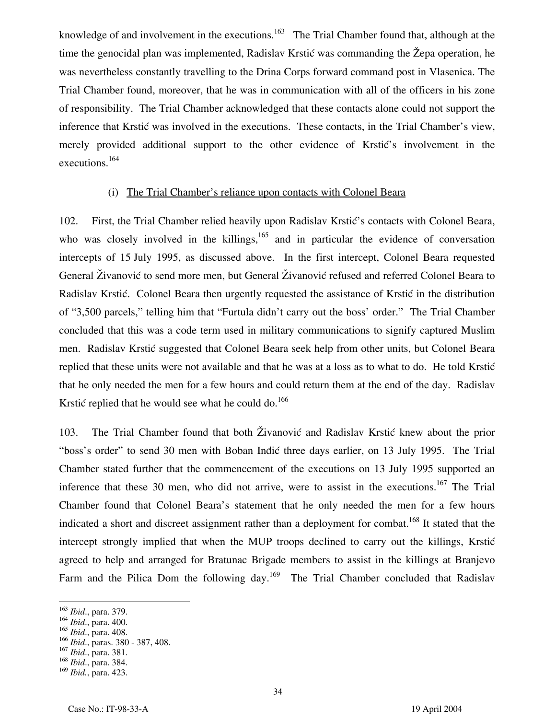knowledge of and involvement in the executions.<sup>163</sup> The Trial Chamber found that, although at the time the genocidal plan was implemented, Radislav Krstić was commanding the Žepa operation, he was nevertheless constantly travelling to the Drina Corps forward command post in Vlasenica. The Trial Chamber found, moreover, that he was in communication with all of the officers in his zone of responsibility. The Trial Chamber acknowledged that these contacts alone could not support the inference that Krstić was involved in the executions. These contacts, in the Trial Chamber's view, merely provided additional support to the other evidence of Krstić's involvement in the executions.164

### (i) The Trial Chamber's reliance upon contacts with Colonel Beara

102. First, the Trial Chamber relied heavily upon Radislav Krstić's contacts with Colonel Beara, who was closely involved in the killings, $165$  and in particular the evidence of conversation intercepts of 15 July 1995, as discussed above. In the first intercept, Colonel Beara requested General Živanović to send more men, but General Živanović refused and referred Colonel Beara to Radislav Krstić. Colonel Beara then urgently requested the assistance of Krstić in the distribution of "3,500 parcels," telling him that "Furtula didn't carry out the boss' order." The Trial Chamber concluded that this was a code term used in military communications to signify captured Muslim men. Radislav Krstić suggested that Colonel Beara seek help from other units, but Colonel Beara replied that these units were not available and that he was at a loss as to what to do. He told Krstić that he only needed the men for a few hours and could return them at the end of the day. Radislav Krstić replied that he would see what he could do.<sup>166</sup>

103. The Trial Chamber found that both Živanović and Radislav Krstić knew about the prior "boss's order" to send 30 men with Boban Inðić three days earlier, on 13 July 1995. The Trial Chamber stated further that the commencement of the executions on 13 July 1995 supported an inference that these 30 men, who did not arrive, were to assist in the executions.<sup>167</sup> The Trial Chamber found that Colonel Beara's statement that he only needed the men for a few hours indicated a short and discreet assignment rather than a deployment for combat.<sup>168</sup> It stated that the intercept strongly implied that when the MUP troops declined to carry out the killings, Krstić agreed to help and arranged for Bratunac Brigade members to assist in the killings at Branjevo Farm and the Pilica Dom the following day.<sup>169</sup> The Trial Chamber concluded that Radislav

 $\frac{1}{\sqrt{2}}$ 

<sup>163</sup> *Ibid*., para. 379.

<sup>164</sup> *Ibid*., para. 400.

<sup>165</sup> *Ibid*., para. 408.

<sup>166</sup> *Ibid*., paras. 380 - 387, 408.

<sup>167</sup> *Ibid*., para. 381.

<sup>168</sup> *Ibid*., para. 384.

<sup>169</sup> *Ibid.*, para. 423.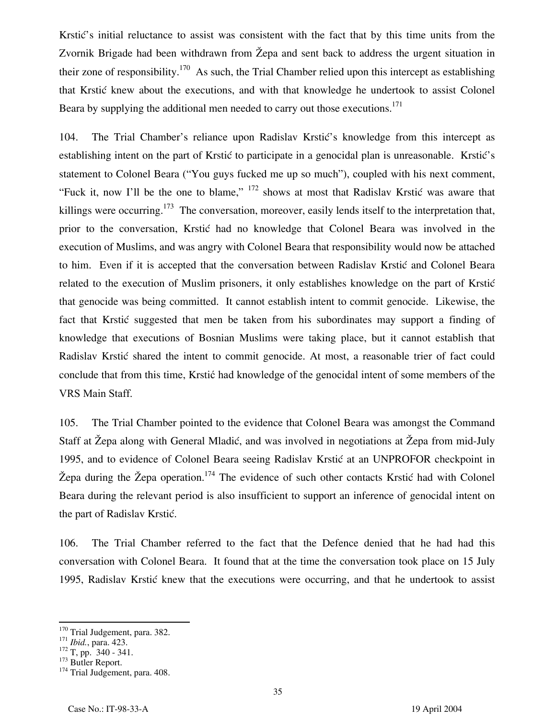Krstić's initial reluctance to assist was consistent with the fact that by this time units from the Zvornik Brigade had been withdrawn from Žepa and sent back to address the urgent situation in their zone of responsibility.<sup>170</sup> As such, the Trial Chamber relied upon this intercept as establishing that Krstić knew about the executions, and with that knowledge he undertook to assist Colonel Beara by supplying the additional men needed to carry out those executions.<sup>171</sup>

104. The Trial Chamber's reliance upon Radislav Krstić's knowledge from this intercept as establishing intent on the part of Krstić to participate in a genocidal plan is unreasonable. Krstić's statement to Colonel Beara ("You guys fucked me up so much"), coupled with his next comment, "Fuck it, now I'll be the one to blame," 172 shows at most that Radislav Krstić was aware that killings were occurring.<sup>173</sup> The conversation, moreover, easily lends itself to the interpretation that, prior to the conversation, Krstić had no knowledge that Colonel Beara was involved in the execution of Muslims, and was angry with Colonel Beara that responsibility would now be attached to him. Even if it is accepted that the conversation between Radislav Krstić and Colonel Beara related to the execution of Muslim prisoners, it only establishes knowledge on the part of Krstić that genocide was being committed. It cannot establish intent to commit genocide. Likewise, the fact that Krstić suggested that men be taken from his subordinates may support a finding of knowledge that executions of Bosnian Muslims were taking place, but it cannot establish that Radislav Krstić shared the intent to commit genocide. At most, a reasonable trier of fact could conclude that from this time, Krstić had knowledge of the genocidal intent of some members of the VRS Main Staff.

105. The Trial Chamber pointed to the evidence that Colonel Beara was amongst the Command Staff at Žepa along with General Mladić, and was involved in negotiations at Žepa from mid-July 1995, and to evidence of Colonel Beara seeing Radislav Krstić at an UNPROFOR checkpoint in Žepa during the Žepa operation.<sup>174</sup> The evidence of such other contacts Krstić had with Colonel Beara during the relevant period is also insufficient to support an inference of genocidal intent on the part of Radislav Krstić.

106. The Trial Chamber referred to the fact that the Defence denied that he had had this conversation with Colonel Beara. It found that at the time the conversation took place on 15 July 1995, Radislav Krstić knew that the executions were occurring, and that he undertook to assist

<u>.</u>

<sup>&</sup>lt;sup>170</sup> Trial Judgement, para. 382.<br><sup>172</sup> *Ibid.*, para. 423.<br><sup>172</sup> T, pp. 340 - 341.<br><sup>173</sup> Butler Report. <sup>174</sup> Trial Judgement, para. 408.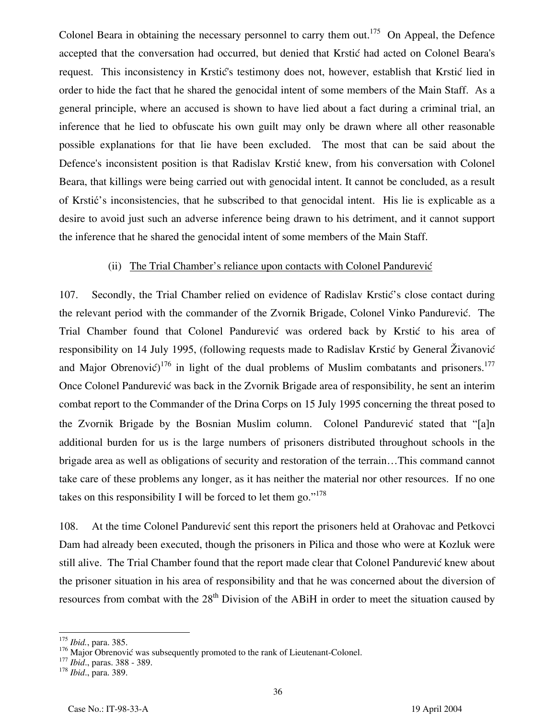Colonel Beara in obtaining the necessary personnel to carry them out.<sup>175</sup> On Appeal, the Defence accepted that the conversation had occurred, but denied that Krstić had acted on Colonel Beara's request. This inconsistency in Krstić's testimony does not, however, establish that Krstić lied in order to hide the fact that he shared the genocidal intent of some members of the Main Staff. As a general principle, where an accused is shown to have lied about a fact during a criminal trial, an inference that he lied to obfuscate his own guilt may only be drawn where all other reasonable possible explanations for that lie have been excluded. The most that can be said about the Defence's inconsistent position is that Radislav Krstić knew, from his conversation with Colonel Beara, that killings were being carried out with genocidal intent. It cannot be concluded, as a result of Krstić's inconsistencies, that he subscribed to that genocidal intent. His lie is explicable as a desire to avoid just such an adverse inference being drawn to his detriment, and it cannot support the inference that he shared the genocidal intent of some members of the Main Staff.

#### (ii) The Trial Chamber's reliance upon contacts with Colonel Pandurević

107. Secondly, the Trial Chamber relied on evidence of Radislav Krstić's close contact during the relevant period with the commander of the Zvornik Brigade, Colonel Vinko Pandurević. The Trial Chamber found that Colonel Pandurević was ordered back by Krstić to his area of responsibility on 14 July 1995, (following requests made to Radislav Krstić by General Živanović and Major Obrenović)<sup>176</sup> in light of the dual problems of Muslim combatants and prisoners.<sup>177</sup> Once Colonel Pandurević was back in the Zvornik Brigade area of responsibility, he sent an interim combat report to the Commander of the Drina Corps on 15 July 1995 concerning the threat posed to the Zvornik Brigade by the Bosnian Muslim column. Colonel Pandurević stated that "[a]n additional burden for us is the large numbers of prisoners distributed throughout schools in the brigade area as well as obligations of security and restoration of the terrain…This command cannot take care of these problems any longer, as it has neither the material nor other resources. If no one takes on this responsibility I will be forced to let them go."<sup>178</sup>

108. At the time Colonel Pandurević sent this report the prisoners held at Orahovac and Petkovci Dam had already been executed, though the prisoners in Pilica and those who were at Kozluk were still alive. The Trial Chamber found that the report made clear that Colonel Pandurević knew about the prisoner situation in his area of responsibility and that he was concerned about the diversion of resources from combat with the  $28<sup>th</sup>$  Division of the ABiH in order to meet the situation caused by

36

-

<sup>175</sup> *Ibid.*, para. 385.

<sup>176</sup> Major Obrenović was subsequently promoted to the rank of Lieutenant-Colonel.<br>
177 *Ibid.*, paras. 388 - 389.<br>
<sup>178</sup> *Ibid.*, para. 389.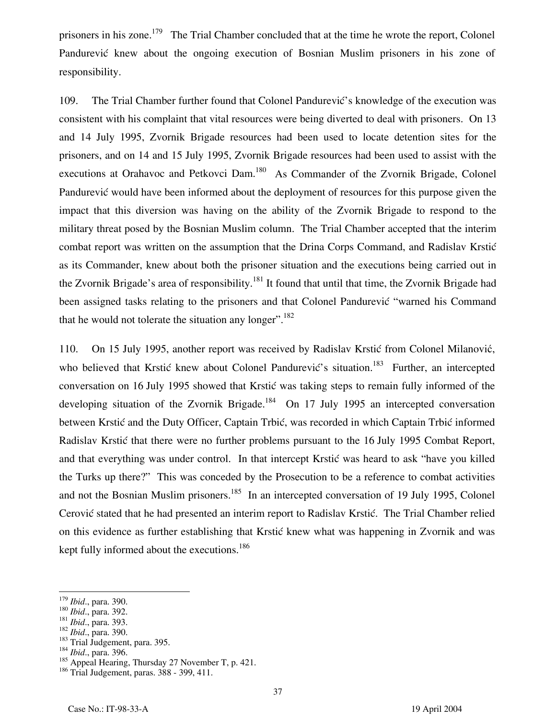prisoners in his zone.<sup>179</sup> The Trial Chamber concluded that at the time he wrote the report, Colonel Pandurević knew about the ongoing execution of Bosnian Muslim prisoners in his zone of responsibility.

109. The Trial Chamber further found that Colonel Pandurević's knowledge of the execution was consistent with his complaint that vital resources were being diverted to deal with prisoners. On 13 and 14 July 1995, Zvornik Brigade resources had been used to locate detention sites for the prisoners, and on 14 and 15 July 1995, Zvornik Brigade resources had been used to assist with the executions at Orahavoc and Petkovci Dam.<sup>180</sup> As Commander of the Zvornik Brigade, Colonel Pandurević would have been informed about the deployment of resources for this purpose given the impact that this diversion was having on the ability of the Zvornik Brigade to respond to the military threat posed by the Bosnian Muslim column. The Trial Chamber accepted that the interim combat report was written on the assumption that the Drina Corps Command, and Radislav Krstić as its Commander, knew about both the prisoner situation and the executions being carried out in the Zvornik Brigade's area of responsibility.<sup>181</sup> It found that until that time, the Zvornik Brigade had been assigned tasks relating to the prisoners and that Colonel Pandurević "warned his Command that he would not tolerate the situation any longer".<sup>182</sup>

110. On 15 July 1995, another report was received by Radislav Krstić from Colonel Milanović, who believed that Krstić knew about Colonel Pandurević's situation.<sup>183</sup> Further, an intercepted conversation on 16 July 1995 showed that Krstić was taking steps to remain fully informed of the developing situation of the Zvornik Brigade.<sup>184</sup> On 17 July 1995 an intercepted conversation between Krstić and the Duty Officer, Captain Trbić, was recorded in which Captain Trbić informed Radislav Krstić that there were no further problems pursuant to the 16 July 1995 Combat Report, and that everything was under control. In that intercept Krstić was heard to ask "have you killed the Turks up there?" This was conceded by the Prosecution to be a reference to combat activities and not the Bosnian Muslim prisoners.<sup>185</sup> In an intercepted conversation of 19 July 1995, Colonel Cerović stated that he had presented an interim report to Radislav Krstić. The Trial Chamber relied on this evidence as further establishing that Krstić knew what was happening in Zvornik and was kept fully informed about the executions.<sup>186</sup>

<sup>&</sup>lt;sup>179</sup> Ibid., para. 390.

<sup>&</sup>lt;sup>180</sup> *Ibid.*, para. 392.<br><sup>181</sup> *Ibid.*, para. 393.<br><sup>182</sup> *Ibid.*, para. 390.<br><sup>183</sup> Trial Judgement, para. 395.<br><sup>184</sup> *Ibid.*, para. 396.

<sup>&</sup>lt;sup>185</sup> Appeal Hearing, Thursday 27 November T, p. 421.

<sup>186</sup> Trial Judgement, paras. 388 - 399, 411.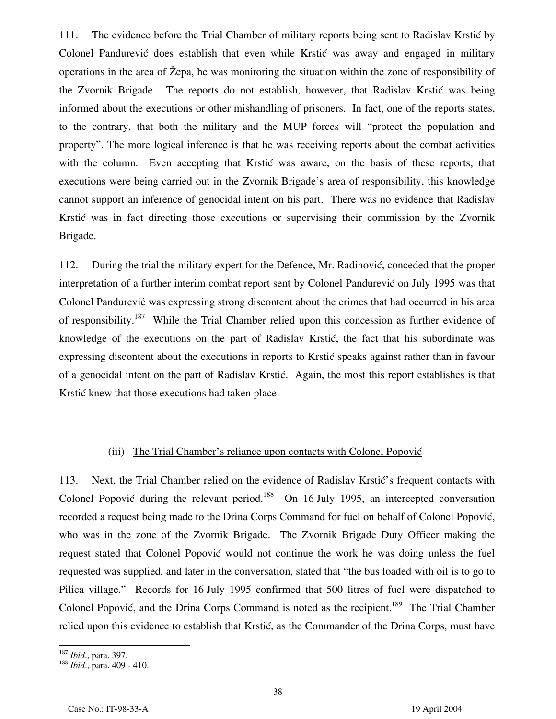111. The evidence before the Trial Chamber of military reports being sent to Radislav Krstić by Colonel Pandurević does establish that even while Krstić was away and engaged in military operations in the area of Žepa, he was monitoring the situation within the zone of responsibility of the Zvornik Brigade. The reports do not establish, however, that Radislav Krstić was being informed about the executions or other mishandling of prisoners. In fact, one of the reports states, to the contrary, that both the military and the MUP forces will "protect the population and property". The more logical inference is that he was receiving reports about the combat activities with the column. Even accepting that Krstić was aware, on the basis of these reports, that executions were being carried out in the Zvornik Brigade's area of responsibility, this knowledge cannot support an inference of genocidal intent on his part. There was no evidence that Radislav Krstić was in fact directing those executions or supervising their commission by the Zvornik Brigade.

112. During the trial the military expert for the Defence, Mr. Radinović, conceded that the proper interpretation of a further interim combat report sent by Colonel Pandurević on July 1995 was that Colonel Pandurević was expressing strong discontent about the crimes that had occurred in his area of responsibility.<sup>187</sup> While the Trial Chamber relied upon this concession as further evidence of knowledge of the executions on the part of Radislav Krstić, the fact that his subordinate was expressing discontent about the executions in reports to Krstić speaks against rather than in favour of a genocidal intent on the part of Radislav Krstić. Again, the most this report establishes is that Krstić knew that those executions had taken place.

### (iii) The Trial Chamber's reliance upon contacts with Colonel Popović

113. Next, the Trial Chamber relied on the evidence of Radislav Krstić's frequent contacts with Colonel Popović during the relevant period.<sup>188</sup> On 16 July 1995, an intercepted conversation recorded a request being made to the Drina Corps Command for fuel on behalf of Colonel Popović, who was in the zone of the Zvornik Brigade. The Zvornik Brigade Duty Officer making the request stated that Colonel Popović would not continue the work he was doing unless the fuel requested was supplied, and later in the conversation, stated that "the bus loaded with oil is to go to Pilica village." Records for 16 July 1995 confirmed that 500 litres of fuel were dispatched to Colonel Popović, and the Drina Corps Command is noted as the recipient.<sup>189</sup> The Trial Chamber relied upon this evidence to establish that Krstić, as the Commander of the Drina Corps, must have

<sup>&</sup>lt;sup>187</sup> *Ibid.*, para. 397.

<sup>188</sup> *Ibid.*, para. 409 - 410.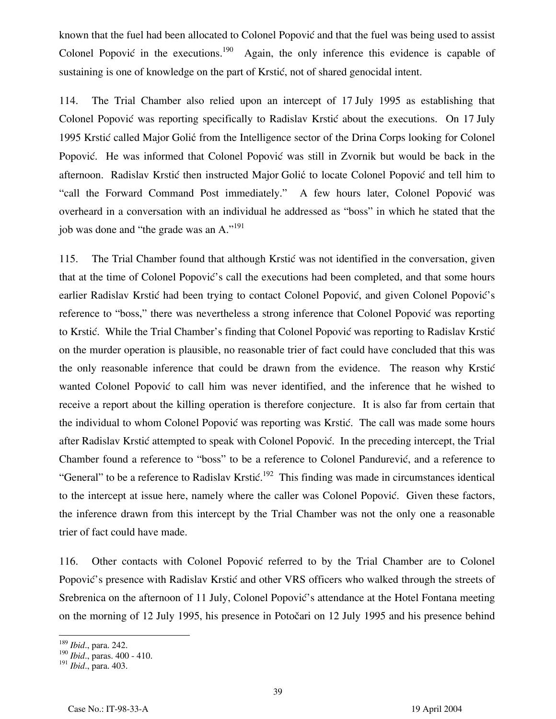known that the fuel had been allocated to Colonel Popović and that the fuel was being used to assist Colonel Popović in the executions.<sup>190</sup> Again, the only inference this evidence is capable of sustaining is one of knowledge on the part of Krstić, not of shared genocidal intent.

114. The Trial Chamber also relied upon an intercept of 17 July 1995 as establishing that Colonel Popović was reporting specifically to Radislav Krstić about the executions. On 17 July 1995 Krstić called Major Golić from the Intelligence sector of the Drina Corps looking for Colonel Popović. He was informed that Colonel Popović was still in Zvornik but would be back in the afternoon. Radislav Krstić then instructed Major Golić to locate Colonel Popović and tell him to "call the Forward Command Post immediately." A few hours later, Colonel Popović was overheard in a conversation with an individual he addressed as "boss" in which he stated that the job was done and "the grade was an A."<sup>191</sup>

115. The Trial Chamber found that although Krstić was not identified in the conversation, given that at the time of Colonel Popović's call the executions had been completed, and that some hours earlier Radislav Krstić had been trying to contact Colonel Popović, and given Colonel Popović's reference to "boss," there was nevertheless a strong inference that Colonel Popović was reporting to Krstić. While the Trial Chamber's finding that Colonel Popović was reporting to Radislav Krstić on the murder operation is plausible, no reasonable trier of fact could have concluded that this was the only reasonable inference that could be drawn from the evidence. The reason why Krstić wanted Colonel Popović to call him was never identified, and the inference that he wished to receive a report about the killing operation is therefore conjecture. It is also far from certain that the individual to whom Colonel Popović was reporting was Krstić. The call was made some hours after Radislav Krstić attempted to speak with Colonel Popović. In the preceding intercept, the Trial Chamber found a reference to "boss" to be a reference to Colonel Pandurević, and a reference to "General" to be a reference to Radislav Krstić.<sup>192</sup> This finding was made in circumstances identical to the intercept at issue here, namely where the caller was Colonel Popović. Given these factors, the inference drawn from this intercept by the Trial Chamber was not the only one a reasonable trier of fact could have made.

116. Other contacts with Colonel Popović referred to by the Trial Chamber are to Colonel Popović's presence with Radislav Krstić and other VRS officers who walked through the streets of Srebrenica on the afternoon of 11 July, Colonel Popović's attendance at the Hotel Fontana meeting on the morning of 12 July 1995, his presence in Potočari on 12 July 1995 and his presence behind

<u>.</u>

<sup>189</sup> *Ibid*., para. 242.

<sup>190</sup> *Ibid*., paras. 400 - 410.

<sup>191</sup> *Ibid*., para. 403.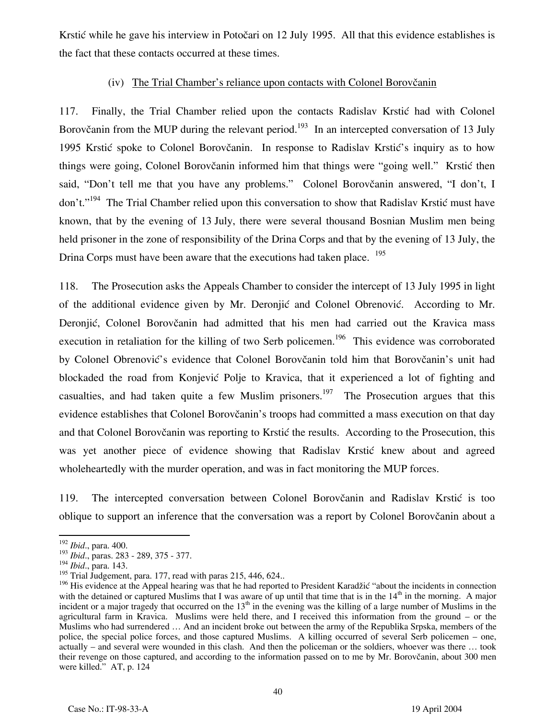Krstić while he gave his interview in Potočari on 12 July 1995. All that this evidence establishes is the fact that these contacts occurred at these times.

#### $(iv)$  The Trial Chamber's reliance upon contacts with Colonel Borovčanin

117. Finally, the Trial Chamber relied upon the contacts Radislav Krstić had with Colonel Borovčanin from the MUP during the relevant period.<sup>193</sup> In an intercepted conversation of 13 July 1995 Krstić spoke to Colonel Borovčanin. In response to Radislav Krstić's inquiry as to how things were going, Colonel Borovčanin informed him that things were "going well." Krstić then said, "Don't tell me that you have any problems." Colonel Borovčanin answered, "I don't, I don't."<sup>194</sup> The Trial Chamber relied upon this conversation to show that Radislav Krstić must have known, that by the evening of 13 July, there were several thousand Bosnian Muslim men being held prisoner in the zone of responsibility of the Drina Corps and that by the evening of 13 July, the Drina Corps must have been aware that the executions had taken place. <sup>195</sup>

118. The Prosecution asks the Appeals Chamber to consider the intercept of 13 July 1995 in light of the additional evidence given by Mr. Deronjić and Colonel Obrenović. According to Mr. Deronjić, Colonel Borovčanin had admitted that his men had carried out the Kravica mass execution in retaliation for the killing of two Serb policemen.<sup>196</sup> This evidence was corroborated by Colonel Obrenović's evidence that Colonel Borovčanin told him that Borovčanin's unit had blockaded the road from Konjević Polje to Kravica, that it experienced a lot of fighting and casualties, and had taken quite a few Muslim prisoners.<sup>197</sup> The Prosecution argues that this evidence establishes that Colonel Borovčanin's troops had committed a mass execution on that day and that Colonel Borovčanin was reporting to Krstić the results. According to the Prosecution, this was yet another piece of evidence showing that Radislav Krstić knew about and agreed wholeheartedly with the murder operation, and was in fact monitoring the MUP forces.

119. The intercepted conversation between Colonel Borovčanin and Radislav Krstić is too oblique to support an inference that the conversation was a report by Colonel Borovčanin about a

 $\frac{1}{\sqrt{2}}$ <sup>192</sup> *Ibid*., para. 400.

<sup>193</sup> *Ibid*., paras. 283 - 289, 375 - 377.

<sup>194</sup> *Ibid*., para. 143.

<sup>&</sup>lt;sup>195</sup> Trial Judgement, para. 177, read with paras 215, 446, 624..

<sup>&</sup>lt;sup>196</sup> His evidence at the Appeal hearing was that he had reported to President Karadžić "about the incidents in connection with the detained or captured Muslims that I was aware of up until that time that is in the  $14<sup>th</sup>$  in the morning. A major incident or a major tragedy that occurred on the  $13<sup>th</sup>$  in the evening was the killing of a large number of Muslims in the agricultural farm in Kravica. Muslims were held there, and I received this information from the ground – or the Muslims who had surrendered … And an incident broke out between the army of the Republika Srpska, members of the police, the special police forces, and those captured Muslims. A killing occurred of several Serb policemen – one, actually – and several were wounded in this clash. And then the policeman or the soldiers, whoever was there … took their revenge on those captured, and according to the information passed on to me by Mr. Borovčanin, about 300 men were killed." AT, p. 124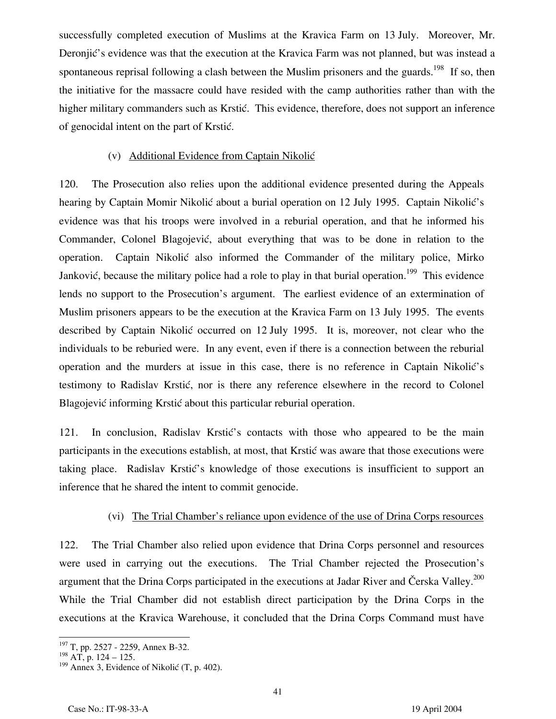successfully completed execution of Muslims at the Kravica Farm on 13 July. Moreover, Mr. Deronjić's evidence was that the execution at the Kravica Farm was not planned, but was instead a spontaneous reprisal following a clash between the Muslim prisoners and the guards.<sup>198</sup> If so, then the initiative for the massacre could have resided with the camp authorities rather than with the higher military commanders such as Krstić. This evidence, therefore, does not support an inference of genocidal intent on the part of Krstić.

### (v) Additional Evidence from Captain Nikolić

120. The Prosecution also relies upon the additional evidence presented during the Appeals hearing by Captain Momir Nikolić about a burial operation on 12 July 1995. Captain Nikolić's evidence was that his troops were involved in a reburial operation, and that he informed his Commander, Colonel Blagojević, about everything that was to be done in relation to the operation. Captain Nikolić also informed the Commander of the military police, Mirko Janković, because the military police had a role to play in that burial operation.<sup>199</sup> This evidence lends no support to the Prosecution's argument. The earliest evidence of an extermination of Muslim prisoners appears to be the execution at the Kravica Farm on 13 July 1995. The events described by Captain Nikolić occurred on 12 July 1995. It is, moreover, not clear who the individuals to be reburied were. In any event, even if there is a connection between the reburial operation and the murders at issue in this case, there is no reference in Captain Nikolić's testimony to Radislav Krstić, nor is there any reference elsewhere in the record to Colonel Blagojević informing Krstić about this particular reburial operation.

121. In conclusion, Radislav Krstić's contacts with those who appeared to be the main participants in the executions establish, at most, that Krstić was aware that those executions were taking place. Radislav Krstić's knowledge of those executions is insufficient to support an inference that he shared the intent to commit genocide.

# (vi) The Trial Chamber's reliance upon evidence of the use of Drina Corps resources

122. The Trial Chamber also relied upon evidence that Drina Corps personnel and resources were used in carrying out the executions. The Trial Chamber rejected the Prosecution's argument that the Drina Corps participated in the executions at Jadar River and Čerska Valley.<sup>200</sup> While the Trial Chamber did not establish direct participation by the Drina Corps in the executions at the Kravica Warehouse, it concluded that the Drina Corps Command must have

<u>.</u>

<sup>&</sup>lt;sup>197</sup> T, pp. 2527 - 2259, Annex B-32.

 $198$  AT, p. 124 – 125.

 $199$  Annex 3, Evidence of Nikolić (T, p. 402).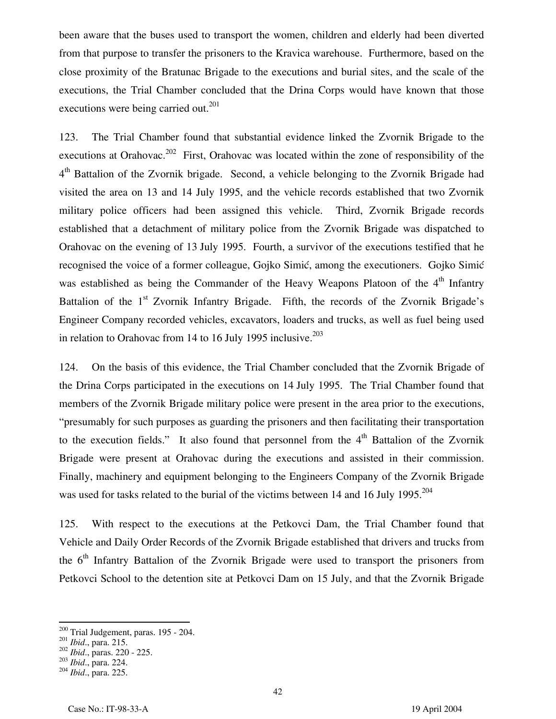been aware that the buses used to transport the women, children and elderly had been diverted from that purpose to transfer the prisoners to the Kravica warehouse. Furthermore, based on the close proximity of the Bratunac Brigade to the executions and burial sites, and the scale of the executions, the Trial Chamber concluded that the Drina Corps would have known that those executions were being carried out.<sup>201</sup>

123. The Trial Chamber found that substantial evidence linked the Zvornik Brigade to the executions at Orahovac.<sup>202</sup> First, Orahovac was located within the zone of responsibility of the  $4<sup>th</sup>$  Battalion of the Zvornik brigade. Second, a vehicle belonging to the Zvornik Brigade had visited the area on 13 and 14 July 1995, and the vehicle records established that two Zvornik military police officers had been assigned this vehicle. Third, Zvornik Brigade records established that a detachment of military police from the Zvornik Brigade was dispatched to Orahovac on the evening of 13 July 1995. Fourth, a survivor of the executions testified that he recognised the voice of a former colleague, Gojko Simić, among the executioners. Gojko Simić was established as being the Commander of the Heavy Weapons Platoon of the 4<sup>th</sup> Infantry Battalion of the  $1<sup>st</sup>$  Zvornik Infantry Brigade. Fifth, the records of the Zvornik Brigade's Engineer Company recorded vehicles, excavators, loaders and trucks, as well as fuel being used in relation to Orahovac from 14 to 16 July 1995 inclusive.<sup>203</sup>

124. On the basis of this evidence, the Trial Chamber concluded that the Zvornik Brigade of the Drina Corps participated in the executions on 14 July 1995. The Trial Chamber found that members of the Zvornik Brigade military police were present in the area prior to the executions, "presumably for such purposes as guarding the prisoners and then facilitating their transportation to the execution fields." It also found that personnel from the  $4<sup>th</sup>$  Battalion of the Zvornik Brigade were present at Orahovac during the executions and assisted in their commission. Finally, machinery and equipment belonging to the Engineers Company of the Zvornik Brigade was used for tasks related to the burial of the victims between 14 and 16 July 1995.<sup>204</sup>

125. With respect to the executions at the Petkovci Dam, the Trial Chamber found that Vehicle and Daily Order Records of the Zvornik Brigade established that drivers and trucks from the  $6<sup>th</sup>$  Infantry Battalion of the Zvornik Brigade were used to transport the prisoners from Petkovci School to the detention site at Petkovci Dam on 15 July, and that the Zvornik Brigade

<u>.</u>

<sup>&</sup>lt;sup>200</sup> Trial Judgement, paras. 195 - 204.<br><sup>201</sup> *Ibid*., para. 215.<br><sup>202</sup> *Ibid*., paras. 220 - 225.<br><sup>203</sup> *Ibid*., para. 224.<br><sup>204</sup> *Ibid*., para. 225.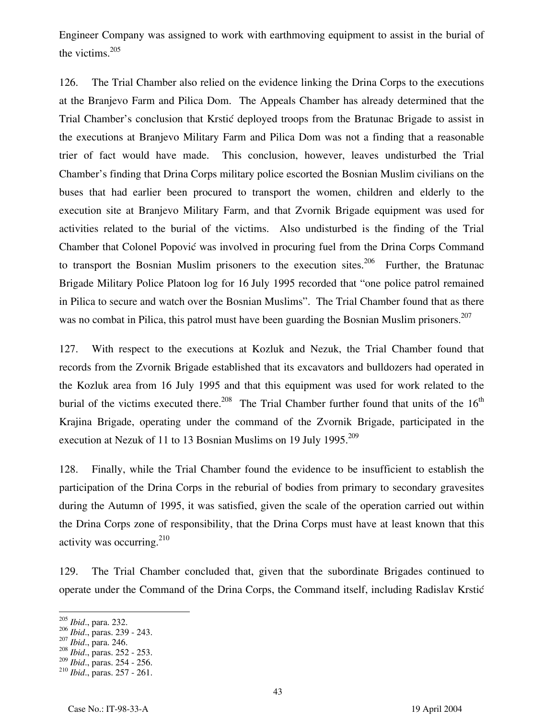Engineer Company was assigned to work with earthmoving equipment to assist in the burial of the victims.<sup>205</sup>

126. The Trial Chamber also relied on the evidence linking the Drina Corps to the executions at the Branjevo Farm and Pilica Dom. The Appeals Chamber has already determined that the Trial Chamber's conclusion that Krstić deployed troops from the Bratunac Brigade to assist in the executions at Branjevo Military Farm and Pilica Dom was not a finding that a reasonable trier of fact would have made. This conclusion, however, leaves undisturbed the Trial Chamber's finding that Drina Corps military police escorted the Bosnian Muslim civilians on the buses that had earlier been procured to transport the women, children and elderly to the execution site at Branjevo Military Farm, and that Zvornik Brigade equipment was used for activities related to the burial of the victims. Also undisturbed is the finding of the Trial Chamber that Colonel Popović was involved in procuring fuel from the Drina Corps Command to transport the Bosnian Muslim prisoners to the execution sites.<sup>206</sup> Further, the Bratunac Brigade Military Police Platoon log for 16 July 1995 recorded that "one police patrol remained in Pilica to secure and watch over the Bosnian Muslims". The Trial Chamber found that as there was no combat in Pilica, this patrol must have been guarding the Bosnian Muslim prisoners.<sup>207</sup>

127. With respect to the executions at Kozluk and Nezuk, the Trial Chamber found that records from the Zvornik Brigade established that its excavators and bulldozers had operated in the Kozluk area from 16 July 1995 and that this equipment was used for work related to the burial of the victims executed there.<sup>208</sup> The Trial Chamber further found that units of the  $16<sup>th</sup>$ Krajina Brigade, operating under the command of the Zvornik Brigade, participated in the execution at Nezuk of 11 to 13 Bosnian Muslims on 19 July 1995.<sup>209</sup>

128. Finally, while the Trial Chamber found the evidence to be insufficient to establish the participation of the Drina Corps in the reburial of bodies from primary to secondary gravesites during the Autumn of 1995, it was satisfied, given the scale of the operation carried out within the Drina Corps zone of responsibility, that the Drina Corps must have at least known that this activity was occurring. $^{210}$ 

129. The Trial Chamber concluded that, given that the subordinate Brigades continued to operate under the Command of the Drina Corps, the Command itself, including Radislav Krstić

<sup>205</sup> *Ibid*., para. 232.

<sup>206</sup> *Ibid.*, paras. 239 - 243.<br>
<sup>207</sup> *Ibid.*, para. 246.<br>
<sup>208</sup> *Ibid.*, paras. 252 - 253.<br>
<sup>209</sup> *Ibid.*, paras. 254 - 256.

<sup>&</sup>lt;sup>210</sup> *Ibid.*, paras. 257 - 261.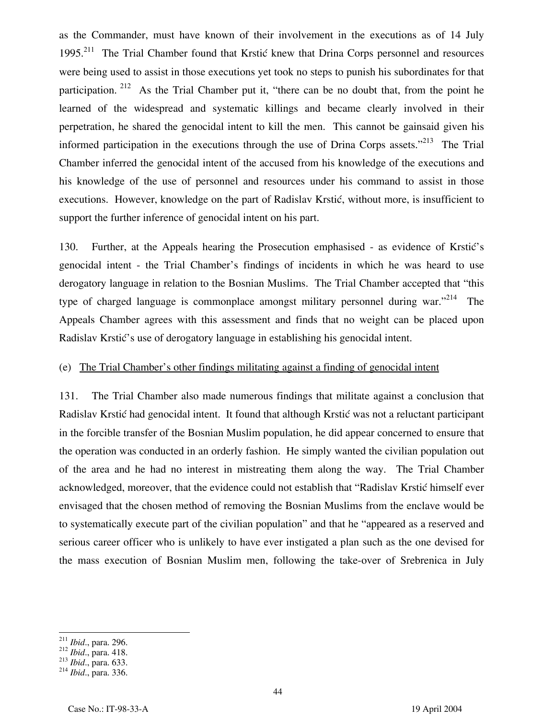as the Commander, must have known of their involvement in the executions as of 14 July 1995.211 The Trial Chamber found that Krstić knew that Drina Corps personnel and resources were being used to assist in those executions yet took no steps to punish his subordinates for that participation. <sup>212</sup> As the Trial Chamber put it, "there can be no doubt that, from the point he learned of the widespread and systematic killings and became clearly involved in their perpetration, he shared the genocidal intent to kill the men. This cannot be gainsaid given his informed participation in the executions through the use of Drina Corps assets."213 The Trial Chamber inferred the genocidal intent of the accused from his knowledge of the executions and his knowledge of the use of personnel and resources under his command to assist in those executions. However, knowledge on the part of Radislav Krstić, without more, is insufficient to support the further inference of genocidal intent on his part.

130. Further, at the Appeals hearing the Prosecution emphasised - as evidence of Krstić's genocidal intent - the Trial Chamber's findings of incidents in which he was heard to use derogatory language in relation to the Bosnian Muslims. The Trial Chamber accepted that "this type of charged language is commonplace amongst military personnel during war."<sup>214</sup> The Appeals Chamber agrees with this assessment and finds that no weight can be placed upon Radislav Krstić's use of derogatory language in establishing his genocidal intent.

#### (e) The Trial Chamber's other findings militating against a finding of genocidal intent

131. The Trial Chamber also made numerous findings that militate against a conclusion that Radislav Krstić had genocidal intent. It found that although Krstić was not a reluctant participant in the forcible transfer of the Bosnian Muslim population, he did appear concerned to ensure that the operation was conducted in an orderly fashion. He simply wanted the civilian population out of the area and he had no interest in mistreating them along the way. The Trial Chamber acknowledged, moreover, that the evidence could not establish that "Radislav Krstić himself ever envisaged that the chosen method of removing the Bosnian Muslims from the enclave would be to systematically execute part of the civilian population" and that he "appeared as a reserved and serious career officer who is unlikely to have ever instigated a plan such as the one devised for the mass execution of Bosnian Muslim men, following the take-over of Srebrenica in July

 $^{211}$  *Ibid.*, para. 296.

<sup>211</sup> *Ibid*., para. 296. <sup>212</sup> *Ibid*., para. 418. <sup>213</sup> *Ibid*., para. 633. <sup>214</sup> *Ibid*., para. 336.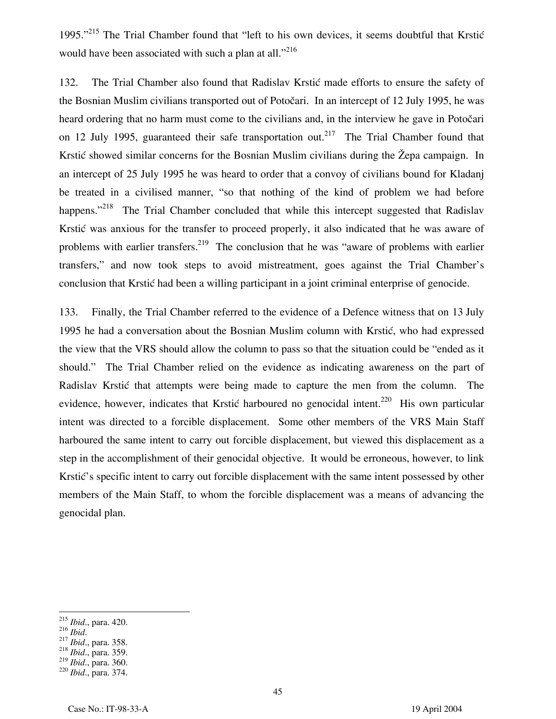1995."<sup>215</sup> The Trial Chamber found that "left to his own devices, it seems doubtful that Krstic would have been associated with such a plan at all."<sup>216</sup>

132. The Trial Chamber also found that Radislav Krstić made efforts to ensure the safety of the Bosnian Muslim civilians transported out of Potočari. In an intercept of 12 July 1995, he was heard ordering that no harm must come to the civilians and, in the interview he gave in Potočari on 12 July 1995, guaranteed their safe transportation out.<sup>217</sup> The Trial Chamber found that Krstić showed similar concerns for the Bosnian Muslim civilians during the Žepa campaign. In an intercept of 25 July 1995 he was heard to order that a convoy of civilians bound for Kladanj be treated in a civilised manner, "so that nothing of the kind of problem we had before happens."<sup>218</sup> The Trial Chamber concluded that while this intercept suggested that Radislav Krstić was anxious for the transfer to proceed properly, it also indicated that he was aware of problems with earlier transfers.<sup>219</sup> The conclusion that he was "aware of problems with earlier transfers," and now took steps to avoid mistreatment, goes against the Trial Chamber's conclusion that Krstić had been a willing participant in a joint criminal enterprise of genocide.

133. Finally, the Trial Chamber referred to the evidence of a Defence witness that on 13 July 1995 he had a conversation about the Bosnian Muslim column with Krstić, who had expressed the view that the VRS should allow the column to pass so that the situation could be "ended as it should." The Trial Chamber relied on the evidence as indicating awareness on the part of Radislav Krstić that attempts were being made to capture the men from the column. The evidence, however, indicates that Krstić harboured no genocidal intent.<sup>220</sup> His own particular intent was directed to a forcible displacement. Some other members of the VRS Main Staff harboured the same intent to carry out forcible displacement, but viewed this displacement as a step in the accomplishment of their genocidal objective. It would be erroneous, however, to link Krstić's specific intent to carry out forcible displacement with the same intent possessed by other members of the Main Staff, to whom the forcible displacement was a means of advancing the genocidal plan.

<sup>215</sup> *Ibid*., para. 420.

<sup>216</sup> *Ibid*. <sup>217</sup> *Ibid*., para. 358. <sup>218</sup> *Ibid*., para. 359.

<sup>&</sup>lt;sup>220</sup> *Ibid.*, para. 374.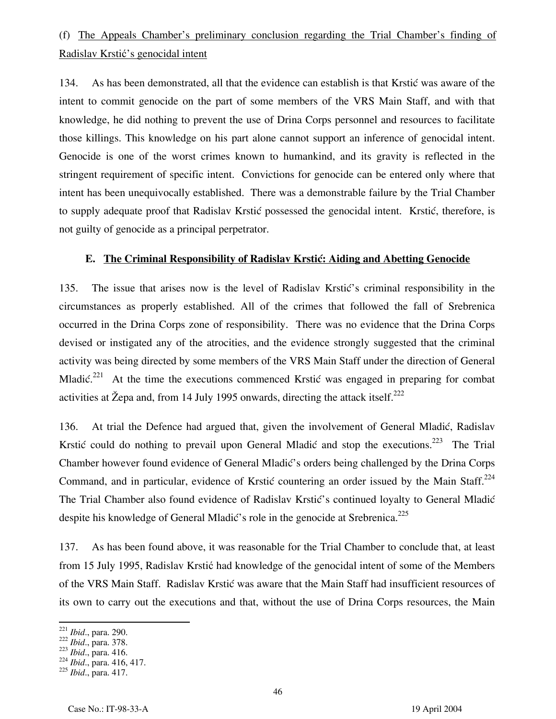# (f) The Appeals Chamber's preliminary conclusion regarding the Trial Chamber's finding of Radislav Krstić's genocidal intent

134. As has been demonstrated, all that the evidence can establish is that Krstić was aware of the intent to commit genocide on the part of some members of the VRS Main Staff, and with that knowledge, he did nothing to prevent the use of Drina Corps personnel and resources to facilitate those killings. This knowledge on his part alone cannot support an inference of genocidal intent. Genocide is one of the worst crimes known to humankind, and its gravity is reflected in the stringent requirement of specific intent. Convictions for genocide can be entered only where that intent has been unequivocally established. There was a demonstrable failure by the Trial Chamber to supply adequate proof that Radislav Krstić possessed the genocidal intent. Krstić, therefore, is not guilty of genocide as a principal perpetrator.

#### **E. The Criminal Responsibility of Radislav Krstić: Aiding and Abetting Genocide**

135. The issue that arises now is the level of Radislav Krstić's criminal responsibility in the circumstances as properly established. All of the crimes that followed the fall of Srebrenica occurred in the Drina Corps zone of responsibility. There was no evidence that the Drina Corps devised or instigated any of the atrocities, and the evidence strongly suggested that the criminal activity was being directed by some members of the VRS Main Staff under the direction of General Mladić.<sup>221</sup> At the time the executions commenced Krstić was engaged in preparing for combat activities at Žepa and, from 14 July 1995 onwards, directing the attack itself. $^{222}$ 

136. At trial the Defence had argued that, given the involvement of General Mladić, Radislav Krstić could do nothing to prevail upon General Mladić and stop the executions.<sup>223</sup> The Trial Chamber however found evidence of General Mladić's orders being challenged by the Drina Corps Command, and in particular, evidence of Krstić countering an order issued by the Main Staff.<sup>224</sup> The Trial Chamber also found evidence of Radislav Krstić's continued loyalty to General Mladić despite his knowledge of General Mladić's role in the genocide at Srebrenica.<sup>225</sup>

137. As has been found above, it was reasonable for the Trial Chamber to conclude that, at least from 15 July 1995, Radislav Krstić had knowledge of the genocidal intent of some of the Members of the VRS Main Staff. Radislav Krstić was aware that the Main Staff had insufficient resources of its own to carry out the executions and that, without the use of Drina Corps resources, the Main

 $221$  *Ibid.*, para. 290.

<sup>221</sup> *Ibid*., para. 290. <sup>222</sup> *Ibid*., para. 378. <sup>223</sup> *Ibid*., para. 416. <sup>224</sup> *Ibid*., para. 416, 417.

<sup>225</sup> *Ibid*., para. 417.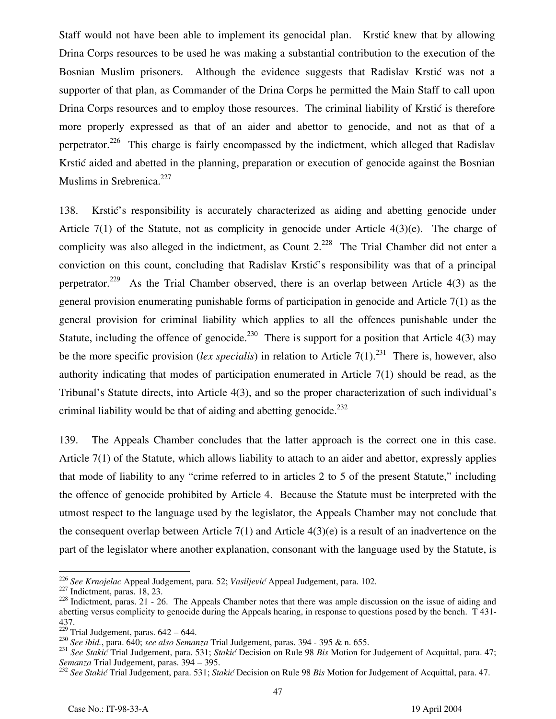Staff would not have been able to implement its genocidal plan. Krstić knew that by allowing Drina Corps resources to be used he was making a substantial contribution to the execution of the Bosnian Muslim prisoners. Although the evidence suggests that Radislav Krstić was not a supporter of that plan, as Commander of the Drina Corps he permitted the Main Staff to call upon Drina Corps resources and to employ those resources. The criminal liability of Krstić is therefore more properly expressed as that of an aider and abettor to genocide, and not as that of a perpetrator.<sup>226</sup> This charge is fairly encompassed by the indictment, which alleged that Radislav Krstić aided and abetted in the planning, preparation or execution of genocide against the Bosnian Muslims in Srebrenica. $227$ 

138. Krstić's responsibility is accurately characterized as aiding and abetting genocide under Article 7(1) of the Statute, not as complicity in genocide under Article 4(3)(e). The charge of complicity was also alleged in the indictment, as Count  $2^{228}$  The Trial Chamber did not enter a conviction on this count, concluding that Radislav Krstić's responsibility was that of a principal perpetrator.<sup>229</sup> As the Trial Chamber observed, there is an overlap between Article  $4(3)$  as the general provision enumerating punishable forms of participation in genocide and Article 7(1) as the general provision for criminal liability which applies to all the offences punishable under the Statute, including the offence of genocide.<sup>230</sup> There is support for a position that Article 4(3) may be the more specific provision (*lex specialis*) in relation to Article 7(1).<sup>231</sup> There is, however, also authority indicating that modes of participation enumerated in Article 7(1) should be read, as the Tribunal's Statute directs, into Article 4(3), and so the proper characterization of such individual's criminal liability would be that of aiding and abetting genocide.<sup>232</sup>

139. The Appeals Chamber concludes that the latter approach is the correct one in this case. Article 7(1) of the Statute, which allows liability to attach to an aider and abettor, expressly applies that mode of liability to any "crime referred to in articles 2 to 5 of the present Statute," including the offence of genocide prohibited by Article 4. Because the Statute must be interpreted with the utmost respect to the language used by the legislator, the Appeals Chamber may not conclude that the consequent overlap between Article  $7(1)$  and Article  $4(3)(e)$  is a result of an inadvertence on the part of the legislator where another explanation, consonant with the language used by the Statute, is

<sup>&</sup>lt;sup>226</sup> See Krnojelac Appeal Judgement, para. 52; Vasiljević Appeal Judgement, para. 102.<br><sup>227</sup> Indictment, paras. 18, 23.<br><sup>228</sup> Indictment, paras. 21 - 26. The Appeals Chamber notes that there was ample discussion on the is abetting versus complicity to genocide during the Appeals hearing, in response to questions posed by the bench. T 431- 437.<br><sup>229</sup> Trial Judgement, paras. 642 – 644.

<sup>230</sup> See ibid., para. 640; see also Semanza Trial Judgement, paras. 394 - 395 & n. 655.<br><sup>230</sup> See ibid., para. 640; see also Semanza Trial Judgement, paras. 394 - 395 & n. 655.<br><sup>231</sup> See Stakić Trial Judgement, para. 531; S *Semanza* Trial Judgement, paras. 394 – 395. <sup>232</sup> *See Stakić* Trial Judgement, para. 531; *Stakić* Decision on Rule 98 *Bis* Motion for Judgement of Acquittal, para. 47.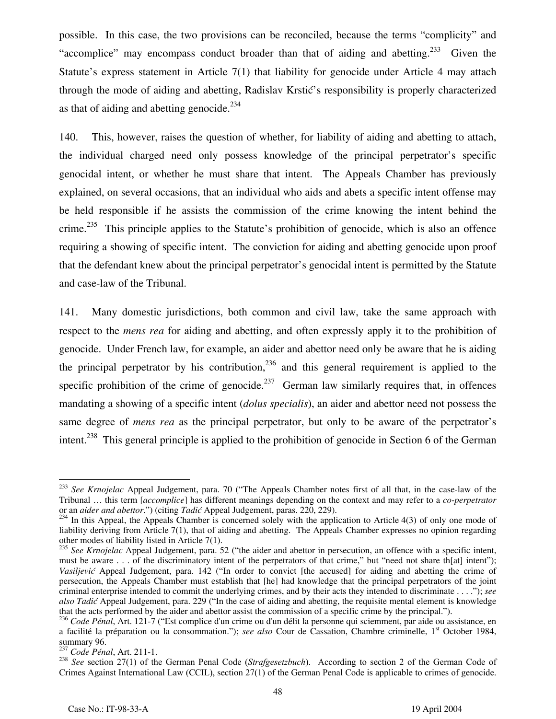possible. In this case, the two provisions can be reconciled, because the terms "complicity" and "accomplice" may encompass conduct broader than that of aiding and abetting.<sup>233</sup> Given the Statute's express statement in Article 7(1) that liability for genocide under Article 4 may attach through the mode of aiding and abetting, Radislav Krstić's responsibility is properly characterized as that of aiding and abetting genocide. $234$ 

140. This, however, raises the question of whether, for liability of aiding and abetting to attach, the individual charged need only possess knowledge of the principal perpetrator's specific genocidal intent, or whether he must share that intent. The Appeals Chamber has previously explained, on several occasions, that an individual who aids and abets a specific intent offense may be held responsible if he assists the commission of the crime knowing the intent behind the crime.<sup>235</sup> This principle applies to the Statute's prohibition of genocide, which is also an offence requiring a showing of specific intent. The conviction for aiding and abetting genocide upon proof that the defendant knew about the principal perpetrator's genocidal intent is permitted by the Statute and case-law of the Tribunal.

141. Many domestic jurisdictions, both common and civil law, take the same approach with respect to the *mens rea* for aiding and abetting, and often expressly apply it to the prohibition of genocide. Under French law, for example, an aider and abettor need only be aware that he is aiding the principal perpetrator by his contribution,<sup>236</sup> and this general requirement is applied to the specific prohibition of the crime of genocide.<sup>237</sup> German law similarly requires that, in offences mandating a showing of a specific intent (*dolus specialis*), an aider and abettor need not possess the same degree of *mens rea* as the principal perpetrator, but only to be aware of the perpetrator's intent.<sup>238</sup> This general principle is applied to the prohibition of genocide in Section 6 of the German

<sup>233</sup> *See Krnojelac* Appeal Judgement, para. 70 ("The Appeals Chamber notes first of all that, in the case-law of the Tribunal ... this term [*accomplice*] has different meanings depending on the context and may refer to a *co-perpetrator* or an *aider and abettor*.") (citing *Tadić* Appeal Judgement, paras. 220, 229).

<sup>&</sup>lt;sup>234</sup> In this Appeal, the Appeals Chamber is concerned solely with the application to Article 4(3) of only one mode of liability deriving from Article 7(1), that of aiding and abetting. The Appeals Chamber expresses no opinion regarding other modes of liability listed in Article 7(1).

<sup>&</sup>lt;sup>235</sup> See Krnojelac Appeal Judgement, para. 52 ("the aider and abettor in persecution, an offence with a specific intent, must be aware . . . of the discriminatory intent of the perpetrators of that crime," but "need not share th[at] intent"); *Vasiljević* Appeal Judgement, para. 142 ("In order to convict [the accused] for aiding and abetting the crime of persecution, the Appeals Chamber must establish that [he] had knowledge that the principal perpetrators of the joint criminal enterprise intended to commit the underlying crimes, and by their acts they intended to discriminate . . . ."); *see also Tadić* Appeal Judgement, para. 229 ("In the case of aiding and abetting, the requisite mental element is knowledge that the acts performed by the aider and abettor assist the commission of a specific crime by the principal.").

<sup>236</sup> *Code Pénal*, Art. 121-7 ("Est complice d'un crime ou d'un délit la personne qui sciemment, par aide ou assistance, en a facilité la préparation ou la consommation."); *see also* Cour de Cassation, Chambre criminelle, 1st October 1984, summary 96.<br><sup>237</sup> Code Pénal, Art. 211-1.

<sup>&</sup>lt;sup>238</sup> *See* section 27(1) of the German Penal Code (*Strafgesetzbuch*). According to section 2 of the German Code of Crimes Against International Law (CCIL), section 27(1) of the German Penal Code is applicable to crimes of genocide.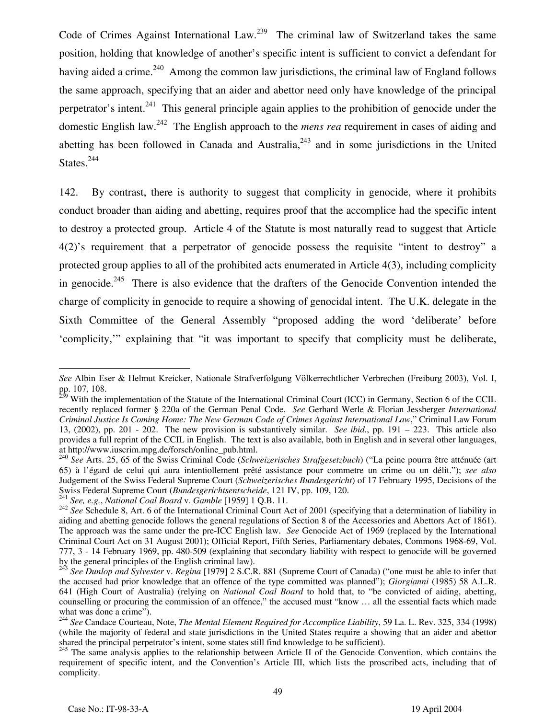Code of Crimes Against International Law.<sup>239</sup> The criminal law of Switzerland takes the same position, holding that knowledge of another's specific intent is sufficient to convict a defendant for having aided a crime.<sup>240</sup> Among the common law jurisdictions, the criminal law of England follows the same approach, specifying that an aider and abettor need only have knowledge of the principal perpetrator's intent.<sup>241</sup> This general principle again applies to the prohibition of genocide under the domestic English law.242 The English approach to the *mens rea* requirement in cases of aiding and abetting has been followed in Canada and Australia, $243$  and in some jurisdictions in the United States.<sup>244</sup>

142. By contrast, there is authority to suggest that complicity in genocide, where it prohibits conduct broader than aiding and abetting, requires proof that the accomplice had the specific intent to destroy a protected group. Article 4 of the Statute is most naturally read to suggest that Article 4(2)'s requirement that a perpetrator of genocide possess the requisite "intent to destroy" a protected group applies to all of the prohibited acts enumerated in Article 4(3), including complicity in genocide.<sup>245</sup> There is also evidence that the drafters of the Genocide Convention intended the charge of complicity in genocide to require a showing of genocidal intent. The U.K. delegate in the Sixth Committee of the General Assembly "proposed adding the word 'deliberate' before 'complicity,'" explaining that "it was important to specify that complicity must be deliberate,

<sup>-</sup>*See* Albin Eser & Helmut Kreicker, Nationale Strafverfolgung Völkerrechtlicher Verbrechen (Freiburg 2003), Vol. I, pp. 107, 108.

<sup>&</sup>lt;sup>239</sup> With the implementation of the Statute of the International Criminal Court (ICC) in Germany, Section 6 of the CCIL recently replaced former § 220a of the German Penal Code. *See* Gerhard Werle & Florian Jessberger *International Criminal Justice Is Coming Home: The New German Code of Crimes Against International Law*," Criminal Law Forum 13, (2002), pp. 201 - 202. The new provision is substantively similar. *See ibid.*, pp. 191 – 223. This article also provides a full reprint of the CCIL in English. The text is also available, both in English and in several other languages, at http://www.iuscrim.mpg.de/forsch/online\_pub.html.

<sup>240</sup> *See* Arts. 25, 65 of the Swiss Criminal Code (*Schweizerisches Strafgesetzbuch*) ("La peine pourra être atténuée (art 65) à l'égard de celui qui aura intentiollement prêté assistance pour commetre un crime ou un délit."); *see also* Judgement of the Swiss Federal Supreme Court (*Schweizerisches Bundesgericht*) of 17 February 1995, Decisions of the

<sup>&</sup>lt;sup>241</sup> See, e.g., National Coal Board v. Gamble [1959] 1 Q.B. 11.<br><sup>242</sup> See Schedule 8, Art. 6 of the International Criminal Court Act of 2001 (specifying that a determination of liability in aiding and abetting genocide follows the general regulations of Section 8 of the Accessories and Abettors Act of 1861). The approach was the same under the pre-ICC English law. *See* Genocide Act of 1969 (replaced by the International Criminal Court Act on 31 August 2001); Official Report, Fifth Series, Parliamentary debates, Commons 1968-69, Vol. 777, 3 - 14 February 1969, pp. 480-509 (explaining that secondary liability with respect to genocide will be governed by the general principles of the English criminal law).

<sup>&</sup>lt;sup>243</sup> See Dunlop and Sylvester v. Regina [1979] 2 S.C.R. 881 (Supreme Court of Canada) ("one must be able to infer that the accused had prior knowledge that an offence of the type committed was planned"); *Giorgianni* (1985) 58 A.L.R. 641 (High Court of Australia) (relying on *National Coal Board* to hold that, to "be convicted of aiding, abetting, counselling or procuring the commission of an offence," the accused must "know … all the essential facts which made what was done a crime").

<sup>244</sup> *See* Candace Courteau, Note, *The Mental Element Required for Accomplice Liability*, 59 La. L. Rev. 325, 334 (1998) (while the majority of federal and state jurisdictions in the United States require a showing that an aider and abettor shared the principal perpetrator's intent, some states still find knowledge to be sufficient).

<sup>&</sup>lt;sup>245</sup> The same analysis applies to the relationship between Article II of the Genocide Convention, which contains the requirement of specific intent, and the Convention's Article III, which lists the proscribed acts, including that of complicity.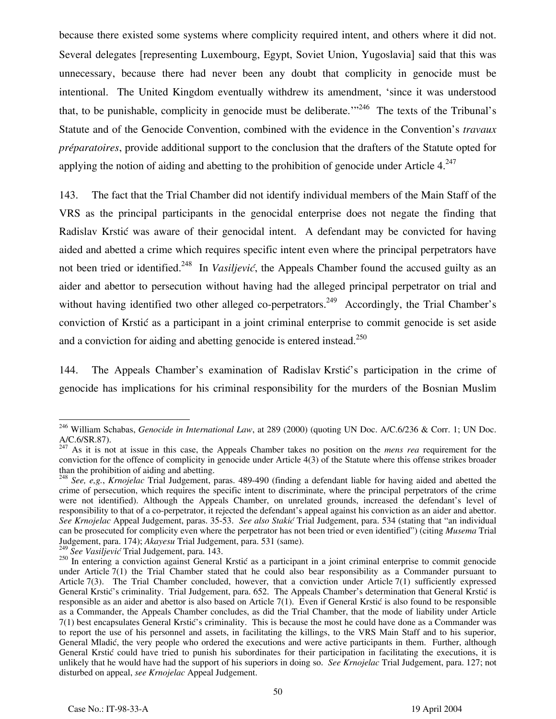because there existed some systems where complicity required intent, and others where it did not. Several delegates [representing Luxembourg, Egypt, Soviet Union, Yugoslavia] said that this was unnecessary, because there had never been any doubt that complicity in genocide must be intentional. The United Kingdom eventually withdrew its amendment, 'since it was understood that, to be punishable, complicity in genocide must be deliberate."<sup>246</sup> The texts of the Tribunal's Statute and of the Genocide Convention, combined with the evidence in the Convention's *travaux préparatoires*, provide additional support to the conclusion that the drafters of the Statute opted for applying the notion of aiding and abetting to the prohibition of genocide under Article  $4.247$ 

143. The fact that the Trial Chamber did not identify individual members of the Main Staff of the VRS as the principal participants in the genocidal enterprise does not negate the finding that Radislav Krstić was aware of their genocidal intent. A defendant may be convicted for having aided and abetted a crime which requires specific intent even where the principal perpetrators have not been tried or identified.<sup>248</sup> In *Vasiljević*, the Appeals Chamber found the accused guilty as an aider and abettor to persecution without having had the alleged principal perpetrator on trial and without having identified two other alleged co-perpetrators.<sup>249</sup> Accordingly, the Trial Chamber's conviction of Krstić as a participant in a joint criminal enterprise to commit genocide is set aside and a conviction for aiding and abetting genocide is entered instead.<sup>250</sup>

144. The Appeals Chamber's examination of Radislav Krstić's participation in the crime of genocide has implications for his criminal responsibility for the murders of the Bosnian Muslim

-

<sup>246</sup> William Schabas, *Genocide in International Law*, at 289 (2000) (quoting UN Doc. A/C.6/236 & Corr. 1; UN Doc. A/C.6/SR.87).

<sup>&</sup>lt;sup>247</sup> As it is not at issue in this case, the Appeals Chamber takes no position on the *mens rea* requirement for the conviction for the offence of complicity in genocide under Article 4(3) of the Statute where this offense strikes broader than the prohibition of aiding and abetting.

<sup>248</sup> *See, e,g.*, *Krnojelac* Trial Judgement, paras. 489-490 (finding a defendant liable for having aided and abetted the crime of persecution, which requires the specific intent to discriminate, where the principal perpetrators of the crime were not identified). Although the Appeals Chamber, on unrelated grounds, increased the defendant's level of responsibility to that of a co-perpetrator, it rejected the defendant's appeal against his conviction as an aider and abettor. *See Krnojelac* Appeal Judgement, paras. 35-53. *See also Stakić* Trial Judgement, para. 534 (stating that "an individual can be prosecuted for complicity even where the perpetrator has not been tried or even identified") (citing *Musema* Trial Judgement, para. 174); *Akayesu* Trial Judgement, para. 531 (same).

<sup>249</sup> *See Vasiljević* Trial Judgement, para. 143.

<sup>&</sup>lt;sup>250</sup> In entering a conviction against General Krstić as a participant in a joint criminal enterprise to commit genocide under Article 7(1) the Trial Chamber stated that he could also bear responsibility as a Commander pursuant to Article 7(3). The Trial Chamber concluded, however, that a conviction under Article 7(1) sufficiently expressed General Krstić's criminality. Trial Judgement, para. 652. The Appeals Chamber's determination that General Krstić is responsible as an aider and abettor is also based on Article 7(1). Even if General Krstić is also found to be responsible as a Commander, the Appeals Chamber concludes, as did the Trial Chamber, that the mode of liability under Article 7(1) best encapsulates General Krstić's criminality. This is because the most he could have done as a Commander was to report the use of his personnel and assets, in facilitating the killings, to the VRS Main Staff and to his superior, General Mladić, the very people who ordered the executions and were active participants in them. Further, although General Krstić could have tried to punish his subordinates for their participation in facilitating the executions, it is unlikely that he would have had the support of his superiors in doing so. *See Krnojelac* Trial Judgement, para. 127; not disturbed on appeal, *see Krnojelac* Appeal Judgement.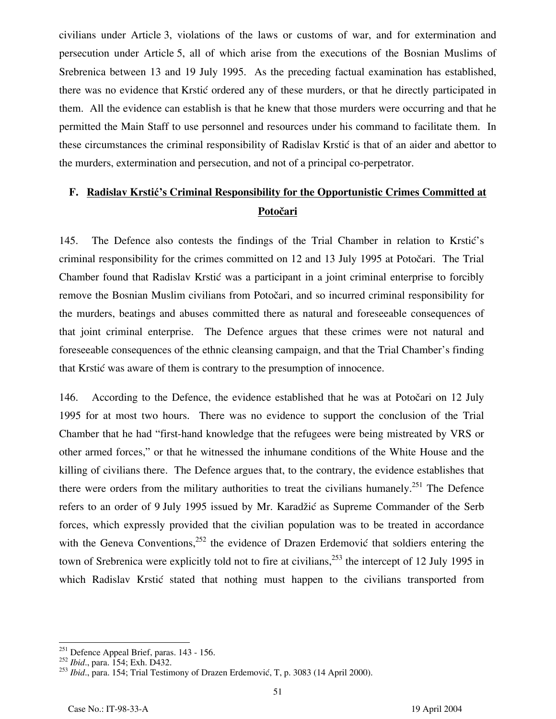civilians under Article 3, violations of the laws or customs of war, and for extermination and persecution under Article 5, all of which arise from the executions of the Bosnian Muslims of Srebrenica between 13 and 19 July 1995. As the preceding factual examination has established, there was no evidence that Krstić ordered any of these murders, or that he directly participated in them. All the evidence can establish is that he knew that those murders were occurring and that he permitted the Main Staff to use personnel and resources under his command to facilitate them. In these circumstances the criminal responsibility of Radislav Krstić is that of an aider and abettor to the murders, extermination and persecution, and not of a principal co-perpetrator.

# **F. Radislav Krstić's Criminal Responsibility for the Opportunistic Crimes Committed at Potočari**

145. The Defence also contests the findings of the Trial Chamber in relation to Krstić's criminal responsibility for the crimes committed on 12 and 13 July 1995 at Potočari. The Trial Chamber found that Radislav Krstić was a participant in a joint criminal enterprise to forcibly remove the Bosnian Muslim civilians from Potočari, and so incurred criminal responsibility for the murders, beatings and abuses committed there as natural and foreseeable consequences of that joint criminal enterprise. The Defence argues that these crimes were not natural and foreseeable consequences of the ethnic cleansing campaign, and that the Trial Chamber's finding that Krstić was aware of them is contrary to the presumption of innocence.

146. According to the Defence, the evidence established that he was at Potočari on 12 July 1995 for at most two hours. There was no evidence to support the conclusion of the Trial Chamber that he had "first-hand knowledge that the refugees were being mistreated by VRS or other armed forces," or that he witnessed the inhumane conditions of the White House and the killing of civilians there. The Defence argues that, to the contrary, the evidence establishes that there were orders from the military authorities to treat the civilians humanely.<sup>251</sup> The Defence refers to an order of 9 July 1995 issued by Mr. Karadžić as Supreme Commander of the Serb forces, which expressly provided that the civilian population was to be treated in accordance with the Geneva Conventions,  $252$  the evidence of Drazen Erdemović that soldiers entering the town of Srebrenica were explicitly told not to fire at civilians,  $253$  the intercept of 12 July 1995 in which Radislav Krstić stated that nothing must happen to the civilians transported from

<sup>&</sup>lt;sup>251</sup> Defence Appeal Brief, paras.  $143 - 156$ .

<sup>252</sup> *Ibid*., para. 154; Exh. D432.

<sup>253</sup> *Ibid*., para. 154; Trial Testimony of Drazen Erdemović, T, p. 3083 (14 April 2000).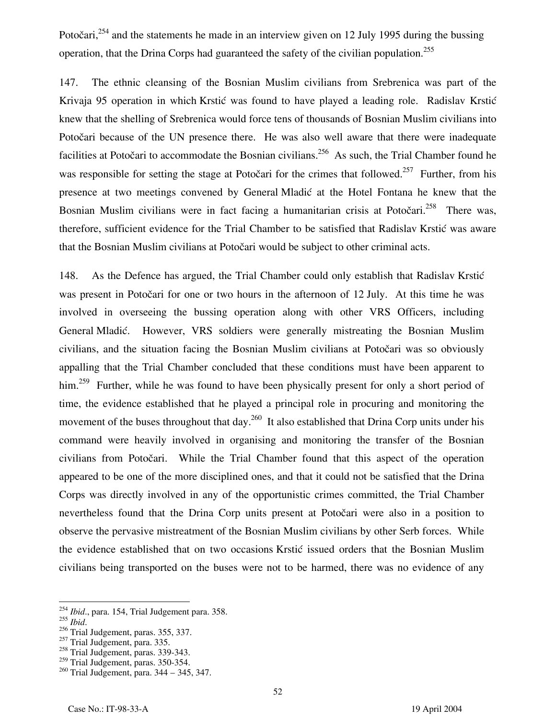Potočari,<sup>254</sup> and the statements he made in an interview given on 12 July 1995 during the bussing operation, that the Drina Corps had guaranteed the safety of the civilian population.<sup>255</sup>

147. The ethnic cleansing of the Bosnian Muslim civilians from Srebrenica was part of the Krivaja 95 operation in which Krstić was found to have played a leading role. Radislav Krstić knew that the shelling of Srebrenica would force tens of thousands of Bosnian Muslim civilians into Potočari because of the UN presence there. He was also well aware that there were inadequate facilities at Potočari to accommodate the Bosnian civilians.<sup>256</sup> As such, the Trial Chamber found he was responsible for setting the stage at Potočari for the crimes that followed.<sup>257</sup> Further, from his presence at two meetings convened by General Mladić at the Hotel Fontana he knew that the Bosnian Muslim civilians were in fact facing a humanitarian crisis at Potočari.<sup>258</sup> There was, therefore, sufficient evidence for the Trial Chamber to be satisfied that Radislav Krstić was aware that the Bosnian Muslim civilians at Potočari would be subject to other criminal acts.

148. As the Defence has argued, the Trial Chamber could only establish that Radislav Krstić was present in Potočari for one or two hours in the afternoon of 12 July. At this time he was involved in overseeing the bussing operation along with other VRS Officers, including General Mladić. However, VRS soldiers were generally mistreating the Bosnian Muslim civilians, and the situation facing the Bosnian Muslim civilians at Potočari was so obviously appalling that the Trial Chamber concluded that these conditions must have been apparent to him.<sup>259</sup> Further, while he was found to have been physically present for only a short period of time, the evidence established that he played a principal role in procuring and monitoring the movement of the buses throughout that day.<sup>260</sup> It also established that Drina Corp units under his command were heavily involved in organising and monitoring the transfer of the Bosnian civilians from Potočari. While the Trial Chamber found that this aspect of the operation appeared to be one of the more disciplined ones, and that it could not be satisfied that the Drina Corps was directly involved in any of the opportunistic crimes committed, the Trial Chamber nevertheless found that the Drina Corp units present at Potočari were also in a position to observe the pervasive mistreatment of the Bosnian Muslim civilians by other Serb forces. While the evidence established that on two occasions Krstić issued orders that the Bosnian Muslim civilians being transported on the buses were not to be harmed, there was no evidence of any

<sup>254</sup> *Ibid*., para. 154, Trial Judgement para. 358.

<sup>255</sup> *Ibid.* 255 *Ibid.* 255 *Ibid.* 256 Trial Judgement, paras. 355, 337.

<sup>&</sup>lt;sup>257</sup> Trial Judgement, para. 335.

<sup>&</sup>lt;sup>258</sup> Trial Judgement, paras. 339-343.

<sup>&</sup>lt;sup>259</sup> Trial Judgement, paras. 350-354.

 $260$  Trial Judgement, para. 344 – 345, 347.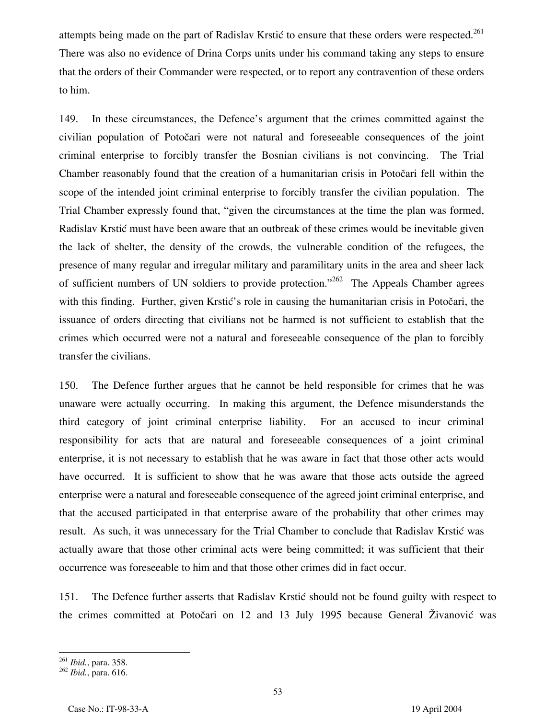attempts being made on the part of Radislav Krstić to ensure that these orders were respected.<sup>261</sup> There was also no evidence of Drina Corps units under his command taking any steps to ensure that the orders of their Commander were respected, or to report any contravention of these orders to him.

149. In these circumstances, the Defence's argument that the crimes committed against the civilian population of Potočari were not natural and foreseeable consequences of the joint criminal enterprise to forcibly transfer the Bosnian civilians is not convincing. The Trial Chamber reasonably found that the creation of a humanitarian crisis in Potočari fell within the scope of the intended joint criminal enterprise to forcibly transfer the civilian population. The Trial Chamber expressly found that, "given the circumstances at the time the plan was formed, Radislav Krstić must have been aware that an outbreak of these crimes would be inevitable given the lack of shelter, the density of the crowds, the vulnerable condition of the refugees, the presence of many regular and irregular military and paramilitary units in the area and sheer lack of sufficient numbers of UN soldiers to provide protection."262 The Appeals Chamber agrees with this finding. Further, given Krstić's role in causing the humanitarian crisis in Potočari, the issuance of orders directing that civilians not be harmed is not sufficient to establish that the crimes which occurred were not a natural and foreseeable consequence of the plan to forcibly transfer the civilians.

150. The Defence further argues that he cannot be held responsible for crimes that he was unaware were actually occurring. In making this argument, the Defence misunderstands the third category of joint criminal enterprise liability. For an accused to incur criminal responsibility for acts that are natural and foreseeable consequences of a joint criminal enterprise, it is not necessary to establish that he was aware in fact that those other acts would have occurred. It is sufficient to show that he was aware that those acts outside the agreed enterprise were a natural and foreseeable consequence of the agreed joint criminal enterprise, and that the accused participated in that enterprise aware of the probability that other crimes may result. As such, it was unnecessary for the Trial Chamber to conclude that Radislav Krstić was actually aware that those other criminal acts were being committed; it was sufficient that their occurrence was foreseeable to him and that those other crimes did in fact occur.

151. The Defence further asserts that Radislav Krstić should not be found guilty with respect to the crimes committed at Potočari on 12 and 13 July 1995 because General Živanović was

<sup>261</sup> *Ibid.*, para. 358.

<sup>262</sup> *Ibid.*, para. 616.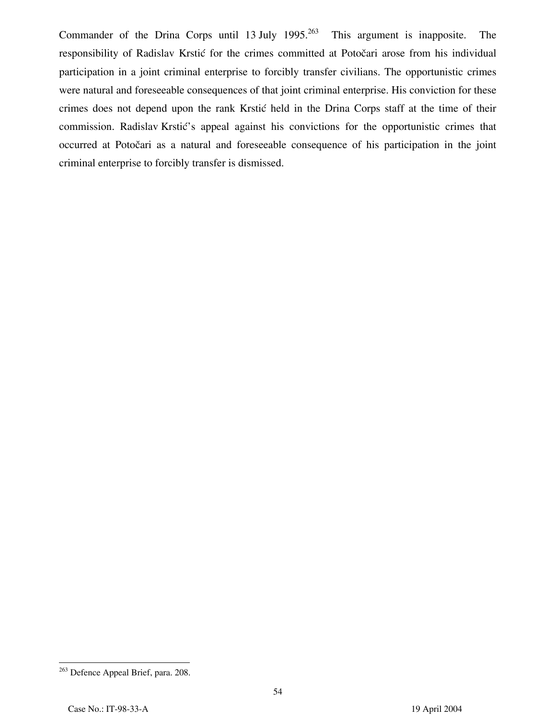Commander of the Drina Corps until 13 July  $1995.<sup>263</sup>$  This argument is inapposite. The responsibility of Radislav Krstić for the crimes committed at Potočari arose from his individual participation in a joint criminal enterprise to forcibly transfer civilians. The opportunistic crimes were natural and foreseeable consequences of that joint criminal enterprise. His conviction for these crimes does not depend upon the rank Krstić held in the Drina Corps staff at the time of their commission. Radislav Krstić's appeal against his convictions for the opportunistic crimes that occurred at Potočari as a natural and foreseeable consequence of his participation in the joint criminal enterprise to forcibly transfer is dismissed.

<sup>&</sup>lt;u>.</u> <sup>263</sup> Defence Appeal Brief, para. 208.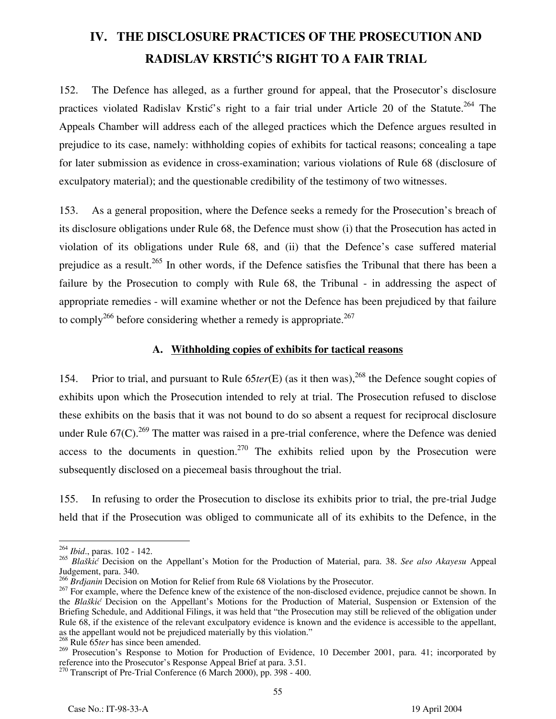# **IV. THE DISCLOSURE PRACTICES OF THE PROSECUTION AND RADISLAV KRSTIĆ'S RIGHT TO A FAIR TRIAL**

152. The Defence has alleged, as a further ground for appeal, that the Prosecutor's disclosure practices violated Radislav Krstić's right to a fair trial under Article 20 of the Statute.<sup>264</sup> The Appeals Chamber will address each of the alleged practices which the Defence argues resulted in prejudice to its case, namely: withholding copies of exhibits for tactical reasons; concealing a tape for later submission as evidence in cross-examination; various violations of Rule 68 (disclosure of exculpatory material); and the questionable credibility of the testimony of two witnesses.

153. As a general proposition, where the Defence seeks a remedy for the Prosecution's breach of its disclosure obligations under Rule 68, the Defence must show (i) that the Prosecution has acted in violation of its obligations under Rule 68, and (ii) that the Defence's case suffered material prejudice as a result.<sup>265</sup> In other words, if the Defence satisfies the Tribunal that there has been a failure by the Prosecution to comply with Rule 68, the Tribunal - in addressing the aspect of appropriate remedies - will examine whether or not the Defence has been prejudiced by that failure to comply<sup>266</sup> before considering whether a remedy is appropriate.<sup>267</sup>

#### **A. Withholding copies of exhibits for tactical reasons**

154. Prior to trial, and pursuant to Rule 65*ter*(E) (as it then was), <sup>268</sup> the Defence sought copies of exhibits upon which the Prosecution intended to rely at trial. The Prosecution refused to disclose these exhibits on the basis that it was not bound to do so absent a request for reciprocal disclosure under Rule  $67(C)$ .<sup>269</sup> The matter was raised in a pre-trial conference, where the Defence was denied access to the documents in question.<sup>270</sup> The exhibits relied upon by the Prosecution were subsequently disclosed on a piecemeal basis throughout the trial.

155. In refusing to order the Prosecution to disclose its exhibits prior to trial, the pre-trial Judge held that if the Prosecution was obliged to communicate all of its exhibits to the Defence, in the

-

268 Rule 65*ter* has since been amended.

<sup>264</sup> *Ibid*., paras. 102 - 142.

<sup>265</sup> *Bla{ki}* Decision on the Appellant's Motion for the Production of Material, para. 38. *See also Akayesu* Appeal Judgement, para. 340.

<sup>&</sup>lt;sup>266</sup> *Brdjanin* Decision on Motion for Relief from Rule 68 Violations by the Prosecutor.

<sup>&</sup>lt;sup>267</sup> For example, where the Defence knew of the existence of the non-disclosed evidence, prejudice cannot be shown. In the *Bla{ki}* Decision on the Appellant's Motions for the Production of Material, Suspension or Extension of the Briefing Schedule, and Additional Filings, it was held that "the Prosecution may still be relieved of the obligation under Rule 68, if the existence of the relevant exculpatory evidence is known and the evidence is accessible to the appellant, as the appellant would not be prejudiced materially by this violation."

<sup>&</sup>lt;sup>269</sup> Prosecution's Response to Motion for Production of Evidence, 10 December 2001, para. 41; incorporated by reference into the Prosecutor's Response Appeal Brief at para. 3.51.

 $270$  Transcript of Pre-Trial Conference (6 March 2000), pp. 398 - 400.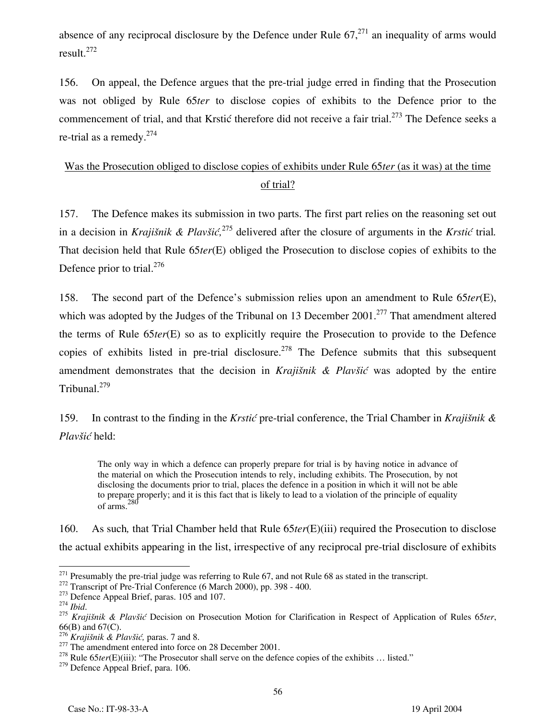absence of any reciprocal disclosure by the Defence under Rule  $67<sup>271</sup>$  an inequality of arms would result.272

156. On appeal, the Defence argues that the pre-trial judge erred in finding that the Prosecution was not obliged by Rule 65*ter* to disclose copies of exhibits to the Defence prior to the commencement of trial, and that Krstić therefore did not receive a fair trial.<sup>273</sup> The Defence seeks a re-trial as a remedy. $274$ 

# Was the Prosecution obliged to disclose copies of exhibits under Rule 65*ter* (as it was) at the time of trial?

157. The Defence makes its submission in two parts. The first part relies on the reasoning set out in a decision in *Krajišnik & Plavšić,* <sup>275</sup> delivered after the closure of arguments in the *Krstić* trial*.* That decision held that Rule 65*ter*(E) obliged the Prosecution to disclose copies of exhibits to the Defence prior to trial.<sup>276</sup>

158. The second part of the Defence's submission relies upon an amendment to Rule 65*ter*(E), which was adopted by the Judges of the Tribunal on 13 December  $2001$ <sup>277</sup> That amendment altered the terms of Rule 65*ter*(E) so as to explicitly require the Prosecution to provide to the Defence copies of exhibits listed in pre-trial disclosure.<sup>278</sup> The Defence submits that this subsequent amendment demonstrates that the decision in *Krajišnik & Plavšić* was adopted by the entire Tribunal.<sup>279</sup>

159. In contrast to the finding in the *Krstić* pre-trial conference, the Trial Chamber in *Krajišnik & Plavšić* held:

The only way in which a defence can properly prepare for trial is by having notice in advance of the material on which the Prosecution intends to rely, including exhibits. The Prosecution, by not disclosing the documents prior to trial, places the defence in a position in which it will not be able to prepare properly; and it is this fact that is likely to lead to a violation of the principle of equality of arms.280

160. As such*,* that Trial Chamber held that Rule 65*ter*(E)(iii) required the Prosecution to disclose the actual exhibits appearing in the list, irrespective of any reciprocal pre-trial disclosure of exhibits

 $^{271}$  Presumably the pre-trial judge was referring to Rule 67, and not Rule 68 as stated in the transcript.

<sup>&</sup>lt;sup>272</sup> Transcript of Pre-Trial Conference (6 March 2000), pp. 398 - 400.<br><sup>273</sup> Defence Appeal Brief, paras. 105 and 107.<br><sup>274</sup> Ibid.<br><sup>275</sup> Krajišnik & Plavšić Decision on Prosecution Motion for Clarification in Respect of 66(B) and 67(C).<br> $^{276}$  *Krajišnik & Plavšić*, paras. 7 and 8.

<sup>&</sup>lt;sup>277</sup> The amendment entered into force on 28 December 2001.<br><sup>278</sup> Rule 65ter(E)(iii): "The Prosecutor shall serve on the defence copies of the exhibits ... listed."

<sup>&</sup>lt;sup>279</sup> Defence Appeal Brief, para. 106.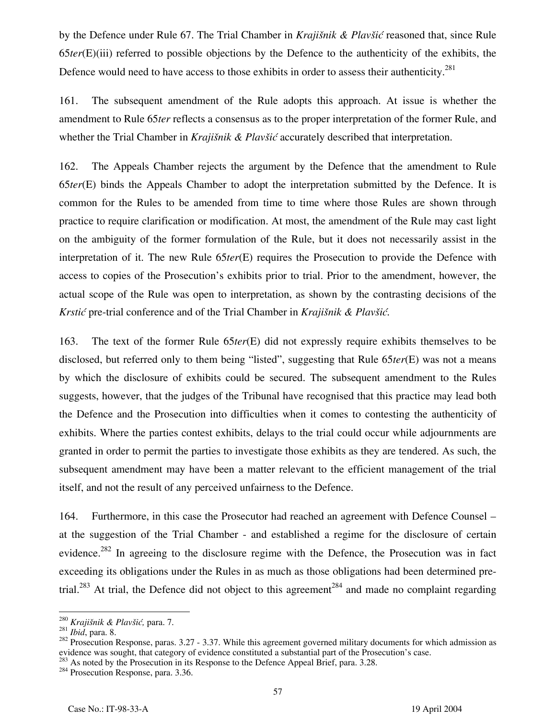by the Defence under Rule 67. The Trial Chamber in *Krajišnik & Plavšić* reasoned that, since Rule 65*ter*(E)(iii) referred to possible objections by the Defence to the authenticity of the exhibits, the Defence would need to have access to those exhibits in order to assess their authenticity.<sup>281</sup>

161. The subsequent amendment of the Rule adopts this approach. At issue is whether the amendment to Rule 65*ter* reflects a consensus as to the proper interpretation of the former Rule, and whether the Trial Chamber in *Krajišnik & Plavšić* accurately described that interpretation.

162. The Appeals Chamber rejects the argument by the Defence that the amendment to Rule 65*ter*(E) binds the Appeals Chamber to adopt the interpretation submitted by the Defence. It is common for the Rules to be amended from time to time where those Rules are shown through practice to require clarification or modification. At most, the amendment of the Rule may cast light on the ambiguity of the former formulation of the Rule, but it does not necessarily assist in the interpretation of it. The new Rule 65*ter*(E) requires the Prosecution to provide the Defence with access to copies of the Prosecution's exhibits prior to trial. Prior to the amendment, however, the actual scope of the Rule was open to interpretation, as shown by the contrasting decisions of the *Krstić* pre-trial conference and of the Trial Chamber in *Krajišnik & Plavšić.*

163. The text of the former Rule 65*ter*(E) did not expressly require exhibits themselves to be disclosed, but referred only to them being "listed", suggesting that Rule 65*ter*(E) was not a means by which the disclosure of exhibits could be secured. The subsequent amendment to the Rules suggests, however, that the judges of the Tribunal have recognised that this practice may lead both the Defence and the Prosecution into difficulties when it comes to contesting the authenticity of exhibits. Where the parties contest exhibits, delays to the trial could occur while adjournments are granted in order to permit the parties to investigate those exhibits as they are tendered. As such, the subsequent amendment may have been a matter relevant to the efficient management of the trial itself, and not the result of any perceived unfairness to the Defence.

164. Furthermore, in this case the Prosecutor had reached an agreement with Defence Counsel – at the suggestion of the Trial Chamber - and established a regime for the disclosure of certain evidence.<sup>282</sup> In agreeing to the disclosure regime with the Defence, the Prosecution was in fact exceeding its obligations under the Rules in as much as those obligations had been determined pretrial.<sup>283</sup> At trial, the Defence did not object to this agreement<sup>284</sup> and made no complaint regarding

 $^{280}$  Krajišnik & Plavšić, para. 7.

<sup>281</sup> *Ibid*, para. 8.<br><sup>281</sup> *Ibid*, para. 8.<br><sup>282</sup> Prosecution Response, paras. 3.27 - 3.37. While this agreement governed military documents for which admission as evidence was sought, that category of evidence constituted a substantial part of the Prosecution's case.

 $^{283}$  As noted by the Prosecution in its Response to the Defence Appeal Brief, para. 3.28.  $^{284}$  Prosecution Response, para. 3.36.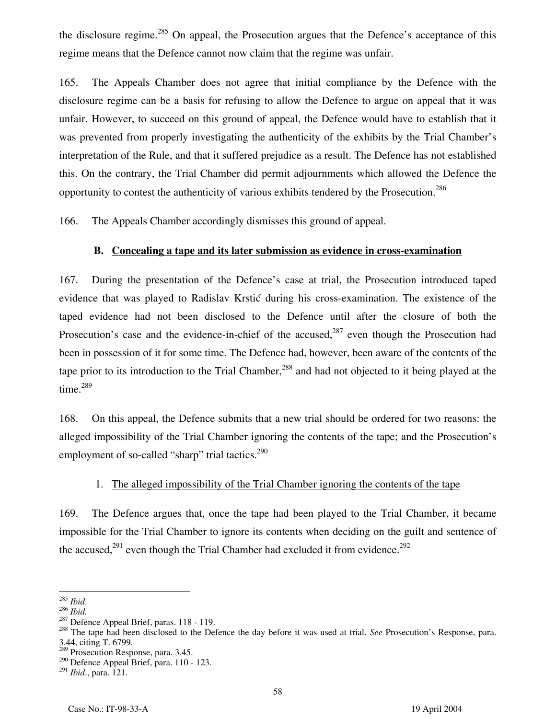the disclosure regime.<sup>285</sup> On appeal, the Prosecution argues that the Defence's acceptance of this regime means that the Defence cannot now claim that the regime was unfair.

165. The Appeals Chamber does not agree that initial compliance by the Defence with the disclosure regime can be a basis for refusing to allow the Defence to argue on appeal that it was unfair. However, to succeed on this ground of appeal, the Defence would have to establish that it was prevented from properly investigating the authenticity of the exhibits by the Trial Chamber's interpretation of the Rule, and that it suffered prejudice as a result. The Defence has not established this. On the contrary, the Trial Chamber did permit adjournments which allowed the Defence the opportunity to contest the authenticity of various exhibits tendered by the Prosecution.<sup>286</sup>

166. The Appeals Chamber accordingly dismisses this ground of appeal.

#### **B. Concealing a tape and its later submission as evidence in cross-examination**

167. During the presentation of the Defence's case at trial, the Prosecution introduced taped evidence that was played to Radislav Krstić during his cross-examination. The existence of the taped evidence had not been disclosed to the Defence until after the closure of both the Prosecution's case and the evidence-in-chief of the accused, $287$  even though the Prosecution had been in possession of it for some time. The Defence had, however, been aware of the contents of the tape prior to its introduction to the Trial Chamber,  $^{288}$  and had not objected to it being played at the time.<sup>289</sup>

168. On this appeal, the Defence submits that a new trial should be ordered for two reasons: the alleged impossibility of the Trial Chamber ignoring the contents of the tape; and the Prosecution's employment of so-called "sharp" trial tactics.<sup>290</sup>

### 1. The alleged impossibility of the Trial Chamber ignoring the contents of the tape

169. The Defence argues that, once the tape had been played to the Trial Chamber, it became impossible for the Trial Chamber to ignore its contents when deciding on the guilt and sentence of the accused, $^{291}$  even though the Trial Chamber had excluded it from evidence.<sup>292</sup>

 $285$  *Ibid.* 

<sup>285</sup> *Ibid*. <sup>286</sup> *Ibid.* 287 Defence Appeal Brief, paras. 118 - 119. 288 The tape had been disclosed to the Defence the day before it was used at trial. *See* Prosecution's Response, para. 3.44, citing T. 6799.

 $289$  Prosecution Response, para. 3.45.

<sup>290</sup> Defence Appeal Brief, para. 110 - 123.

<sup>291</sup> *Ibid*., para. 121.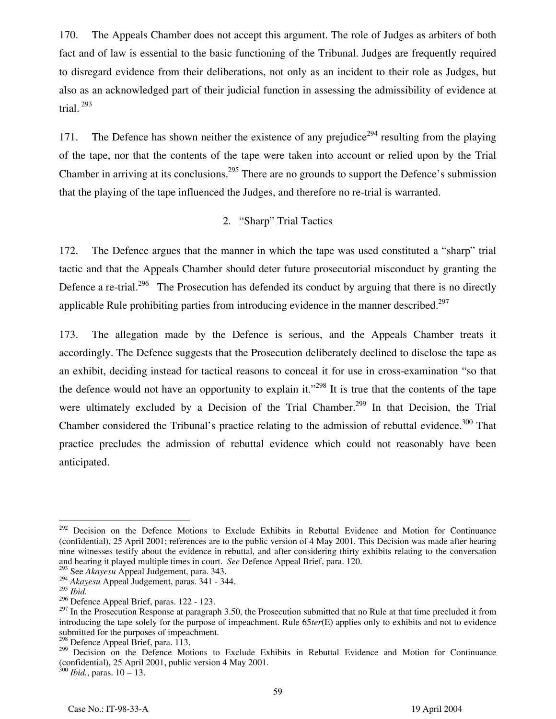170. The Appeals Chamber does not accept this argument. The role of Judges as arbiters of both fact and of law is essential to the basic functioning of the Tribunal. Judges are frequently required to disregard evidence from their deliberations, not only as an incident to their role as Judges, but also as an acknowledged part of their judicial function in assessing the admissibility of evidence at trial.<sup>293</sup>

171. The Defence has shown neither the existence of any prejudice<sup>294</sup> resulting from the playing of the tape, nor that the contents of the tape were taken into account or relied upon by the Trial Chamber in arriving at its conclusions.<sup>295</sup> There are no grounds to support the Defence's submission that the playing of the tape influenced the Judges, and therefore no re-trial is warranted.

#### 2. "Sharp" Trial Tactics

172. The Defence argues that the manner in which the tape was used constituted a "sharp" trial tactic and that the Appeals Chamber should deter future prosecutorial misconduct by granting the Defence a re-trial.<sup>296</sup> The Prosecution has defended its conduct by arguing that there is no directly applicable Rule prohibiting parties from introducing evidence in the manner described.<sup>297</sup>

173. The allegation made by the Defence is serious, and the Appeals Chamber treats it accordingly. The Defence suggests that the Prosecution deliberately declined to disclose the tape as an exhibit, deciding instead for tactical reasons to conceal it for use in cross-examination "so that the defence would not have an opportunity to explain it."<sup>298</sup> It is true that the contents of the tape were ultimately excluded by a Decision of the Trial Chamber.<sup>299</sup> In that Decision, the Trial Chamber considered the Tribunal's practice relating to the admission of rebuttal evidence.<sup>300</sup> That practice precludes the admission of rebuttal evidence which could not reasonably have been anticipated.

<sup>&</sup>lt;sup>292</sup> Decision on the Defence Motions to Exclude Exhibits in Rebuttal Evidence and Motion for Continuance (confidential), 25 April 2001; references are to the public version of 4 May 2001. This Decision was made after hearing nine witnesses testify about the evidence in rebuttal, and after considering thirty exhibits relating to the conversation and hearing it played multiple times in court. *See* Defence Appeal Brief, para. 120.

<sup>293</sup> See *Akayesu* Appeal Judgement, para. 343.

<sup>294</sup> *Akayesu* Appeal Judgement, paras. 341 - 344.

<sup>295</sup> *Ibid.*

<sup>296</sup> Defence Appeal Brief, paras. 122 - 123.

 $297$  In the Prosecution Response at paragraph 3.50, the Prosecution submitted that no Rule at that time precluded it from introducing the tape solely for the purpose of impeachment. Rule 65*ter*(E) applies only to exhibits and not to evidence submitted for the purposes of impeachment.

<sup>&</sup>lt;sup>298</sup> Defence Appeal Brief, para. 113.

<sup>&</sup>lt;sup>299</sup> Decision on the Defence Motions to Exclude Exhibits in Rebuttal Evidence and Motion for Continuance (confidential), 25 April 2001, public version 4 May 2001.

<sup>300</sup> *Ibid.*, paras. 10 – 13.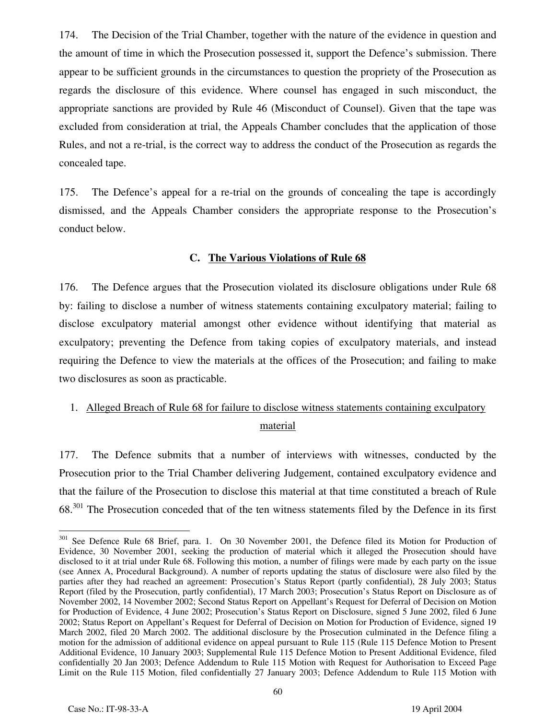174. The Decision of the Trial Chamber, together with the nature of the evidence in question and the amount of time in which the Prosecution possessed it, support the Defence's submission. There appear to be sufficient grounds in the circumstances to question the propriety of the Prosecution as regards the disclosure of this evidence. Where counsel has engaged in such misconduct, the appropriate sanctions are provided by Rule 46 (Misconduct of Counsel). Given that the tape was excluded from consideration at trial, the Appeals Chamber concludes that the application of those Rules, and not a re-trial, is the correct way to address the conduct of the Prosecution as regards the concealed tape.

175. The Defence's appeal for a re-trial on the grounds of concealing the tape is accordingly dismissed, and the Appeals Chamber considers the appropriate response to the Prosecution's conduct below.

#### **C. The Various Violations of Rule 68**

176. The Defence argues that the Prosecution violated its disclosure obligations under Rule 68 by: failing to disclose a number of witness statements containing exculpatory material; failing to disclose exculpatory material amongst other evidence without identifying that material as exculpatory; preventing the Defence from taking copies of exculpatory materials, and instead requiring the Defence to view the materials at the offices of the Prosecution; and failing to make two disclosures as soon as practicable.

# 1. Alleged Breach of Rule 68 for failure to disclose witness statements containing exculpatory material

177. The Defence submits that a number of interviews with witnesses, conducted by the Prosecution prior to the Trial Chamber delivering Judgement, contained exculpatory evidence and that the failure of the Prosecution to disclose this material at that time constituted a breach of Rule 68.<sup>301</sup> The Prosecution conceded that of the ten witness statements filed by the Defence in its first

<sup>&</sup>lt;sup>301</sup> See Defence Rule 68 Brief, para. 1. On 30 November 2001, the Defence filed its Motion for Production of Evidence, 30 November 2001, seeking the production of material which it alleged the Prosecution should have disclosed to it at trial under Rule 68. Following this motion, a number of filings were made by each party on the issue (see Annex A, Procedural Background). A number of reports updating the status of disclosure were also filed by the parties after they had reached an agreement: Prosecution's Status Report (partly confidential), 28 July 2003; Status Report (filed by the Prosecution, partly confidential), 17 March 2003; Prosecution's Status Report on Disclosure as of November 2002, 14 November 2002; Second Status Report on Appellant's Request for Deferral of Decision on Motion for Production of Evidence, 4 June 2002; Prosecution's Status Report on Disclosure, signed 5 June 2002, filed 6 June 2002; Status Report on Appellant's Request for Deferral of Decision on Motion for Production of Evidence, signed 19 March 2002, filed 20 March 2002. The additional disclosure by the Prosecution culminated in the Defence filing a motion for the admission of additional evidence on appeal pursuant to Rule 115 (Rule 115 Defence Motion to Present Additional Evidence, 10 January 2003; Supplemental Rule 115 Defence Motion to Present Additional Evidence, filed confidentially 20 Jan 2003; Defence Addendum to Rule 115 Motion with Request for Authorisation to Exceed Page Limit on the Rule 115 Motion, filed confidentially 27 January 2003; Defence Addendum to Rule 115 Motion with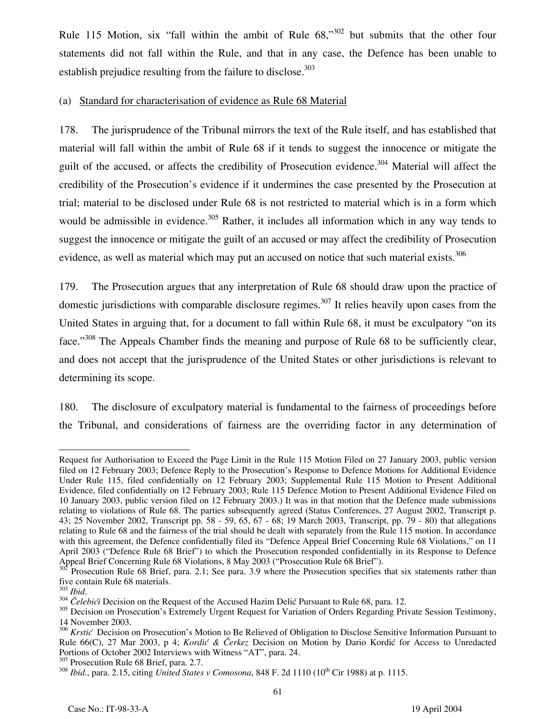Rule 115 Motion, six "fall within the ambit of Rule  $68$ ,"<sup>302</sup> but submits that the other four statements did not fall within the Rule, and that in any case, the Defence has been unable to establish prejudice resulting from the failure to disclose.<sup>303</sup>

### (a) Standard for characterisation of evidence as Rule 68 Material

178. The jurisprudence of the Tribunal mirrors the text of the Rule itself, and has established that material will fall within the ambit of Rule 68 if it tends to suggest the innocence or mitigate the guilt of the accused, or affects the credibility of Prosecution evidence.<sup>304</sup> Material will affect the credibility of the Prosecution's evidence if it undermines the case presented by the Prosecution at trial; material to be disclosed under Rule 68 is not restricted to material which is in a form which would be admissible in evidence.<sup>305</sup> Rather, it includes all information which in any way tends to suggest the innocence or mitigate the guilt of an accused or may affect the credibility of Prosecution evidence, as well as material which may put an accused on notice that such material exists.<sup>306</sup>

179. The Prosecution argues that any interpretation of Rule 68 should draw upon the practice of domestic jurisdictions with comparable disclosure regimes.<sup>307</sup> It relies heavily upon cases from the United States in arguing that, for a document to fall within Rule 68, it must be exculpatory "on its face."<sup>308</sup> The Appeals Chamber finds the meaning and purpose of Rule 68 to be sufficiently clear, and does not accept that the jurisprudence of the United States or other jurisdictions is relevant to determining its scope.

180. The disclosure of exculpatory material is fundamental to the fairness of proceedings before the Tribunal, and considerations of fairness are the overriding factor in any determination of

-

Request for Authorisation to Exceed the Page Limit in the Rule 115 Motion Filed on 27 January 2003, public version filed on 12 February 2003; Defence Reply to the Prosecution's Response to Defence Motions for Additional Evidence Under Rule 115, filed confidentially on 12 February 2003; Supplemental Rule 115 Motion to Present Additional Evidence, filed confidentially on 12 February 2003; Rule 115 Defence Motion to Present Additional Evidence Filed on 10 January 2003, public version filed on 12 February 2003.) It was in that motion that the Defence made submissions relating to violations of Rule 68. The parties subsequently agreed (Status Conferences, 27 August 2002, Transcript p. 43; 25 November 2002, Transcript pp. 58 - 59, 65, 67 - 68; 19 March 2003, Transcript, pp. 79 - 80) that allegations relating to Rule 68 and the fairness of the trial should be dealt with separately from the Rule 115 motion. In accordance with this agreement, the Defence confidentially filed its "Defence Appeal Brief Concerning Rule 68 Violations," on 11 April 2003 ("Defence Rule 68 Brief") to which the Prosecution responded confidentially in its Response to Defence Appeal Brief Concerning Rule 68 Violations, 8 May 2003 ("Prosecution Rule 68 Brief").

Prosecution Rule 68 Brief, para. 2.1; See para. 3.9 where the Prosecution specifies that six statements rather than five contain Rule 68 materials.

<sup>&</sup>lt;sup>303</sup> *Ibid.*<br><sup>304</sup> Čelebići Decision on the Request of the Accused Hazim Delić Pursuant to Rule 68, para. 12.

<sup>&</sup>lt;sup>305</sup> Decision on Prosecution's Extremely Urgent Request for Variation of Orders Regarding Private Session Testimony, 14 November 2003.

<sup>306</sup> *Krstić* Decision on Prosecution's Motion to Be Relieved of Obligation to Disclose Sensitive Information Pursuant to Rule 66(C), 27 Mar 2003, p 4; *Kordić & Čerkez* Decision on Motion by Dario Kordić for Access to Unredacted

<sup>&</sup>lt;sup>307</sup> Prosecution Rule 68 Brief, para. 2.7.<br><sup>308</sup> *Ibid.*, para. 2.15, citing *United States v Comosona*, 848 F. 2d 1110 (10<sup>th</sup> Cir 1988) at p. 1115.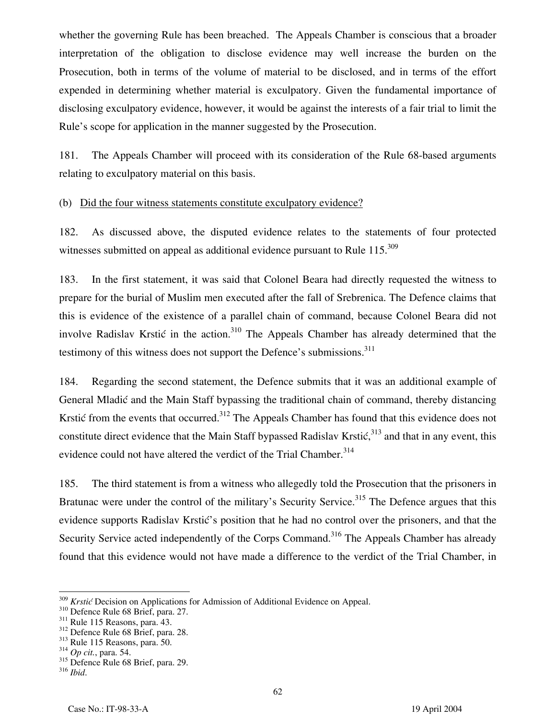whether the governing Rule has been breached. The Appeals Chamber is conscious that a broader interpretation of the obligation to disclose evidence may well increase the burden on the Prosecution, both in terms of the volume of material to be disclosed, and in terms of the effort expended in determining whether material is exculpatory. Given the fundamental importance of disclosing exculpatory evidence, however, it would be against the interests of a fair trial to limit the Rule's scope for application in the manner suggested by the Prosecution.

181. The Appeals Chamber will proceed with its consideration of the Rule 68-based arguments relating to exculpatory material on this basis.

#### (b) Did the four witness statements constitute exculpatory evidence?

182. As discussed above, the disputed evidence relates to the statements of four protected witnesses submitted on appeal as additional evidence pursuant to Rule 115.<sup>309</sup>

183. In the first statement, it was said that Colonel Beara had directly requested the witness to prepare for the burial of Muslim men executed after the fall of Srebrenica. The Defence claims that this is evidence of the existence of a parallel chain of command, because Colonel Beara did not involve Radislav Krstić in the action.<sup>310</sup> The Appeals Chamber has already determined that the testimony of this witness does not support the Defence's submissions.<sup>311</sup>

184. Regarding the second statement, the Defence submits that it was an additional example of General Mladić and the Main Staff bypassing the traditional chain of command, thereby distancing Krstić from the events that occurred.<sup>312</sup> The Appeals Chamber has found that this evidence does not constitute direct evidence that the Main Staff bypassed Radislav Krstić, 313 and that in any event, this evidence could not have altered the verdict of the Trial Chamber.<sup>314</sup>

185. The third statement is from a witness who allegedly told the Prosecution that the prisoners in Bratunac were under the control of the military's Security Service.<sup>315</sup> The Defence argues that this evidence supports Radislav Krstić's position that he had no control over the prisoners, and that the Security Service acted independently of the Corps Command.<sup>316</sup> The Appeals Chamber has already found that this evidence would not have made a difference to the verdict of the Trial Chamber, in

-

<sup>&</sup>lt;sup>309</sup> *Krstić* Decision on Applications for Admission of Additional Evidence on Appeal.<br><sup>310</sup> Defence Rule 68 Brief, para. 27.<br><sup>311</sup> Rule 115 Reasons, para. 43.<br><sup>312</sup> Defence Rule 68 Brief, para. 28.<br><sup>313</sup> Rule 115 Reason

 $^{314}$  Op cit., para. 54.<br> $^{315}$  Defence Rule 68 Brief, para. 29.

<sup>316</sup> *Ibid*.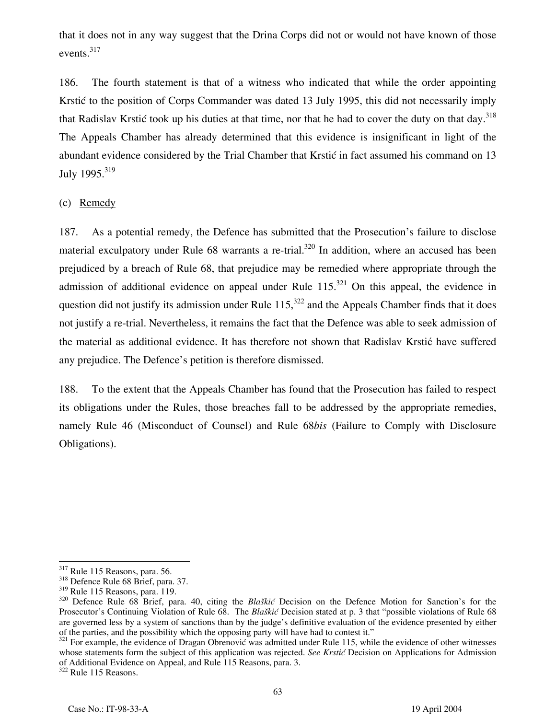that it does not in any way suggest that the Drina Corps did not or would not have known of those events.<sup>317</sup>

186. The fourth statement is that of a witness who indicated that while the order appointing Krstić to the position of Corps Commander was dated 13 July 1995, this did not necessarily imply that Radislav Krstić took up his duties at that time, nor that he had to cover the duty on that day.<sup>318</sup> The Appeals Chamber has already determined that this evidence is insignificant in light of the abundant evidence considered by the Trial Chamber that Krstić in fact assumed his command on 13 July 1995.<sup>319</sup>

#### (c) Remedy

187. As a potential remedy, the Defence has submitted that the Prosecution's failure to disclose material exculpatory under Rule  $68$  warrants a re-trial.<sup>320</sup> In addition, where an accused has been prejudiced by a breach of Rule 68, that prejudice may be remedied where appropriate through the admission of additional evidence on appeal under Rule  $115^{321}$  On this appeal, the evidence in question did not justify its admission under Rule  $115$ <sup>322</sup> and the Appeals Chamber finds that it does not justify a re-trial. Nevertheless, it remains the fact that the Defence was able to seek admission of the material as additional evidence. It has therefore not shown that Radislav Krstić have suffered any prejudice. The Defence's petition is therefore dismissed.

188. To the extent that the Appeals Chamber has found that the Prosecution has failed to respect its obligations under the Rules, those breaches fall to be addressed by the appropriate remedies, namely Rule 46 (Misconduct of Counsel) and Rule 68*bis* (Failure to Comply with Disclosure Obligations).

<sup>322</sup> Rule 115 Reasons.

 $\overline{a}$ <sup>317</sup> Rule 115 Reasons, para. 56.<br><sup>318</sup> Defence Rule 68 Brief, para. 37.

<sup>&</sup>lt;sup>319</sup> Rule 115 Reasons, para. 119.<br><sup>320</sup> Defence Rule 68 Brief, para. 40, citing the *Blaškić* Decision on the Defence Motion for Sanction's for the Prosecutor's Continuing Violation of Rule 68. The *Blaškić* Decision stated at p. 3 that "possible violations of Rule 68 are governed less by a system of sanctions than by the judge's definitive evaluation of the evidence presented by either of the parties, and the possibility which the opposing party will have had to contest it."

<sup>&</sup>lt;sup>321</sup> For example, the evidence of Dragan Obrenović was admitted under Rule 115, while the evidence of other witnesses whose statements form the subject of this application was rejected. *See Krstić* Decision on Applications for Admission of Additional Evidence on Appeal, and Rule 115 Reasons, para. 3.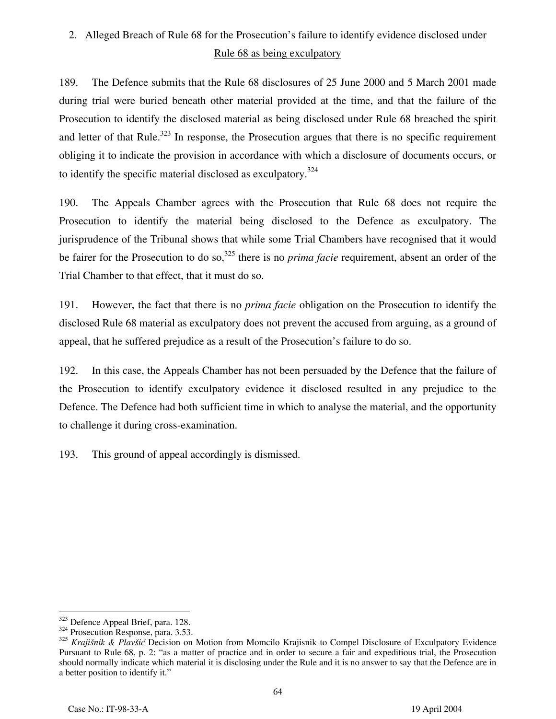# 2. Alleged Breach of Rule 68 for the Prosecution's failure to identify evidence disclosed under Rule 68 as being exculpatory

189. The Defence submits that the Rule 68 disclosures of 25 June 2000 and 5 March 2001 made during trial were buried beneath other material provided at the time, and that the failure of the Prosecution to identify the disclosed material as being disclosed under Rule 68 breached the spirit and letter of that Rule.<sup>323</sup> In response, the Prosecution argues that there is no specific requirement obliging it to indicate the provision in accordance with which a disclosure of documents occurs, or to identify the specific material disclosed as exculpatory. $324$ 

190. The Appeals Chamber agrees with the Prosecution that Rule 68 does not require the Prosecution to identify the material being disclosed to the Defence as exculpatory. The jurisprudence of the Tribunal shows that while some Trial Chambers have recognised that it would be fairer for the Prosecution to do so,325 there is no *prima facie* requirement, absent an order of the Trial Chamber to that effect, that it must do so.

191. However, the fact that there is no *prima facie* obligation on the Prosecution to identify the disclosed Rule 68 material as exculpatory does not prevent the accused from arguing, as a ground of appeal, that he suffered prejudice as a result of the Prosecution's failure to do so.

192. In this case, the Appeals Chamber has not been persuaded by the Defence that the failure of the Prosecution to identify exculpatory evidence it disclosed resulted in any prejudice to the Defence. The Defence had both sufficient time in which to analyse the material, and the opportunity to challenge it during cross-examination.

193. This ground of appeal accordingly is dismissed.

<sup>323</sup> Defence Appeal Brief, para. 128.

 $324$  Prosecution Response, para. 3.53.

<sup>325</sup> *Krajišnik & Plavšić* Decision on Motion from Momcilo Krajisnik to Compel Disclosure of Exculpatory Evidence Pursuant to Rule 68, p. 2: "as a matter of practice and in order to secure a fair and expeditious trial, the Prosecution should normally indicate which material it is disclosing under the Rule and it is no answer to say that the Defence are in a better position to identify it."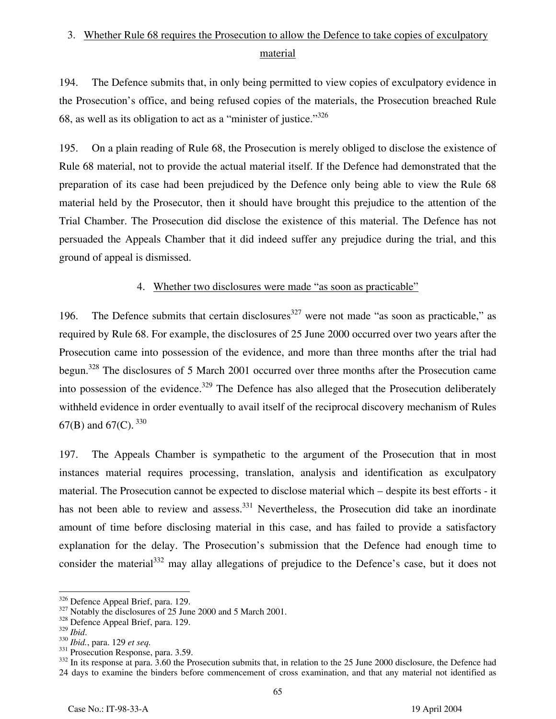# 3. Whether Rule 68 requires the Prosecution to allow the Defence to take copies of exculpatory material

194. The Defence submits that, in only being permitted to view copies of exculpatory evidence in the Prosecution's office, and being refused copies of the materials, the Prosecution breached Rule 68, as well as its obligation to act as a "minister of justice." $326$ 

195. On a plain reading of Rule 68, the Prosecution is merely obliged to disclose the existence of Rule 68 material, not to provide the actual material itself. If the Defence had demonstrated that the preparation of its case had been prejudiced by the Defence only being able to view the Rule 68 material held by the Prosecutor, then it should have brought this prejudice to the attention of the Trial Chamber. The Prosecution did disclose the existence of this material. The Defence has not persuaded the Appeals Chamber that it did indeed suffer any prejudice during the trial, and this ground of appeal is dismissed.

### 4. Whether two disclosures were made "as soon as practicable"

196. The Defence submits that certain disclosures<sup>327</sup> were not made "as soon as practicable," as required by Rule 68. For example, the disclosures of 25 June 2000 occurred over two years after the Prosecution came into possession of the evidence, and more than three months after the trial had begun.<sup>328</sup> The disclosures of 5 March 2001 occurred over three months after the Prosecution came into possession of the evidence.<sup>329</sup> The Defence has also alleged that the Prosecution deliberately withheld evidence in order eventually to avail itself of the reciprocal discovery mechanism of Rules 67(B) and 67(C).  $330$ 

197. The Appeals Chamber is sympathetic to the argument of the Prosecution that in most instances material requires processing, translation, analysis and identification as exculpatory material. The Prosecution cannot be expected to disclose material which – despite its best efforts - it has not been able to review and assess.<sup>331</sup> Nevertheless, the Prosecution did take an inordinate amount of time before disclosing material in this case, and has failed to provide a satisfactory explanation for the delay. The Prosecution's submission that the Defence had enough time to consider the material<sup>332</sup> may allay allegations of prejudice to the Defence's case, but it does not

<sup>&</sup>lt;sup>326</sup> Defence Appeal Brief, para. 129.

<sup>&</sup>lt;sup>327</sup> Notably the disclosures of 25 June 2000 and 5 March 2001.<br><sup>328</sup> Defence Appeal Brief, para. 129.<br><sup>329</sup> Ibid.

<sup>&</sup>lt;sup>330</sup> *Ibid.*, para. 129 *et seq.*<br><sup>331</sup> Prosecution Response, para. 3.59.<br><sup>332</sup> In its response at para. 3.60 the Prosecution submits that, in relation to the 25 June 2000 disclosure, the Defence had 24 days to examine the binders before commencement of cross examination, and that any material not identified as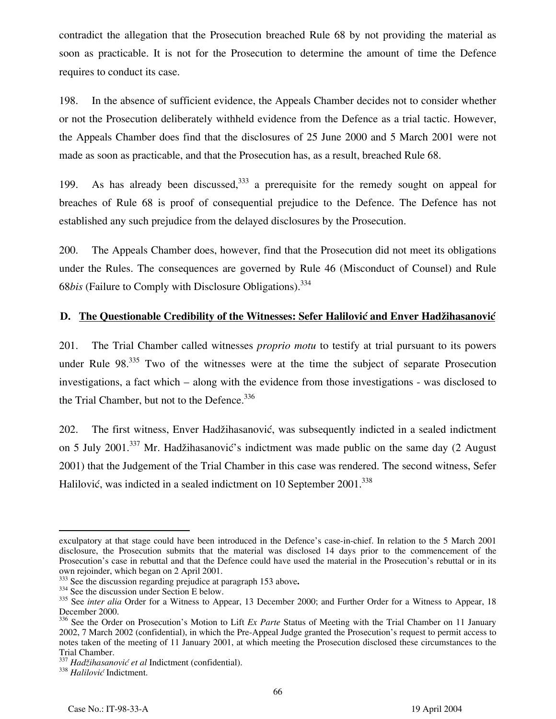contradict the allegation that the Prosecution breached Rule 68 by not providing the material as soon as practicable. It is not for the Prosecution to determine the amount of time the Defence requires to conduct its case.

198. In the absence of sufficient evidence, the Appeals Chamber decides not to consider whether or not the Prosecution deliberately withheld evidence from the Defence as a trial tactic. However, the Appeals Chamber does find that the disclosures of 25 June 2000 and 5 March 2001 were not made as soon as practicable, and that the Prosecution has, as a result, breached Rule 68.

199. As has already been discussed,  $333$  a prerequisite for the remedy sought on appeal for breaches of Rule 68 is proof of consequential prejudice to the Defence. The Defence has not established any such prejudice from the delayed disclosures by the Prosecution.

200. The Appeals Chamber does, however, find that the Prosecution did not meet its obligations under the Rules. The consequences are governed by Rule 46 (Misconduct of Counsel) and Rule 68*bis* (Failure to Comply with Disclosure Obligations).334

## **D. The Questionable Credibility of the Witnesses: Sefer Halilović and Enver Hadžihasanović**

201. The Trial Chamber called witnesses *proprio motu* to testify at trial pursuant to its powers under Rule  $98^{335}$  Two of the witnesses were at the time the subject of separate Prosecution investigations, a fact which – along with the evidence from those investigations - was disclosed to the Trial Chamber, but not to the Defence.<sup>336</sup>

202. The first witness, Enver Hadžihasanović, was subsequently indicted in a sealed indictment on 5 July 2001.<sup>337</sup> Mr. Hadžihasanović's indictment was made public on the same day (2 August 2001) that the Judgement of the Trial Chamber in this case was rendered. The second witness, Sefer Halilović, was indicted in a sealed indictment on 10 September  $2001$ <sup>338</sup>

exculpatory at that stage could have been introduced in the Defence's case-in-chief. In relation to the 5 March 2001 disclosure, the Prosecution submits that the material was disclosed 14 days prior to the commencement of the Prosecution's case in rebuttal and that the Defence could have used the material in the Prosecution's rebuttal or in its own rejoinder, which began on 2 April 2001.

<sup>&</sup>lt;sup>333</sup> See the discussion regarding prejudice at paragraph 153 above.<br><sup>334</sup> See the discussion under Section E below.

<sup>&</sup>lt;sup>335</sup> See *inter alia* Order for a Witness to Appear, 13 December 2000; and Further Order for a Witness to Appear, 18 December 2000.

<sup>336</sup> See the Order on Prosecution's Motion to Lift *Ex Parte* Status of Meeting with the Trial Chamber on 11 January 2002, 7 March 2002 (confidential), in which the Pre-Appeal Judge granted the Prosecution's request to permit access to notes taken of the meeting of 11 January 2001, at which meeting the Prosecution disclosed these circumstances to the Trial Chamber.

<sup>337</sup> *Hadžihasanović et al* Indictment (confidential). <sup>338</sup> *Halilović* Indictment.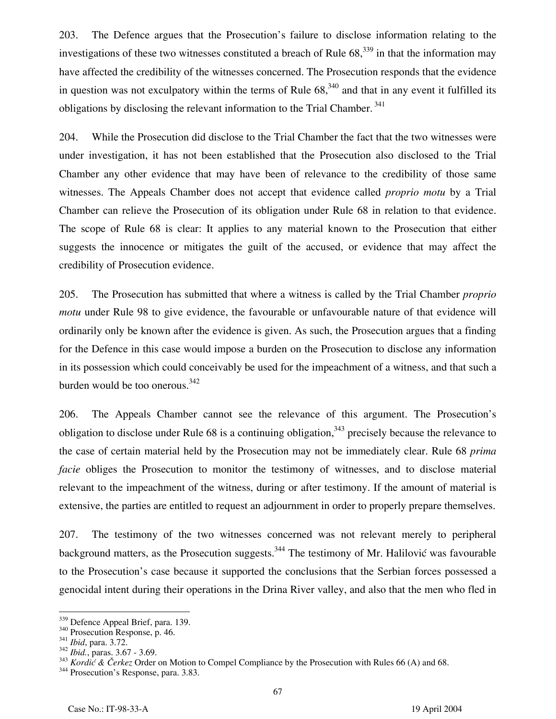203. The Defence argues that the Prosecution's failure to disclose information relating to the investigations of these two witnesses constituted a breach of Rule  $68<sup>339</sup>$  in that the information may have affected the credibility of the witnesses concerned. The Prosecution responds that the evidence in question was not exculpatory within the terms of Rule  $68<sup>340</sup>$  and that in any event it fulfilled its obligations by disclosing the relevant information to the Trial Chamber.<sup>341</sup>

204. While the Prosecution did disclose to the Trial Chamber the fact that the two witnesses were under investigation, it has not been established that the Prosecution also disclosed to the Trial Chamber any other evidence that may have been of relevance to the credibility of those same witnesses. The Appeals Chamber does not accept that evidence called *proprio motu* by a Trial Chamber can relieve the Prosecution of its obligation under Rule 68 in relation to that evidence. The scope of Rule 68 is clear: It applies to any material known to the Prosecution that either suggests the innocence or mitigates the guilt of the accused, or evidence that may affect the credibility of Prosecution evidence.

205. The Prosecution has submitted that where a witness is called by the Trial Chamber *proprio motu* under Rule 98 to give evidence, the favourable or unfavourable nature of that evidence will ordinarily only be known after the evidence is given. As such, the Prosecution argues that a finding for the Defence in this case would impose a burden on the Prosecution to disclose any information in its possession which could conceivably be used for the impeachment of a witness, and that such a burden would be too onerous.<sup>342</sup>

206. The Appeals Chamber cannot see the relevance of this argument. The Prosecution's obligation to disclose under Rule 68 is a continuing obligation,  $343$  precisely because the relevance to the case of certain material held by the Prosecution may not be immediately clear. Rule 68 *prima facie* obliges the Prosecution to monitor the testimony of witnesses, and to disclose material relevant to the impeachment of the witness, during or after testimony. If the amount of material is extensive, the parties are entitled to request an adjournment in order to properly prepare themselves.

207. The testimony of the two witnesses concerned was not relevant merely to peripheral background matters, as the Prosecution suggests.<sup>344</sup> The testimony of Mr. Halilović was favourable to the Prosecution's case because it supported the conclusions that the Serbian forces possessed a genocidal intent during their operations in the Drina River valley, and also that the men who fled in

<sup>&</sup>lt;sup>339</sup> Defence Appeal Brief, para. 139.

<sup>&</sup>lt;sup>340</sup> Prosecution Response, p. 46.<br><sup>341</sup> *Ibid*, para. 3.72.<br><sup>342</sup> *Ibid*., paras. 3.67 - 3.69.<br><sup>343</sup> *Kordić & Čerkez* Order on Motion to Compel Compliance by the Prosecution with Rules 66 (A) and 68.<br><sup>343</sup> *Kordić & Čerk*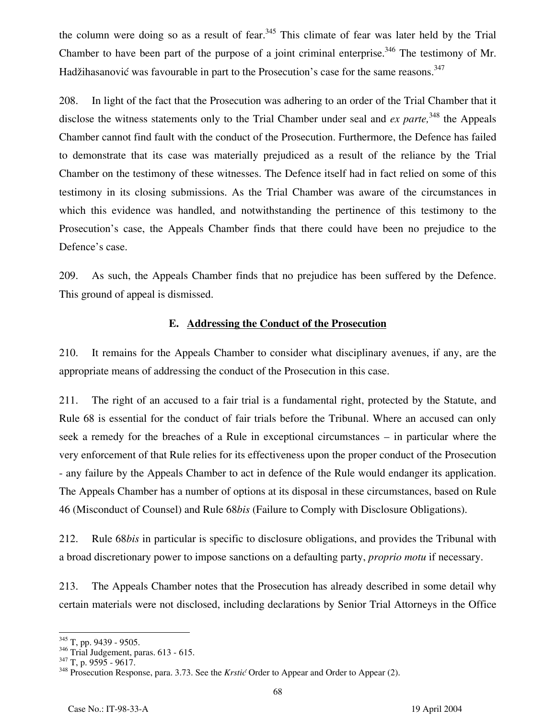the column were doing so as a result of fear.<sup>345</sup> This climate of fear was later held by the Trial Chamber to have been part of the purpose of a joint criminal enterprise.<sup>346</sup> The testimony of Mr. Hadžihasanović was favourable in part to the Prosecution's case for the same reasons.<sup>347</sup>

208. In light of the fact that the Prosecution was adhering to an order of the Trial Chamber that it disclose the witness statements only to the Trial Chamber under seal and *ex parte*,<sup>348</sup> the Appeals Chamber cannot find fault with the conduct of the Prosecution. Furthermore, the Defence has failed to demonstrate that its case was materially prejudiced as a result of the reliance by the Trial Chamber on the testimony of these witnesses. The Defence itself had in fact relied on some of this testimony in its closing submissions. As the Trial Chamber was aware of the circumstances in which this evidence was handled, and notwithstanding the pertinence of this testimony to the Prosecution's case, the Appeals Chamber finds that there could have been no prejudice to the Defence's case.

209. As such, the Appeals Chamber finds that no prejudice has been suffered by the Defence. This ground of appeal is dismissed.

#### **E. Addressing the Conduct of the Prosecution**

210. It remains for the Appeals Chamber to consider what disciplinary avenues, if any, are the appropriate means of addressing the conduct of the Prosecution in this case.

211. The right of an accused to a fair trial is a fundamental right, protected by the Statute, and Rule 68 is essential for the conduct of fair trials before the Tribunal. Where an accused can only seek a remedy for the breaches of a Rule in exceptional circumstances – in particular where the very enforcement of that Rule relies for its effectiveness upon the proper conduct of the Prosecution - any failure by the Appeals Chamber to act in defence of the Rule would endanger its application. The Appeals Chamber has a number of options at its disposal in these circumstances, based on Rule 46 (Misconduct of Counsel) and Rule 68*bis* (Failure to Comply with Disclosure Obligations).

212. Rule 68*bis* in particular is specific to disclosure obligations, and provides the Tribunal with a broad discretionary power to impose sanctions on a defaulting party, *proprio motu* if necessary.

213. The Appeals Chamber notes that the Prosecution has already described in some detail why certain materials were not disclosed, including declarations by Senior Trial Attorneys in the Office

-

 $345$  T, pp. 9439 - 9505.

<sup>&</sup>lt;sup>348</sup> Prosecution Response, para. 3.73. See the *Krstić* Order to Appear and Order to Appear (2).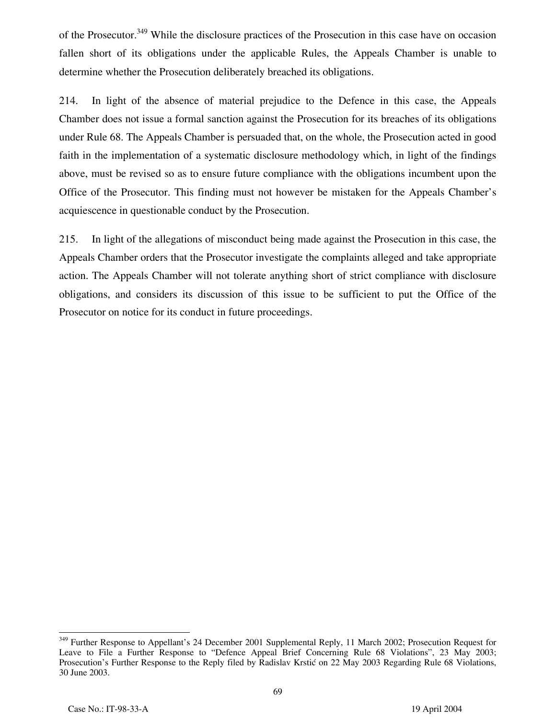of the Prosecutor.<sup>349</sup> While the disclosure practices of the Prosecution in this case have on occasion fallen short of its obligations under the applicable Rules, the Appeals Chamber is unable to determine whether the Prosecution deliberately breached its obligations.

214. In light of the absence of material prejudice to the Defence in this case, the Appeals Chamber does not issue a formal sanction against the Prosecution for its breaches of its obligations under Rule 68. The Appeals Chamber is persuaded that, on the whole, the Prosecution acted in good faith in the implementation of a systematic disclosure methodology which, in light of the findings above, must be revised so as to ensure future compliance with the obligations incumbent upon the Office of the Prosecutor. This finding must not however be mistaken for the Appeals Chamber's acquiescence in questionable conduct by the Prosecution.

215. In light of the allegations of misconduct being made against the Prosecution in this case, the Appeals Chamber orders that the Prosecutor investigate the complaints alleged and take appropriate action. The Appeals Chamber will not tolerate anything short of strict compliance with disclosure obligations, and considers its discussion of this issue to be sufficient to put the Office of the Prosecutor on notice for its conduct in future proceedings.

-

<sup>&</sup>lt;sup>349</sup> Further Response to Appellant's 24 December 2001 Supplemental Reply, 11 March 2002; Prosecution Request for Leave to File a Further Response to "Defence Appeal Brief Concerning Rule 68 Violations", 23 May 2003; Prosecution's Further Response to the Reply filed by Radislav Krstić on 22 May 2003 Regarding Rule 68 Violations, 30 June 2003.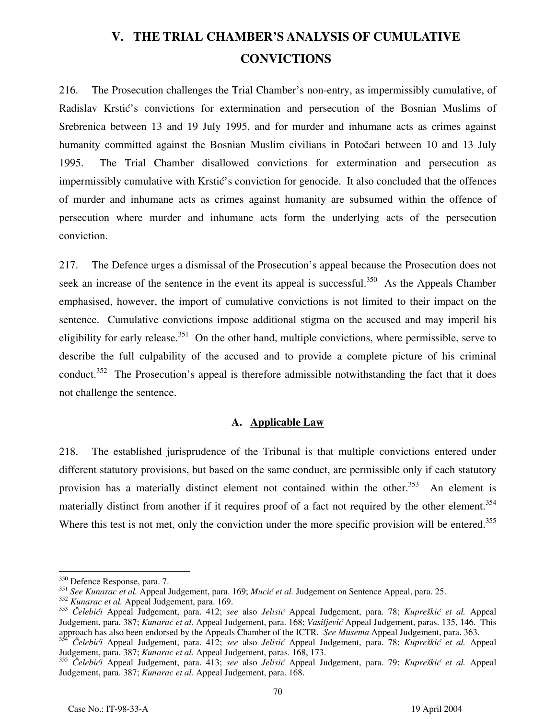# **V. THE TRIAL CHAMBER'S ANALYSIS OF CUMULATIVE CONVICTIONS**

216. The Prosecution challenges the Trial Chamber's non-entry, as impermissibly cumulative, of Radislav Krstić's convictions for extermination and persecution of the Bosnian Muslims of Srebrenica between 13 and 19 July 1995, and for murder and inhumane acts as crimes against humanity committed against the Bosnian Muslim civilians in Potočari between 10 and 13 July 1995. The Trial Chamber disallowed convictions for extermination and persecution as impermissibly cumulative with Krstić's conviction for genocide. It also concluded that the offences of murder and inhumane acts as crimes against humanity are subsumed within the offence of persecution where murder and inhumane acts form the underlying acts of the persecution conviction.

217. The Defence urges a dismissal of the Prosecution's appeal because the Prosecution does not seek an increase of the sentence in the event its appeal is successful.<sup>350</sup> As the Appeals Chamber emphasised, however, the import of cumulative convictions is not limited to their impact on the sentence. Cumulative convictions impose additional stigma on the accused and may imperil his eligibility for early release.<sup>351</sup> On the other hand, multiple convictions, where permissible, serve to describe the full culpability of the accused and to provide a complete picture of his criminal conduct.<sup>352</sup> The Prosecution's appeal is therefore admissible notwithstanding the fact that it does not challenge the sentence.

### **A. Applicable Law**

218. The established jurisprudence of the Tribunal is that multiple convictions entered under different statutory provisions, but based on the same conduct, are permissible only if each statutory provision has a materially distinct element not contained within the other. $353$  An element is materially distinct from another if it requires proof of a fact not required by the other element.<sup>354</sup> Where this test is not met, only the conviction under the more specific provision will be entered.<sup>355</sup>

<sup>&</sup>lt;sup>350</sup> Defence Response, para. 7.

<sup>351</sup> *See Kunarac et al.* Appeal Judgement, para. 169; *Mucić et al.* Judgement on Sentence Appeal, para. 25.

<sup>352</sup> *Kunarac et al.* Appeal Judgement, para. 169.

<sup>353</sup> *Čelebići* Appeal Judgement, para. 412; *see* also *Jelisić* Appeal Judgement, para. 78; *Kupreškić et al.* Appeal Judgement, para. 387; *Kunarac et al.* Appeal Judgement, para. 168; *Vasiljević* Appeal Judgement, paras. 135, 146. This approach has also been endorsed by the Appeals Chamber of the ICTR. *See Musema* Appeal Judgement, para. 363.

<sup>354</sup> *Čelebići* Appeal Judgement, para. 412; *see* also *Jelisić* Appeal Judgement, para. 78; *Kupreškić et al.* Appeal Judgement, para. 387; *Kunarac et al.* Appeal Judgement, paras. 168, 173.

<sup>355</sup> *Čelebići* Appeal Judgement, para. 413; *see* also *Jelisić* Appeal Judgement, para. 79; *Kupreškić et al.* Appeal Judgement, para. 387; *Kunarac et al.* Appeal Judgement, para. 168.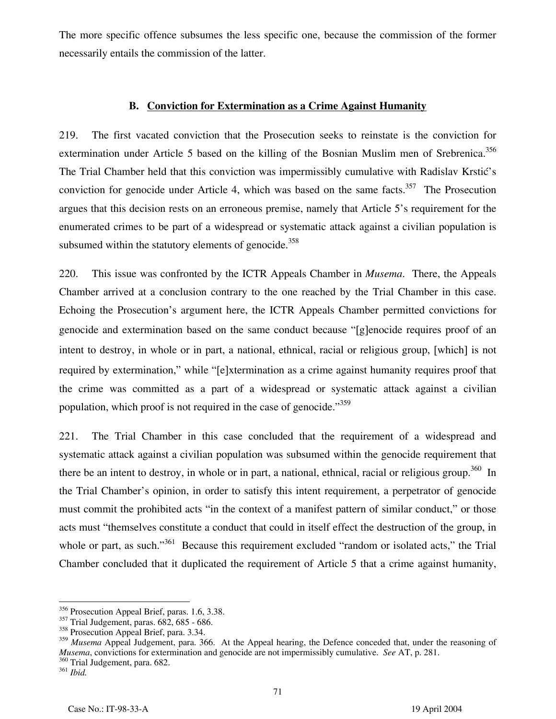The more specific offence subsumes the less specific one, because the commission of the former necessarily entails the commission of the latter.

#### **B. Conviction for Extermination as a Crime Against Humanity**

219. The first vacated conviction that the Prosecution seeks to reinstate is the conviction for extermination under Article 5 based on the killing of the Bosnian Muslim men of Srebrenica.<sup>356</sup> The Trial Chamber held that this conviction was impermissibly cumulative with Radislav Krstić's conviction for genocide under Article 4, which was based on the same facts. $357$  The Prosecution argues that this decision rests on an erroneous premise, namely that Article 5's requirement for the enumerated crimes to be part of a widespread or systematic attack against a civilian population is subsumed within the statutory elements of genocide. $358$ 

220. This issue was confronted by the ICTR Appeals Chamber in *Musema*. There, the Appeals Chamber arrived at a conclusion contrary to the one reached by the Trial Chamber in this case. Echoing the Prosecution's argument here, the ICTR Appeals Chamber permitted convictions for genocide and extermination based on the same conduct because "[g]enocide requires proof of an intent to destroy, in whole or in part, a national, ethnical, racial or religious group, [which] is not required by extermination," while "[e]xtermination as a crime against humanity requires proof that the crime was committed as a part of a widespread or systematic attack against a civilian population, which proof is not required in the case of genocide."<sup>359</sup>

221. The Trial Chamber in this case concluded that the requirement of a widespread and systematic attack against a civilian population was subsumed within the genocide requirement that there be an intent to destroy, in whole or in part, a national, ethnical, racial or religious group.<sup>360</sup> In the Trial Chamber's opinion, in order to satisfy this intent requirement, a perpetrator of genocide must commit the prohibited acts "in the context of a manifest pattern of similar conduct," or those acts must "themselves constitute a conduct that could in itself effect the destruction of the group, in whole or part, as such."<sup>361</sup> Because this requirement excluded "random or isolated acts," the Trial Chamber concluded that it duplicated the requirement of Article 5 that a crime against humanity,

<sup>361</sup> *Ibid.*

 $\overline{a}$ <sup>356</sup> Prosecution Appeal Brief, paras. 1.6, 3.38.

 $357$  Trial Judgement, paras.  $682, 685$  -  $686$ .

<sup>&</sup>lt;sup>358</sup> Prosecution Appeal Brief, para. 3.34.

<sup>&</sup>lt;sup>359</sup> *Musema* Appeal Judgement, para. 366. At the Appeal hearing, the Defence conceded that, under the reasoning of *Musema*, convictions for extermination and genocide are not impermissibly cumulative. *See* AT, p. 281.

<sup>&</sup>lt;sup>360</sup> Trial Judgement, para. 682.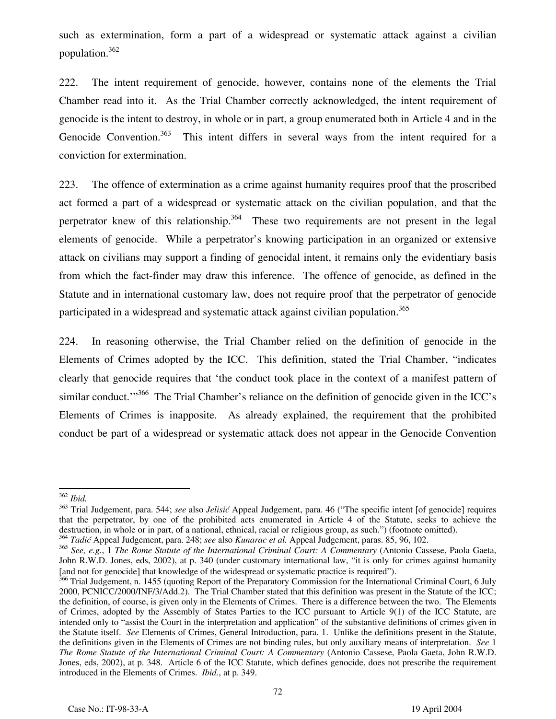such as extermination, form a part of a widespread or systematic attack against a civilian population.362

222. The intent requirement of genocide, however, contains none of the elements the Trial Chamber read into it. As the Trial Chamber correctly acknowledged, the intent requirement of genocide is the intent to destroy, in whole or in part, a group enumerated both in Article 4 and in the Genocide Convention.<sup>363</sup> This intent differs in several ways from the intent required for a conviction for extermination.

223. The offence of extermination as a crime against humanity requires proof that the proscribed act formed a part of a widespread or systematic attack on the civilian population, and that the perpetrator knew of this relationship.<sup>364</sup> These two requirements are not present in the legal elements of genocide. While a perpetrator's knowing participation in an organized or extensive attack on civilians may support a finding of genocidal intent, it remains only the evidentiary basis from which the fact-finder may draw this inference. The offence of genocide, as defined in the Statute and in international customary law, does not require proof that the perpetrator of genocide participated in a widespread and systematic attack against civilian population.<sup>365</sup>

224. In reasoning otherwise, the Trial Chamber relied on the definition of genocide in the Elements of Crimes adopted by the ICC. This definition, stated the Trial Chamber, "indicates clearly that genocide requires that 'the conduct took place in the context of a manifest pattern of similar conduct."<sup>366</sup> The Trial Chamber's reliance on the definition of genocide given in the ICC's Elements of Crimes is inapposite. As already explained, the requirement that the prohibited conduct be part of a widespread or systematic attack does not appear in the Genocide Convention

 $\overline{a}$ <sup>362</sup> *Ibid.*

<sup>363</sup> Trial Judgement, para. 544; *see* also *Jelisić* Appeal Judgement, para. 46 ("The specific intent [of genocide] requires that the perpetrator, by one of the prohibited acts enumerated in Article 4 of the Statute, seeks to achieve the destruction, in whole or in part, of a national, ethnical, racial or religious group, as such.") (footnote omitted).

<sup>364</sup> *Tadić* Appeal Judgement, para. 248; *see* also *Kunarac et al.* Appeal Judgement, paras. 85, 96, 102.

<sup>365</sup> *See, e.g.*, 1 *The Rome Statute of the International Criminal Court: A Commentary* (Antonio Cassese, Paola Gaeta, John R.W.D. Jones, eds, 2002), at p. 340 (under customary international law, "it is only for crimes against humanity [and not for genocide] that knowledge of the widespread or systematic practice is required"). 366 Trial Judgement, n. 1455 (quoting Report of the Preparatory Commission for the International Criminal Court, 6 July

<sup>2000,</sup> PCNICC/2000/INF/3/Add.2). The Trial Chamber stated that this definition was present in the Statute of the ICC; the definition, of course, is given only in the Elements of Crimes. There is a difference between the two. The Elements of Crimes, adopted by the Assembly of States Parties to the ICC pursuant to Article 9(1) of the ICC Statute, are intended only to "assist the Court in the interpretation and application" of the substantive definitions of crimes given in the Statute itself. *See* Elements of Crimes, General Introduction, para. 1. Unlike the definitions present in the Statute, the definitions given in the Elements of Crimes are not binding rules, but only auxiliary means of interpretation. *See* 1 *The Rome Statute of the International Criminal Court: A Commentary* (Antonio Cassese, Paola Gaeta, John R.W.D. Jones, eds, 2002), at p. 348. Article 6 of the ICC Statute, which defines genocide, does not prescribe the requirement introduced in the Elements of Crimes. *Ibid.*, at p. 349.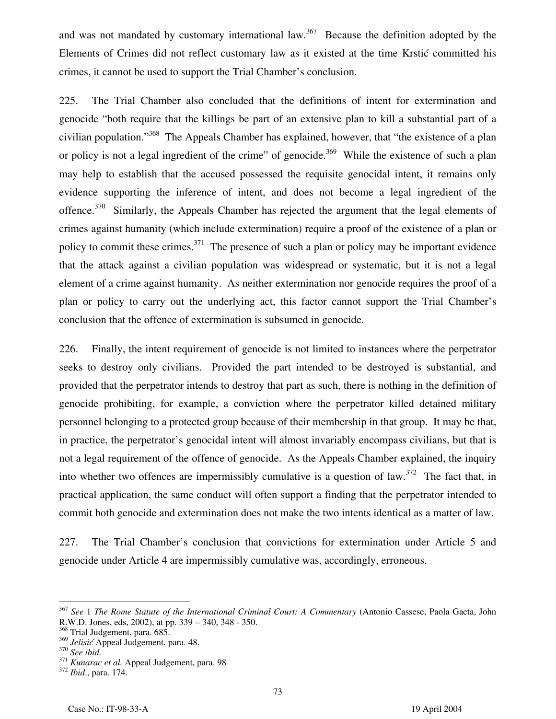and was not mandated by customary international law.<sup>367</sup> Because the definition adopted by the Elements of Crimes did not reflect customary law as it existed at the time Krstić committed his crimes, it cannot be used to support the Trial Chamber's conclusion.

225. The Trial Chamber also concluded that the definitions of intent for extermination and genocide "both require that the killings be part of an extensive plan to kill a substantial part of a civilian population."368 The Appeals Chamber has explained, however, that "the existence of a plan or policy is not a legal ingredient of the crime" of genocide.<sup>369</sup> While the existence of such a plan may help to establish that the accused possessed the requisite genocidal intent, it remains only evidence supporting the inference of intent, and does not become a legal ingredient of the offence. $370$  Similarly, the Appeals Chamber has rejected the argument that the legal elements of crimes against humanity (which include extermination) require a proof of the existence of a plan or policy to commit these crimes.<sup>371</sup> The presence of such a plan or policy may be important evidence that the attack against a civilian population was widespread or systematic, but it is not a legal element of a crime against humanity. As neither extermination nor genocide requires the proof of a plan or policy to carry out the underlying act, this factor cannot support the Trial Chamber's conclusion that the offence of extermination is subsumed in genocide.

226. Finally, the intent requirement of genocide is not limited to instances where the perpetrator seeks to destroy only civilians. Provided the part intended to be destroyed is substantial, and provided that the perpetrator intends to destroy that part as such, there is nothing in the definition of genocide prohibiting, for example, a conviction where the perpetrator killed detained military personnel belonging to a protected group because of their membership in that group. It may be that, in practice, the perpetrator's genocidal intent will almost invariably encompass civilians, but that is not a legal requirement of the offence of genocide. As the Appeals Chamber explained, the inquiry into whether two offences are impermissibly cumulative is a question of law.<sup>372</sup> The fact that, in practical application, the same conduct will often support a finding that the perpetrator intended to commit both genocide and extermination does not make the two intents identical as a matter of law.

227. The Trial Chamber's conclusion that convictions for extermination under Article 5 and genocide under Article 4 are impermissibly cumulative was, accordingly, erroneous.

<sup>367</sup> *See* 1 *The Rome Statute of the International Criminal Court: A Commentary* (Antonio Cassese, Paola Gaeta, John R.W.D. Jones, eds, 2002), at pp. 339 – 340, 348 - 350.

<sup>&</sup>lt;sup>368</sup> Trial Judgement, para. 685.<br><sup>369</sup> Jelisić Appeal Judgement, para. 48.

<sup>369</sup> *Jelisić* Appeal Judgement, para. 48. <sup>370</sup> *See ibid.* <sup>371</sup> *Kunarac et al.* Appeal Judgement, para. 98 <sup>372</sup> *Ibid*., para. 174.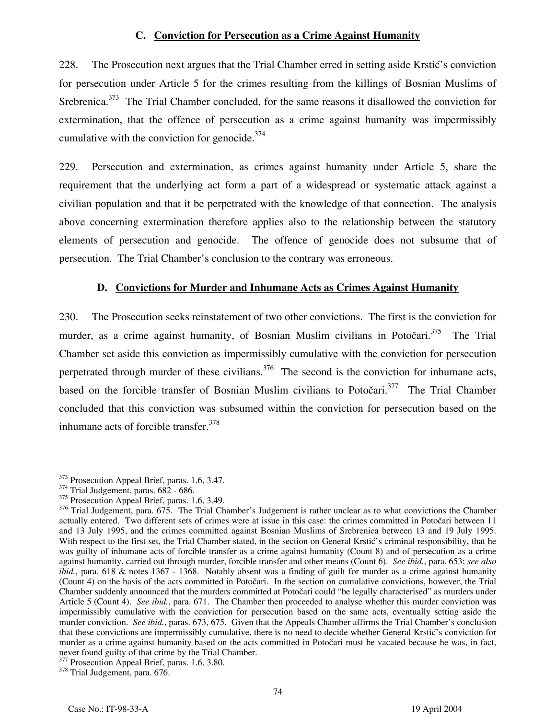## **C. Conviction for Persecution as a Crime Against Humanity**

228. The Prosecution next argues that the Trial Chamber erred in setting aside Krstić's conviction for persecution under Article 5 for the crimes resulting from the killings of Bosnian Muslims of Srebrenica.<sup>373</sup> The Trial Chamber concluded, for the same reasons it disallowed the conviction for extermination, that the offence of persecution as a crime against humanity was impermissibly cumulative with the conviction for genocide. $374$ 

229. Persecution and extermination, as crimes against humanity under Article 5, share the requirement that the underlying act form a part of a widespread or systematic attack against a civilian population and that it be perpetrated with the knowledge of that connection. The analysis above concerning extermination therefore applies also to the relationship between the statutory elements of persecution and genocide. The offence of genocide does not subsume that of persecution. The Trial Chamber's conclusion to the contrary was erroneous.

## **D. Convictions for Murder and Inhumane Acts as Crimes Against Humanity**

230. The Prosecution seeks reinstatement of two other convictions. The first is the conviction for murder, as a crime against humanity, of Bosnian Muslim civilians in Potočari.<sup>375</sup> The Trial Chamber set aside this conviction as impermissibly cumulative with the conviction for persecution perpetrated through murder of these civilians.<sup>376</sup> The second is the conviction for inhumane acts, based on the forcible transfer of Bosnian Muslim civilians to Potočari.<sup>377</sup> The Trial Chamber concluded that this conviction was subsumed within the conviction for persecution based on the inhumane acts of forcible transfer. $378$ 

<sup>-</sup> $373$  Prosecution Appeal Brief, paras. 1.6, 3.47.<br> $374$  Trial Judgement, paras.  $682 - 686$ .

 $374$  Trial Judgement, paras.  $682 - 686$ .<br> $375$  Prosecution Appeal Brief, paras. 1.6, 3.49.

 $376$  Trial Judgement, para.  $675$ . The Trial Chamber's Judgement is rather unclear as to what convictions the Chamber actually entered. Two different sets of crimes were at issue in this case: the crimes committed in Potočari between 11 and 13 July 1995, and the crimes committed against Bosnian Muslims of Srebrenica between 13 and 19 July 1995. With respect to the first set, the Trial Chamber stated, in the section on General Krstić's criminal responsibility, that he was guilty of inhumane acts of forcible transfer as a crime against humanity (Count 8) and of persecution as a crime against humanity, carried out through murder, forcible transfer and other means (Count 6). *See ibid.*, para. 653; *see also ibid.*, para. 618 & notes 1367 - 1368. Notably absent was a finding of guilt for murder as a crime against humanity (Count 4) on the basis of the acts committed in Potočari. In the section on cumulative convictions, however, the Trial Chamber suddenly announced that the murders committed at Potočari could "be legally characterised" as murders under Article 5 (Count 4). *See ibid.*, para. 671. The Chamber then proceeded to analyse whether this murder conviction was impermissibly cumulative with the conviction for persecution based on the same acts, eventually setting aside the murder conviction. *See ibid.*, paras. 673, 675. Given that the Appeals Chamber affirms the Trial Chamber's conclusion that these convictions are impermissibly cumulative, there is no need to decide whether General Krstić's conviction for murder as a crime against humanity based on the acts committed in Potočari must be vacated because he was, in fact, never found guilty of that crime by the Trial Chamber.

 $377$  Prosecution Appeal Brief, paras. 1.6, 3.80.  $378$  Trial Judgement, para. 676.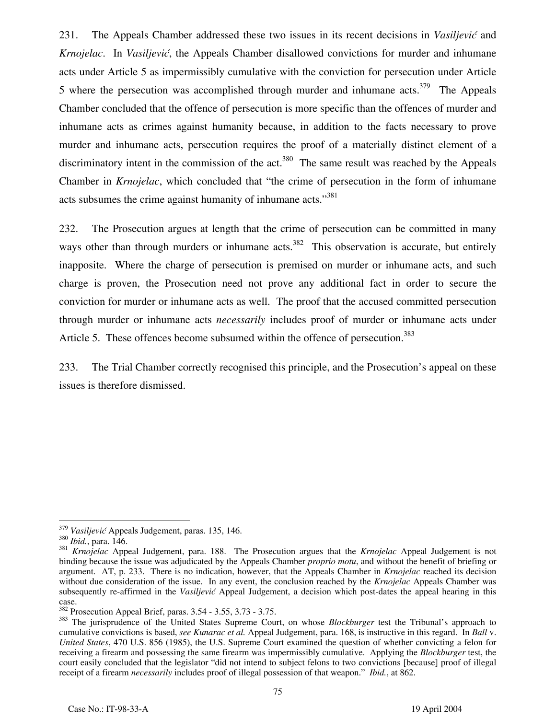231. The Appeals Chamber addressed these two issues in its recent decisions in *Vasiljević* and *Krnojelac*. In *Vasiljević*, the Appeals Chamber disallowed convictions for murder and inhumane acts under Article 5 as impermissibly cumulative with the conviction for persecution under Article 5 where the persecution was accomplished through murder and inhumane  $acts.<sup>379</sup>$  The Appeals Chamber concluded that the offence of persecution is more specific than the offences of murder and inhumane acts as crimes against humanity because, in addition to the facts necessary to prove murder and inhumane acts, persecution requires the proof of a materially distinct element of a discriminatory intent in the commission of the act.<sup>380</sup> The same result was reached by the Appeals Chamber in *Krnojelac*, which concluded that "the crime of persecution in the form of inhumane acts subsumes the crime against humanity of inhumane acts."<sup>381</sup>

232. The Prosecution argues at length that the crime of persecution can be committed in many ways other than through murders or inhumane acts.<sup>382</sup> This observation is accurate, but entirely inapposite. Where the charge of persecution is premised on murder or inhumane acts, and such charge is proven, the Prosecution need not prove any additional fact in order to secure the conviction for murder or inhumane acts as well. The proof that the accused committed persecution through murder or inhumane acts *necessarily* includes proof of murder or inhumane acts under Article 5. These offences become subsumed within the offence of persecution.<sup>383</sup>

233. The Trial Chamber correctly recognised this principle, and the Prosecution's appeal on these issues is therefore dismissed.

<sup>&</sup>lt;sup>379</sup> Vasiljević Appeals Judgement, paras. 135, 146.

<sup>&</sup>lt;sup>380</sup> *Ibid.*, para. 146.<br><sup>381</sup> *Krnojelac* Appeal Judgement, para. 188. The Prosecution argues that the *Krnojelac* Appeal Judgement is not binding because the issue was adjudicated by the Appeals Chamber *proprio motu*, and without the benefit of briefing or argument. AT, p. 233. There is no indication, however, that the Appeals Chamber in *Krnojelac* reached its decision without due consideration of the issue. In any event, the conclusion reached by the *Krnojelac* Appeals Chamber was subsequently re-affirmed in the *Vasiljević* Appeal Judgement, a decision which post-dates the appeal hearing in this case.<br><sup>382</sup> Prosecution Appeal Brief, paras. 3.54 - 3.55, 3.73 - 3.75.

<sup>&</sup>lt;sup>383</sup> The jurisprudence of the United States Supreme Court, on whose *Blockburger* test the Tribunal's approach to cumulative convictions is based, *see Kunarac et al.* Appeal Judgement, para. 168, is instructive in this regard. In *Ball* v. *United States*, 470 U.S. 856 (1985), the U.S. Supreme Court examined the question of whether convicting a felon for receiving a firearm and possessing the same firearm was impermissibly cumulative. Applying the *Blockburger* test, the court easily concluded that the legislator "did not intend to subject felons to two convictions [because] proof of illegal receipt of a firearm *necessarily* includes proof of illegal possession of that weapon." *Ibid.*, at 862.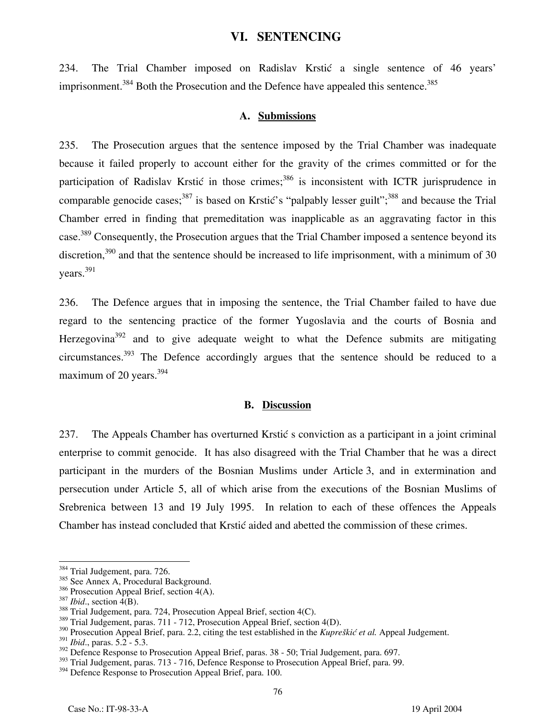## **VI. SENTENCING**

234. The Trial Chamber imposed on Radislav Krstić a single sentence of 46 years' imprisonment.<sup>384</sup> Both the Prosecution and the Defence have appealed this sentence.<sup>385</sup>

## **A. Submissions**

235. The Prosecution argues that the sentence imposed by the Trial Chamber was inadequate because it failed properly to account either for the gravity of the crimes committed or for the participation of Radislav Krstić in those crimes;<sup>386</sup> is inconsistent with ICTR jurisprudence in comparable genocide cases;<sup>387</sup> is based on Krstić's "palpably lesser guilt";<sup>388</sup> and because the Trial Chamber erred in finding that premeditation was inapplicable as an aggravating factor in this case.<sup>389</sup> Consequently, the Prosecution argues that the Trial Chamber imposed a sentence beyond its discretion,  $390$  and that the sentence should be increased to life imprisonment, with a minimum of 30 vears. $391$ 

236. The Defence argues that in imposing the sentence, the Trial Chamber failed to have due regard to the sentencing practice of the former Yugoslavia and the courts of Bosnia and Herzegovina<sup>392</sup> and to give adequate weight to what the Defence submits are mitigating circumstances.393 The Defence accordingly argues that the sentence should be reduced to a maximum of 20 years.<sup>394</sup>

## **B. Discussion**

237. The Appeals Chamber has overturned Krstić s conviction as a participant in a joint criminal enterprise to commit genocide. It has also disagreed with the Trial Chamber that he was a direct participant in the murders of the Bosnian Muslims under Article 3, and in extermination and persecution under Article 5, all of which arise from the executions of the Bosnian Muslims of Srebrenica between 13 and 19 July 1995. In relation to each of these offences the Appeals Chamber has instead concluded that Krstić aided and abetted the commission of these crimes.

<sup>&</sup>lt;sup>384</sup> Trial Judgement, para. 726.

<sup>&</sup>lt;sup>385</sup> See Annex A, Procedural Background.<br><sup>386</sup> Prosecution Appeal Brief, section  $4(A)$ .

<sup>&</sup>lt;sup>387</sup> *Ibid.*, section 4(B).<br><sup>388</sup> Trial Judgement, para. 724, Prosecution Appeal Brief, section 4(C).

<sup>389</sup> Trial Judgement, paras. 711 - 712, Prosecution Appeal Brief, section 4(D).

<sup>390</sup> Prosecution Appeal Brief, para. 2.2, citing the test established in the *Kupreškić et al.* Appeal Judgement.

<sup>391</sup> *Ibid*., paras. 5.2 - 5.3.

<sup>&</sup>lt;sup>392</sup> Defence Response to Prosecution Appeal Brief, paras. 38 - 50; Trial Judgement, para. 697.

<sup>&</sup>lt;sup>393</sup> Trial Judgement, paras. 713 - 716, Defence Response to Prosecution Appeal Brief, para. 99.

<sup>&</sup>lt;sup>394</sup> Defence Response to Prosecution Appeal Brief, para. 100.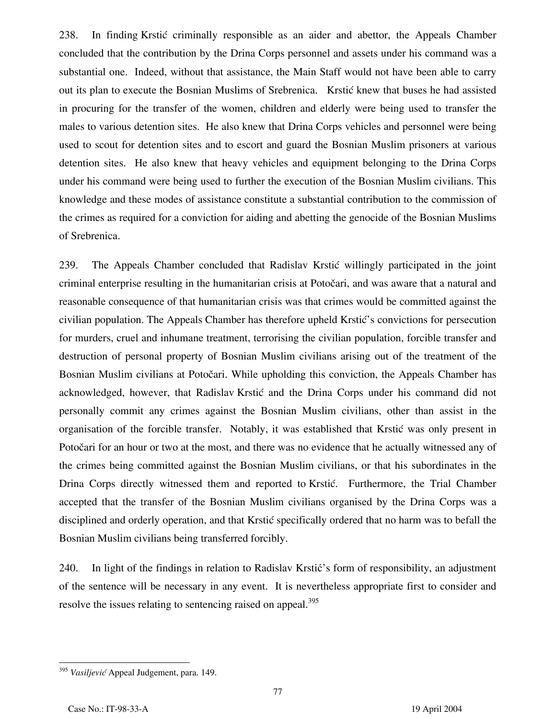238. In finding Krstić criminally responsible as an aider and abettor, the Appeals Chamber concluded that the contribution by the Drina Corps personnel and assets under his command was a substantial one. Indeed, without that assistance, the Main Staff would not have been able to carry out its plan to execute the Bosnian Muslims of Srebrenica. Krstić knew that buses he had assisted in procuring for the transfer of the women, children and elderly were being used to transfer the males to various detention sites. He also knew that Drina Corps vehicles and personnel were being used to scout for detention sites and to escort and guard the Bosnian Muslim prisoners at various detention sites. He also knew that heavy vehicles and equipment belonging to the Drina Corps under his command were being used to further the execution of the Bosnian Muslim civilians. This knowledge and these modes of assistance constitute a substantial contribution to the commission of the crimes as required for a conviction for aiding and abetting the genocide of the Bosnian Muslims of Srebrenica.

239. The Appeals Chamber concluded that Radislav Krstić willingly participated in the joint criminal enterprise resulting in the humanitarian crisis at Potočari, and was aware that a natural and reasonable consequence of that humanitarian crisis was that crimes would be committed against the civilian population. The Appeals Chamber has therefore upheld Krstić's convictions for persecution for murders, cruel and inhumane treatment, terrorising the civilian population, forcible transfer and destruction of personal property of Bosnian Muslim civilians arising out of the treatment of the Bosnian Muslim civilians at Potočari. While upholding this conviction, the Appeals Chamber has acknowledged, however, that Radislav Krstić and the Drina Corps under his command did not personally commit any crimes against the Bosnian Muslim civilians, other than assist in the organisation of the forcible transfer. Notably, it was established that Krstić was only present in Potočari for an hour or two at the most, and there was no evidence that he actually witnessed any of the crimes being committed against the Bosnian Muslim civilians, or that his subordinates in the Drina Corps directly witnessed them and reported to Krstić. Furthermore, the Trial Chamber accepted that the transfer of the Bosnian Muslim civilians organised by the Drina Corps was a disciplined and orderly operation, and that Krstić specifically ordered that no harm was to befall the Bosnian Muslim civilians being transferred forcibly.

240. In light of the findings in relation to Radislav Krstić's form of responsibility, an adjustment of the sentence will be necessary in any event. It is nevertheless appropriate first to consider and resolve the issues relating to sentencing raised on appeal.<sup>395</sup>

<sup>&</sup>lt;u>.</u> <sup>395</sup> *Vasiljević* Appeal Judgement, para. 149.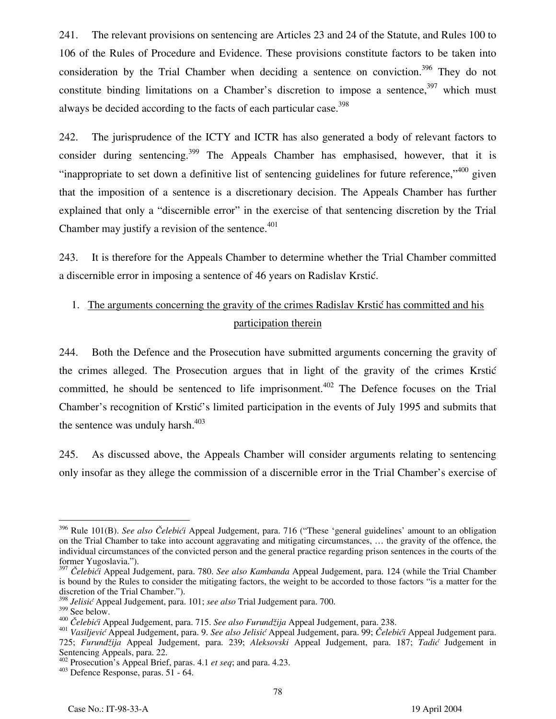241. The relevant provisions on sentencing are Articles 23 and 24 of the Statute, and Rules 100 to 106 of the Rules of Procedure and Evidence. These provisions constitute factors to be taken into consideration by the Trial Chamber when deciding a sentence on conviction.<sup>396</sup> They do not constitute binding limitations on a Chamber's discretion to impose a sentence,  $397$  which must always be decided according to the facts of each particular case.<sup>398</sup>

242. The jurisprudence of the ICTY and ICTR has also generated a body of relevant factors to consider during sentencing.<sup>399</sup> The Appeals Chamber has emphasised, however, that it is "inappropriate to set down a definitive list of sentencing guidelines for future reference,"  $400$  given that the imposition of a sentence is a discretionary decision. The Appeals Chamber has further explained that only a "discernible error" in the exercise of that sentencing discretion by the Trial Chamber may justify a revision of the sentence.<sup>401</sup>

243. It is therefore for the Appeals Chamber to determine whether the Trial Chamber committed a discernible error in imposing a sentence of 46 years on Radislav Krstić.

## 1. The arguments concerning the gravity of the crimes Radislav Krstić has committed and his participation therein

244. Both the Defence and the Prosecution have submitted arguments concerning the gravity of the crimes alleged. The Prosecution argues that in light of the gravity of the crimes Krstić committed, he should be sentenced to life imprisonment.<sup>402</sup> The Defence focuses on the Trial Chamber's recognition of Krstić's limited participation in the events of July 1995 and submits that the sentence was unduly harsh. $403$ 

245. As discussed above, the Appeals Chamber will consider arguments relating to sentencing only insofar as they allege the commission of a discernible error in the Trial Chamber's exercise of

<sup>-</sup>396 Rule 101(B). *See also Čelebići* Appeal Judgement, para. 716 ("These 'general guidelines' amount to an obligation on the Trial Chamber to take into account aggravating and mitigating circumstances, … the gravity of the offence, the individual circumstances of the convicted person and the general practice regarding prison sentences in the courts of the former Yugoslavia.").

<sup>397</sup> *Čelebići* Appeal Judgement, para. 780. *See also Kambanda* Appeal Judgement, para. 124 (while the Trial Chamber is bound by the Rules to consider the mitigating factors, the weight to be accorded to those factors "is a matter for the discretion of the Trial Chamber.").

<sup>398</sup> *Jelisić* Appeal Judgement, para. 101; *see also* Trial Judgement para. 700.

<sup>&</sup>lt;sup>400</sup> Čelebići Appeal Judgement, para. 715. See also Furundžija Appeal Judgement, para. 238.<br><sup>401</sup> Vasiljević Appeal Judgement, para. 9. See also Jelisić Appeal Judgement, para. 99; Čelebići Appeal Judgement para. 725; *Furundžija* Appeal Judgement, para. 239; *Aleksovski* Appeal Judgement, para. 187; *Tadić* Judgement in Sentencing Appeals, para. 22.

<sup>402</sup> Prosecution's Appeal Brief, paras. 4.1 *et seq*; and para. 4.23. 403 Defence Response, paras. 51 - 64.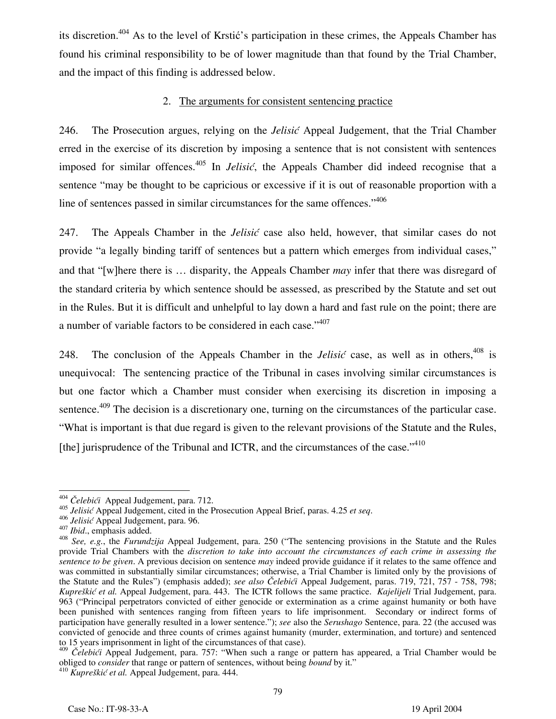its discretion.<sup>404</sup> As to the level of Krstić's participation in these crimes, the Appeals Chamber has found his criminal responsibility to be of lower magnitude than that found by the Trial Chamber, and the impact of this finding is addressed below.

## 2. The arguments for consistent sentencing practice

246. The Prosecution argues, relying on the *Jelisić* Appeal Judgement, that the Trial Chamber erred in the exercise of its discretion by imposing a sentence that is not consistent with sentences imposed for similar offences.405 In *Jelisić*, the Appeals Chamber did indeed recognise that a sentence "may be thought to be capricious or excessive if it is out of reasonable proportion with a line of sentences passed in similar circumstances for the same offences."<sup>406</sup>

247. The Appeals Chamber in the *Jelisić* case also held, however, that similar cases do not provide "a legally binding tariff of sentences but a pattern which emerges from individual cases," and that "[w]here there is … disparity, the Appeals Chamber *may* infer that there was disregard of the standard criteria by which sentence should be assessed, as prescribed by the Statute and set out in the Rules. But it is difficult and unhelpful to lay down a hard and fast rule on the point; there are a number of variable factors to be considered in each case."<sup>407</sup>

248. The conclusion of the Appeals Chamber in the *Jelisić* case, as well as in others,<sup>408</sup> is unequivocal: The sentencing practice of the Tribunal in cases involving similar circumstances is but one factor which a Chamber must consider when exercising its discretion in imposing a sentence.<sup>409</sup> The decision is a discretionary one, turning on the circumstances of the particular case. "What is important is that due regard is given to the relevant provisions of the Statute and the Rules, [the] jurisprudence of the Tribunal and ICTR, and the circumstances of the case."<sup>410</sup>

<sup>404</sup> *Čelebići* Appeal Judgement, para. 712.

<sup>&</sup>lt;sup>405</sup> Jelisić Appeal Judgement, cited in the Prosecution Appeal Brief, paras. 4.25 *et seq.*<br><sup>406</sup> Jelisić Appeal Judgement, para. 96.<br><sup>407</sup> Ibid., emphasis added.<br><sup>408</sup> See, *e.g.*, the *Furundzija* Appeal Judgement, par provide Trial Chambers with the *discretion to take into account the circumstances of each crime in assessing the sentence to be given*. A previous decision on sentence *may* indeed provide guidance if it relates to the same offence and was committed in substantially similar circumstances; otherwise, a Trial Chamber is limited only by the provisions of the Statute and the Rules") (emphasis added); *see also Čelebići* Appeal Judgement, paras. 719, 721, 757 - 758, 798; *Kupreškić et al.* Appeal Judgement, para. 443. The ICTR follows the same practice. *Kajelijeli* Trial Judgement, para. 963 ("Principal perpetrators convicted of either genocide or extermination as a crime against humanity or both have been punished with sentences ranging from fifteen years to life imprisonment. Secondary or indirect forms of participation have generally resulted in a lower sentence."); *see* also the *Serushago* Sentence, para. 22 (the accused was convicted of genocide and three counts of crimes against humanity (murder, extermination, and torture) and sentenced to 15 years imprisonment in light of the circumstances of that case).

<sup>409</sup> *Čelebići* Appeal Judgement, para. 757: "When such a range or pattern has appeared, a Trial Chamber would be obliged to *consider* that range or pattern of sentences, without being *bound* by it." <sup>410</sup> *Kupreški<sup>ć</sup> et al.* Appeal Judgement, para. 444.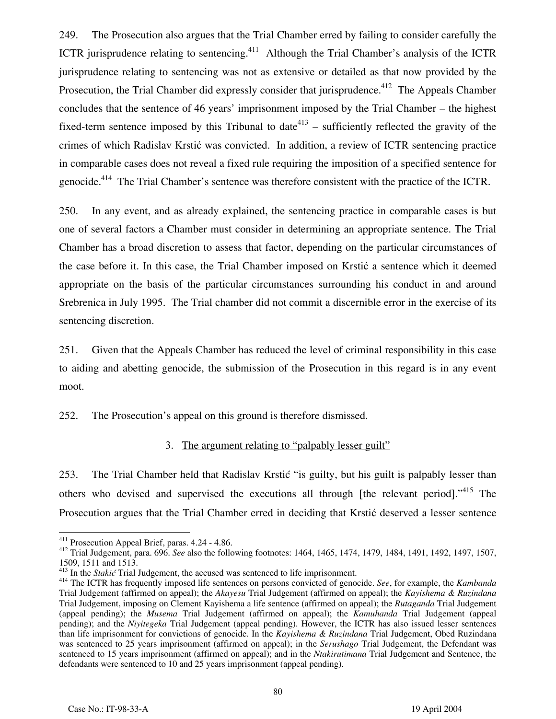249. The Prosecution also argues that the Trial Chamber erred by failing to consider carefully the ICTR jurisprudence relating to sentencing.<sup>411</sup> Although the Trial Chamber's analysis of the ICTR jurisprudence relating to sentencing was not as extensive or detailed as that now provided by the Prosecution, the Trial Chamber did expressly consider that jurisprudence.<sup>412</sup> The Appeals Chamber concludes that the sentence of 46 years' imprisonment imposed by the Trial Chamber – the highest fixed-term sentence imposed by this Tribunal to date<sup>413</sup> – sufficiently reflected the gravity of the crimes of which Radislav Krstić was convicted. In addition, a review of ICTR sentencing practice in comparable cases does not reveal a fixed rule requiring the imposition of a specified sentence for genocide.<sup>414</sup> The Trial Chamber's sentence was therefore consistent with the practice of the ICTR.

250. In any event, and as already explained, the sentencing practice in comparable cases is but one of several factors a Chamber must consider in determining an appropriate sentence. The Trial Chamber has a broad discretion to assess that factor, depending on the particular circumstances of the case before it. In this case, the Trial Chamber imposed on Krstić a sentence which it deemed appropriate on the basis of the particular circumstances surrounding his conduct in and around Srebrenica in July 1995. The Trial chamber did not commit a discernible error in the exercise of its sentencing discretion.

251. Given that the Appeals Chamber has reduced the level of criminal responsibility in this case to aiding and abetting genocide, the submission of the Prosecution in this regard is in any event moot.

252. The Prosecution's appeal on this ground is therefore dismissed.

## 3. The argument relating to "palpably lesser guilt"

253. The Trial Chamber held that Radislav Krstić "is guilty, but his guilt is palpably lesser than others who devised and supervised the executions all through [the relevant period]."<sup>415</sup> The Prosecution argues that the Trial Chamber erred in deciding that Krstić deserved a lesser sentence

<sup>&</sup>lt;sup>411</sup> Prosecution Appeal Brief, paras. 4.24 - 4.86.

<sup>&</sup>lt;sup>412</sup> Trial Judgement, para. 696. *See* also the following footnotes: 1464, 1465, 1474, 1479, 1484, 1491, 1492, 1497, 1507, 1509, 1511 and 1513.<br><sup>413</sup> In the *Stakić* Trial Judgement, the accused was sentenced to life imprisonment.

<sup>&</sup>lt;sup>414</sup> The ICTR has frequently imposed life sentences on persons convicted of genocide. See, for example, the Kambanda Trial Judgement (affirmed on appeal); the *Akayesu* Trial Judgement (affirmed on appeal); the *Kayishema & Ruzindana* Trial Judgement, imposing on Clement Kayishema a life sentence (affirmed on appeal); the *Rutaganda* Trial Judgement (appeal pending); the *Musema* Trial Judgement (affirmed on appeal); the *Kamuhanda* Trial Judgement (appeal pending); and the *Niyitegeka* Trial Judgement (appeal pending). However, the ICTR has also issued lesser sentences than life imprisonment for convictions of genocide. In the *Kayishema & Ruzindana* Trial Judgement, Obed Ruzindana was sentenced to 25 years imprisonment (affirmed on appeal); in the *Serushago* Trial Judgement, the Defendant was sentenced to 15 years imprisonment (affirmed on appeal); and in the *Ntakirutimana* Trial Judgement and Sentence, the defendants were sentenced to 10 and 25 years imprisonment (appeal pending).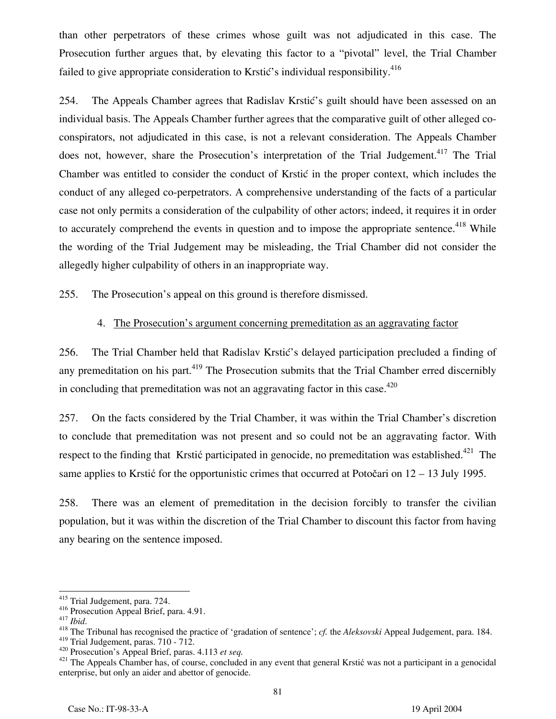than other perpetrators of these crimes whose guilt was not adjudicated in this case. The Prosecution further argues that, by elevating this factor to a "pivotal" level, the Trial Chamber failed to give appropriate consideration to Krstić's individual responsibility.<sup>416</sup>

254. The Appeals Chamber agrees that Radislav Krstić's guilt should have been assessed on an individual basis. The Appeals Chamber further agrees that the comparative guilt of other alleged coconspirators, not adjudicated in this case, is not a relevant consideration. The Appeals Chamber does not, however, share the Prosecution's interpretation of the Trial Judgement.<sup>417</sup> The Trial Chamber was entitled to consider the conduct of Krstić in the proper context, which includes the conduct of any alleged co-perpetrators. A comprehensive understanding of the facts of a particular case not only permits a consideration of the culpability of other actors; indeed, it requires it in order to accurately comprehend the events in question and to impose the appropriate sentence.<sup>418</sup> While the wording of the Trial Judgement may be misleading, the Trial Chamber did not consider the allegedly higher culpability of others in an inappropriate way.

255. The Prosecution's appeal on this ground is therefore dismissed.

#### 4. The Prosecution's argument concerning premeditation as an aggravating factor

256. The Trial Chamber held that Radislav Krstić's delayed participation precluded a finding of any premeditation on his part.<sup>419</sup> The Prosecution submits that the Trial Chamber erred discernibly in concluding that premeditation was not an aggravating factor in this case.<sup> $420$ </sup>

257. On the facts considered by the Trial Chamber, it was within the Trial Chamber's discretion to conclude that premeditation was not present and so could not be an aggravating factor. With respect to the finding that Krstić participated in genocide, no premeditation was established.<sup>421</sup> The same applies to Krstić for the opportunistic crimes that occurred at Potočari on 12 – 13 July 1995.

258. There was an element of premeditation in the decision forcibly to transfer the civilian population, but it was within the discretion of the Trial Chamber to discount this factor from having any bearing on the sentence imposed.

-

<sup>&</sup>lt;sup>415</sup> Trial Judgement, para. 724.

<sup>416</sup> Prosecution Appeal Brief, para. 4.91.<br><sup>417</sup> *Ibid.* 418 The Tribunal has recognised the practice of 'gradation of sentence'; *cf.* the *Aleksovski* Appeal Judgement, para. 184.<br><sup>418</sup> Trial Judgement, paras. 710 - 712.

<sup>&</sup>lt;sup>420</sup> Prosecution's Appeal Brief, paras. 4.113 *et seq.* <sup>421</sup> The Appeals Chamber has, of course, concluded in any event that general Krstić was not a participant in a genocidal <sup>421</sup> The Appeals Chamber has, of course, c enterprise, but only an aider and abettor of genocide.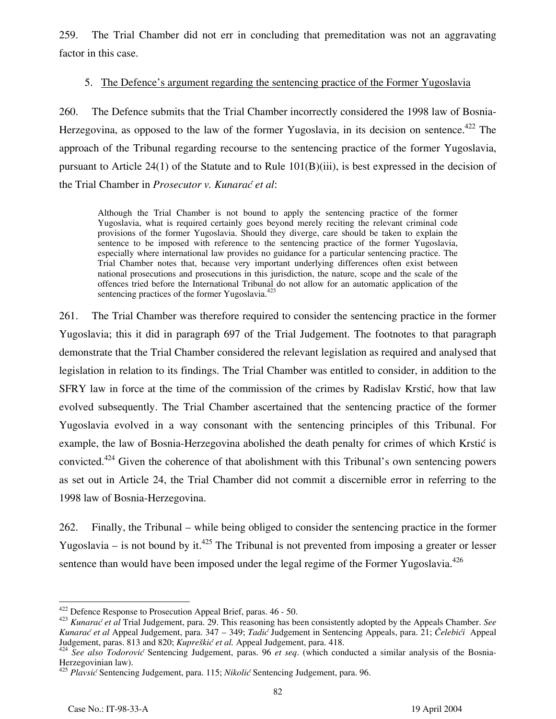259. The Trial Chamber did not err in concluding that premeditation was not an aggravating factor in this case.

## 5. The Defence's argument regarding the sentencing practice of the Former Yugoslavia

260. The Defence submits that the Trial Chamber incorrectly considered the 1998 law of Bosnia-Herzegovina, as opposed to the law of the former Yugoslavia, in its decision on sentence.<sup>422</sup> The approach of the Tribunal regarding recourse to the sentencing practice of the former Yugoslavia, pursuant to Article 24(1) of the Statute and to Rule 101(B)(iii), is best expressed in the decision of the Trial Chamber in *Prosecutor v. Kunarać et al*:

Although the Trial Chamber is not bound to apply the sentencing practice of the former Yugoslavia, what is required certainly goes beyond merely reciting the relevant criminal code provisions of the former Yugoslavia. Should they diverge, care should be taken to explain the sentence to be imposed with reference to the sentencing practice of the former Yugoslavia, especially where international law provides no guidance for a particular sentencing practice. The Trial Chamber notes that, because very important underlying differences often exist between national prosecutions and prosecutions in this jurisdiction, the nature, scope and the scale of the offences tried before the International Tribunal do not allow for an automatic application of the sentencing practices of the former Yugoslavia. $423$ 

261. The Trial Chamber was therefore required to consider the sentencing practice in the former Yugoslavia; this it did in paragraph 697 of the Trial Judgement. The footnotes to that paragraph demonstrate that the Trial Chamber considered the relevant legislation as required and analysed that legislation in relation to its findings. The Trial Chamber was entitled to consider, in addition to the SFRY law in force at the time of the commission of the crimes by Radislav Krstić, how that law evolved subsequently. The Trial Chamber ascertained that the sentencing practice of the former Yugoslavia evolved in a way consonant with the sentencing principles of this Tribunal. For example, the law of Bosnia-Herzegovina abolished the death penalty for crimes of which Krstić is convicted.<sup>424</sup> Given the coherence of that abolishment with this Tribunal's own sentencing powers as set out in Article 24, the Trial Chamber did not commit a discernible error in referring to the 1998 law of Bosnia-Herzegovina.

262. Finally, the Tribunal – while being obliged to consider the sentencing practice in the former Yugoslavia – is not bound by it. $425$  The Tribunal is not prevented from imposing a greater or lesser sentence than would have been imposed under the legal regime of the Former Yugoslavia.<sup>426</sup>

<sup>&</sup>lt;sup>422</sup> Defence Response to Prosecution Appeal Brief, paras. 46 - 50.

<sup>&</sup>lt;sup>423</sup> Kunarać et al Trial Judgement, para. 29. This reasoning has been consistently adopted by the Appeals Chamber. See *Kunarać et al* Appeal Judgement, para. 347 – 349; *Tadić* Judgement in Sentencing Appeals, para. 21; *Čelebići* Appeal

Judgement, paras. 813 and 820; *Kupreškić et al.* Appeal Judgement, para. 418.<br><sup>424</sup> See also Todorović Sentencing Judgement, paras. 96 et seq. (which conducted a similar analysis of the Bosnia-Herzegovinian law).

<sup>425</sup> *Plavsić* Sentencing Judgement, para. 115; *Nikolić* Sentencing Judgement, para. 96.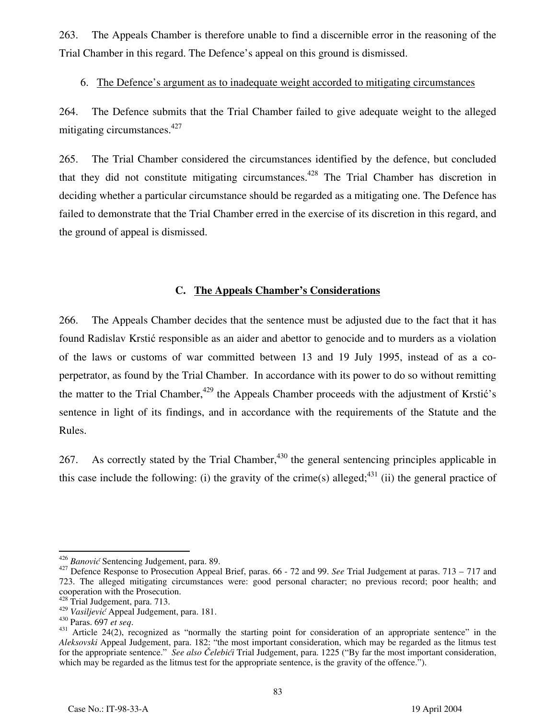263. The Appeals Chamber is therefore unable to find a discernible error in the reasoning of the Trial Chamber in this regard. The Defence's appeal on this ground is dismissed.

#### 6. The Defence's argument as to inadequate weight accorded to mitigating circumstances

264. The Defence submits that the Trial Chamber failed to give adequate weight to the alleged mitigating circumstances.<sup>427</sup>

265. The Trial Chamber considered the circumstances identified by the defence, but concluded that they did not constitute mitigating circumstances.<sup>428</sup> The Trial Chamber has discretion in deciding whether a particular circumstance should be regarded as a mitigating one. The Defence has failed to demonstrate that the Trial Chamber erred in the exercise of its discretion in this regard, and the ground of appeal is dismissed.

#### **C. The Appeals Chamber's Considerations**

266. The Appeals Chamber decides that the sentence must be adjusted due to the fact that it has found Radislav Krstić responsible as an aider and abettor to genocide and to murders as a violation of the laws or customs of war committed between 13 and 19 July 1995, instead of as a coperpetrator, as found by the Trial Chamber. In accordance with its power to do so without remitting the matter to the Trial Chamber,<sup>429</sup> the Appeals Chamber proceeds with the adjustment of Krstić's sentence in light of its findings, and in accordance with the requirements of the Statute and the Rules.

267. As correctly stated by the Trial Chamber,  $430$  the general sentencing principles applicable in this case include the following: (i) the gravity of the crime(s) alleged;<sup>431</sup> (ii) the general practice of

<sup>&</sup>lt;sup>426</sup> Banović Sentencing Judgement, para. 89.

<sup>&</sup>lt;sup>427</sup> Defence Response to Prosecution Appeal Brief, paras. 66 - 72 and 99. *See* Trial Judgement at paras. 713 – 717 and 723. The alleged mitigating circumstances were: good personal character; no previous record; poor health; and cooperation with the Prosecution.

 $428 \text{ Trial Judgement}$ , para. 713.<br> $429 \text{ Vasiljević Appendix}$  Judgement, para. 181.

<sup>&</sup>lt;sup>430</sup> Paras. 697 *et seq*. <sup>231</sup> Article 24(2), recognized as "normally the starting point for consideration of an appropriate sentence" in the *Aleksovski* Appeal Judgement, para. 182: "the most important consideration, which may be regarded as the litmus test for the appropriate sentence." *See also Čelebići* Trial Judgement, para. 1225 ("By far the most important consideration, which may be regarded as the litmus test for the appropriate sentence, is the gravity of the offence.").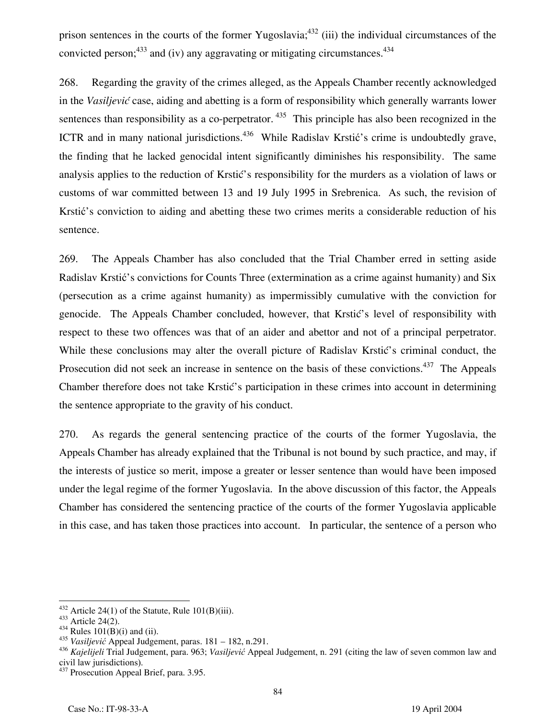prison sentences in the courts of the former Yugoslavia; $432$  (iii) the individual circumstances of the convicted person; $433$  and (iv) any aggravating or mitigating circumstances. $434$ 

268. Regarding the gravity of the crimes alleged, as the Appeals Chamber recently acknowledged in the *Vasiljević* case, aiding and abetting is a form of responsibility which generally warrants lower sentences than responsibility as a co-perpetrator.  $435$  This principle has also been recognized in the ICTR and in many national jurisdictions.<sup>436</sup> While Radislav Krstić's crime is undoubtedly grave, the finding that he lacked genocidal intent significantly diminishes his responsibility. The same analysis applies to the reduction of Krstić's responsibility for the murders as a violation of laws or customs of war committed between 13 and 19 July 1995 in Srebrenica. As such, the revision of Krstić's conviction to aiding and abetting these two crimes merits a considerable reduction of his sentence.

269. The Appeals Chamber has also concluded that the Trial Chamber erred in setting aside Radislav Krstić's convictions for Counts Three (extermination as a crime against humanity) and Six (persecution as a crime against humanity) as impermissibly cumulative with the conviction for genocide. The Appeals Chamber concluded, however, that Krstić's level of responsibility with respect to these two offences was that of an aider and abettor and not of a principal perpetrator. While these conclusions may alter the overall picture of Radislav Krstić's criminal conduct, the Prosecution did not seek an increase in sentence on the basis of these convictions.<sup>437</sup> The Appeals Chamber therefore does not take Krstić's participation in these crimes into account in determining the sentence appropriate to the gravity of his conduct.

270. As regards the general sentencing practice of the courts of the former Yugoslavia, the Appeals Chamber has already explained that the Tribunal is not bound by such practice, and may, if the interests of justice so merit, impose a greater or lesser sentence than would have been imposed under the legal regime of the former Yugoslavia. In the above discussion of this factor, the Appeals Chamber has considered the sentencing practice of the courts of the former Yugoslavia applicable in this case, and has taken those practices into account. In particular, the sentence of a person who

-

<sup>&</sup>lt;sup>432</sup> Article 24(1) of the Statute, Rule 101(B)(iii).<br><sup>433</sup> Article 24(2).<br><sup>434</sup> Rules 101(B)(i) and (ii).

<sup>&</sup>lt;sup>434</sup> Rules  $101(B)(i)$  and (ii).<br><sup>435</sup> *Vasiljević* Appeal Judgement, paras. 181 – 182, n.291.

<sup>436</sup> *Kajelijeli* Trial Judgement, para. 963; *Vasiljević* Appeal Judgement, n. 291 (citing the law of seven common law and civil law jurisdictions).

<sup>&</sup>lt;sup>437</sup> Prosecution Appeal Brief, para. 3.95.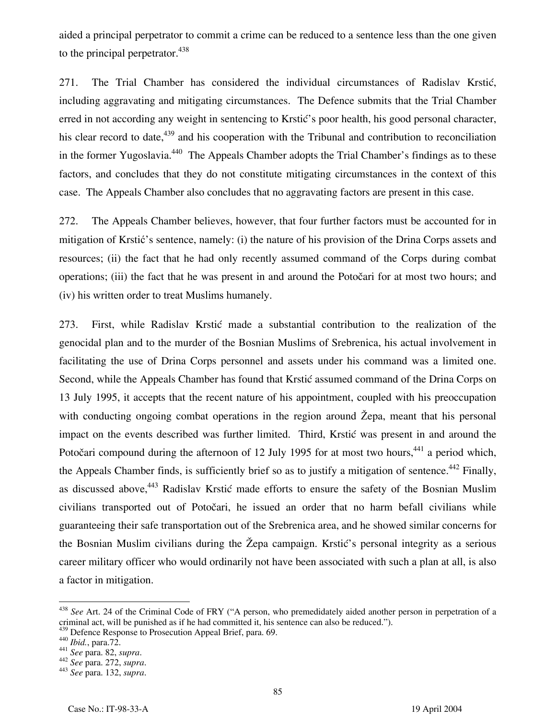aided a principal perpetrator to commit a crime can be reduced to a sentence less than the one given to the principal perpetrator.<sup>438</sup>

271. The Trial Chamber has considered the individual circumstances of Radislav Krstić, including aggravating and mitigating circumstances. The Defence submits that the Trial Chamber erred in not according any weight in sentencing to Krstić's poor health, his good personal character, his clear record to date, $439$  and his cooperation with the Tribunal and contribution to reconciliation in the former Yugoslavia.<sup>440</sup> The Appeals Chamber adopts the Trial Chamber's findings as to these factors, and concludes that they do not constitute mitigating circumstances in the context of this case. The Appeals Chamber also concludes that no aggravating factors are present in this case.

272. The Appeals Chamber believes, however, that four further factors must be accounted for in mitigation of Krstić's sentence, namely: (i) the nature of his provision of the Drina Corps assets and resources; (ii) the fact that he had only recently assumed command of the Corps during combat operations; (iii) the fact that he was present in and around the Potočari for at most two hours; and (iv) his written order to treat Muslims humanely.

273. First, while Radislav Krstić made a substantial contribution to the realization of the genocidal plan and to the murder of the Bosnian Muslims of Srebrenica, his actual involvement in facilitating the use of Drina Corps personnel and assets under his command was a limited one. Second, while the Appeals Chamber has found that Krstić assumed command of the Drina Corps on 13 July 1995, it accepts that the recent nature of his appointment, coupled with his preoccupation with conducting ongoing combat operations in the region around Zepa, meant that his personal impact on the events described was further limited. Third, Krstić was present in and around the Potočari compound during the afternoon of 12 July 1995 for at most two hours,<sup>441</sup> a period which, the Appeals Chamber finds, is sufficiently brief so as to justify a mitigation of sentence.<sup>442</sup> Finally, as discussed above,<sup>443</sup> Radislav Krstić made efforts to ensure the safety of the Bosnian Muslim civilians transported out of Potočari, he issued an order that no harm befall civilians while guaranteeing their safe transportation out of the Srebrenica area, and he showed similar concerns for the Bosnian Muslim civilians during the Žepa campaign. Krstić's personal integrity as a serious career military officer who would ordinarily not have been associated with such a plan at all, is also a factor in mitigation.

<sup>438</sup> *See* Art. 24 of the Criminal Code of FRY ("A person, who premedidately aided another person in perpetration of a criminal act, will be punished as if he had committed it, his sentence can also be reduced.").

<sup>439</sup> Defence Response to Prosecution Appeal Brief, para. 69. <sup>440</sup> *Ibid.*, para.72. <sup>441</sup> *See* para. 82, *supra*. <sup>442</sup> *See* para. 272, *supra*. <sup>443</sup> *See* para. 132, *supra*.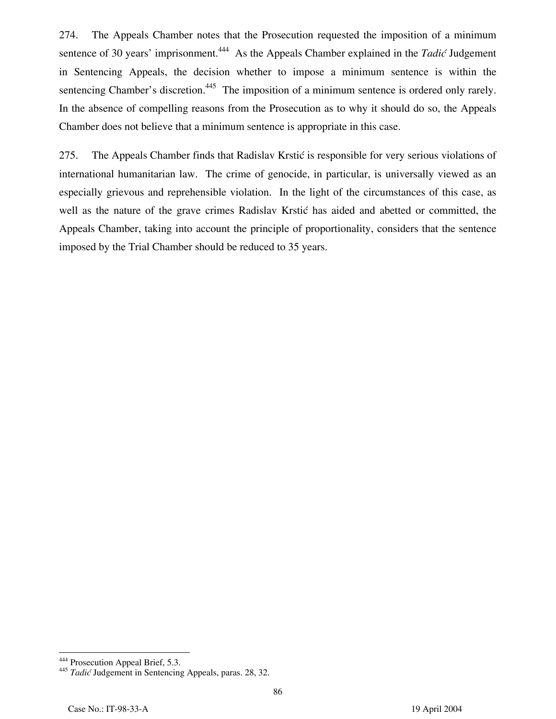274. The Appeals Chamber notes that the Prosecution requested the imposition of a minimum sentence of 30 years' imprisonment.<sup>444</sup> As the Appeals Chamber explained in the *Tadić* Judgement in Sentencing Appeals, the decision whether to impose a minimum sentence is within the sentencing Chamber's discretion.<sup>445</sup> The imposition of a minimum sentence is ordered only rarely. In the absence of compelling reasons from the Prosecution as to why it should do so, the Appeals Chamber does not believe that a minimum sentence is appropriate in this case.

275. The Appeals Chamber finds that Radislav Krstić is responsible for very serious violations of international humanitarian law. The crime of genocide, in particular, is universally viewed as an especially grievous and reprehensible violation. In the light of the circumstances of this case, as well as the nature of the grave crimes Radislav Krstić has aided and abetted or committed, the Appeals Chamber, taking into account the principle of proportionality, considers that the sentence imposed by the Trial Chamber should be reduced to 35 years.

 $\overline{a}$ <sup>444</sup> Prosecution Appeal Brief, 5.3.

<sup>445</sup> *Tadić* Judgement in Sentencing Appeals, paras. 28, 32.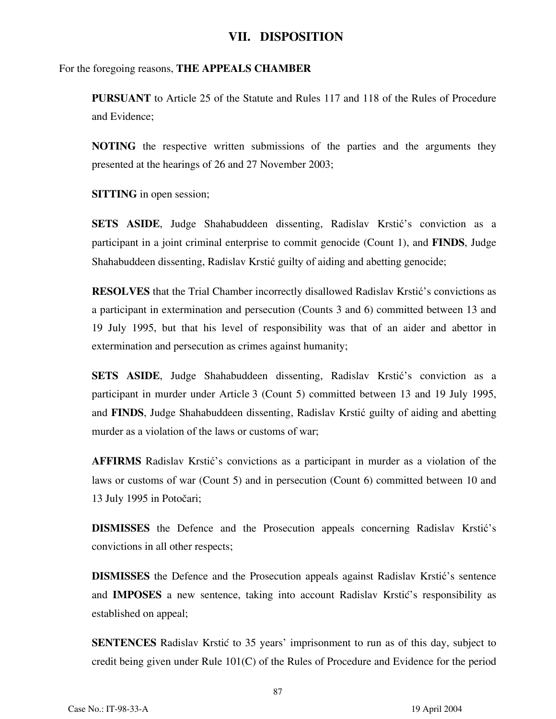## **VII. DISPOSITION**

For the foregoing reasons, **THE APPEALS CHAMBER**

**PURSUANT** to Article 25 of the Statute and Rules 117 and 118 of the Rules of Procedure and Evidence;

**NOTING** the respective written submissions of the parties and the arguments they presented at the hearings of 26 and 27 November 2003;

**SITTING** in open session;

**SETS ASIDE**, Judge Shahabuddeen dissenting, Radislav Krstić's conviction as a participant in a joint criminal enterprise to commit genocide (Count 1), and **FINDS**, Judge Shahabuddeen dissenting, Radislav Krstić guilty of aiding and abetting genocide;

**RESOLVES** that the Trial Chamber incorrectly disallowed Radislav Krstić's convictions as a participant in extermination and persecution (Counts 3 and 6) committed between 13 and 19 July 1995, but that his level of responsibility was that of an aider and abettor in extermination and persecution as crimes against humanity;

**SETS ASIDE**, Judge Shahabuddeen dissenting, Radislav Krstić's conviction as a participant in murder under Article 3 (Count 5) committed between 13 and 19 July 1995, and **FINDS**, Judge Shahabuddeen dissenting, Radislav Krstić guilty of aiding and abetting murder as a violation of the laws or customs of war;

**AFFIRMS** Radislav Krstić's convictions as a participant in murder as a violation of the laws or customs of war (Count 5) and in persecution (Count 6) committed between 10 and 13 July 1995 in Potočari;

**DISMISSES** the Defence and the Prosecution appeals concerning Radislav Krstić's convictions in all other respects;

**DISMISSES** the Defence and the Prosecution appeals against Radislav Krstić's sentence and **IMPOSES** a new sentence, taking into account Radislav Krstić's responsibility as established on appeal;

**SENTENCES** Radislav Krstić to 35 years' imprisonment to run as of this day, subject to credit being given under Rule 101(C) of the Rules of Procedure and Evidence for the period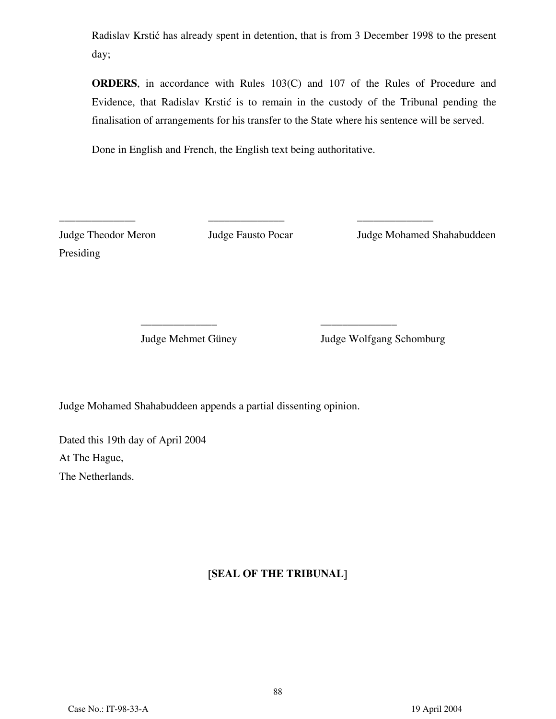Radislav Krstić has already spent in detention, that is from 3 December 1998 to the present day;

**ORDERS**, in accordance with Rules 103(C) and 107 of the Rules of Procedure and Evidence, that Radislav Krstić is to remain in the custody of the Tribunal pending the finalisation of arrangements for his transfer to the State where his sentence will be served.

Done in English and French, the English text being authoritative.

Judge Theodor Meron Presiding

\_\_\_\_\_\_\_\_\_\_\_\_\_\_

Judge Fausto Pocar

\_\_\_\_\_\_\_\_\_\_\_\_\_\_

Judge Mohamed Shahabuddeen

\_\_\_\_\_\_\_\_\_\_\_\_\_\_

Judge Mehmet Güney

\_\_\_\_\_\_\_\_\_\_\_\_\_\_

Judge Wolfgang Schomburg

\_\_\_\_\_\_\_\_\_\_\_\_\_\_

Judge Mohamed Shahabuddeen appends a partial dissenting opinion.

Dated this 19th day of April 2004

At The Hague,

The Netherlands.

## [**SEAL OF THE TRIBUNAL**]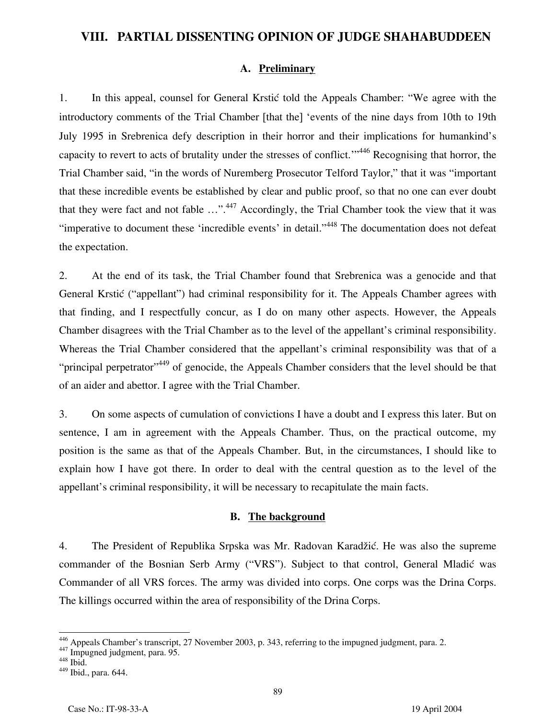## **VIII. PARTIAL DISSENTING OPINION OF JUDGE SHAHABUDDEEN**

#### **A. Preliminary**

1. In this appeal, counsel for General Krstić told the Appeals Chamber: "We agree with the introductory comments of the Trial Chamber [that the] 'events of the nine days from 10th to 19th July 1995 in Srebrenica defy description in their horror and their implications for humankind's capacity to revert to acts of brutality under the stresses of conflict."<sup>446</sup> Recognising that horror, the Trial Chamber said, "in the words of Nuremberg Prosecutor Telford Taylor," that it was "important that these incredible events be established by clear and public proof, so that no one can ever doubt that they were fact and not fable  $\ldots$ ".<sup>447</sup> Accordingly, the Trial Chamber took the view that it was "imperative to document these 'incredible events' in detail."448 The documentation does not defeat the expectation.

2. At the end of its task, the Trial Chamber found that Srebrenica was a genocide and that General Krstić ("appellant") had criminal responsibility for it. The Appeals Chamber agrees with that finding, and I respectfully concur, as I do on many other aspects. However, the Appeals Chamber disagrees with the Trial Chamber as to the level of the appellant's criminal responsibility. Whereas the Trial Chamber considered that the appellant's criminal responsibility was that of a "principal perpetrator"<sup>449</sup> of genocide, the Appeals Chamber considers that the level should be that of an aider and abettor. I agree with the Trial Chamber.

3. On some aspects of cumulation of convictions I have a doubt and I express this later. But on sentence, I am in agreement with the Appeals Chamber. Thus, on the practical outcome, my position is the same as that of the Appeals Chamber. But, in the circumstances, I should like to explain how I have got there. In order to deal with the central question as to the level of the appellant's criminal responsibility, it will be necessary to recapitulate the main facts.

#### **B. The background**

4. The President of Republika Srpska was Mr. Radovan Karadžić. He was also the supreme commander of the Bosnian Serb Army ("VRS"). Subject to that control, General Mladić was Commander of all VRS forces. The army was divided into corps. One corps was the Drina Corps. The killings occurred within the area of responsibility of the Drina Corps.

-

<sup>&</sup>lt;sup>446</sup> Appeals Chamber's transcript, 27 November 2003, p. 343, referring to the impugned judgment, para. 2.<br><sup>447</sup> Impugned judgment, para. 95.<br><sup>448</sup> Ibid.

 $^{448}$  Ibid.<br> $^{449}$  Ibid., para. 644.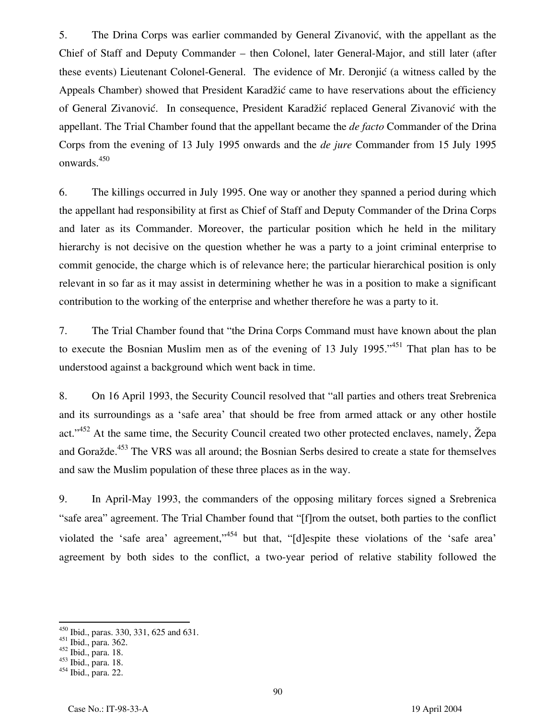5. The Drina Corps was earlier commanded by General Zivanović, with the appellant as the Chief of Staff and Deputy Commander – then Colonel, later General-Major, and still later (after these events) Lieutenant Colonel-General. The evidence of Mr. Deronjić (a witness called by the Appeals Chamber) showed that President Karadžić came to have reservations about the efficiency of General Zivanović. In consequence, President Karadžić replaced General Zivanović with the appellant. The Trial Chamber found that the appellant became the *de facto* Commander of the Drina Corps from the evening of 13 July 1995 onwards and the *de jure* Commander from 15 July 1995 onwards.<sup>450</sup>

6. The killings occurred in July 1995. One way or another they spanned a period during which the appellant had responsibility at first as Chief of Staff and Deputy Commander of the Drina Corps and later as its Commander. Moreover, the particular position which he held in the military hierarchy is not decisive on the question whether he was a party to a joint criminal enterprise to commit genocide, the charge which is of relevance here; the particular hierarchical position is only relevant in so far as it may assist in determining whether he was in a position to make a significant contribution to the working of the enterprise and whether therefore he was a party to it.

7. The Trial Chamber found that "the Drina Corps Command must have known about the plan to execute the Bosnian Muslim men as of the evening of 13 July 1995."451 That plan has to be understood against a background which went back in time.

8. On 16 April 1993, the Security Council resolved that "all parties and others treat Srebrenica and its surroundings as a 'safe area' that should be free from armed attack or any other hostile act."<sup>452</sup> At the same time, the Security Council created two other protected enclaves, namely, Žepa and Goražde.<sup>453</sup> The VRS was all around; the Bosnian Serbs desired to create a state for themselves and saw the Muslim population of these three places as in the way.

9. In April-May 1993, the commanders of the opposing military forces signed a Srebrenica "safe area" agreement. The Trial Chamber found that "[f]rom the outset, both parties to the conflict violated the 'safe area' agreement,"454 but that, "[d]espite these violations of the 'safe area' agreement by both sides to the conflict, a two-year period of relative stability followed the

<u>.</u>

<sup>&</sup>lt;sup>450</sup> Ibid., paras. 330, 331, 625 and 631.

<sup>451</sup> Ibid., para. 362.

<sup>452</sup> Ibid., para. 18.

<sup>453</sup> Ibid., para. 18.

<sup>454</sup> Ibid., para. 22.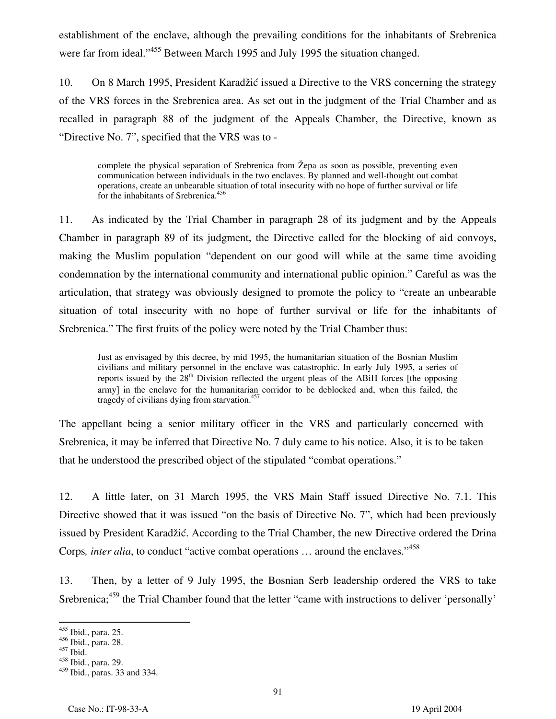establishment of the enclave, although the prevailing conditions for the inhabitants of Srebrenica were far from ideal."<sup>455</sup> Between March 1995 and July 1995 the situation changed.

10. On 8 March 1995, President Karadžić issued a Directive to the VRS concerning the strategy of the VRS forces in the Srebrenica area. As set out in the judgment of the Trial Chamber and as recalled in paragraph 88 of the judgment of the Appeals Chamber, the Directive, known as "Directive No. 7", specified that the VRS was to -

complete the physical separation of Srebrenica from Žepa as soon as possible, preventing even communication between individuals in the two enclaves. By planned and well-thought out combat operations, create an unbearable situation of total insecurity with no hope of further survival or life for the inhabitants of Srebrenica.<sup>456</sup>

11. As indicated by the Trial Chamber in paragraph 28 of its judgment and by the Appeals Chamber in paragraph 89 of its judgment, the Directive called for the blocking of aid convoys, making the Muslim population "dependent on our good will while at the same time avoiding condemnation by the international community and international public opinion." Careful as was the articulation, that strategy was obviously designed to promote the policy to "create an unbearable situation of total insecurity with no hope of further survival or life for the inhabitants of Srebrenica." The first fruits of the policy were noted by the Trial Chamber thus:

Just as envisaged by this decree, by mid 1995, the humanitarian situation of the Bosnian Muslim civilians and military personnel in the enclave was catastrophic. In early July 1995, a series of reports issued by the  $28<sup>th</sup>$  Division reflected the urgent pleas of the ABiH forces [the opposing army] in the enclave for the humanitarian corridor to be deblocked and, when this failed, the tragedy of civilians dying from starvation.<sup>457</sup>

The appellant being a senior military officer in the VRS and particularly concerned with Srebrenica, it may be inferred that Directive No. 7 duly came to his notice. Also, it is to be taken that he understood the prescribed object of the stipulated "combat operations."

12. A little later, on 31 March 1995, the VRS Main Staff issued Directive No. 7.1. This Directive showed that it was issued "on the basis of Directive No. 7", which had been previously issued by President Karadžić. According to the Trial Chamber, the new Directive ordered the Drina Corps, *inter alia*, to conduct "active combat operations ... around the enclaves."<sup>458</sup>

13. Then, by a letter of 9 July 1995, the Bosnian Serb leadership ordered the VRS to take Srebrenica;<sup>459</sup> the Trial Chamber found that the letter "came with instructions to deliver 'personally'

<sup>&</sup>lt;u>.</u> <sup>455</sup> Ibid., para. 25.

<sup>456</sup> Ibid., para. 28.

<sup>457</sup> Ibid.

<sup>458</sup> Ibid., para. 29.

<sup>459</sup> Ibid., paras. 33 and 334.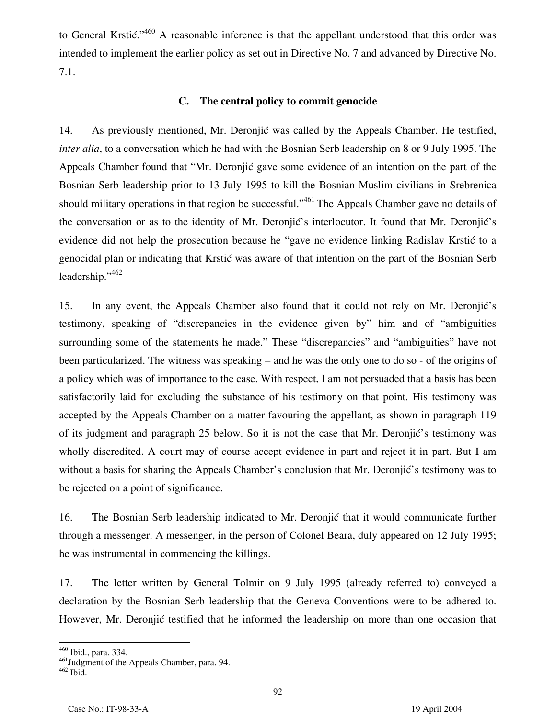to General Krstić."<sup>460</sup> A reasonable inference is that the appellant understood that this order was intended to implement the earlier policy as set out in Directive No. 7 and advanced by Directive No. 7.1.

## **C. The central policy to commit genocide**

14. As previously mentioned, Mr. Deronjić was called by the Appeals Chamber. He testified, *inter alia*, to a conversation which he had with the Bosnian Serb leadership on 8 or 9 July 1995. The Appeals Chamber found that "Mr. Deronjić gave some evidence of an intention on the part of the Bosnian Serb leadership prior to 13 July 1995 to kill the Bosnian Muslim civilians in Srebrenica should military operations in that region be successful."<sup>461</sup> The Appeals Chamber gave no details of the conversation or as to the identity of Mr. Deronjić's interlocutor. It found that Mr. Deronjić's evidence did not help the prosecution because he "gave no evidence linking Radislav Krstić to a genocidal plan or indicating that Krstić was aware of that intention on the part of the Bosnian Serb leadership."<sup>462</sup>

15. In any event, the Appeals Chamber also found that it could not rely on Mr. Deronjić's testimony, speaking of "discrepancies in the evidence given by" him and of "ambiguities surrounding some of the statements he made." These "discrepancies" and "ambiguities" have not been particularized. The witness was speaking – and he was the only one to do so - of the origins of a policy which was of importance to the case. With respect, I am not persuaded that a basis has been satisfactorily laid for excluding the substance of his testimony on that point. His testimony was accepted by the Appeals Chamber on a matter favouring the appellant, as shown in paragraph 119 of its judgment and paragraph 25 below. So it is not the case that Mr. Deronjić's testimony was wholly discredited. A court may of course accept evidence in part and reject it in part. But I am without a basis for sharing the Appeals Chamber's conclusion that Mr. Deronjić's testimony was to be rejected on a point of significance.

16. The Bosnian Serb leadership indicated to Mr. Deronjić that it would communicate further through a messenger. A messenger, in the person of Colonel Beara, duly appeared on 12 July 1995; he was instrumental in commencing the killings.

17. The letter written by General Tolmir on 9 July 1995 (already referred to) conveyed a declaration by the Bosnian Serb leadership that the Geneva Conventions were to be adhered to. However, Mr. Deronjić testified that he informed the leadership on more than one occasion that

<sup>460</sup> Ibid., para. 334.

<sup>&</sup>lt;sup>461</sup>Judgment of the Appeals Chamber, para. 94.

 $462$  Ibid.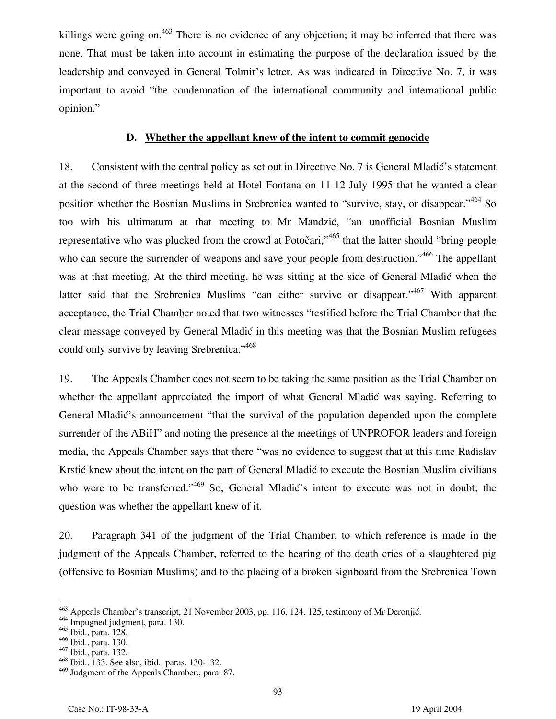killings were going on.<sup>463</sup> There is no evidence of any objection; it may be inferred that there was none. That must be taken into account in estimating the purpose of the declaration issued by the leadership and conveyed in General Tolmir's letter. As was indicated in Directive No. 7, it was important to avoid "the condemnation of the international community and international public opinion."

#### **D. Whether the appellant knew of the intent to commit genocide**

18. Consistent with the central policy as set out in Directive No. 7 is General Mladić's statement at the second of three meetings held at Hotel Fontana on 11-12 July 1995 that he wanted a clear position whether the Bosnian Muslims in Srebrenica wanted to "survive, stay, or disappear."<sup>464</sup> So too with his ultimatum at that meeting to Mr Mandzić, "an unofficial Bosnian Muslim representative who was plucked from the crowd at Potočari,"465 that the latter should "bring people who can secure the surrender of weapons and save your people from destruction.<sup>466</sup> The appellant was at that meeting. At the third meeting, he was sitting at the side of General Mladić when the latter said that the Srebrenica Muslims "can either survive or disappear."<sup>467</sup> With apparent acceptance, the Trial Chamber noted that two witnesses "testified before the Trial Chamber that the clear message conveyed by General Mladić in this meeting was that the Bosnian Muslim refugees could only survive by leaving Srebrenica."<sup>468</sup>

19. The Appeals Chamber does not seem to be taking the same position as the Trial Chamber on whether the appellant appreciated the import of what General Mladić was saying. Referring to General Mladić's announcement "that the survival of the population depended upon the complete surrender of the ABiH" and noting the presence at the meetings of UNPROFOR leaders and foreign media, the Appeals Chamber says that there "was no evidence to suggest that at this time Radislav Krstić knew about the intent on the part of General Mladić to execute the Bosnian Muslim civilians who were to be transferred."<sup>469</sup> So, General Mladić's intent to execute was not in doubt; the question was whether the appellant knew of it.

20. Paragraph 341 of the judgment of the Trial Chamber, to which reference is made in the judgment of the Appeals Chamber, referred to the hearing of the death cries of a slaughtered pig (offensive to Bosnian Muslims) and to the placing of a broken signboard from the Srebrenica Town

 $\overline{a}$ <sup>463</sup> Appeals Chamber's transcript, 21 November 2003, pp. 116, 124, 125, testimony of Mr Deronjić.<br><sup>464</sup> Impugned judgment, para. 130.

 $^{464}$  Impugned judgment, para. 130.<br> $^{465}$  Ibid., para. 128.

<sup>466</sup> Ibid., para. 130.

<sup>467</sup> Ibid., para. 132.

<sup>468</sup> Ibid., 133. See also, ibid., paras. 130-132.

<sup>469</sup> Judgment of the Appeals Chamber., para. 87.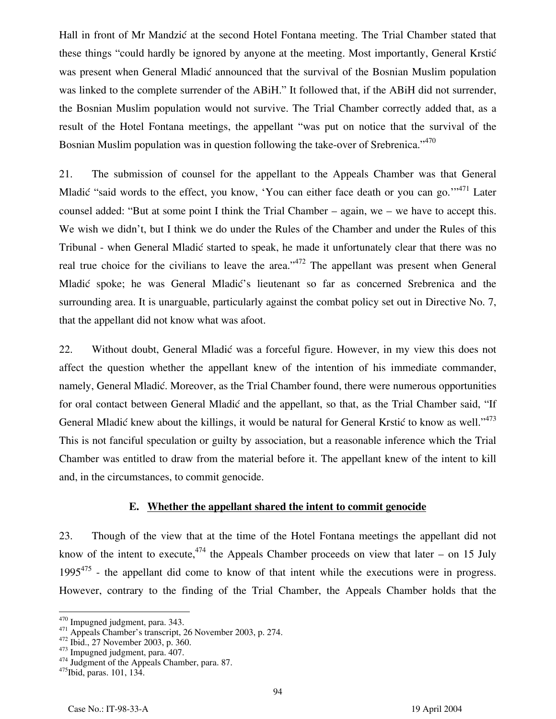Hall in front of Mr Mandzić at the second Hotel Fontana meeting. The Trial Chamber stated that these things "could hardly be ignored by anyone at the meeting. Most importantly, General Krstić was present when General Mladić announced that the survival of the Bosnian Muslim population was linked to the complete surrender of the ABiH." It followed that, if the ABiH did not surrender, the Bosnian Muslim population would not survive. The Trial Chamber correctly added that, as a result of the Hotel Fontana meetings, the appellant "was put on notice that the survival of the Bosnian Muslim population was in question following the take-over of Srebrenica."<sup>470</sup>

21. The submission of counsel for the appellant to the Appeals Chamber was that General Mladić "said words to the effect, you know, 'You can either face death or you can go."<sup>471</sup> Later counsel added: "But at some point I think the Trial Chamber – again, we – we have to accept this. We wish we didn't, but I think we do under the Rules of the Chamber and under the Rules of this Tribunal - when General Mladić started to speak, he made it unfortunately clear that there was no real true choice for the civilians to leave the area."<sup>472</sup> The appellant was present when General Mladić spoke; he was General Mladić's lieutenant so far as concerned Srebrenica and the surrounding area. It is unarguable, particularly against the combat policy set out in Directive No. 7, that the appellant did not know what was afoot.

22. Without doubt, General Mladić was a forceful figure. However, in my view this does not affect the question whether the appellant knew of the intention of his immediate commander, namely, General Mladić. Moreover, as the Trial Chamber found, there were numerous opportunities for oral contact between General Mladić and the appellant, so that, as the Trial Chamber said, "If General Mladić knew about the killings, it would be natural for General Krstić to know as well."<sup>473</sup> This is not fanciful speculation or guilty by association, but a reasonable inference which the Trial Chamber was entitled to draw from the material before it. The appellant knew of the intent to kill and, in the circumstances, to commit genocide.

## **E. Whether the appellant shared the intent to commit genocide**

23. Though of the view that at the time of the Hotel Fontana meetings the appellant did not know of the intent to execute,<sup>474</sup> the Appeals Chamber proceeds on view that later – on 15 July  $1995<sup>475</sup>$  - the appellant did come to know of that intent while the executions were in progress. However, contrary to the finding of the Trial Chamber, the Appeals Chamber holds that the

<sup>&</sup>lt;sup>470</sup> Impugned judgment, para. 343.

<sup>471</sup> Appeals Chamber's transcript, 26 November 2003, p. 274.<br>  $^{472}$  Ibid., 27 November 2003, p. 360.<br>  $^{473}$  Impugned judgment, para. 407.<br>  $^{474}$  Judgment of the Appeals Chamber, para. 87.

<sup>475</sup>Ibid, paras. 101, 134.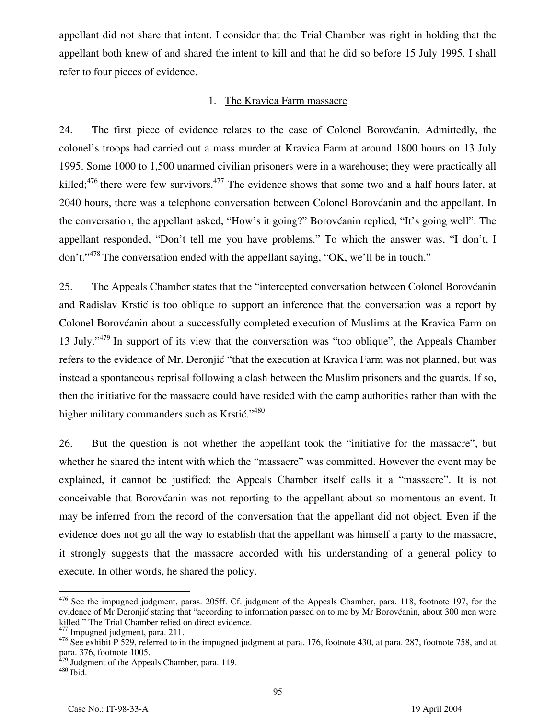appellant did not share that intent. I consider that the Trial Chamber was right in holding that the appellant both knew of and shared the intent to kill and that he did so before 15 July 1995. I shall refer to four pieces of evidence.

## 1. The Kravica Farm massacre

24. The first piece of evidence relates to the case of Colonel Borovćanin. Admittedly, the colonel's troops had carried out a mass murder at Kravica Farm at around 1800 hours on 13 July 1995. Some 1000 to 1,500 unarmed civilian prisoners were in a warehouse; they were practically all killed;<sup>476</sup> there were few survivors.<sup>477</sup> The evidence shows that some two and a half hours later, at 2040 hours, there was a telephone conversation between Colonel Borovćanin and the appellant. In the conversation, the appellant asked, "How's it going?" Borovćanin replied, "It's going well". The appellant responded, "Don't tell me you have problems." To which the answer was, "I don't, I don't."<sup>478</sup> The conversation ended with the appellant saying, "OK, we'll be in touch."

25. The Appeals Chamber states that the "intercepted conversation between Colonel Borovćanin and Radislav Krstić is too oblique to support an inference that the conversation was a report by Colonel Borovćanin about a successfully completed execution of Muslims at the Kravica Farm on 13 July."<sup>479</sup> In support of its view that the conversation was "too oblique", the Appeals Chamber refers to the evidence of Mr. Deronjić "that the execution at Kravica Farm was not planned, but was instead a spontaneous reprisal following a clash between the Muslim prisoners and the guards. If so, then the initiative for the massacre could have resided with the camp authorities rather than with the higher military commanders such as Krstić."<sup>480</sup>

26. But the question is not whether the appellant took the "initiative for the massacre", but whether he shared the intent with which the "massacre" was committed. However the event may be explained, it cannot be justified: the Appeals Chamber itself calls it a "massacre". It is not conceivable that Borovćanin was not reporting to the appellant about so momentous an event. It may be inferred from the record of the conversation that the appellant did not object. Even if the evidence does not go all the way to establish that the appellant was himself a party to the massacre, it strongly suggests that the massacre accorded with his understanding of a general policy to execute. In other words, he shared the policy.

<sup>-</sup><sup>476</sup> See the impugned judgment, paras. 205ff. Cf. judgment of the Appeals Chamber, para. 118, footnote 197, for the evidence of Mr Deronjić stating that "according to information passed on to me by Mr Borovćanin, about 300 men were killed." The Trial Chamber relied on direct evidence.<br><sup>477</sup> Impugned judgment, para. 211.

 $478$  See exhibit P 529, referred to in the impugned judgment at para. 176, footnote 430, at para. 287, footnote 758, and at para. 376, footnote 1005.

<sup>&</sup>lt;sup>479</sup> Judgment of the Appeals Chamber, para. 119.<br><sup>480</sup> Ibid.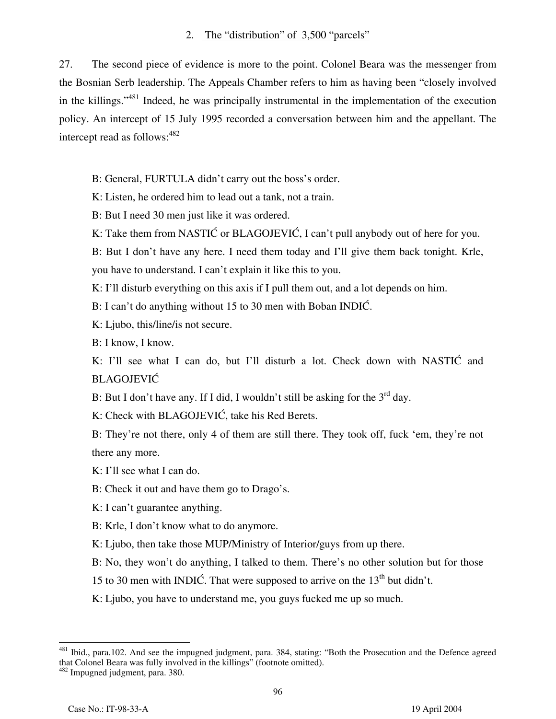## 2. The "distribution" of 3,500 "parcels"

27. The second piece of evidence is more to the point. Colonel Beara was the messenger from the Bosnian Serb leadership. The Appeals Chamber refers to him as having been "closely involved in the killings."<sup>481</sup> Indeed, he was principally instrumental in the implementation of the execution policy. An intercept of 15 July 1995 recorded a conversation between him and the appellant. The intercept read as follows: $482$ 

B: General, FURTULA didn't carry out the boss's order.

K: Listen, he ordered him to lead out a tank, not a train.

B: But I need 30 men just like it was ordered.

K: Take them from NASTIĆ or BLAGOJEVIĆ, I can't pull anybody out of here for you.

B: But I don't have any here. I need them today and I'll give them back tonight. Krle, you have to understand. I can't explain it like this to you.

K: I'll disturb everything on this axis if I pull them out, and a lot depends on him.

B: I can't do anything without 15 to 30 men with Boban INDIĆ.

K: Ljubo, this/line/is not secure.

B: I know, I know.

K: I'll see what I can do, but I'll disturb a lot. Check down with NASTIĆ and BLAGOJEVIĆ

B: But I don't have any. If I did, I wouldn't still be asking for the  $3<sup>rd</sup>$  day.

K: Check with BLAGOJEVIĆ, take his Red Berets.

B: They're not there, only 4 of them are still there. They took off, fuck 'em, they're not there any more.

K: I'll see what I can do.

B: Check it out and have them go to Drago's.

K: I can't guarantee anything.

B: Krle, I don't know what to do anymore.

K: Ljubo, then take those MUP/Ministry of Interior/guys from up there.

B: No, they won't do anything, I talked to them. There's no other solution but for those

15 to 30 men with INDIĆ. That were supposed to arrive on the  $13<sup>th</sup>$  but didn't.

K: Ljubo, you have to understand me, you guys fucked me up so much.

<sup>&</sup>lt;sup>481</sup> Ibid., para.102. And see the impugned judgment, para. 384, stating: "Both the Prosecution and the Defence agreed that Colonel Beara was fully involved in the killings" (footnote omitted).

 $482$  Impugned judgment, para. 380.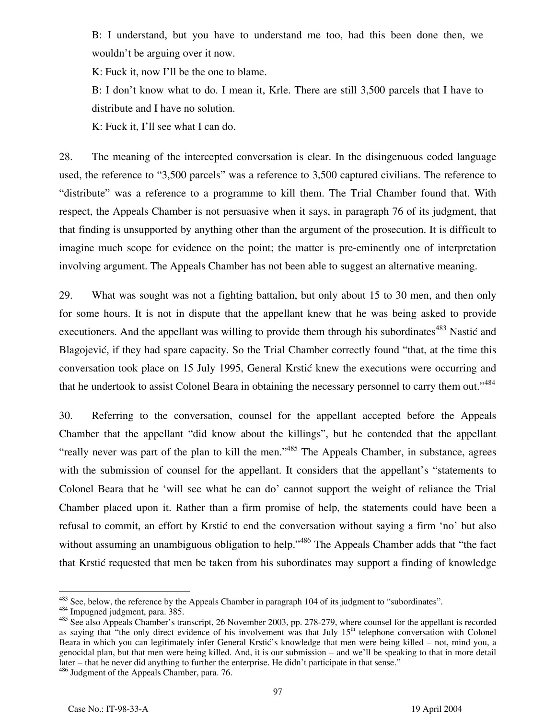B: I understand, but you have to understand me too, had this been done then, we wouldn't be arguing over it now.

K: Fuck it, now I'll be the one to blame.

B: I don't know what to do. I mean it, Krle. There are still 3,500 parcels that I have to distribute and I have no solution.

K: Fuck it, I'll see what I can do.

28. The meaning of the intercepted conversation is clear. In the disingenuous coded language used, the reference to "3,500 parcels" was a reference to 3,500 captured civilians. The reference to "distribute" was a reference to a programme to kill them. The Trial Chamber found that. With respect, the Appeals Chamber is not persuasive when it says, in paragraph 76 of its judgment, that that finding is unsupported by anything other than the argument of the prosecution. It is difficult to imagine much scope for evidence on the point; the matter is pre-eminently one of interpretation involving argument. The Appeals Chamber has not been able to suggest an alternative meaning.

29. What was sought was not a fighting battalion, but only about 15 to 30 men, and then only for some hours. It is not in dispute that the appellant knew that he was being asked to provide executioners. And the appellant was willing to provide them through his subordinates<sup>483</sup> Nastić and Blagojević, if they had spare capacity. So the Trial Chamber correctly found "that, at the time this conversation took place on 15 July 1995, General Krstić knew the executions were occurring and that he undertook to assist Colonel Beara in obtaining the necessary personnel to carry them out."<sup>484</sup>

30. Referring to the conversation, counsel for the appellant accepted before the Appeals Chamber that the appellant "did know about the killings", but he contended that the appellant "really never was part of the plan to kill the men."<sup>485</sup> The Appeals Chamber, in substance, agrees with the submission of counsel for the appellant. It considers that the appellant's "statements to Colonel Beara that he 'will see what he can do' cannot support the weight of reliance the Trial Chamber placed upon it. Rather than a firm promise of help, the statements could have been a refusal to commit, an effort by Krstić to end the conversation without saying a firm 'no' but also without assuming an unambiguous obligation to help."<sup>486</sup> The Appeals Chamber adds that "the fact that Krstić requested that men be taken from his subordinates may support a finding of knowledge

<sup>-</sup> $^{483}$  See, below, the reference by the Appeals Chamber in paragraph 104 of its judgment to "subordinates".<br> $^{484}$  Impugned judgment, para. 385.

<sup>&</sup>lt;sup>484</sup> Impugned judgment, para. 385.<br><sup>485</sup> See also Appeals Chamber's transcript, 26 November 2003, pp. 278-279, where counsel for the appellant is recorded as saying that "the only direct evidence of his involvement was that July  $15<sup>th</sup>$  telephone conversation with Colonel Beara in which you can legitimately infer General Krstić's knowledge that men were being killed – not, mind you, a genocidal plan, but that men were being killed. And, it is our submission – and we'll be speaking to that in more detail later – that he never did anything to further the enterprise. He didn't participate in that sense."

<sup>&</sup>lt;sup>486</sup> Judgment of the Appeals Chamber, para. 76.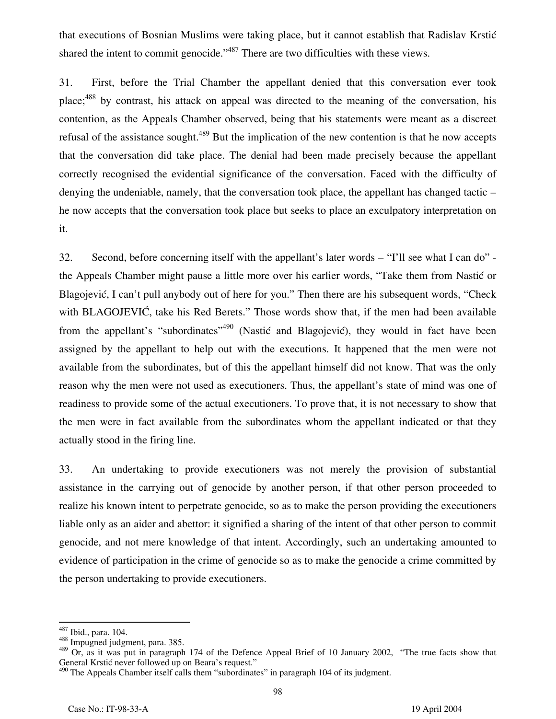that executions of Bosnian Muslims were taking place, but it cannot establish that Radislav Krstić shared the intent to commit genocide."<sup>487</sup> There are two difficulties with these views.

31. First, before the Trial Chamber the appellant denied that this conversation ever took place;<sup>488</sup> by contrast, his attack on appeal was directed to the meaning of the conversation, his contention, as the Appeals Chamber observed, being that his statements were meant as a discreet refusal of the assistance sought.<sup>489</sup> But the implication of the new contention is that he now accepts that the conversation did take place. The denial had been made precisely because the appellant correctly recognised the evidential significance of the conversation. Faced with the difficulty of denying the undeniable, namely, that the conversation took place, the appellant has changed tactic – he now accepts that the conversation took place but seeks to place an exculpatory interpretation on it.

32. Second, before concerning itself with the appellant's later words – "I'll see what I can do" the Appeals Chamber might pause a little more over his earlier words, "Take them from Nastić or Blagojević, I can't pull anybody out of here for you." Then there are his subsequent words, "Check with BLAGOJEVIĆ, take his Red Berets." Those words show that, if the men had been available from the appellant's "subordinates"<sup>490</sup> (Nastić and Blagojević), they would in fact have been assigned by the appellant to help out with the executions. It happened that the men were not available from the subordinates, but of this the appellant himself did not know. That was the only reason why the men were not used as executioners. Thus, the appellant's state of mind was one of readiness to provide some of the actual executioners. To prove that, it is not necessary to show that the men were in fact available from the subordinates whom the appellant indicated or that they actually stood in the firing line.

33. An undertaking to provide executioners was not merely the provision of substantial assistance in the carrying out of genocide by another person, if that other person proceeded to realize his known intent to perpetrate genocide, so as to make the person providing the executioners liable only as an aider and abettor: it signified a sharing of the intent of that other person to commit genocide, and not mere knowledge of that intent. Accordingly, such an undertaking amounted to evidence of participation in the crime of genocide so as to make the genocide a crime committed by the person undertaking to provide executioners.

<sup>487</sup> Ibid., para. 104.

 $488$  Impugned judgment, para. 385.

<sup>&</sup>lt;sup>489</sup> Or, as it was put in paragraph 174 of the Defence Appeal Brief of 10 January 2002, "The true facts show that General Krstić never followed up on Beara's request."

<sup>&</sup>lt;sup>490</sup> The Appeals Chamber itself calls them "subordinates" in paragraph 104 of its judgment.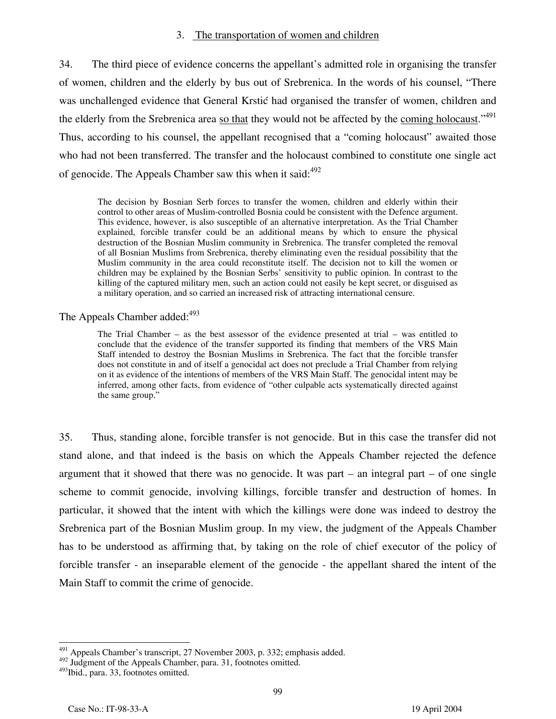#### 3. The transportation of women and children

34. The third piece of evidence concerns the appellant's admitted role in organising the transfer of women, children and the elderly by bus out of Srebrenica. In the words of his counsel, "There was unchallenged evidence that General Krstić had organised the transfer of women, children and the elderly from the Srebrenica area so that they would not be affected by the coming holocaust."<sup>491</sup> Thus, according to his counsel, the appellant recognised that a "coming holocaust" awaited those who had not been transferred. The transfer and the holocaust combined to constitute one single act of genocide. The Appeals Chamber saw this when it said:<sup>492</sup>

The decision by Bosnian Serb forces to transfer the women, children and elderly within their control to other areas of Muslim-controlled Bosnia could be consistent with the Defence argument. This evidence, however, is also susceptible of an alternative interpretation. As the Trial Chamber explained, forcible transfer could be an additional means by which to ensure the physical destruction of the Bosnian Muslim community in Srebrenica. The transfer completed the removal of all Bosnian Muslims from Srebrenica, thereby eliminating even the residual possibility that the Muslim community in the area could reconstitute itself. The decision not to kill the women or children may be explained by the Bosnian Serbs' sensitivity to public opinion. In contrast to the killing of the captured military men, such an action could not easily be kept secret, or disguised as a military operation, and so carried an increased risk of attracting international censure.

The Appeals Chamber added:<sup>493</sup>

The Trial Chamber – as the best assessor of the evidence presented at trial – was entitled to conclude that the evidence of the transfer supported its finding that members of the VRS Main Staff intended to destroy the Bosnian Muslims in Srebrenica. The fact that the forcible transfer does not constitute in and of itself a genocidal act does not preclude a Trial Chamber from relying on it as evidence of the intentions of members of the VRS Main Staff. The genocidal intent may be inferred, among other facts, from evidence of "other culpable acts systematically directed against the same group."

35. Thus, standing alone, forcible transfer is not genocide. But in this case the transfer did not stand alone, and that indeed is the basis on which the Appeals Chamber rejected the defence argument that it showed that there was no genocide. It was part – an integral part – of one single scheme to commit genocide, involving killings, forcible transfer and destruction of homes. In particular, it showed that the intent with which the killings were done was indeed to destroy the Srebrenica part of the Bosnian Muslim group. In my view, the judgment of the Appeals Chamber has to be understood as affirming that, by taking on the role of chief executor of the policy of forcible transfer - an inseparable element of the genocide - the appellant shared the intent of the Main Staff to commit the crime of genocide.

 $^{491}$  Appeals Chamber's transcript, 27 November 2003, p. 332; emphasis added.

<sup>&</sup>lt;sup>492</sup> Judgment of the Appeals Chamber, para. 31, footnotes omitted.

<sup>493</sup>Ibid., para. 33, footnotes omitted.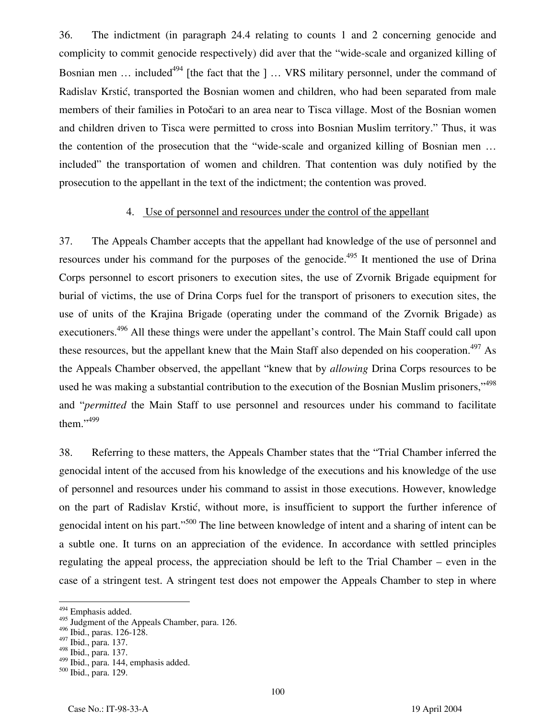36. The indictment (in paragraph 24.4 relating to counts 1 and 2 concerning genocide and complicity to commit genocide respectively) did aver that the "wide-scale and organized killing of Bosnian men ... included<sup>494</sup> [the fact that the ] ... VRS military personnel, under the command of Radislav Krstić, transported the Bosnian women and children, who had been separated from male members of their families in Potočari to an area near to Tisca village. Most of the Bosnian women and children driven to Tisca were permitted to cross into Bosnian Muslim territory." Thus, it was the contention of the prosecution that the "wide-scale and organized killing of Bosnian men … included" the transportation of women and children. That contention was duly notified by the prosecution to the appellant in the text of the indictment; the contention was proved.

## 4. Use of personnel and resources under the control of the appellant

37. The Appeals Chamber accepts that the appellant had knowledge of the use of personnel and resources under his command for the purposes of the genocide.<sup>495</sup> It mentioned the use of Drina Corps personnel to escort prisoners to execution sites, the use of Zvornik Brigade equipment for burial of victims, the use of Drina Corps fuel for the transport of prisoners to execution sites, the use of units of the Krajina Brigade (operating under the command of the Zvornik Brigade) as executioners.<sup>496</sup> All these things were under the appellant's control. The Main Staff could call upon these resources, but the appellant knew that the Main Staff also depended on his cooperation.<sup>497</sup> As the Appeals Chamber observed, the appellant "knew that by *allowing* Drina Corps resources to be used he was making a substantial contribution to the execution of the Bosnian Muslim prisoners,"<sup>498</sup> and "*permitted* the Main Staff to use personnel and resources under his command to facilitate them." 499

38. Referring to these matters, the Appeals Chamber states that the "Trial Chamber inferred the genocidal intent of the accused from his knowledge of the executions and his knowledge of the use of personnel and resources under his command to assist in those executions. However, knowledge on the part of Radislav Krstić, without more, is insufficient to support the further inference of genocidal intent on his part."500 The line between knowledge of intent and a sharing of intent can be a subtle one. It turns on an appreciation of the evidence. In accordance with settled principles regulating the appeal process, the appreciation should be left to the Trial Chamber – even in the case of a stringent test. A stringent test does not empower the Appeals Chamber to step in where

<sup>&</sup>lt;sup>494</sup> Emphasis added.

<sup>&</sup>lt;sup>495</sup> Judgment of the Appeals Chamber, para. 126.

<sup>496</sup> Ibid., paras. 126-128.

<sup>497</sup> Ibid., para. 137.

<sup>498</sup> Ibid., para. 137.

<sup>&</sup>lt;sup>499</sup> Ibid., para. 144, emphasis added.

<sup>500</sup> Ibid., para. 129.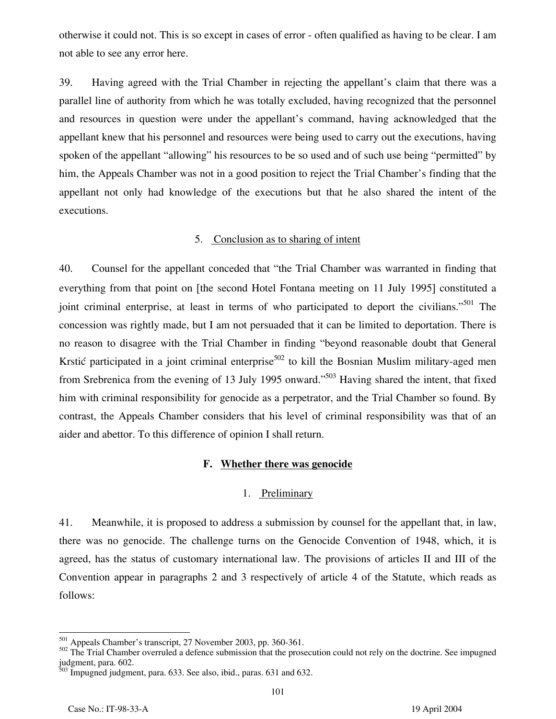otherwise it could not. This is so except in cases of error - often qualified as having to be clear. I am not able to see any error here.

39. Having agreed with the Trial Chamber in rejecting the appellant's claim that there was a parallel line of authority from which he was totally excluded, having recognized that the personnel and resources in question were under the appellant's command, having acknowledged that the appellant knew that his personnel and resources were being used to carry out the executions, having spoken of the appellant "allowing" his resources to be so used and of such use being "permitted" by him, the Appeals Chamber was not in a good position to reject the Trial Chamber's finding that the appellant not only had knowledge of the executions but that he also shared the intent of the executions.

## 5. Conclusion as to sharing of intent

40. Counsel for the appellant conceded that "the Trial Chamber was warranted in finding that everything from that point on [the second Hotel Fontana meeting on 11 July 1995] constituted a joint criminal enterprise, at least in terms of who participated to deport the civilians."<sup>501</sup> The concession was rightly made, but I am not persuaded that it can be limited to deportation. There is no reason to disagree with the Trial Chamber in finding "beyond reasonable doubt that General Krstić participated in a joint criminal enterprise<sup>502</sup> to kill the Bosnian Muslim military-aged men from Srebrenica from the evening of 13 July 1995 onward."<sup>503</sup> Having shared the intent, that fixed him with criminal responsibility for genocide as a perpetrator, and the Trial Chamber so found. By contrast, the Appeals Chamber considers that his level of criminal responsibility was that of an aider and abettor. To this difference of opinion I shall return.

## **F. Whether there was genocide**

## 1. Preliminary

41. Meanwhile, it is proposed to address a submission by counsel for the appellant that, in law, there was no genocide. The challenge turns on the Genocide Convention of 1948, which, it is agreed, has the status of customary international law. The provisions of articles II and III of the Convention appear in paragraphs 2 and 3 respectively of article 4 of the Statute, which reads as follows:

-

<sup>501</sup> Appeals Chamber's transcript, 27 November 2003, pp. 360-361.

<sup>502</sup> The Trial Chamber overruled a defence submission that the prosecution could not rely on the doctrine. See impugned judgment, para. 602.

Impugned judgment, para. 633. See also, ibid., paras. 631 and 632.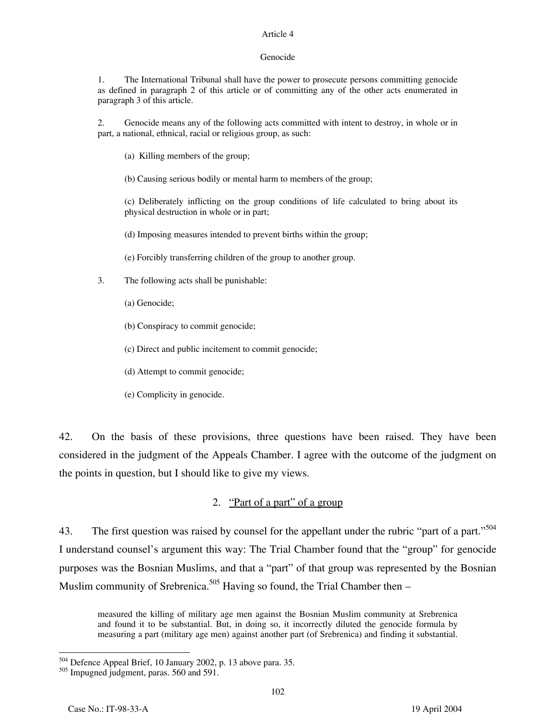#### Article 4

#### Genocide

1. The International Tribunal shall have the power to prosecute persons committing genocide as defined in paragraph 2 of this article or of committing any of the other acts enumerated in paragraph 3 of this article.

2. Genocide means any of the following acts committed with intent to destroy, in whole or in part, a national, ethnical, racial or religious group, as such:

(a) Killing members of the group;

(b) Causing serious bodily or mental harm to members of the group;

(c) Deliberately inflicting on the group conditions of life calculated to bring about its physical destruction in whole or in part;

(d) Imposing measures intended to prevent births within the group;

(e) Forcibly transferring children of the group to another group.

3. The following acts shall be punishable:

(a) Genocide;

(b) Conspiracy to commit genocide;

(c) Direct and public incitement to commit genocide;

(d) Attempt to commit genocide;

(e) Complicity in genocide.

42. On the basis of these provisions, three questions have been raised. They have been considered in the judgment of the Appeals Chamber. I agree with the outcome of the judgment on the points in question, but I should like to give my views.

#### 2. "Part of a part" of a group

43. The first question was raised by counsel for the appellant under the rubric "part of a part."<sup>504</sup> I understand counsel's argument this way: The Trial Chamber found that the "group" for genocide purposes was the Bosnian Muslims, and that a "part" of that group was represented by the Bosnian Muslim community of Srebrenica.<sup>505</sup> Having so found, the Trial Chamber then –

measured the killing of military age men against the Bosnian Muslim community at Srebrenica and found it to be substantial. But, in doing so, it incorrectly diluted the genocide formula by measuring a part (military age men) against another part (of Srebrenica) and finding it substantial.

<sup>&</sup>lt;sup>504</sup> Defence Appeal Brief, 10 January 2002, p. 13 above para. 35.

<sup>505</sup> Impugned judgment, paras. 560 and 591.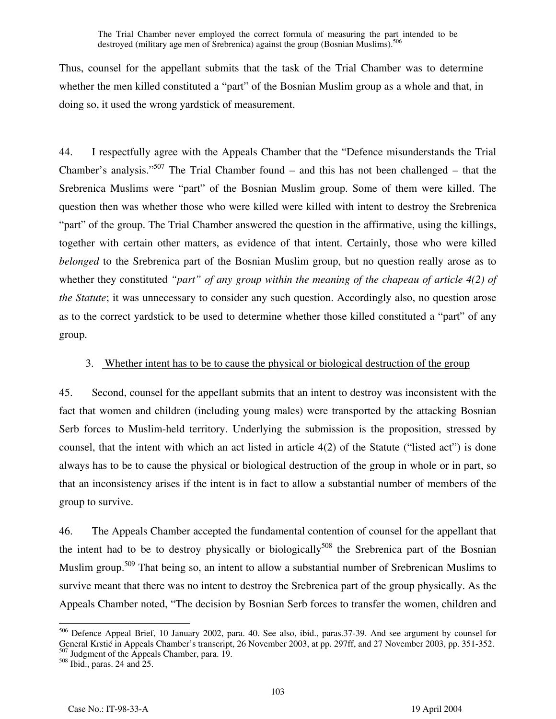The Trial Chamber never employed the correct formula of measuring the part intended to be destroyed (military age men of Srebrenica) against the group (Bosnian Muslims).<sup>506</sup>

Thus, counsel for the appellant submits that the task of the Trial Chamber was to determine whether the men killed constituted a "part" of the Bosnian Muslim group as a whole and that, in doing so, it used the wrong yardstick of measurement.

44. I respectfully agree with the Appeals Chamber that the "Defence misunderstands the Trial Chamber's analysis."<sup>507</sup> The Trial Chamber found – and this has not been challenged – that the Srebrenica Muslims were "part" of the Bosnian Muslim group. Some of them were killed. The question then was whether those who were killed were killed with intent to destroy the Srebrenica "part" of the group. The Trial Chamber answered the question in the affirmative, using the killings, together with certain other matters, as evidence of that intent. Certainly, those who were killed *belonged* to the Srebrenica part of the Bosnian Muslim group, but no question really arose as to whether they constituted *"part" of any group within the meaning of the chapeau of article 4(2) of the Statute*; it was unnecessary to consider any such question. Accordingly also, no question arose as to the correct yardstick to be used to determine whether those killed constituted a "part" of any group.

#### 3. Whether intent has to be to cause the physical or biological destruction of the group

45. Second, counsel for the appellant submits that an intent to destroy was inconsistent with the fact that women and children (including young males) were transported by the attacking Bosnian Serb forces to Muslim-held territory. Underlying the submission is the proposition, stressed by counsel, that the intent with which an act listed in article  $4(2)$  of the Statute ("listed act") is done always has to be to cause the physical or biological destruction of the group in whole or in part, so that an inconsistency arises if the intent is in fact to allow a substantial number of members of the group to survive.

46. The Appeals Chamber accepted the fundamental contention of counsel for the appellant that the intent had to be to destroy physically or biologically<sup>508</sup> the Srebrenica part of the Bosnian Muslim group.<sup>509</sup> That being so, an intent to allow a substantial number of Srebrenican Muslims to survive meant that there was no intent to destroy the Srebrenica part of the group physically. As the Appeals Chamber noted, "The decision by Bosnian Serb forces to transfer the women, children and

-

<sup>506</sup> Defence Appeal Brief, 10 January 2002, para. 40. See also, ibid., paras.37-39. And see argument by counsel for General Krstić in Appeals Chamber's transcript, 26 November 2003, at pp. 297ff, and 27 November 2003, pp. 351-352.

<sup>507</sup> Judgment of the Appeals Chamber, para. 19.

<sup>508</sup> Ibid., paras. 24 and 25.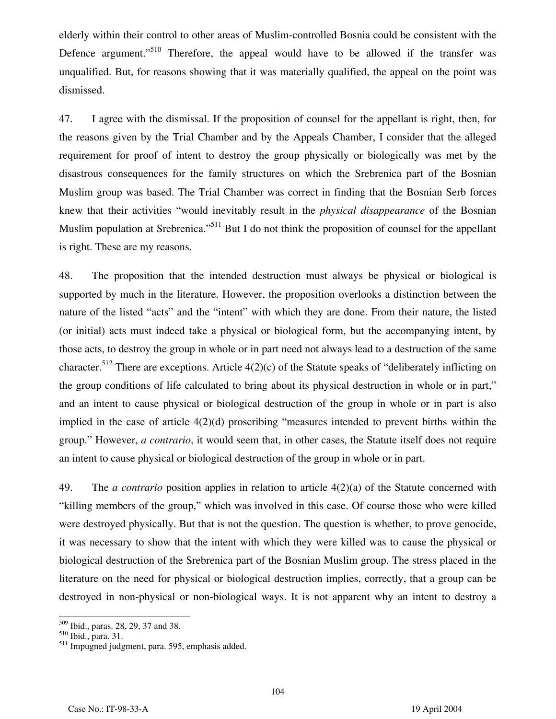elderly within their control to other areas of Muslim-controlled Bosnia could be consistent with the Defence argument."<sup>510</sup> Therefore, the appeal would have to be allowed if the transfer was unqualified. But, for reasons showing that it was materially qualified, the appeal on the point was dismissed.

47. I agree with the dismissal. If the proposition of counsel for the appellant is right, then, for the reasons given by the Trial Chamber and by the Appeals Chamber, I consider that the alleged requirement for proof of intent to destroy the group physically or biologically was met by the disastrous consequences for the family structures on which the Srebrenica part of the Bosnian Muslim group was based. The Trial Chamber was correct in finding that the Bosnian Serb forces knew that their activities "would inevitably result in the *physical disappearance* of the Bosnian Muslim population at Srebrenica."<sup>511</sup> But I do not think the proposition of counsel for the appellant is right. These are my reasons.

48. The proposition that the intended destruction must always be physical or biological is supported by much in the literature. However, the proposition overlooks a distinction between the nature of the listed "acts" and the "intent" with which they are done. From their nature, the listed (or initial) acts must indeed take a physical or biological form, but the accompanying intent, by those acts, to destroy the group in whole or in part need not always lead to a destruction of the same character.<sup>512</sup> There are exceptions. Article  $4(2)(c)$  of the Statute speaks of "deliberately inflicting on the group conditions of life calculated to bring about its physical destruction in whole or in part," and an intent to cause physical or biological destruction of the group in whole or in part is also implied in the case of article 4(2)(d) proscribing "measures intended to prevent births within the group." However, *a contrario*, it would seem that, in other cases, the Statute itself does not require an intent to cause physical or biological destruction of the group in whole or in part.

49. The *a contrario* position applies in relation to article 4(2)(a) of the Statute concerned with "killing members of the group," which was involved in this case. Of course those who were killed were destroyed physically. But that is not the question. The question is whether, to prove genocide, it was necessary to show that the intent with which they were killed was to cause the physical or biological destruction of the Srebrenica part of the Bosnian Muslim group. The stress placed in the literature on the need for physical or biological destruction implies, correctly, that a group can be destroyed in non-physical or non-biological ways. It is not apparent why an intent to destroy a

<sup>&</sup>lt;sup>509</sup> Ibid., paras. 28, 29, 37 and 38.

<sup>510</sup> Ibid., para. 31.

<sup>&</sup>lt;sup>511</sup> Impugned judgment, para. 595, emphasis added.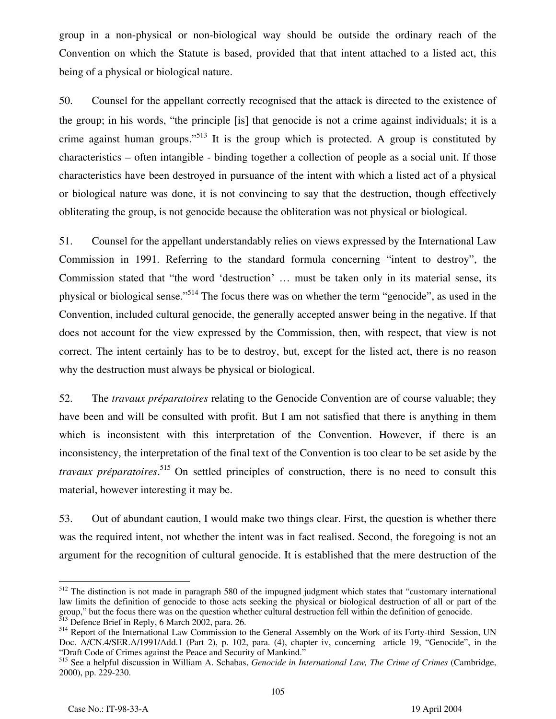group in a non-physical or non-biological way should be outside the ordinary reach of the Convention on which the Statute is based, provided that that intent attached to a listed act, this being of a physical or biological nature.

50. Counsel for the appellant correctly recognised that the attack is directed to the existence of the group; in his words, "the principle [is] that genocide is not a crime against individuals; it is a crime against human groups."<sup>513</sup> It is the group which is protected. A group is constituted by characteristics – often intangible - binding together a collection of people as a social unit. If those characteristics have been destroyed in pursuance of the intent with which a listed act of a physical or biological nature was done, it is not convincing to say that the destruction, though effectively obliterating the group, is not genocide because the obliteration was not physical or biological.

51. Counsel for the appellant understandably relies on views expressed by the International Law Commission in 1991. Referring to the standard formula concerning "intent to destroy", the Commission stated that "the word 'destruction' … must be taken only in its material sense, its physical or biological sense."514 The focus there was on whether the term "genocide", as used in the Convention, included cultural genocide, the generally accepted answer being in the negative. If that does not account for the view expressed by the Commission, then, with respect, that view is not correct. The intent certainly has to be to destroy, but, except for the listed act, there is no reason why the destruction must always be physical or biological.

52. The *travaux préparatoires* relating to the Genocide Convention are of course valuable; they have been and will be consulted with profit. But I am not satisfied that there is anything in them which is inconsistent with this interpretation of the Convention. However, if there is an inconsistency, the interpretation of the final text of the Convention is too clear to be set aside by the *travaux préparatoires*. 515 On settled principles of construction, there is no need to consult this material, however interesting it may be.

53. Out of abundant caution, I would make two things clear. First, the question is whether there was the required intent, not whether the intent was in fact realised. Second, the foregoing is not an argument for the recognition of cultural genocide. It is established that the mere destruction of the

<sup>-</sup><sup>512</sup> The distinction is not made in paragraph 580 of the impugned judgment which states that "customary international law limits the definition of genocide to those acts seeking the physical or biological destruction of all or part of the group," but the focus there was on the question whether cultural destruction fell within the definition of genocide. <sup>513</sup> Defence Brief in Reply, 6 March 2002, para. 26.

<sup>514</sup> Report of the International Law Commission to the General Assembly on the Work of its Forty-third Session, UN Doc. A/CN.4/SER.A/1991/Add.1 (Part 2), p. 102, para. (4), chapter iv, concerning article 19, "Genocide", in the "Draft Code of Crimes against the Peace and Security of Mankind."

<sup>515</sup> See a helpful discussion in William A. Schabas, *Genocide in International Law, The Crime of Crimes* (Cambridge, 2000), pp. 229-230.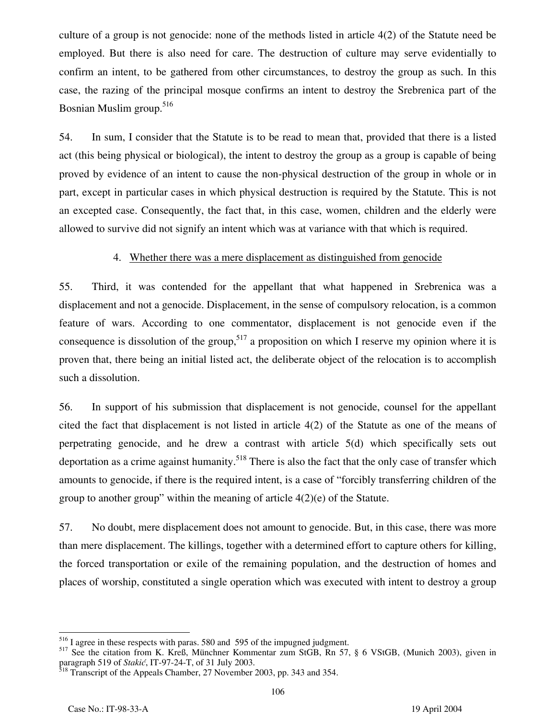culture of a group is not genocide: none of the methods listed in article 4(2) of the Statute need be employed. But there is also need for care. The destruction of culture may serve evidentially to confirm an intent, to be gathered from other circumstances, to destroy the group as such. In this case, the razing of the principal mosque confirms an intent to destroy the Srebrenica part of the Bosnian Muslim group.<sup>516</sup>

54. In sum, I consider that the Statute is to be read to mean that, provided that there is a listed act (this being physical or biological), the intent to destroy the group as a group is capable of being proved by evidence of an intent to cause the non-physical destruction of the group in whole or in part, except in particular cases in which physical destruction is required by the Statute. This is not an excepted case. Consequently, the fact that, in this case, women, children and the elderly were allowed to survive did not signify an intent which was at variance with that which is required.

#### 4. Whether there was a mere displacement as distinguished from genocide

55. Third, it was contended for the appellant that what happened in Srebrenica was a displacement and not a genocide. Displacement, in the sense of compulsory relocation, is a common feature of wars. According to one commentator, displacement is not genocide even if the consequence is dissolution of the group,<sup>517</sup> a proposition on which I reserve my opinion where it is proven that, there being an initial listed act, the deliberate object of the relocation is to accomplish such a dissolution.

56. In support of his submission that displacement is not genocide, counsel for the appellant cited the fact that displacement is not listed in article 4(2) of the Statute as one of the means of perpetrating genocide, and he drew a contrast with article 5(d) which specifically sets out deportation as a crime against humanity.<sup>518</sup> There is also the fact that the only case of transfer which amounts to genocide, if there is the required intent, is a case of "forcibly transferring children of the group to another group" within the meaning of article  $4(2)(e)$  of the Statute.

57. No doubt, mere displacement does not amount to genocide. But, in this case, there was more than mere displacement. The killings, together with a determined effort to capture others for killing, the forced transportation or exile of the remaining population, and the destruction of homes and places of worship, constituted a single operation which was executed with intent to destroy a group

<sup>-</sup> $^{516}$  I agree in these respects with paras. 580 and 595 of the impugned judgment.

<sup>517</sup> See the citation from K. Kreß, Münchner Kommentar zum StGB, Rn 57, § 6 VStGB, (Munich 2003), given in paragraph 519 of *Stakić*, IT-97-24-T, of 31 July 2003.

<sup>&</sup>lt;sup>518</sup> Transcript of the Appeals Chamber, 27 November 2003, pp. 343 and 354.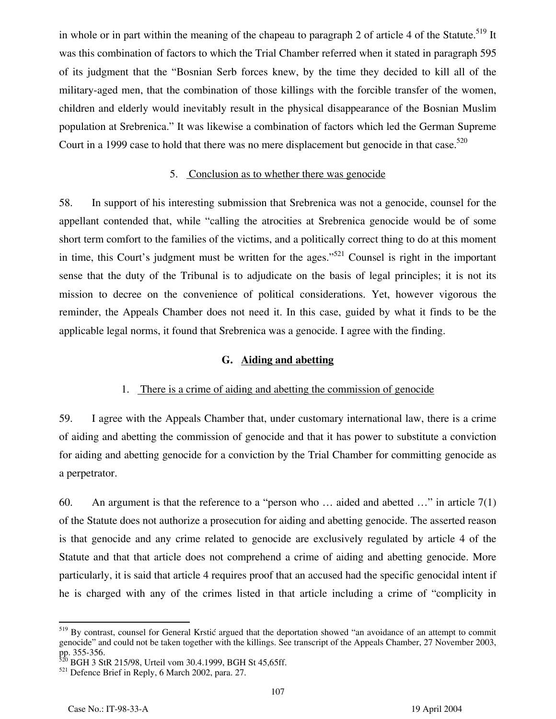in whole or in part within the meaning of the chapeau to paragraph 2 of article 4 of the Statute.<sup>519</sup> It was this combination of factors to which the Trial Chamber referred when it stated in paragraph 595 of its judgment that the "Bosnian Serb forces knew, by the time they decided to kill all of the military-aged men, that the combination of those killings with the forcible transfer of the women, children and elderly would inevitably result in the physical disappearance of the Bosnian Muslim population at Srebrenica." It was likewise a combination of factors which led the German Supreme Court in a 1999 case to hold that there was no mere displacement but genocide in that case.<sup>520</sup>

#### 5. Conclusion as to whether there was genocide

58. In support of his interesting submission that Srebrenica was not a genocide, counsel for the appellant contended that, while "calling the atrocities at Srebrenica genocide would be of some short term comfort to the families of the victims, and a politically correct thing to do at this moment in time, this Court's judgment must be written for the ages."<sup>521</sup> Counsel is right in the important sense that the duty of the Tribunal is to adjudicate on the basis of legal principles; it is not its mission to decree on the convenience of political considerations. Yet, however vigorous the reminder, the Appeals Chamber does not need it. In this case, guided by what it finds to be the applicable legal norms, it found that Srebrenica was a genocide. I agree with the finding.

### **G. Aiding and abetting**

#### 1. There is a crime of aiding and abetting the commission of genocide

59. I agree with the Appeals Chamber that, under customary international law, there is a crime of aiding and abetting the commission of genocide and that it has power to substitute a conviction for aiding and abetting genocide for a conviction by the Trial Chamber for committing genocide as a perpetrator.

60. An argument is that the reference to a "person who … aided and abetted …" in article 7(1) of the Statute does not authorize a prosecution for aiding and abetting genocide. The asserted reason is that genocide and any crime related to genocide are exclusively regulated by article 4 of the Statute and that that article does not comprehend a crime of aiding and abetting genocide. More particularly, it is said that article 4 requires proof that an accused had the specific genocidal intent if he is charged with any of the crimes listed in that article including a crime of "complicity in

<u>.</u>

<sup>&</sup>lt;sup>519</sup> By contrast, counsel for General Krstić argued that the deportation showed "an avoidance of an attempt to commit genocide" and could not be taken together with the killings. See transcript of the Appeals Chamber, 27 November 2003, pp. 355-356.

<sup>520</sup> BGH 3 StR 215/98, Urteil vom 30.4.1999, BGH St 45,65ff.

<sup>521</sup> Defence Brief in Reply, 6 March 2002, para. 27.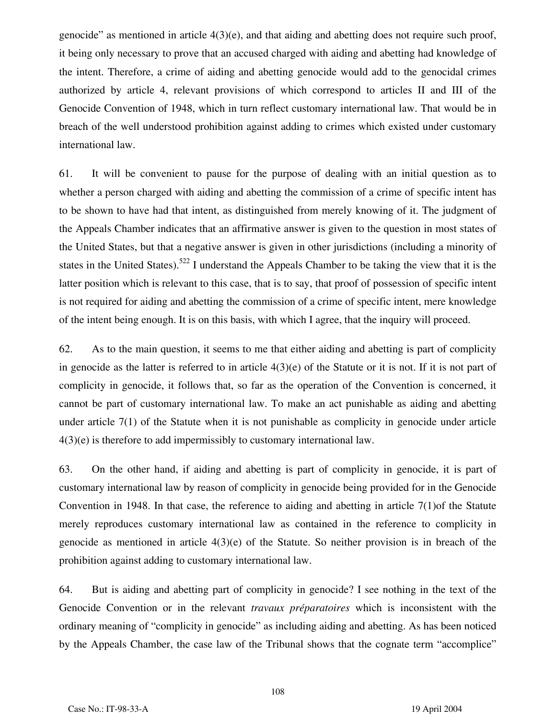genocide" as mentioned in article  $4(3)(e)$ , and that aiding and abetting does not require such proof, it being only necessary to prove that an accused charged with aiding and abetting had knowledge of the intent. Therefore, a crime of aiding and abetting genocide would add to the genocidal crimes authorized by article 4, relevant provisions of which correspond to articles II and III of the Genocide Convention of 1948, which in turn reflect customary international law. That would be in breach of the well understood prohibition against adding to crimes which existed under customary international law.

61. It will be convenient to pause for the purpose of dealing with an initial question as to whether a person charged with aiding and abetting the commission of a crime of specific intent has to be shown to have had that intent, as distinguished from merely knowing of it. The judgment of the Appeals Chamber indicates that an affirmative answer is given to the question in most states of the United States, but that a negative answer is given in other jurisdictions (including a minority of states in the United States).<sup>522</sup> I understand the Appeals Chamber to be taking the view that it is the latter position which is relevant to this case, that is to say, that proof of possession of specific intent is not required for aiding and abetting the commission of a crime of specific intent, mere knowledge of the intent being enough. It is on this basis, with which I agree, that the inquiry will proceed.

62. As to the main question, it seems to me that either aiding and abetting is part of complicity in genocide as the latter is referred to in article  $4(3)(e)$  of the Statute or it is not. If it is not part of complicity in genocide, it follows that, so far as the operation of the Convention is concerned, it cannot be part of customary international law. To make an act punishable as aiding and abetting under article  $7(1)$  of the Statute when it is not punishable as complicity in genocide under article 4(3)(e) is therefore to add impermissibly to customary international law.

63. On the other hand, if aiding and abetting is part of complicity in genocide, it is part of customary international law by reason of complicity in genocide being provided for in the Genocide Convention in 1948. In that case, the reference to aiding and abetting in article 7(1)of the Statute merely reproduces customary international law as contained in the reference to complicity in genocide as mentioned in article  $4(3)(e)$  of the Statute. So neither provision is in breach of the prohibition against adding to customary international law.

64. But is aiding and abetting part of complicity in genocide? I see nothing in the text of the Genocide Convention or in the relevant *travaux préparatoires* which is inconsistent with the ordinary meaning of "complicity in genocide" as including aiding and abetting. As has been noticed by the Appeals Chamber, the case law of the Tribunal shows that the cognate term "accomplice"

108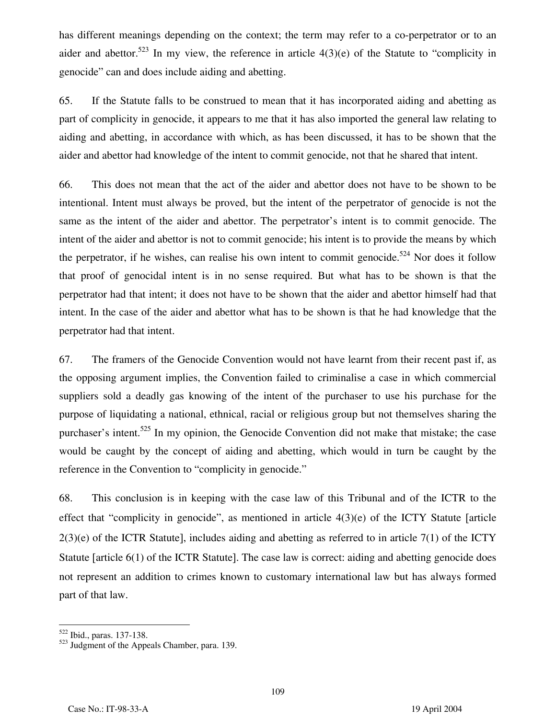has different meanings depending on the context; the term may refer to a co-perpetrator or to an aider and abettor.<sup>523</sup> In my view, the reference in article  $4(3)(e)$  of the Statute to "complicity in genocide" can and does include aiding and abetting.

65. If the Statute falls to be construed to mean that it has incorporated aiding and abetting as part of complicity in genocide, it appears to me that it has also imported the general law relating to aiding and abetting, in accordance with which, as has been discussed, it has to be shown that the aider and abettor had knowledge of the intent to commit genocide, not that he shared that intent.

66. This does not mean that the act of the aider and abettor does not have to be shown to be intentional. Intent must always be proved, but the intent of the perpetrator of genocide is not the same as the intent of the aider and abettor. The perpetrator's intent is to commit genocide. The intent of the aider and abettor is not to commit genocide; his intent is to provide the means by which the perpetrator, if he wishes, can realise his own intent to commit genocide.<sup>524</sup> Nor does it follow that proof of genocidal intent is in no sense required. But what has to be shown is that the perpetrator had that intent; it does not have to be shown that the aider and abettor himself had that intent. In the case of the aider and abettor what has to be shown is that he had knowledge that the perpetrator had that intent.

67. The framers of the Genocide Convention would not have learnt from their recent past if, as the opposing argument implies, the Convention failed to criminalise a case in which commercial suppliers sold a deadly gas knowing of the intent of the purchaser to use his purchase for the purpose of liquidating a national, ethnical, racial or religious group but not themselves sharing the purchaser's intent.<sup>525</sup> In my opinion, the Genocide Convention did not make that mistake; the case would be caught by the concept of aiding and abetting, which would in turn be caught by the reference in the Convention to "complicity in genocide."

68. This conclusion is in keeping with the case law of this Tribunal and of the ICTR to the effect that "complicity in genocide", as mentioned in article  $4(3)(e)$  of the ICTY Statute [article 2(3)(e) of the ICTR Statute], includes aiding and abetting as referred to in article 7(1) of the ICTY Statute [article 6(1) of the ICTR Statute]. The case law is correct: aiding and abetting genocide does not represent an addition to crimes known to customary international law but has always formed part of that law.

 $\overline{a}$ 

<sup>522</sup> Ibid., paras. 137-138.

<sup>&</sup>lt;sup>523</sup> Judgment of the Appeals Chamber, para. 139.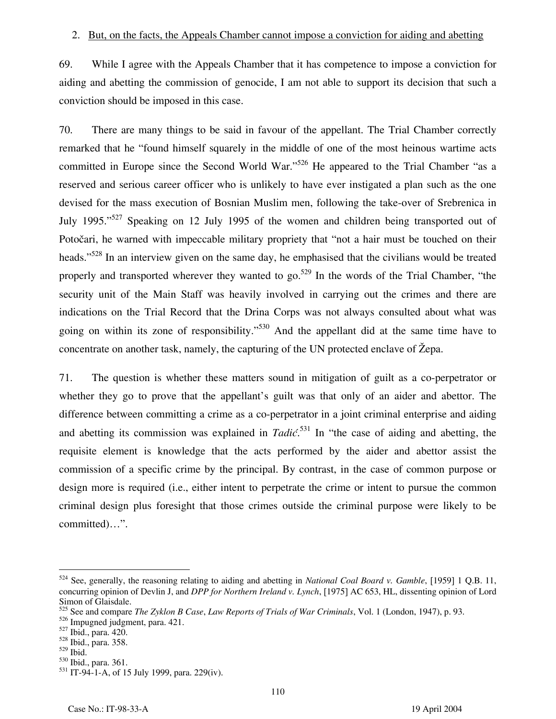### 2. But, on the facts, the Appeals Chamber cannot impose a conviction for aiding and abetting

69. While I agree with the Appeals Chamber that it has competence to impose a conviction for aiding and abetting the commission of genocide, I am not able to support its decision that such a conviction should be imposed in this case.

70. There are many things to be said in favour of the appellant. The Trial Chamber correctly remarked that he "found himself squarely in the middle of one of the most heinous wartime acts committed in Europe since the Second World War."<sup>526</sup> He appeared to the Trial Chamber "as a reserved and serious career officer who is unlikely to have ever instigated a plan such as the one devised for the mass execution of Bosnian Muslim men, following the take-over of Srebrenica in July 1995."<sup>527</sup> Speaking on 12 July 1995 of the women and children being transported out of Potočari, he warned with impeccable military propriety that "not a hair must be touched on their heads."<sup>528</sup> In an interview given on the same day, he emphasised that the civilians would be treated properly and transported wherever they wanted to go.<sup>529</sup> In the words of the Trial Chamber, "the security unit of the Main Staff was heavily involved in carrying out the crimes and there are indications on the Trial Record that the Drina Corps was not always consulted about what was going on within its zone of responsibility."530 And the appellant did at the same time have to concentrate on another task, namely, the capturing of the UN protected enclave of Žepa.

71. The question is whether these matters sound in mitigation of guilt as a co-perpetrator or whether they go to prove that the appellant's guilt was that only of an aider and abettor. The difference between committing a crime as a co-perpetrator in a joint criminal enterprise and aiding and abetting its commission was explained in *Tadić*. 531 In "the case of aiding and abetting, the requisite element is knowledge that the acts performed by the aider and abettor assist the commission of a specific crime by the principal. By contrast, in the case of common purpose or design more is required (i.e., either intent to perpetrate the crime or intent to pursue the common criminal design plus foresight that those crimes outside the criminal purpose were likely to be committed)…".

<sup>524</sup> See, generally, the reasoning relating to aiding and abetting in *National Coal Board v. Gamble*, [1959] 1 Q.B. 11, concurring opinion of Devlin J, and *DPP for Northern Ireland v. Lynch*, [1975] AC 653, HL, dissenting opinion of Lord Simon of Glaisdale.

<sup>525</sup> See and compare *The Zyklon B Case*, *Law Reports of Trials of War Criminals*, Vol. 1 (London, 1947), p. 93.

<sup>526</sup> Impugned judgment, para. 421.

<sup>527</sup> Ibid., para. 420.

<sup>528</sup> Ibid., para. 358.

<sup>529</sup> Ibid.

<sup>530</sup> Ibid., para. 361.

<sup>531</sup> IT-94-1-A, of 15 July 1999, para. 229(iv).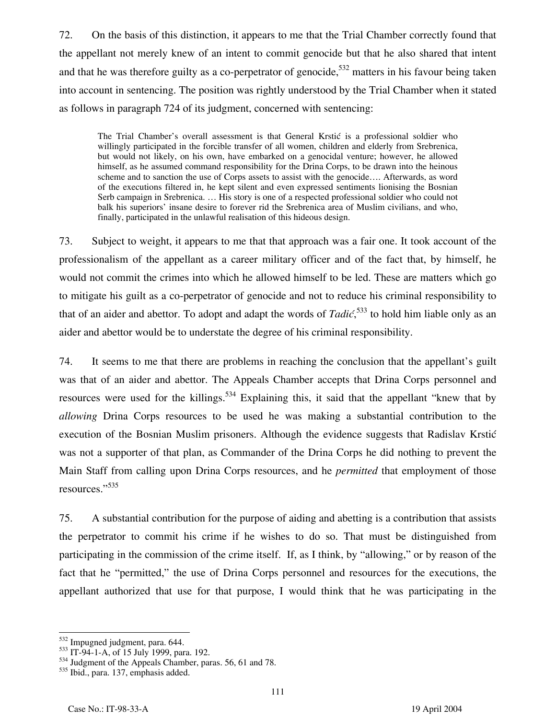72. On the basis of this distinction, it appears to me that the Trial Chamber correctly found that the appellant not merely knew of an intent to commit genocide but that he also shared that intent and that he was therefore guilty as a co-perpetrator of genocide,  $532$  matters in his favour being taken into account in sentencing. The position was rightly understood by the Trial Chamber when it stated as follows in paragraph 724 of its judgment, concerned with sentencing:

The Trial Chamber's overall assessment is that General Krstić is a professional soldier who willingly participated in the forcible transfer of all women, children and elderly from Srebrenica, but would not likely, on his own, have embarked on a genocidal venture; however, he allowed himself, as he assumed command responsibility for the Drina Corps, to be drawn into the heinous scheme and to sanction the use of Corps assets to assist with the genocide…. Afterwards, as word of the executions filtered in, he kept silent and even expressed sentiments lionising the Bosnian Serb campaign in Srebrenica. … His story is one of a respected professional soldier who could not balk his superiors' insane desire to forever rid the Srebrenica area of Muslim civilians, and who, finally, participated in the unlawful realisation of this hideous design.

73. Subject to weight, it appears to me that that approach was a fair one. It took account of the professionalism of the appellant as a career military officer and of the fact that, by himself, he would not commit the crimes into which he allowed himself to be led. These are matters which go to mitigate his guilt as a co-perpetrator of genocide and not to reduce his criminal responsibility to that of an aider and abettor. To adopt and adapt the words of *Tadić*, 533 to hold him liable only as an aider and abettor would be to understate the degree of his criminal responsibility.

74. It seems to me that there are problems in reaching the conclusion that the appellant's guilt was that of an aider and abettor. The Appeals Chamber accepts that Drina Corps personnel and resources were used for the killings.<sup>534</sup> Explaining this, it said that the appellant "knew that by *allowing* Drina Corps resources to be used he was making a substantial contribution to the execution of the Bosnian Muslim prisoners. Although the evidence suggests that Radislav Krstić was not a supporter of that plan, as Commander of the Drina Corps he did nothing to prevent the Main Staff from calling upon Drina Corps resources, and he *permitted* that employment of those resources."535

75. A substantial contribution for the purpose of aiding and abetting is a contribution that assists the perpetrator to commit his crime if he wishes to do so. That must be distinguished from participating in the commission of the crime itself. If, as I think, by "allowing," or by reason of the fact that he "permitted," the use of Drina Corps personnel and resources for the executions, the appellant authorized that use for that purpose, I would think that he was participating in the

 $\frac{532}{10}$  Impugned judgment, para. 644.

<sup>533</sup> IT-94-1-A, of 15 July 1999, para. 192.

<sup>534</sup> Judgment of the Appeals Chamber, paras. 56, 61 and 78.

<sup>535</sup> Ibid., para. 137, emphasis added.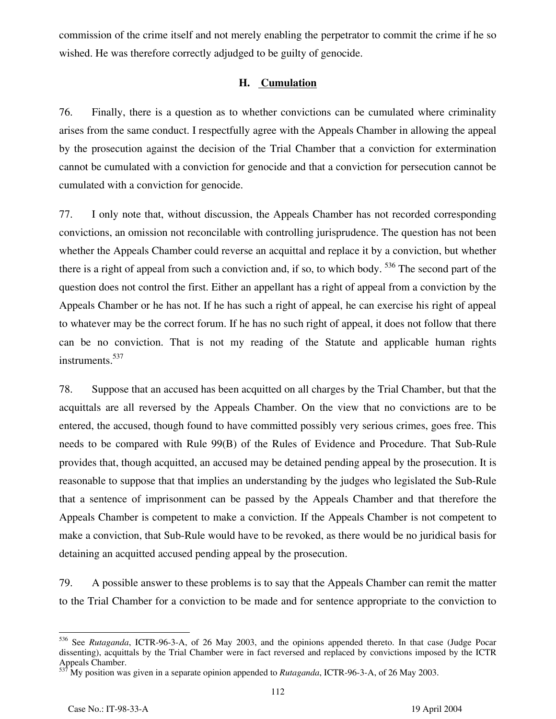commission of the crime itself and not merely enabling the perpetrator to commit the crime if he so wished. He was therefore correctly adjudged to be guilty of genocide.

#### **H. Cumulation**

76. Finally, there is a question as to whether convictions can be cumulated where criminality arises from the same conduct. I respectfully agree with the Appeals Chamber in allowing the appeal by the prosecution against the decision of the Trial Chamber that a conviction for extermination cannot be cumulated with a conviction for genocide and that a conviction for persecution cannot be cumulated with a conviction for genocide.

77. I only note that, without discussion, the Appeals Chamber has not recorded corresponding convictions, an omission not reconcilable with controlling jurisprudence. The question has not been whether the Appeals Chamber could reverse an acquittal and replace it by a conviction, but whether there is a right of appeal from such a conviction and, if so, to which body.  $536$  The second part of the question does not control the first. Either an appellant has a right of appeal from a conviction by the Appeals Chamber or he has not. If he has such a right of appeal, he can exercise his right of appeal to whatever may be the correct forum. If he has no such right of appeal, it does not follow that there can be no conviction. That is not my reading of the Statute and applicable human rights instruments.<sup>537</sup>

78. Suppose that an accused has been acquitted on all charges by the Trial Chamber, but that the acquittals are all reversed by the Appeals Chamber. On the view that no convictions are to be entered, the accused, though found to have committed possibly very serious crimes, goes free. This needs to be compared with Rule 99(B) of the Rules of Evidence and Procedure. That Sub-Rule provides that, though acquitted, an accused may be detained pending appeal by the prosecution. It is reasonable to suppose that that implies an understanding by the judges who legislated the Sub-Rule that a sentence of imprisonment can be passed by the Appeals Chamber and that therefore the Appeals Chamber is competent to make a conviction. If the Appeals Chamber is not competent to make a conviction, that Sub-Rule would have to be revoked, as there would be no juridical basis for detaining an acquitted accused pending appeal by the prosecution.

79. A possible answer to these problems is to say that the Appeals Chamber can remit the matter to the Trial Chamber for a conviction to be made and for sentence appropriate to the conviction to

<sup>536</sup> See *Rutaganda*, ICTR-96-3-A, of 26 May 2003, and the opinions appended thereto. In that case (Judge Pocar dissenting), acquittals by the Trial Chamber were in fact reversed and replaced by convictions imposed by the ICTR Appeals Chamber.

<sup>537</sup> My position was given in a separate opinion appended to *Rutaganda*, ICTR-96-3-A, of 26 May 2003.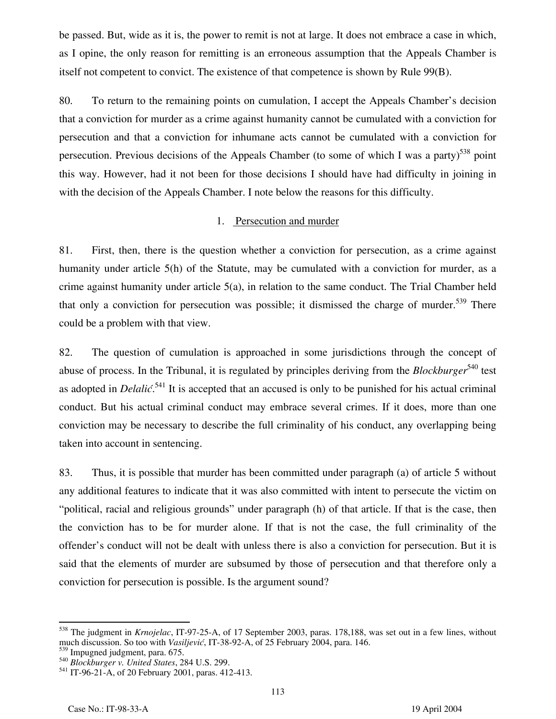be passed. But, wide as it is, the power to remit is not at large. It does not embrace a case in which, as I opine, the only reason for remitting is an erroneous assumption that the Appeals Chamber is itself not competent to convict. The existence of that competence is shown by Rule 99(B).

80. To return to the remaining points on cumulation, I accept the Appeals Chamber's decision that a conviction for murder as a crime against humanity cannot be cumulated with a conviction for persecution and that a conviction for inhumane acts cannot be cumulated with a conviction for persecution. Previous decisions of the Appeals Chamber (to some of which I was a party)<sup>538</sup> point this way. However, had it not been for those decisions I should have had difficulty in joining in with the decision of the Appeals Chamber. I note below the reasons for this difficulty.

#### 1. Persecution and murder

81. First, then, there is the question whether a conviction for persecution, as a crime against humanity under article 5(h) of the Statute, may be cumulated with a conviction for murder, as a crime against humanity under article 5(a), in relation to the same conduct. The Trial Chamber held that only a conviction for persecution was possible; it dismissed the charge of murder.<sup>539</sup> There could be a problem with that view.

82. The question of cumulation is approached in some jurisdictions through the concept of abuse of process. In the Tribunal, it is regulated by principles deriving from the *Blockburger*<sup>540</sup> test as adopted in *Delalić*. 541 It is accepted that an accused is only to be punished for his actual criminal conduct. But his actual criminal conduct may embrace several crimes. If it does, more than one conviction may be necessary to describe the full criminality of his conduct, any overlapping being taken into account in sentencing.

83. Thus, it is possible that murder has been committed under paragraph (a) of article 5 without any additional features to indicate that it was also committed with intent to persecute the victim on "political, racial and religious grounds" under paragraph (h) of that article. If that is the case, then the conviction has to be for murder alone. If that is not the case, the full criminality of the offender's conduct will not be dealt with unless there is also a conviction for persecution. But it is said that the elements of murder are subsumed by those of persecution and that therefore only a conviction for persecution is possible. Is the argument sound?

<u>.</u>

<sup>538</sup> The judgment in *Krnojelac*, IT-97-25-A, of 17 September 2003, paras. 178,188, was set out in a few lines, without much discussion. So too with *Vasiljević*, IT-38-92-A, of 25 February 2004, para. 146.

<sup>&</sup>lt;sup>539</sup> Impugned judgment, para. 675.

<sup>540</sup> *Blockburger v. United States*, 284 U.S. 299.

<sup>541</sup> IT-96-21-A, of 20 February 2001, paras. 412-413.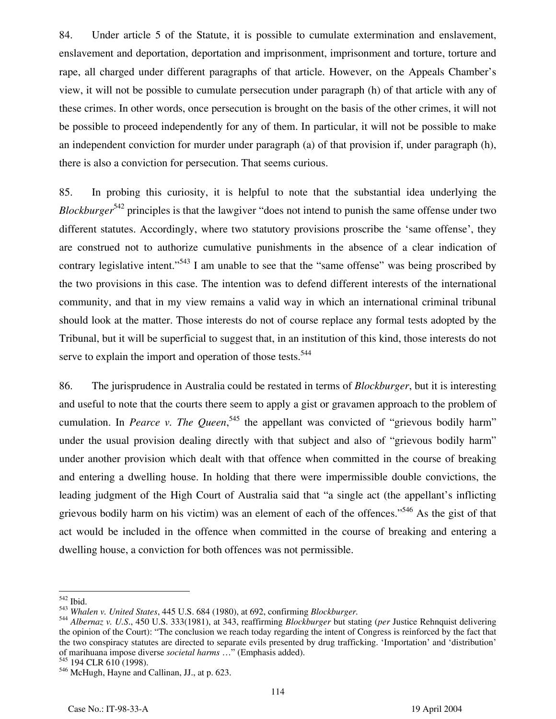84. Under article 5 of the Statute, it is possible to cumulate extermination and enslavement, enslavement and deportation, deportation and imprisonment, imprisonment and torture, torture and rape, all charged under different paragraphs of that article. However, on the Appeals Chamber's view, it will not be possible to cumulate persecution under paragraph (h) of that article with any of these crimes. In other words, once persecution is brought on the basis of the other crimes, it will not be possible to proceed independently for any of them. In particular, it will not be possible to make an independent conviction for murder under paragraph (a) of that provision if, under paragraph (h), there is also a conviction for persecution. That seems curious.

85. In probing this curiosity, it is helpful to note that the substantial idea underlying the *Blockburger*<sup>542</sup> principles is that the lawgiver "does not intend to punish the same offense under two different statutes. Accordingly, where two statutory provisions proscribe the 'same offense', they are construed not to authorize cumulative punishments in the absence of a clear indication of contrary legislative intent."<sup>543</sup> I am unable to see that the "same offense" was being proscribed by the two provisions in this case. The intention was to defend different interests of the international community, and that in my view remains a valid way in which an international criminal tribunal should look at the matter. Those interests do not of course replace any formal tests adopted by the Tribunal, but it will be superficial to suggest that, in an institution of this kind, those interests do not serve to explain the import and operation of those tests.<sup>544</sup>

86. The jurisprudence in Australia could be restated in terms of *Blockburger*, but it is interesting and useful to note that the courts there seem to apply a gist or gravamen approach to the problem of cumulation. In *Pearce v. The Queen*, 545 the appellant was convicted of "grievous bodily harm" under the usual provision dealing directly with that subject and also of "grievous bodily harm" under another provision which dealt with that offence when committed in the course of breaking and entering a dwelling house. In holding that there were impermissible double convictions, the leading judgment of the High Court of Australia said that "a single act (the appellant's inflicting grievous bodily harm on his victim) was an element of each of the offences."<sup>546</sup> As the gist of that act would be included in the offence when committed in the course of breaking and entering a dwelling house, a conviction for both offences was not permissible.

<sup>-</sup> $542$  Ibid.

<sup>543</sup> *Whalen v. United States*, 445 U.S. 684 (1980), at 692, confirming *Blockburger.*

<sup>544</sup> *Albernaz v. U.S*., 450 U.S. 333(1981), at 343, reaffirming *Blockburger* but stating (*per* Justice Rehnquist delivering the opinion of the Court): "The conclusion we reach today regarding the intent of Congress is reinforced by the fact that the two conspiracy statutes are directed to separate evils presented by drug trafficking. 'Importation' and 'distribution' of marihuana impose diverse *societal harms* …" (Emphasis added).

<sup>&</sup>lt;sup>545</sup> 194 CLR 610 (1998).

<sup>546</sup> McHugh, Hayne and Callinan, JJ., at p. 623.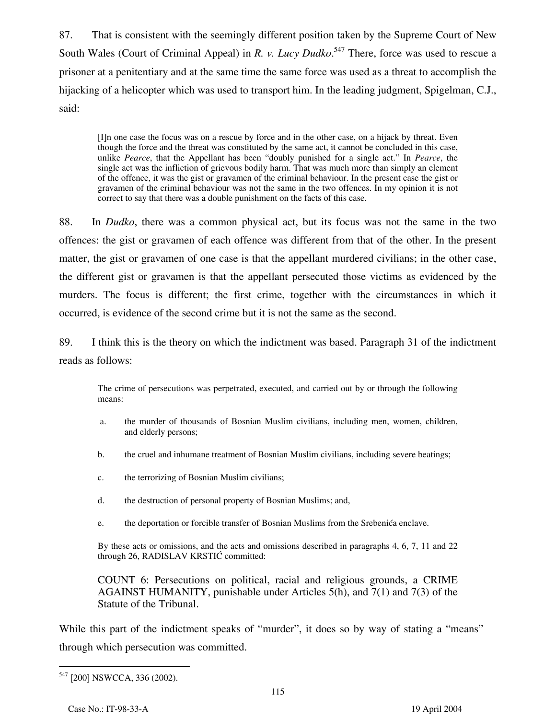87. That is consistent with the seemingly different position taken by the Supreme Court of New South Wales (Court of Criminal Appeal) in *R. v. Lucy Dudko*.<sup>547</sup> There, force was used to rescue a prisoner at a penitentiary and at the same time the same force was used as a threat to accomplish the hijacking of a helicopter which was used to transport him. In the leading judgment, Spigelman, C.J., said:

[I]n one case the focus was on a rescue by force and in the other case, on a hijack by threat. Even though the force and the threat was constituted by the same act, it cannot be concluded in this case, unlike *Pearce*, that the Appellant has been "doubly punished for a single act." In *Pearce*, the single act was the infliction of grievous bodily harm. That was much more than simply an element of the offence, it was the gist or gravamen of the criminal behaviour. In the present case the gist or gravamen of the criminal behaviour was not the same in the two offences. In my opinion it is not correct to say that there was a double punishment on the facts of this case.

88. In *Dudko*, there was a common physical act, but its focus was not the same in the two offences: the gist or gravamen of each offence was different from that of the other. In the present matter, the gist or gravamen of one case is that the appellant murdered civilians; in the other case, the different gist or gravamen is that the appellant persecuted those victims as evidenced by the murders. The focus is different; the first crime, together with the circumstances in which it occurred, is evidence of the second crime but it is not the same as the second.

89. I think this is the theory on which the indictment was based. Paragraph 31 of the indictment reads as follows:

The crime of persecutions was perpetrated, executed, and carried out by or through the following means:

- a. the murder of thousands of Bosnian Muslim civilians, including men, women, children, and elderly persons;
- b. the cruel and inhumane treatment of Bosnian Muslim civilians, including severe beatings;
- c. the terrorizing of Bosnian Muslim civilians;
- d. the destruction of personal property of Bosnian Muslims; and,
- e. the deportation or forcible transfer of Bosnian Muslims from the Srebenića enclave.

By these acts or omissions, and the acts and omissions described in paragraphs 4, 6, 7, 11 and 22 through 26, RADISLAV KRSTIĆ committed:

COUNT 6: Persecutions on political, racial and religious grounds, a CRIME AGAINST HUMANITY, punishable under Articles 5(h), and 7(1) and 7(3) of the Statute of the Tribunal.

While this part of the indictment speaks of "murder", it does so by way of stating a "means" through which persecution was committed.

<sup>&</sup>lt;sup>547</sup> [200] NSWCCA, 336 (2002).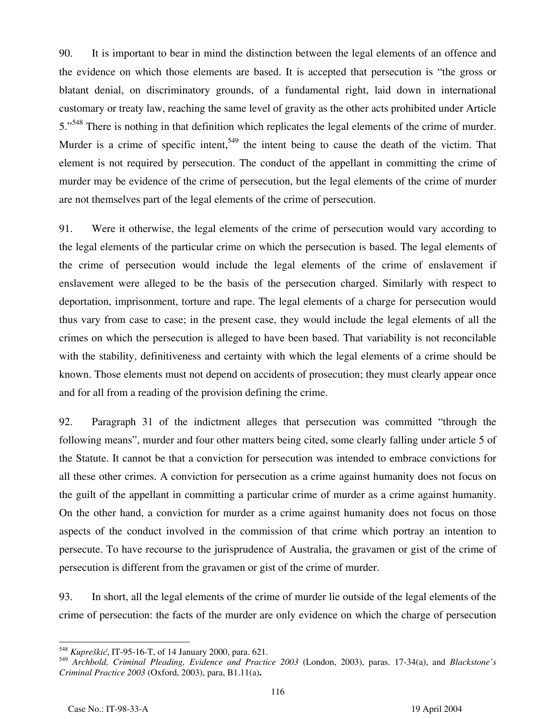90. It is important to bear in mind the distinction between the legal elements of an offence and the evidence on which those elements are based. It is accepted that persecution is "the gross or blatant denial, on discriminatory grounds, of a fundamental right, laid down in international customary or treaty law, reaching the same level of gravity as the other acts prohibited under Article 5."<sup>548</sup> There is nothing in that definition which replicates the legal elements of the crime of murder. Murder is a crime of specific intent,<sup>549</sup> the intent being to cause the death of the victim. That element is not required by persecution. The conduct of the appellant in committing the crime of murder may be evidence of the crime of persecution, but the legal elements of the crime of murder are not themselves part of the legal elements of the crime of persecution.

91. Were it otherwise, the legal elements of the crime of persecution would vary according to the legal elements of the particular crime on which the persecution is based. The legal elements of the crime of persecution would include the legal elements of the crime of enslavement if enslavement were alleged to be the basis of the persecution charged. Similarly with respect to deportation, imprisonment, torture and rape. The legal elements of a charge for persecution would thus vary from case to case; in the present case, they would include the legal elements of all the crimes on which the persecution is alleged to have been based. That variability is not reconcilable with the stability, definitiveness and certainty with which the legal elements of a crime should be known. Those elements must not depend on accidents of prosecution; they must clearly appear once and for all from a reading of the provision defining the crime.

92. Paragraph 31 of the indictment alleges that persecution was committed "through the following means", murder and four other matters being cited, some clearly falling under article 5 of the Statute. It cannot be that a conviction for persecution was intended to embrace convictions for all these other crimes. A conviction for persecution as a crime against humanity does not focus on the guilt of the appellant in committing a particular crime of murder as a crime against humanity. On the other hand, a conviction for murder as a crime against humanity does not focus on those aspects of the conduct involved in the commission of that crime which portray an intention to persecute. To have recourse to the jurisprudence of Australia, the gravamen or gist of the crime of persecution is different from the gravamen or gist of the crime of murder.

93. In short, all the legal elements of the crime of murder lie outside of the legal elements of the crime of persecution: the facts of the murder are only evidence on which the charge of persecution

 $\overline{a}$ 

<sup>548</sup> *Kupreškić*, IT-95-16-T, of 14 January 2000, para. 621.

<sup>549</sup> *Archbold, Criminal Pleading, Evidence and Practice 2003* (London, 2003), paras. 17-34(a), and *Blackstone's Criminal Practice 2003* (Oxford, 2003), para, B1.11(a)**.**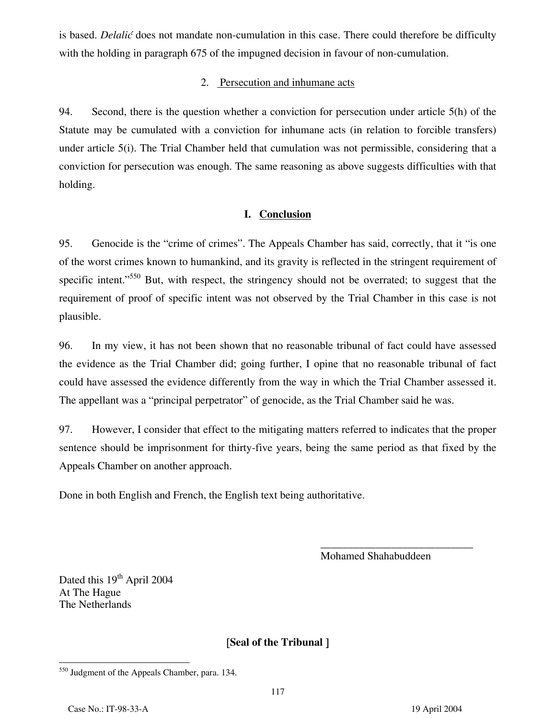is based. *Delalić* does not mandate non-cumulation in this case. There could therefore be difficulty with the holding in paragraph 675 of the impugned decision in favour of non-cumulation.

#### 2. Persecution and inhumane acts

94. Second, there is the question whether a conviction for persecution under article 5(h) of the Statute may be cumulated with a conviction for inhumane acts (in relation to forcible transfers) under article 5(i). The Trial Chamber held that cumulation was not permissible, considering that a conviction for persecution was enough. The same reasoning as above suggests difficulties with that holding.

#### **I. Conclusion**

95. Genocide is the "crime of crimes". The Appeals Chamber has said, correctly, that it "is one of the worst crimes known to humankind, and its gravity is reflected in the stringent requirement of specific intent."<sup>550</sup> But, with respect, the stringency should not be overrated; to suggest that the requirement of proof of specific intent was not observed by the Trial Chamber in this case is not plausible.

96. In my view, it has not been shown that no reasonable tribunal of fact could have assessed the evidence as the Trial Chamber did; going further, I opine that no reasonable tribunal of fact could have assessed the evidence differently from the way in which the Trial Chamber assessed it. The appellant was a "principal perpetrator" of genocide, as the Trial Chamber said he was.

97. However, I consider that effect to the mitigating matters referred to indicates that the proper sentence should be imprisonment for thirty-five years, being the same period as that fixed by the Appeals Chamber on another approach.

Done in both English and French, the English text being authoritative.

Mohamed Shahabuddeen

\_\_\_\_\_\_\_\_\_\_\_\_\_\_\_\_\_\_\_\_\_\_\_\_\_\_\_\_

Dated this 19<sup>th</sup> April 2004 At The Hague The Netherlands

[**Seal of the Tribunal** ]

<sup>&</sup>lt;u>.</u> <sup>550</sup> Judgment of the Appeals Chamber, para. 134.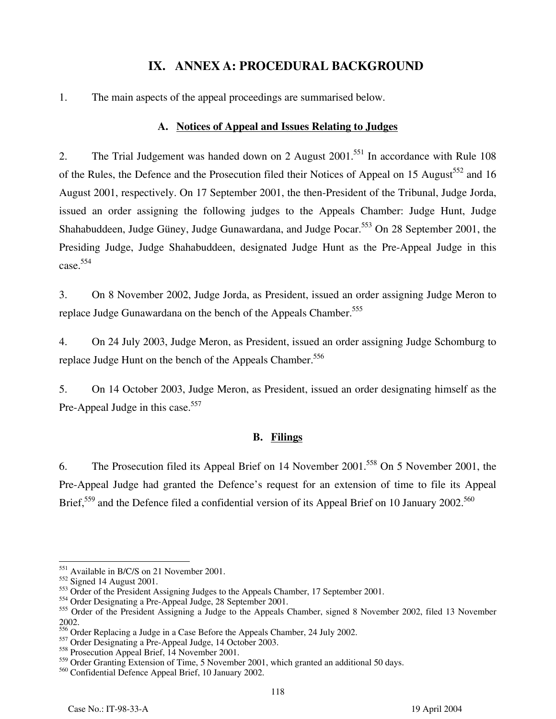# **IX. ANNEX A: PROCEDURAL BACKGROUND**

1. The main aspects of the appeal proceedings are summarised below.

### **A. Notices of Appeal and Issues Relating to Judges**

2. The Trial Judgement was handed down on 2 August  $2001$ <sup>551</sup> In accordance with Rule 108 of the Rules, the Defence and the Prosecution filed their Notices of Appeal on 15 August<sup>552</sup> and 16 August 2001, respectively. On 17 September 2001, the then-President of the Tribunal, Judge Jorda, issued an order assigning the following judges to the Appeals Chamber: Judge Hunt, Judge Shahabuddeen, Judge Güney, Judge Gunawardana, and Judge Pocar.<sup>553</sup> On 28 September 2001, the Presiding Judge, Judge Shahabuddeen, designated Judge Hunt as the Pre-Appeal Judge in this case.554

3. On 8 November 2002, Judge Jorda, as President, issued an order assigning Judge Meron to replace Judge Gunawardana on the bench of the Appeals Chamber.<sup>555</sup>

4. On 24 July 2003, Judge Meron, as President, issued an order assigning Judge Schomburg to replace Judge Hunt on the bench of the Appeals Chamber.<sup>556</sup>

5. On 14 October 2003, Judge Meron, as President, issued an order designating himself as the Pre-Appeal Judge in this case.<sup>557</sup>

### **B. Filings**

6. The Prosecution filed its Appeal Brief on 14 November 2001.558 On 5 November 2001, the Pre-Appeal Judge had granted the Defence's request for an extension of time to file its Appeal Brief,<sup>559</sup> and the Defence filed a confidential version of its Appeal Brief on 10 January 2002.<sup>560</sup>

 $\overline{a}$ 

<sup>&</sup>lt;sup>551</sup> Available in B/C/S on 21 November 2001.

<sup>552</sup> Signed 14 August 2001.

<sup>&</sup>lt;sup>553</sup> Order of the President Assigning Judges to the Appeals Chamber, 17 September 2001.

<sup>554</sup> Order Designating a Pre-Appeal Judge, 28 September 2001.

<sup>555</sup> Order Beisgmanng a Tre Trem Linger, 2002, 2002, filed 13 November 555 Order of the President Assigning a Judge to the Appeals Chamber, signed 8 November 2002, filed 13 November 2002.

<sup>556</sup> Order Replacing a Judge in a Case Before the Appeals Chamber, 24 July 2002.

<sup>557</sup> Order Designating a Pre-Appeal Judge, 14 October 2003.

<sup>558</sup> Prosecution Appeal Brief, 14 November 2001.

<sup>559</sup> Order Granting Extension of Time, 5 November 2001, which granted an additional 50 days.

<sup>560</sup> Confidential Defence Appeal Brief, 10 January 2002.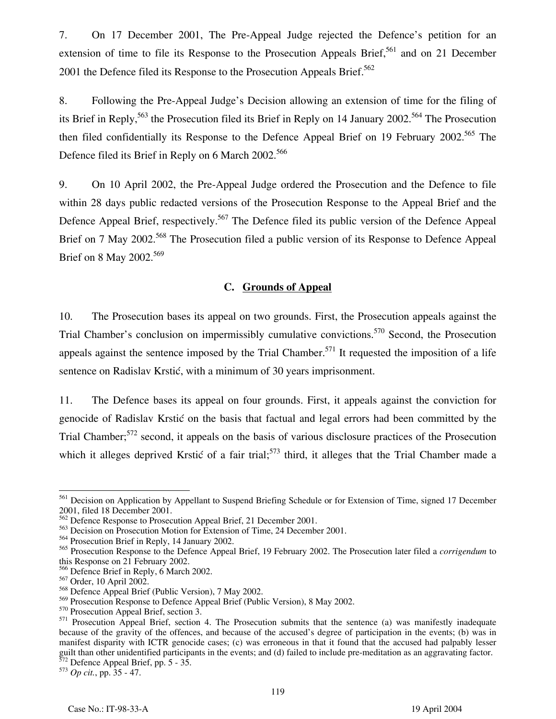7. On 17 December 2001, The Pre-Appeal Judge rejected the Defence's petition for an extension of time to file its Response to the Prosecution Appeals Brief,  $561$  and on 21 December  $2001$  the Defence filed its Response to the Prosecution Appeals Brief.<sup>562</sup>

8. Following the Pre-Appeal Judge's Decision allowing an extension of time for the filing of its Brief in Reply,<sup>563</sup> the Prosecution filed its Brief in Reply on 14 January 2002.<sup>564</sup> The Prosecution then filed confidentially its Response to the Defence Appeal Brief on 19 February 2002.<sup>565</sup> The Defence filed its Brief in Reply on 6 March 2002.<sup>566</sup>

9. On 10 April 2002, the Pre-Appeal Judge ordered the Prosecution and the Defence to file within 28 days public redacted versions of the Prosecution Response to the Appeal Brief and the Defence Appeal Brief, respectively.<sup>567</sup> The Defence filed its public version of the Defence Appeal Brief on 7 May 2002.<sup>568</sup> The Prosecution filed a public version of its Response to Defence Appeal Brief on 8 May  $2002.^{569}$ 

#### **C. Grounds of Appeal**

10. The Prosecution bases its appeal on two grounds. First, the Prosecution appeals against the Trial Chamber's conclusion on impermissibly cumulative convictions.<sup>570</sup> Second, the Prosecution appeals against the sentence imposed by the Trial Chamber.<sup>571</sup> It requested the imposition of a life sentence on Radislav Krstić, with a minimum of 30 years imprisonment.

11. The Defence bases its appeal on four grounds. First, it appeals against the conviction for genocide of Radislav Krstić on the basis that factual and legal errors had been committed by the Trial Chamber;<sup>572</sup> second, it appeals on the basis of various disclosure practices of the Prosecution which it alleges deprived Krstić of a fair trial;<sup>573</sup> third, it alleges that the Trial Chamber made a

 $\overline{a}$ 

<sup>573</sup> *Op cit.*, pp. 35 - 47.

<sup>&</sup>lt;sup>561</sup> Decision on Application by Appellant to Suspend Briefing Schedule or for Extension of Time, signed 17 December 2001, filed 18 December 2001.

<sup>&</sup>lt;sup>562</sup> Defence Response to Prosecution Appeal Brief, 21 December 2001.

<sup>&</sup>lt;sup>563</sup> Decision on Prosecution Motion for Extension of Time, 24 December 2001.

<sup>564</sup> Prosecution Brief in Reply, 14 January 2002.

<sup>565</sup> Prosecution Response to the Defence Appeal Brief, 19 February 2002. The Prosecution later filed a *corrigendum* to this Response on 21 February 2002.

<sup>566</sup> Defence Brief in Reply, 6 March 2002.

<sup>567</sup> Order, 10 April 2002.

<sup>568</sup> Defence Appeal Brief (Public Version), 7 May 2002.

<sup>&</sup>lt;sup>569</sup> Prosecution Response to Defence Appeal Brief (Public Version), 8 May 2002.

<sup>570</sup> Prosecution Appeal Brief, section 3.

<sup>&</sup>lt;sup>571</sup> Prosecution Appeal Brief, section 4. The Prosecution submits that the sentence (a) was manifestly inadequate because of the gravity of the offences, and because of the accused's degree of participation in the events; (b) was in manifest disparity with ICTR genocide cases; (c) was erroneous in that it found that the accused had palpably lesser guilt than other unidentified participants in the events; and (d) failed to include pre-meditation as an aggravating factor. <sup>572</sup> Defence Appeal Brief, pp. 5 - 35.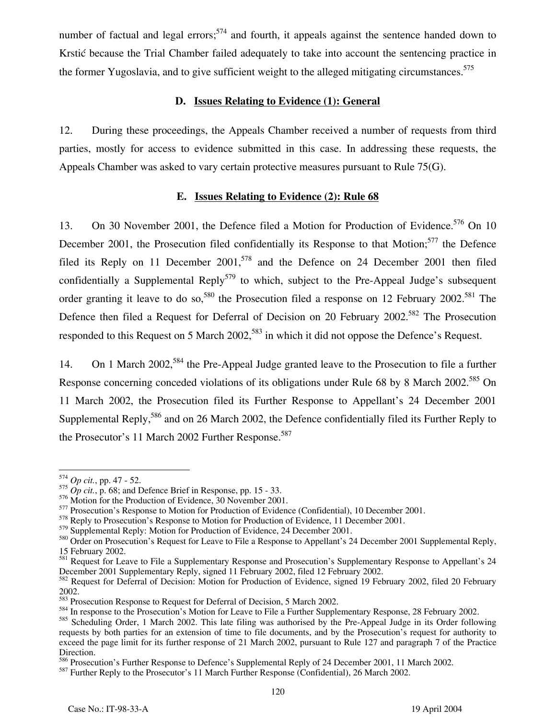number of factual and legal errors;  $574$  and fourth, it appeals against the sentence handed down to Krstić because the Trial Chamber failed adequately to take into account the sentencing practice in the former Yugoslavia, and to give sufficient weight to the alleged mitigating circumstances.<sup>575</sup>

### **D. Issues Relating to Evidence (1): General**

12. During these proceedings, the Appeals Chamber received a number of requests from third parties, mostly for access to evidence submitted in this case. In addressing these requests, the Appeals Chamber was asked to vary certain protective measures pursuant to Rule 75(G).

### **E. Issues Relating to Evidence (2): Rule 68**

13. On 30 November 2001, the Defence filed a Motion for Production of Evidence.<sup>576</sup> On 10 December 2001, the Prosecution filed confidentially its Response to that Motion;<sup>577</sup> the Defence filed its Reply on 11 December  $2001$ ,  $578$  and the Defence on 24 December 2001 then filed confidentially a Supplemental Reply<sup>579</sup> to which, subject to the Pre-Appeal Judge's subsequent order granting it leave to do so,<sup>580</sup> the Prosecution filed a response on 12 February 2002.<sup>581</sup> The Defence then filed a Request for Deferral of Decision on 20 February 2002.<sup>582</sup> The Prosecution responded to this Request on 5 March 2002,<sup>583</sup> in which it did not oppose the Defence's Request.

14. On 1 March 2002,<sup>584</sup> the Pre-Appeal Judge granted leave to the Prosecution to file a further Response concerning conceded violations of its obligations under Rule 68 by 8 March 2002.<sup>585</sup> On 11 March 2002, the Prosecution filed its Further Response to Appellant's 24 December 2001 Supplemental Reply,<sup>586</sup> and on 26 March 2002, the Defence confidentially filed its Further Reply to the Prosecutor's 11 March 2002 Further Response.<sup>587</sup>

<sup>-</sup><sup>574</sup> *Op cit.*, pp. 47 - 52.

 $575$   $\overrightarrow{Op}$   $\overrightarrow{cit}$ , p. 68; and Defence Brief in Response, pp. 15 - 33.

<sup>576</sup> Motion for the Production of Evidence, 30 November 2001.

<sup>&</sup>lt;sup>577</sup> Prosecution's Response to Motion for Production of Evidence (Confidential), 10 December 2001.

<sup>&</sup>lt;sup>578</sup> Reply to Prosecution's Response to Motion for Production of Evidence, 11 December 2001.

<sup>&</sup>lt;sup>579</sup> Supplemental Reply: Motion for Production of Evidence, 24 December 2001.

<sup>&</sup>lt;sup>580</sup> Order on Prosecution's Request for Leave to File a Response to Appellant's 24 December 2001 Supplemental Reply, 15 February 2002.

<sup>&</sup>lt;sup>581</sup> Request for Leave to File a Supplementary Response and Prosecution's Supplementary Response to Appellant's 24 December 2001 Supplementary Reply, signed 11 February 2002, filed 12 February 2002.

<sup>&</sup>lt;sup>582</sup> Request for Deferral of Decision: Motion for Production of Evidence, signed 19 February 2002, filed 20 February 2002.

<sup>&</sup>lt;sup>583</sup> Prosecution Response to Request for Deferral of Decision, 5 March 2002.

<sup>&</sup>lt;sup>584</sup> In response to the Prosecution's Motion for Leave to File a Further Supplementary Response, 28 February 2002.

<sup>585</sup> Scheduling Order, 1 March 2002. This late filing was authorised by the Pre-Appeal Judge in its Order following requests by both parties for an extension of time to file documents, and by the Prosecution's request for authority to exceed the page limit for its further response of 21 March 2002, pursuant to Rule 127 and paragraph 7 of the Practice Direction.

<sup>&</sup>lt;sup>586</sup> Prosecution's Further Response to Defence's Supplemental Reply of 24 December 2001, 11 March 2002.

<sup>&</sup>lt;sup>587</sup> Further Reply to the Prosecutor's 11 March Further Response (Confidential), 26 March 2002.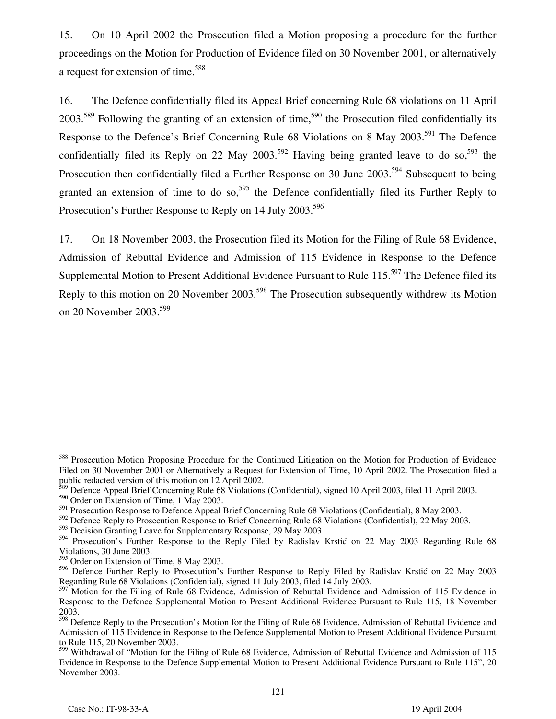15. On 10 April 2002 the Prosecution filed a Motion proposing a procedure for the further proceedings on the Motion for Production of Evidence filed on 30 November 2001, or alternatively a request for extension of time.<sup>588</sup>

16. The Defence confidentially filed its Appeal Brief concerning Rule 68 violations on 11 April  $2003$ <sup>589</sup> Following the granting of an extension of time,<sup>590</sup> the Prosecution filed confidentially its Response to the Defence's Brief Concerning Rule 68 Violations on 8 May 2003.<sup>591</sup> The Defence confidentially filed its Reply on 22 May 2003.<sup>592</sup> Having being granted leave to do so,<sup>593</sup> the Prosecution then confidentially filed a Further Response on 30 June 2003.<sup>594</sup> Subsequent to being granted an extension of time to do so,<sup>595</sup> the Defence confidentially filed its Further Reply to Prosecution's Further Response to Reply on 14 July 2003.<sup>596</sup>

17. On 18 November 2003, the Prosecution filed its Motion for the Filing of Rule 68 Evidence, Admission of Rebuttal Evidence and Admission of 115 Evidence in Response to the Defence Supplemental Motion to Present Additional Evidence Pursuant to Rule 115.<sup>597</sup> The Defence filed its Reply to this motion on 20 November 2003.<sup>598</sup> The Prosecution subsequently withdrew its Motion on 20 November 2003.599

 $\overline{a}$ 

<sup>588</sup> Prosecution Motion Proposing Procedure for the Continued Litigation on the Motion for Production of Evidence Filed on 30 November 2001 or Alternatively a Request for Extension of Time, 10 April 2002. The Prosecution filed a public redacted version of this motion on 12 April 2002.

<sup>&</sup>lt;sup>9</sup> Defence Appeal Brief Concerning Rule 68 Violations (Confidential), signed 10 April 2003, filed 11 April 2003.

<sup>590</sup> Order on Extension of Time, 1 May 2003.

<sup>&</sup>lt;sup>591</sup> Prosecution Response to Defence Appeal Brief Concerning Rule 68 Violations (Confidential), 8 May 2003.

<sup>&</sup>lt;sup>592</sup> Defence Reply to Prosecution Response to Brief Concerning Rule 68 Violations (Confidential), 22 May 2003.

<sup>593</sup> Decision Granting Leave for Supplementary Response, 29 May 2003.

<sup>&</sup>lt;sup>594</sup> Prosecution's Further Response to the Reply Filed by Radislav Krstić on 22 May 2003 Regarding Rule 68 Violations, 30 June 2003.

<sup>595</sup> Order on Extension of Time, 8 May 2003.

<sup>596</sup> Defence Further Reply to Prosecution's Further Response to Reply Filed by Radislav Krstić on 22 May 2003 Regarding Rule 68 Violations (Confidential), signed 11 July 2003, filed 14 July 2003.<br> $597$  Motion for the Eiliam of Del. 60 Del.

Motion for the Filing of Rule 68 Evidence, Admission of Rebuttal Evidence and Admission of 115 Evidence in Response to the Defence Supplemental Motion to Present Additional Evidence Pursuant to Rule 115, 18 November 2003.

<sup>598</sup> Defence Reply to the Prosecution's Motion for the Filing of Rule 68 Evidence, Admission of Rebuttal Evidence and Admission of 115 Evidence in Response to the Defence Supplemental Motion to Present Additional Evidence Pursuant to Rule 115, 20 November 2003.

<sup>&</sup>lt;sup>599</sup> Withdrawal of "Motion for the Filing of Rule 68 Evidence, Admission of Rebuttal Evidence and Admission of 115 Evidence in Response to the Defence Supplemental Motion to Present Additional Evidence Pursuant to Rule 115", 20 November 2003.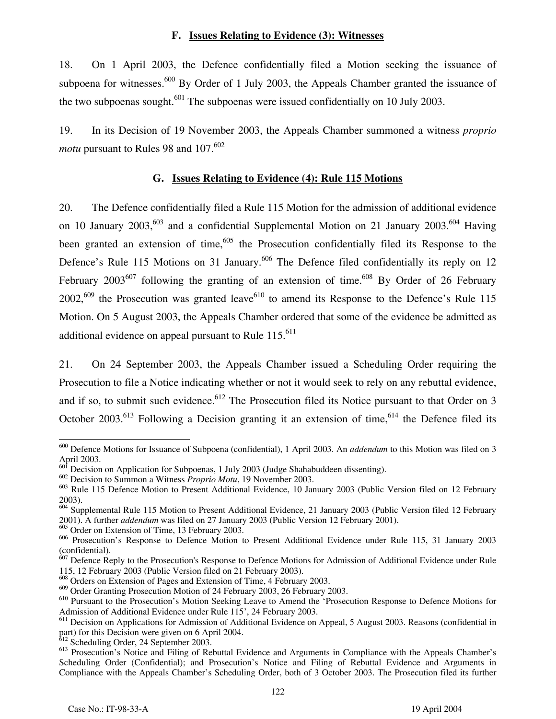#### **F. Issues Relating to Evidence (3): Witnesses**

18. On 1 April 2003, the Defence confidentially filed a Motion seeking the issuance of subpoena for witnesses.<sup>600</sup> By Order of 1 July 2003, the Appeals Chamber granted the issuance of the two subpoenas sought.<sup>601</sup> The subpoenas were issued confidentially on 10 July 2003.

19. In its Decision of 19 November 2003, the Appeals Chamber summoned a witness *proprio motu* pursuant to Rules 98 and 107.<sup>602</sup>

#### **G. Issues Relating to Evidence (4): Rule 115 Motions**

20. The Defence confidentially filed a Rule 115 Motion for the admission of additional evidence on 10 January 2003,<sup>603</sup> and a confidential Supplemental Motion on 21 January 2003.<sup>604</sup> Having been granted an extension of time,  $605$  the Prosecution confidentially filed its Response to the Defence's Rule 115 Motions on 31 January.<sup>606</sup> The Defence filed confidentially its reply on 12 February  $2003^{607}$  following the granting of an extension of time.<sup>608</sup> By Order of 26 February  $2002,609$  the Prosecution was granted leave<sup>610</sup> to amend its Response to the Defence's Rule 115 Motion. On 5 August 2003, the Appeals Chamber ordered that some of the evidence be admitted as additional evidence on appeal pursuant to Rule  $115$ .<sup>611</sup>

21. On 24 September 2003, the Appeals Chamber issued a Scheduling Order requiring the Prosecution to file a Notice indicating whether or not it would seek to rely on any rebuttal evidence, and if so, to submit such evidence.<sup>612</sup> The Prosecution filed its Notice pursuant to that Order on 3 October 2003.<sup>613</sup> Following a Decision granting it an extension of time,<sup>614</sup> the Defence filed its

 $\overline{a}$ 600 Defence Motions for Issuance of Subpoena (confidential), 1 April 2003. An *addendum* to this Motion was filed on 3 April 2003.

Decision on Application for Subpoenas, 1 July 2003 (Judge Shahabuddeen dissenting).

<sup>602</sup> Decision to Summon a Witness *Proprio Motu*, 19 November 2003.

<sup>&</sup>lt;sup>603</sup> Rule 115 Defence Motion to Present Additional Evidence, 10 January 2003 (Public Version filed on 12 February 2003).

<sup>&</sup>lt;sup>604</sup> Supplemental Rule 115 Motion to Present Additional Evidence, 21 January 2003 (Public Version filed 12 February 2001). A further *addendum* was filed on 27 January 2003 (Public Version 12 February 2001).

<sup>&</sup>lt;sup>605</sup> Order on Extension of Time, 13 February 2003.

<sup>606</sup> Prosecution's Response to Defence Motion to Present Additional Evidence under Rule 115, 31 January 2003 (confidential).

<sup>&</sup>lt;sup>607</sup> Defence Reply to the Prosecution's Response to Defence Motions for Admission of Additional Evidence under Rule 115, 12 February 2003 (Public Version filed on 21 February 2003).

<sup>&</sup>lt;sup>608</sup> Orders on Extension of Pages and Extension of Time, 4 February 2003.

<sup>609</sup> Order Granting Prosecution Motion of 24 February 2003, 26 February 2003.

<sup>610</sup> Pursuant to the Prosecution's Motion Seeking Leave to Amend the 'Prosecution Response to Defence Motions for Admission of Additional Evidence under Rule 115', 24 February 2003.

<sup>&</sup>lt;sup>611</sup> Decision on Applications for Admission of Additional Evidence on Appeal, 5 August 2003. Reasons (confidential in part) for this Decision were given on 6 April 2004.

 $612$  Scheduling Order, 24 September 2003.

<sup>&</sup>lt;sup>613</sup> Prosecution's Notice and Filing of Rebuttal Evidence and Arguments in Compliance with the Appeals Chamber's Scheduling Order (Confidential); and Prosecution's Notice and Filing of Rebuttal Evidence and Arguments in Compliance with the Appeals Chamber's Scheduling Order, both of 3 October 2003. The Prosecution filed its further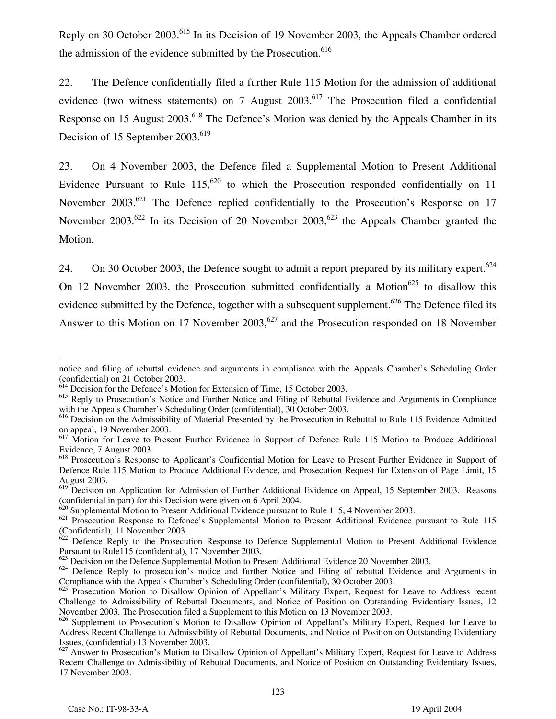Reply on 30 October 2003.<sup>615</sup> In its Decision of 19 November 2003, the Appeals Chamber ordered the admission of the evidence submitted by the Prosecution.<sup>616</sup>

22. The Defence confidentially filed a further Rule 115 Motion for the admission of additional evidence (two witness statements) on 7 August 2003.<sup>617</sup> The Prosecution filed a confidential Response on 15 August 2003.<sup>618</sup> The Defence's Motion was denied by the Appeals Chamber in its Decision of 15 September 2003.<sup>619</sup>

23. On 4 November 2003, the Defence filed a Supplemental Motion to Present Additional Evidence Pursuant to Rule  $115$ <sup>520</sup>, to which the Prosecution responded confidentially on 11 November 2003.<sup>621</sup> The Defence replied confidentially to the Prosecution's Response on 17 November 2003.<sup>622</sup> In its Decision of 20 November 2003,<sup>623</sup> the Appeals Chamber granted the Motion.

24. On 30 October 2003, the Defence sought to admit a report prepared by its military expert.<sup>624</sup> On 12 November 2003, the Prosecution submitted confidentially a Motion<sup>625</sup> to disallow this evidence submitted by the Defence, together with a subsequent supplement.<sup>626</sup> The Defence filed its Answer to this Motion on 17 November  $2003$ ,<sup>627</sup> and the Prosecution responded on 18 November

notice and filing of rebuttal evidence and arguments in compliance with the Appeals Chamber's Scheduling Order (confidential) on 21 October 2003.

 $^{614}$  Decision for the Defence's Motion for Extension of Time, 15 October 2003.

<sup>&</sup>lt;sup>615</sup> Reply to Prosecution's Notice and Further Notice and Filing of Rebuttal Evidence and Arguments in Compliance with the Appeals Chamber's Scheduling Order (confidential), 30 October 2003.

<sup>&</sup>lt;sup>616</sup> Decision on the Admissibility of Material Presented by the Prosecution in Rebuttal to Rule 115 Evidence Admitted on appeal, 19 November 2003.

<sup>&</sup>lt;sup>617</sup> Motion for Leave to Present Further Evidence in Support of Defence Rule 115 Motion to Produce Additional Evidence, 7 August 2003.

<sup>&</sup>lt;sup>618</sup> Prosecution's Response to Applicant's Confidential Motion for Leave to Present Further Evidence in Support of Defence Rule 115 Motion to Produce Additional Evidence, and Prosecution Request for Extension of Page Limit, 15 August 2003.

<sup>&</sup>lt;sup>619</sup> Decision on Application for Admission of Further Additional Evidence on Appeal, 15 September 2003. Reasons (confidential in part) for this Decision were given on 6 April 2004.

<sup>&</sup>lt;sup>20</sup> Supplemental Motion to Present Additional Evidence pursuant to Rule 115, 4 November 2003.

<sup>&</sup>lt;sup>621</sup> Prosecution Response to Defence's Supplemental Motion to Present Additional Evidence pursuant to Rule 115 (Confidential), 11 November 2003.

 $\frac{\delta^{22}}{\delta^{22}}$  Defence Reply to the Prosecution Response to Defence Supplemental Motion to Present Additional Evidence Pursuant to Rule115 (confidential), 17 November 2003.

<sup>&</sup>lt;sup>623</sup> Decision on the Defence Supplemental Motion to Present Additional Evidence 20 November 2003.

<sup>&</sup>lt;sup>624</sup> Defence Reply to prosecution's notice and further Notice and Filing of rebuttal Evidence and Arguments in Compliance with the Appeals Chamber's Scheduling Order (confidential), 30 October 2003.<br>  $\frac{625}{2025}$  Prosecution Mation to Dig 19 and 2003.

<sup>625</sup> Prosecution Motion to Disallow Opinion of Appellant's Military Expert, Request for Leave to Address recent Challenge to Admissibility of Rebuttal Documents, and Notice of Position on Outstanding Evidentiary Issues, 12 November 2003. The Prosecution filed a Supplement to this Motion on 13 November 2003.

<sup>&</sup>lt;sup>626</sup> Supplement to Prosecution's Motion to Disallow Opinion of Appellant's Military Expert, Request for Leave to Address Recent Challenge to Admissibility of Rebuttal Documents, and Notice of Position on Outstanding Evidentiary Issues, (confidential) 13 November 2003.

<sup>&</sup>lt;sup>627</sup> Answer to Prosecution's Motion to Disallow Opinion of Appellant's Military Expert, Request for Leave to Address Recent Challenge to Admissibility of Rebuttal Documents, and Notice of Position on Outstanding Evidentiary Issues, 17 November 2003.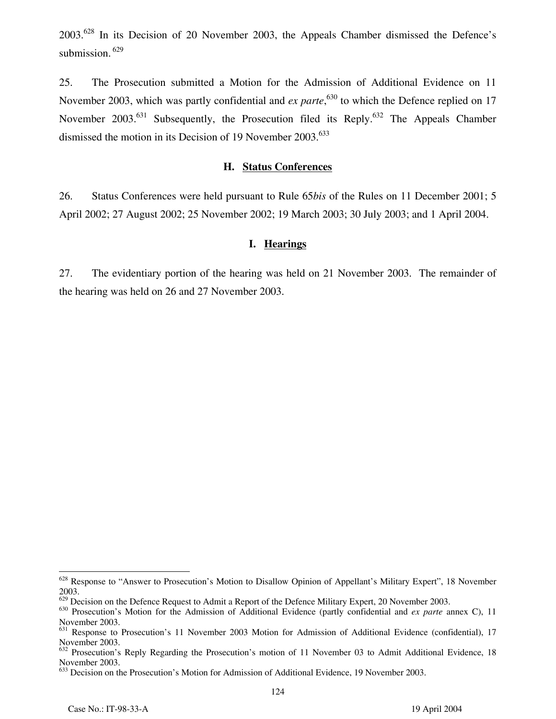2003.<sup>628</sup> In its Decision of 20 November 2003, the Appeals Chamber dismissed the Defence's submission.<sup>629</sup>

25. The Prosecution submitted a Motion for the Admission of Additional Evidence on 11 November 2003, which was partly confidential and *ex parte*,<sup>630</sup> to which the Defence replied on 17 November 2003.<sup>631</sup> Subsequently, the Prosecution filed its Reply.<sup>632</sup> The Appeals Chamber dismissed the motion in its Decision of 19 November 2003.<sup>633</sup>

#### **H. Status Conferences**

26. Status Conferences were held pursuant to Rule 65*bis* of the Rules on 11 December 2001; 5 April 2002; 27 August 2002; 25 November 2002; 19 March 2003; 30 July 2003; and 1 April 2004.

#### **I. Hearings**

27. The evidentiary portion of the hearing was held on 21 November 2003. The remainder of the hearing was held on 26 and 27 November 2003.

 $\overline{a}$ 

<sup>&</sup>lt;sup>628</sup> Response to "Answer to Prosecution's Motion to Disallow Opinion of Appellant's Military Expert", 18 November 2003.

 $629$  Decision on the Defence Request to Admit a Report of the Defence Military Expert, 20 November 2003.

<sup>630</sup> Prosecution's Motion for the Admission of Additional Evidence (partly confidential and *ex parte* annex C), 11 November 2003.

<sup>&</sup>lt;sup>631</sup> Response to Prosecution's 11 November 2003 Motion for Admission of Additional Evidence (confidential), 17 November 2003.

<sup>&</sup>lt;sup>632</sup> Prosecution's Reply Regarding the Prosecution's motion of 11 November 03 to Admit Additional Evidence, 18 November 2003.

<sup>&</sup>lt;sup>633</sup> Decision on the Prosecution's Motion for Admission of Additional Evidence, 19 November 2003.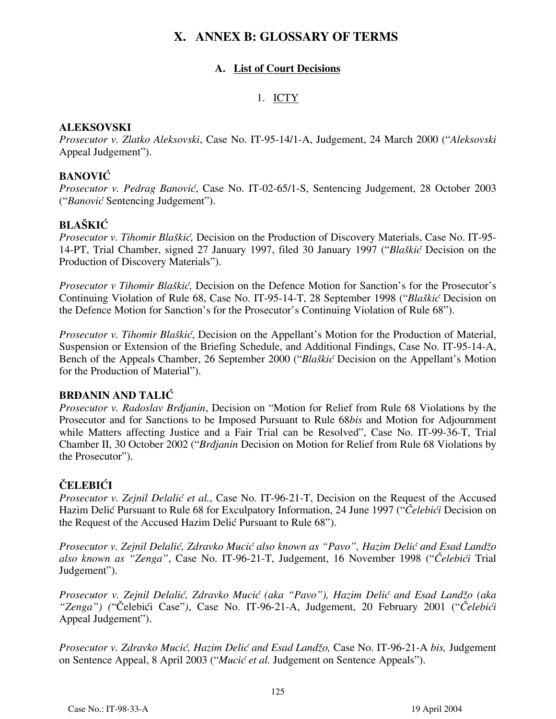# **X. ANNEX B: GLOSSARY OF TERMS**

### **A. List of Court Decisions**

### 1. ICTY

### **ALEKSOVSKI**

*Prosecutor v. Zlatko Aleksovski*, Case No. IT-95-14/1-A, Judgement, 24 March 2000 ("*Aleksovski* Appeal Judgement").

## **BANOVIĆ**

*Prosecutor v. Pedrag Banović*, Case No. IT-02-65/1-S, Sentencing Judgement, 28 October 2003 ("*Banović* Sentencing Judgement").

# **BLAŠKIĆ**

*Prosecutor v. Tihomir Blaškić, Decision on the Production of Discovery Materials, Case No. IT-95-*14-PT, Trial Chamber, signed 27 January 1997, filed 30 January 1997 ("*Bla{ki}* Decision on the Production of Discovery Materials").

*Prosecutor v Tihomir Blaškić,* Decision on the Defence Motion for Sanction's for the Prosecutor's Continuing Violation of Rule 68, Case No. IT-95-14-T, 28 September 1998 ("*Blaškić* Decision on the Defence Motion for Sanction's for the Prosecutor's Continuing Violation of Rule 68").

*Prosecutor v. Tihomir Blaškić*, Decision on the Appellant's Motion for the Production of Material, Suspension or Extension of the Briefing Schedule, and Additional Findings, Case No. IT-95-14-A, Bench of the Appeals Chamber, 26 September 2000 ("*Blaškić* Decision on the Appellant's Motion for the Production of Material").

## **BRĐANIN AND TALIĆ**

*Prosecutor v. Radoslav Brdjanin*, Decision on "Motion for Relief from Rule 68 Violations by the Prosecutor and for Sanctions to be Imposed Pursuant to Rule 68*bis* and Motion for Adjournment while Matters affecting Justice and a Fair Trial can be Resolved", Case No. IT-99-36-T, Trial Chamber II, 30 October 2002 ("*Brdjanin Decision on Motion for Relief from Rule 68 Violations by* the Prosecutor").

# **ČELEBIĆI**

*Prosecutor v. Zejnil Delalić et al.*, Case No. IT-96-21-T, Decision on the Request of the Accused Hazim Deli} Pursuant to Rule 68 for Exculpatory Information, 24 June 1997 ("*Čelebići* Decision on the Request of the Accused Hazim Delić Pursuant to Rule 68".

*Prosecutor v. Zejnil Delalić, Zdravko Mucić also known as "Pavo", Hazim Delić and Esad Landžo also known as "Zenga"*, Case No. IT-96-21-T, Judgement, 16 November 1998 ("*Čelebići* Trial Judgement").

*Prosecutor v. Zejnil Delalić, Zdravko Mucić (aka "Pavo"), Hazim Delić and Esad Landžo (aka "Zenga") (*"Čelebići Case"*)*, Case No. IT-96-21-A, Judgement, 20 February 2001 ("*Čelebići* Appeal Judgement").

*Prosecutor v. Zdravko Mucić, Hazim Delić and Esad Landžo,* Case No. IT-96-21-A *bis,* Judgement on Sentence Appeal, 8 April 2003 ("*Mucić et al.* Judgement on Sentence Appeals").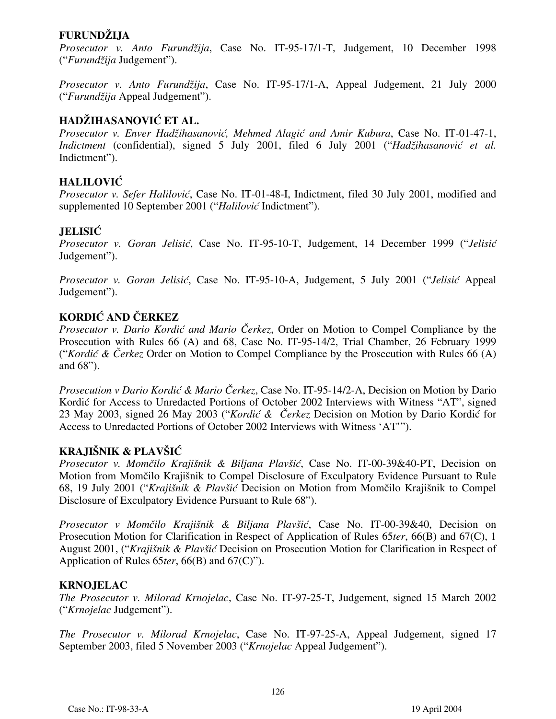## **FURUNDŽIJA**

*Prosecutor v. Anto Furundžija*, Case No. IT-95-17/1-T, Judgement, 10 December 1998 ("*Furundžija* Judgement").

*Prosecutor v. Anto Furundžija*, Case No. IT-95-17/1-A, Appeal Judgement, 21 July 2000 ("*Furundžija* Appeal Judgement").

## **HADŽIHASANOVIĆ ET AL.**

*Prosecutor v. Enver Hadžihasanović, Mehmed Alagić and Amir Kubura, Case No. IT-01-47-1, Indictment* (confidential), signed 5 July 2001, filed 6 July 2001 ("*Hadžihasanović et al.* Indictment").

## **HALILOVIĆ**

*Prosecutor v. Sefer Halilović*, Case No. IT-01-48-I, Indictment, filed 30 July 2001, modified and supplemented 10 September 2001 ("*Halilović* Indictment").

## **JELISIĆ**

*Prosecutor v. Goran Jelisić*, Case No. IT-95-10-T, Judgement, 14 December 1999 ("*Jelisić* Judgement").

*Prosecutor v. Goran Jelisić*, Case No. IT-95-10-A, Judgement, 5 July 2001 ("*Jelisić* Appeal Judgement").

# **KORDIĆ AND ČERKEZ**

*Prosecutor v. Dario Kordić and Mario Čerkez*, Order on Motion to Compel Compliance by the Prosecution with Rules 66 (A) and 68, Case No. IT-95-14/2, Trial Chamber, 26 February 1999 ("*Kordić & Čerkez* Order on Motion to Compel Compliance by the Prosecution with Rules 66 (A) and 68").

*Prosecution v Dario Kordić & Mario Čerkez*, Case No. IT-95-14/2-A, Decision on Motion by Dario Kordić for Access to Unredacted Portions of October 2002 Interviews with Witness "AT", signed 23 May 2003, signed 26 May 2003 ("*Kordić & Čerkez* Decision on Motion by Dario Kordić for Access to Unredacted Portions of October 2002 Interviews with Witness 'AT'").

## **KRAJIŠNIK & PLAVŠIĆ**

*Prosecutor v. Mom~ilo Kraji{nik & Biljana Plavšić*, Case No. IT-00-39&40-PT, Decision on Motion from Momčilo Krajišnik to Compel Disclosure of Exculpatory Evidence Pursuant to Rule 68, 19 July 2001 *("Krajišnik & Plavšić* Decision on Motion from Momčilo Krajišnik to Compel Disclosure of Exculpatory Evidence Pursuant to Rule 68").

*Prosecutor v Momčilo Krajišnik & Biljana Plavšić*, Case No. IT-00-39&40, Decision on Prosecution Motion for Clarification in Respect of Application of Rules 65*ter*, 66(B) and 67(C), 1 August 2001, ("*Krajišnik & Plavšić* Decision on Prosecution Motion for Clarification in Respect of Application of Rules 65*ter*, 66(B) and 67(C)").

## **KRNOJELAC**

*The Prosecutor v. Milorad Krnojelac*, Case No. IT-97-25-T, Judgement, signed 15 March 2002 ("*Krnojelac* Judgement").

*The Prosecutor v. Milorad Krnojelac*, Case No. IT-97-25-A, Appeal Judgement, signed 17 September 2003, filed 5 November 2003 ("*Krnojelac* Appeal Judgement").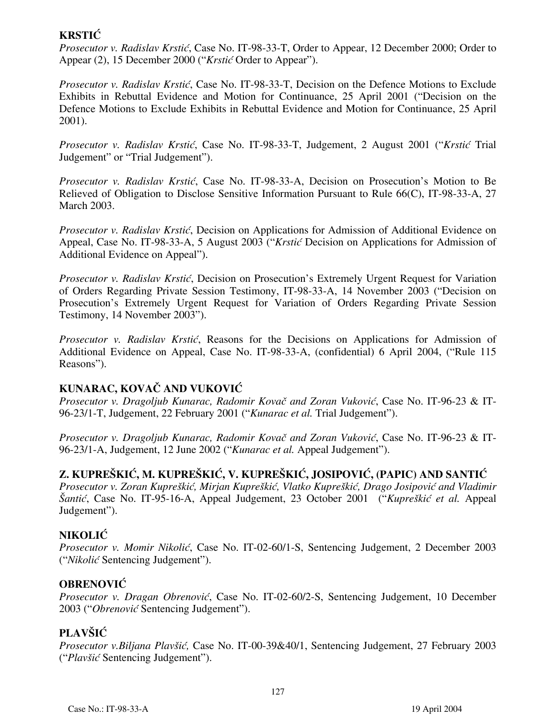## **KRSTIĆ**

*Prosecutor v. Radislav Krstić*, Case No. IT-98-33-T, Order to Appear, 12 December 2000; Order to Appear (2), 15 December 2000 ("*Krstić* Order to Appear").

*Prosecutor v. Radislav Krstić*, Case No. IT-98-33-T, Decision on the Defence Motions to Exclude Exhibits in Rebuttal Evidence and Motion for Continuance, 25 April 2001 ("Decision on the Defence Motions to Exclude Exhibits in Rebuttal Evidence and Motion for Continuance, 25 April 2001).

*Prosecutor v. Radislav Krstić*, Case No. IT-98-33-T, Judgement, 2 August 2001 ("*Krstić* Trial Judgement" or "Trial Judgement").

*Prosecutor v. Radislav Krstić*, Case No. IT-98-33-A, Decision on Prosecution's Motion to Be Relieved of Obligation to Disclose Sensitive Information Pursuant to Rule 66(C), IT-98-33-A, 27 March 2003.

*Prosecutor v. Radislav Krstić*, Decision on Applications for Admission of Additional Evidence on Appeal, Case No. IT-98-33-A, 5 August 2003 ("Krstić Decision on Applications for Admission of Additional Evidence on Appeal").

*Prosecutor v. Radislav Krstić*, Decision on Prosecution's Extremely Urgent Request for Variation of Orders Regarding Private Session Testimony, IT-98-33-A, 14 November 2003 ("Decision on Prosecution's Extremely Urgent Request for Variation of Orders Regarding Private Session Testimony, 14 November 2003").

Prosecutor v. Radislav Krstić, Reasons for the Decisions on Applications for Admission of Additional Evidence on Appeal, Case No. IT-98-33-A, (confidential) 6 April 2004, ("Rule 115 Reasons").

# **KUNARAC, KOVAČ AND VUKOVIĆ**

*Prosecutor v. Dragoljub Kunarac, Radomir Kovač and Zoran Vuković*, Case No. IT-96-23 & IT-96-23/1-T, Judgement, 22 February 2001 ("*Kunarac et al.* Trial Judgement").

*Prosecutor v. Dragoljub Kunarac, Radomir Kovač and Zoran Vuković*, Case No. IT-96-23 & IT-96-23/1-A, Judgement, 12 June 2002 ("*Kunarac et al.* Appeal Judgement").

# **Z. KUPREŠKIĆ, M. KUPREŠKIĆ, V. KUPREŠKIĆ, JOSIPOVIĆ, (PAPIC) AND SANTIĆ**

*Prosecutor v. Zoran Kupreškić, Mirjan Kupreškić, Vlatko Kupreškić, Drago Josipović and Vladimir Šantić*, Case No. IT-95-16-A, Appeal Judgement, 23 October 2001 ("*Kupreškić et al.* Appeal Judgement").

# **NIKOLIĆ**

*Prosecutor v. Momir Nikolić*, Case No. IT-02-60/1-S, Sentencing Judgement, 2 December 2003 ("*Nikolić* Sentencing Judgement").

## **OBRENOVIĆ**

*Prosecutor v. Dragan Obrenović*, Case No. IT-02-60/2-S, Sentencing Judgement, 10 December 2003 ("*Obrenović* Sentencing Judgement").

# **PLAVŠIĆ**

*Prosecutor v.Biljana Plavšić,* Case No. IT-00-39&40/1, Sentencing Judgement, 27 February 2003 ("*Plavšić* Sentencing Judgement").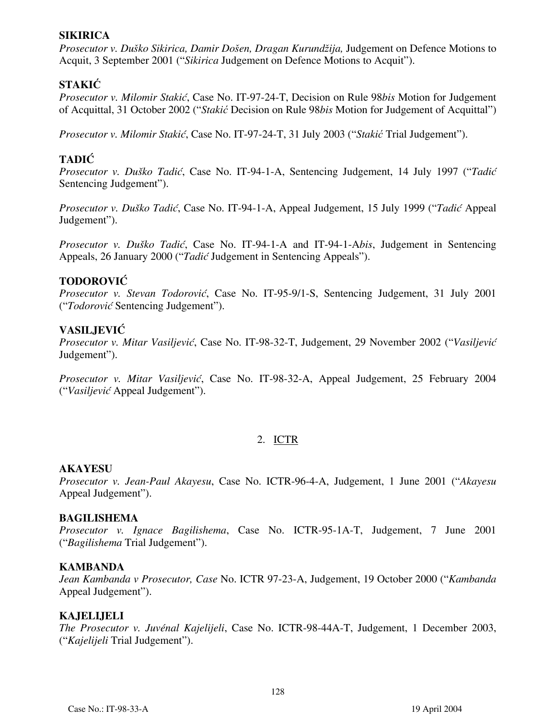## **SIKIRICA**

*Prosecutor v. Duško Sikirica, Damir Došen, Dragan Kurundžija,* Judgement on Defence Motions to Acquit, 3 September 2001 ("*Sikirica* Judgement on Defence Motions to Acquit").

# **STAKIĆ**

*Prosecutor v. Milomir Stakić*, Case No. IT-97-24-T, Decision on Rule 98*bis* Motion for Judgement of Acquittal, 31 October 2002 ("*Stakić* Decision on Rule 98*bis* Motion for Judgement of Acquittal")

*Prosecutor v. Milomir Stakić*, Case No. IT-97-24-T, 31 July 2003 ("*Stakić* Trial Judgement").

# **TADIĆ**

*Prosecutor v. Duško Tadić*, Case No. IT-94-1-A, Sentencing Judgement, 14 July 1997 ("*Tadić* Sentencing Judgement").

*Prosecutor v. Duško Tadić*, Case No. IT-94-1-A, Appeal Judgement, 15 July 1999 ("*Tadić* Appeal Judgement").

*Prosecutor v. Duško Tadić*, Case No. IT-94-1-A and IT-94-1-A*bis*, Judgement in Sentencing Appeals, 26 January 2000 ("*Tadić* Judgement in Sentencing Appeals").

## **TODOROVIĆ**

*Prosecutor v. Stevan Todorović*, Case No. IT-95-9/1-S, Sentencing Judgement, 31 July 2001 ("*Todorović* Sentencing Judgement").

## **VASILJEVIĆ**

*Prosecutor v. Mitar Vasiljević*, Case No. IT-98-32-T, Judgement, 29 November 2002 ("*Vasiljević* Judgement").

*Prosecutor v. Mitar Vasiljević*, Case No. IT-98-32-A, Appeal Judgement, 25 February 2004 ("*Vasiljević* Appeal Judgement").

## 2. ICTR

### **AKAYESU**

*Prosecutor v. Jean-Paul Akayesu*, Case No. ICTR-96-4-A, Judgement, 1 June 2001 ("*Akayesu* Appeal Judgement").

### **BAGILISHEMA**

*Prosecutor v. Ignace Bagilishema*, Case No. ICTR-95-1A-T, Judgement, 7 June 2001 ("*Bagilishema* Trial Judgement").

### **KAMBANDA**

*Jean Kambanda v Prosecutor, Case* No. ICTR 97-23-A, Judgement, 19 October 2000 ("*Kambanda* Appeal Judgement").

### **KAJELIJELI**

*The Prosecutor v. Juvénal Kajelijeli*, Case No. ICTR-98-44A-T, Judgement, 1 December 2003, ("*Kajelijeli* Trial Judgement").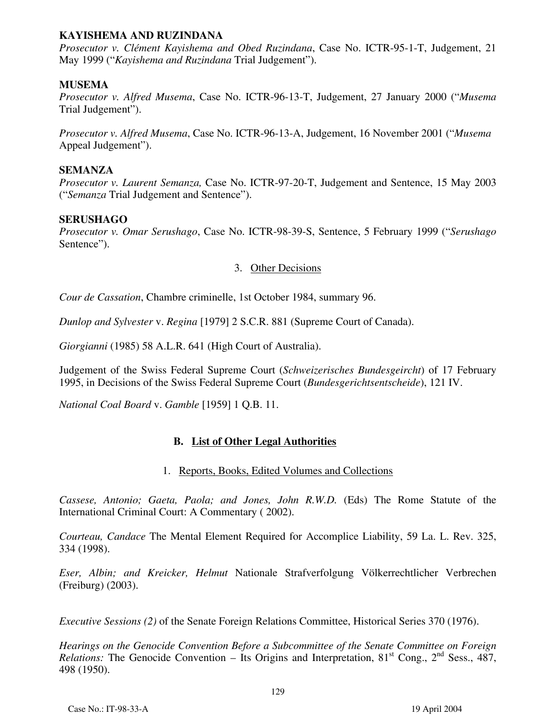### **KAYISHEMA AND RUZINDANA**

*Prosecutor v. Clément Kayishema and Obed Ruzindana*, Case No. ICTR-95-1-T, Judgement, 21 May 1999 ("*Kayishema and Ruzindana* Trial Judgement").

## **MUSEMA**

*Prosecutor v. Alfred Musema*, Case No. ICTR-96-13-T, Judgement, 27 January 2000 ("*Musema* Trial Judgement").

*Prosecutor v. Alfred Musema*, Case No. ICTR-96-13-A, Judgement, 16 November 2001 ("*Musema* Appeal Judgement").

## **SEMANZA**

*Prosecutor v. Laurent Semanza,* Case No. ICTR-97-20-T, Judgement and Sentence, 15 May 2003 ("*Semanza* Trial Judgement and Sentence").

## **SERUSHAGO**

*Prosecutor v. Omar Serushago*, Case No. ICTR-98-39-S, Sentence, 5 February 1999 ("*Serushago* Sentence").

## 3. Other Decisions

*Cour de Cassation*, Chambre criminelle, 1st October 1984, summary 96.

*Dunlop and Sylvester* v. *Regina* [1979] 2 S.C.R. 881 (Supreme Court of Canada).

*Giorgianni* (1985) 58 A.L.R. 641 (High Court of Australia).

Judgement of the Swiss Federal Supreme Court (*Schweizerisches Bundesgeircht*) of 17 February 1995, in Decisions of the Swiss Federal Supreme Court (*Bundesgerichtsentscheide*), 121 IV.

*National Coal Board v. Gamble* [1959] 1 Q.B. 11.

## **B. List of Other Legal Authorities**

## 1. Reports, Books, Edited Volumes and Collections

*Cassese, Antonio; Gaeta, Paola; and Jones, John R.W.D.* (Eds) The Rome Statute of the International Criminal Court: A Commentary ( 2002).

*Courteau, Candace* The Mental Element Required for Accomplice Liability, 59 La. L. Rev. 325, 334 (1998).

*Eser, Albin; and Kreicker, Helmut* Nationale Strafverfolgung Völkerrechtlicher Verbrechen (Freiburg) (2003).

*Executive Sessions (2)* of the Senate Foreign Relations Committee, Historical Series 370 (1976).

*Hearings on the Genocide Convention Before a Subcommittee of the Senate Committee on Foreign Relations:* The Genocide Convention – Its Origins and Interpretation,  $81<sup>st</sup>$  Cong.,  $2<sup>nd</sup>$  Sess., 487, 498 (1950).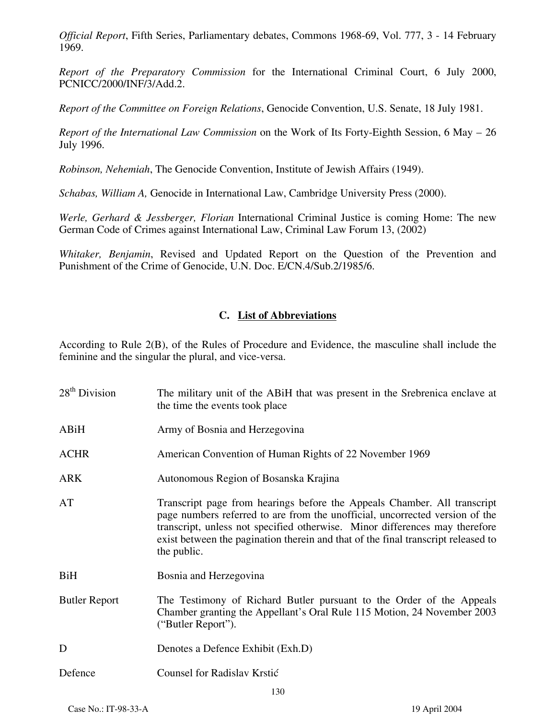*Official Report*, Fifth Series, Parliamentary debates, Commons 1968-69, Vol. 777, 3 - 14 February 1969.

*Report of the Preparatory Commission* for the International Criminal Court, 6 July 2000, PCNICC/2000/INF/3/Add.2.

*Report of the Committee on Foreign Relations*, Genocide Convention, U.S. Senate, 18 July 1981.

*Report of the International Law Commission* on the Work of Its Forty-Eighth Session, 6 May – 26 July 1996.

*Robinson, Nehemiah*, The Genocide Convention, Institute of Jewish Affairs (1949).

*Schabas, William A,* Genocide in International Law, Cambridge University Press (2000).

*Werle, Gerhard & Jessberger, Florian* International Criminal Justice is coming Home: The new German Code of Crimes against International Law, Criminal Law Forum 13, (2002)

*Whitaker, Benjamin*, Revised and Updated Report on the Question of the Prevention and Punishment of the Crime of Genocide, U.N. Doc. E/CN.4/Sub.2/1985/6.

### **C. List of Abbreviations**

According to Rule 2(B), of the Rules of Procedure and Evidence, the masculine shall include the feminine and the singular the plural, and vice-versa.

| 28 <sup>th</sup> Division | The military unit of the ABiH that was present in the Srebrenica enclave at<br>the time the events took place                                                                                                                                                                                                                               |
|---------------------------|---------------------------------------------------------------------------------------------------------------------------------------------------------------------------------------------------------------------------------------------------------------------------------------------------------------------------------------------|
| ABiH                      | Army of Bosnia and Herzegovina                                                                                                                                                                                                                                                                                                              |
| <b>ACHR</b>               | American Convention of Human Rights of 22 November 1969                                                                                                                                                                                                                                                                                     |
| <b>ARK</b>                | Autonomous Region of Bosanska Krajina                                                                                                                                                                                                                                                                                                       |
| AT                        | Transcript page from hearings before the Appeals Chamber. All transcript<br>page numbers referred to are from the unofficial, uncorrected version of the<br>transcript, unless not specified otherwise. Minor differences may therefore<br>exist between the pagination therein and that of the final transcript released to<br>the public. |
| <b>BiH</b>                | Bosnia and Herzegovina                                                                                                                                                                                                                                                                                                                      |
| <b>Butler Report</b>      | The Testimony of Richard Butler pursuant to the Order of the Appeals<br>Chamber granting the Appellant's Oral Rule 115 Motion, 24 November 2003<br>("Butler Report").                                                                                                                                                                       |
| D                         | Denotes a Defence Exhibit (Exh.D)                                                                                                                                                                                                                                                                                                           |
| Defence                   | <b>Counsel for Radislav Krstić</b>                                                                                                                                                                                                                                                                                                          |
|                           | 130                                                                                                                                                                                                                                                                                                                                         |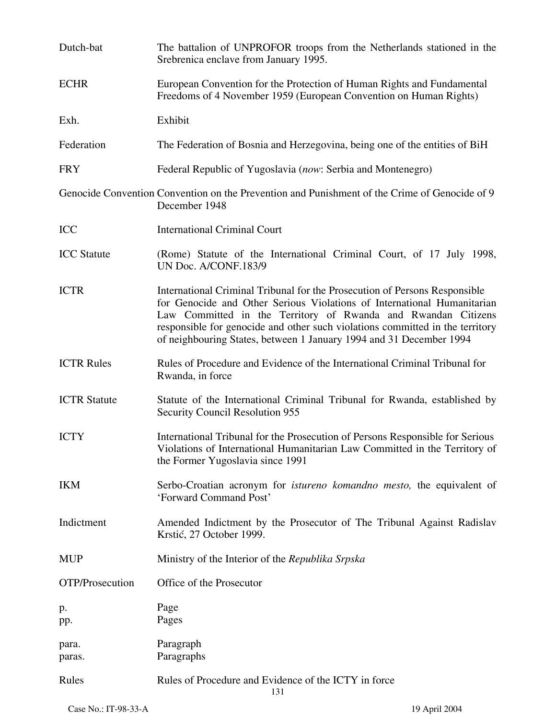| Dutch-bat           | The battalion of UNPROFOR troops from the Netherlands stationed in the<br>Srebrenica enclave from January 1995.                                                                                                                                                                                                                                                                |
|---------------------|--------------------------------------------------------------------------------------------------------------------------------------------------------------------------------------------------------------------------------------------------------------------------------------------------------------------------------------------------------------------------------|
| <b>ECHR</b>         | European Convention for the Protection of Human Rights and Fundamental<br>Freedoms of 4 November 1959 (European Convention on Human Rights)                                                                                                                                                                                                                                    |
| Exh.                | Exhibit                                                                                                                                                                                                                                                                                                                                                                        |
| Federation          | The Federation of Bosnia and Herzegovina, being one of the entities of BiH                                                                                                                                                                                                                                                                                                     |
| <b>FRY</b>          | Federal Republic of Yugoslavia (now: Serbia and Montenegro)                                                                                                                                                                                                                                                                                                                    |
|                     | Genocide Convention Convention on the Prevention and Punishment of the Crime of Genocide of 9<br>December 1948                                                                                                                                                                                                                                                                 |
| <b>ICC</b>          | <b>International Criminal Court</b>                                                                                                                                                                                                                                                                                                                                            |
| <b>ICC</b> Statute  | (Rome) Statute of the International Criminal Court, of 17 July 1998,<br>UN Doc. A/CONF.183/9                                                                                                                                                                                                                                                                                   |
| <b>ICTR</b>         | International Criminal Tribunal for the Prosecution of Persons Responsible<br>for Genocide and Other Serious Violations of International Humanitarian<br>Law Committed in the Territory of Rwanda and Rwandan Citizens<br>responsible for genocide and other such violations committed in the territory<br>of neighbouring States, between 1 January 1994 and 31 December 1994 |
| <b>ICTR Rules</b>   | Rules of Procedure and Evidence of the International Criminal Tribunal for<br>Rwanda, in force                                                                                                                                                                                                                                                                                 |
| <b>ICTR Statute</b> | Statute of the International Criminal Tribunal for Rwanda, established by<br>Security Council Resolution 955                                                                                                                                                                                                                                                                   |
| <b>ICTY</b>         | International Tribunal for the Prosecution of Persons Responsible for Serious<br>Violations of International Humanitarian Law Committed in the Territory of<br>the Former Yugoslavia since 1991                                                                                                                                                                                |
| <b>IKM</b>          | Serbo-Croatian acronym for <i>istureno komandno mesto</i> , the equivalent of<br>'Forward Command Post'                                                                                                                                                                                                                                                                        |
| Indictment          | Amended Indictment by the Prosecutor of The Tribunal Against Radislav<br>Krstić, 27 October 1999.                                                                                                                                                                                                                                                                              |
| <b>MUP</b>          | Ministry of the Interior of the Republika Srpska                                                                                                                                                                                                                                                                                                                               |
| OTP/Prosecution     | Office of the Prosecutor                                                                                                                                                                                                                                                                                                                                                       |
| p.<br>pp.           | Page<br>Pages                                                                                                                                                                                                                                                                                                                                                                  |
| para.<br>paras.     | Paragraph<br>Paragraphs                                                                                                                                                                                                                                                                                                                                                        |
| Rules               | Rules of Procedure and Evidence of the ICTY in force<br>131                                                                                                                                                                                                                                                                                                                    |